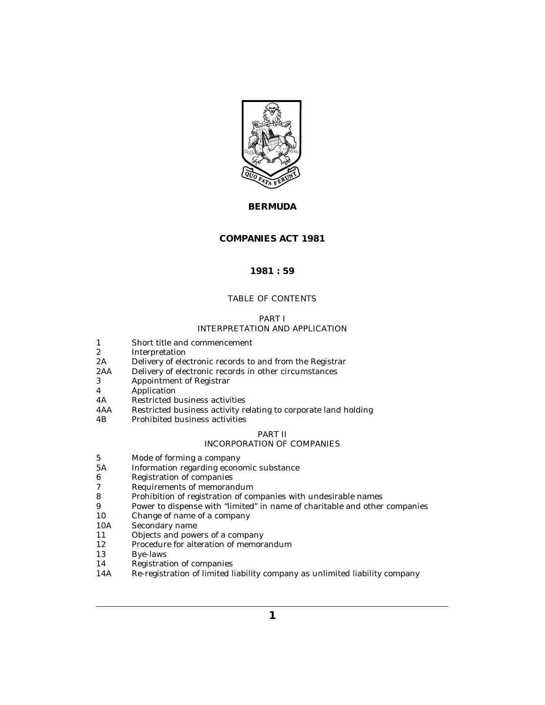

# **BERMUDA**

# **COMPANIES ACT 1981**

# **1981 : 59**

# TABLE OF CONTENTS

### PART I [INTERPRETATION AND APPLICATION](#page-12-0)

- [Short title and commencement](#page-12-0) 1
- [Interpretation](#page-12-0) 2
- [Delivery of electronic records to and from the Registrar](#page-16-0) 2A
- [Delivery of electronic records in other circumstances](#page-17-0) 2AA
- [Appointment of Registrar](#page-18-0) 3
- [Application](#page-18-0) 4
- [Restricted business activities](#page-19-0) 4A
- [Restricted business activity relating to corporate land holding](#page-20-0) 4AA
- [Prohibited business activities](#page-21-0) 4B

### PART II

# [INCORPORATION OF COMPANIES](#page-21-0)

- [Mode of forming a company](#page-21-0) 5
- [Information regarding economic substance](#page-22-0) 5A
- [Registration of companies](#page-22-0) 6
- [Requirements of memorandum](#page-23-0) 7
- [Prohibition of registration of companies with undesirable names](#page-24-0) 8
- [Power to dispense with "limited" in name of charitable and other companies](#page-25-0) 9
- [Change of name of a company](#page-26-0) 10
- [Secondary name](#page-26-0) 10A
- [Objects and powers of a company](#page-27-0) 11
- [Procedure for alteration of memorandum](#page-28-0) 12
- [Bye-laws](#page-29-0) 13
- [Registration of companies](#page-31-0) 14
- [Re-registration of limited liability company as unlimited liability company](#page-32-0) 14A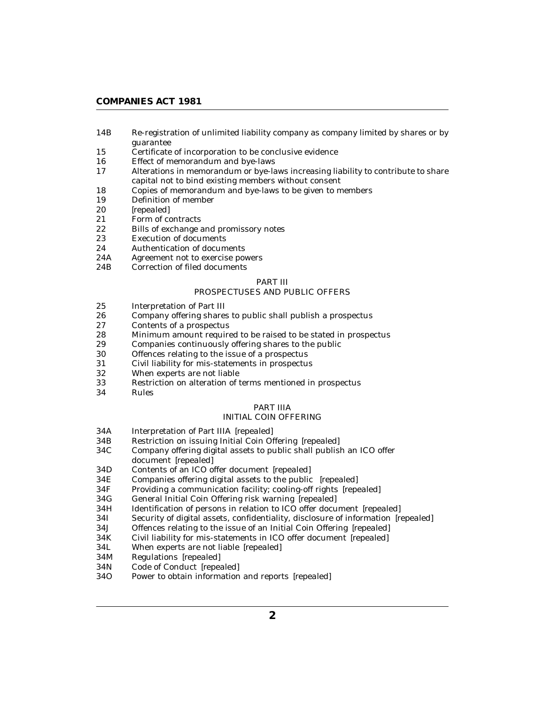- [Re-registration of unlimited liability company as company limited by shares or by](#page-33-0) guarantee 14B
- [Certificate of incorporation to be conclusive evidence](#page-34-0) 15
- [Effect of memorandum and bye-laws](#page-34-0) 16
- [Alterations in memorandum or bye-laws increasing liability to contribute to share](#page-34-0) capital not to bind existing members without consent 17
- [Copies of memorandum and bye-laws to be given to members](#page-34-0) 18
- [Definition of member](#page-34-0) 19
- *[repealed]* 20
- [Form of contracts](#page-35-0) 21
- [Bills of exchange and promissory notes](#page-36-0) 22
- [Execution of documents](#page-36-0) 23
- [Authentication of documents](#page-36-0) 24
- [Agreement not to exercise powers](#page-36-0) 24A
- [Correction of filed documents](#page-36-0) 24B

## PART III

### [PROSPECTUSES AND PUBLIC OFFERS](#page-37-0)

- [Interpretation of Part III](#page-37-0) 25
- [Company offering shares to public shall publish a prospectus](#page-38-0) 26
- [Contents of a prospectus](#page-39-0) 27
- [Minimum amount required to be raised to be stated in prospectus](#page-40-0) 28
- [Companies continuously offering shares to the public](#page-41-0) 29
- [Offences relating to the issue of a prospectus](#page-41-0) 30
- [Civil liability for mis-statements in prospectus](#page-41-0) 31
- [When experts are not liable](#page-43-0) 32
- [Restriction on alteration of terms mentioned in prospectus](#page-43-0) 33
- [Rules](#page-43-0) 34

### PART IIIA

# [INITIAL COIN OFFERING](#page-44-0)

- [Interpretation of Part IIIA](#page-44-0) *[repealed]* 34A
- [Restriction on issuing Initial Coin Offering](#page-44-0) *[repealed]* 34B
- [Company offering digital assets to public shall publish an ICO offer](#page-44-0) document *[repealed]* 34C
- [Contents of an ICO offer document](#page-44-0) *[repealed]* 34D
- [Companies offering digital assets to the public](#page-44-0) *[repealed]* 34E
- [Providing a communication facility; cooling-off rights](#page-44-0) *[repealed]* 34F
- [General Initial Coin Offering risk warning](#page-44-0) *[repealed]* 34G
- [Identification of persons in relation to ICO offer document](#page-44-0) *[repealed]* 34H
- [Security of digital assets, confidentiality, disclosure of information](#page-45-0) *[repealed]* 34I
- [Offences relating to the issue of an Initial Coin Offering](#page-45-0) *[repealed]* 34J
- [Civil liability for mis-statements in ICO offer document](#page-45-0) *[repealed]* 34K
- [When experts are not liable](#page-45-0) *[repealed]* 34L
- [Regulations](#page-45-0) *[repealed]* 34M
- [Code of Conduct](#page-45-0) *[repealed]* 34N
- [Power to obtain information and reports](#page-45-0) *[repealed]* 34O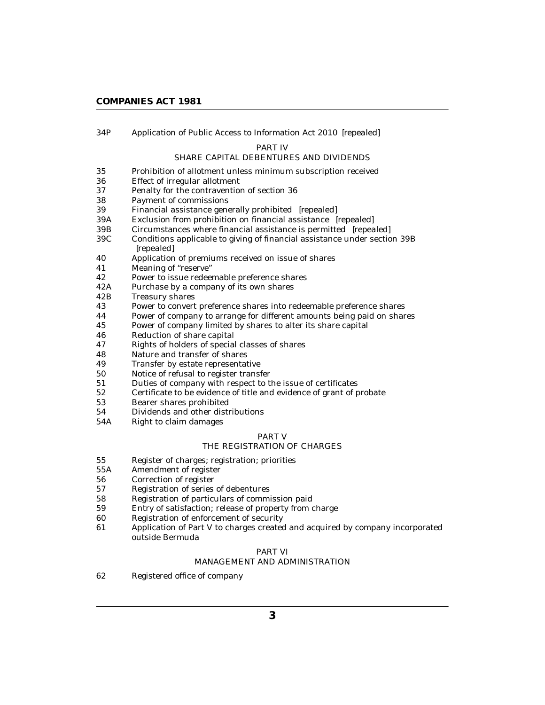#### [Application of Public Access to Information Act 2010](#page-45-0) *[repealed]* 34P

### PART IV

# [SHARE CAPITAL DEBENTURES AND DIVIDENDS](#page-45-0)

- [Prohibition of allotment unless minimum subscription received](#page-45-0) 35
- [Effect of irregular allotment](#page-46-0) 36
- [Penalty for the contravention of section 36](#page-46-0) 37
- [Payment of commissions](#page-47-0) 38
- [Financial assistance generally prohibited](#page-47-0) *[repealed]* 39
- [Exclusion from prohibition on financial assistance](#page-47-0) *[repealed]* 39A
- [Circumstances where financial assistance is permitted](#page-47-0) *[repealed]* 39B
- [Conditions applicable to giving of financial assistance under section 39B](#page-47-0) *[repealed]* 39C
- [Application of premiums received on issue of shares](#page-47-0) 40
- [Meaning of "reserve"](#page-48-0) 41
- [Power to issue redeemable preference shares](#page-48-0) 42
- [Purchase by a company of its own shares](#page-49-0) 42A
- [Treasury shares](#page-50-0) 42B
- [Power to convert preference shares into redeemable preference shares](#page-52-0) 43
- [Power of company to arrange for different amounts being paid on shares](#page-53-0) 44
- [Power of company limited by shares to alter its share capital](#page-53-0) 45
- [Reduction of share capital](#page-54-0) 46
- [Rights of holders of special classes of shares](#page-55-0) 47
- [Nature and transfer of shares](#page-56-0) 48
- [Transfer by estate representative](#page-57-0) 49
- [Notice of refusal to register transfer](#page-57-0) 50
- [Duties of company with respect to the issue of certificates](#page-57-0) 51
- [Certificate to be evidence of title and evidence of grant of probate](#page-57-0) 52
- [Bearer shares prohibited](#page-58-0) 53
- [Dividends and other distributions](#page-58-0) 54
- [Right to claim damages](#page-58-0) 54A

#### PART V

### [THE REGISTRATION OF CHARGES](#page-58-0)

- [Register of charges; registration; priorities](#page-58-0) 55
- [Amendment of register](#page-60-0) 55A
- [Correction of register](#page-60-0) 56
- [Registration of series of debentures](#page-60-0) 57
- [Registration of particulars of commission paid](#page-61-0) 58
- [Entry of satisfaction; release of property from charge](#page-61-0) 59
- [Registration of enforcement of security](#page-61-0) 60
- [Application of Part V to charges created and acquired by company incorporated](#page-62-0) outside Bermuda 61

### PART VI

#### [MANAGEMENT AND ADMINISTRATION](#page-62-0)

[Registered office of company](#page-62-0) 62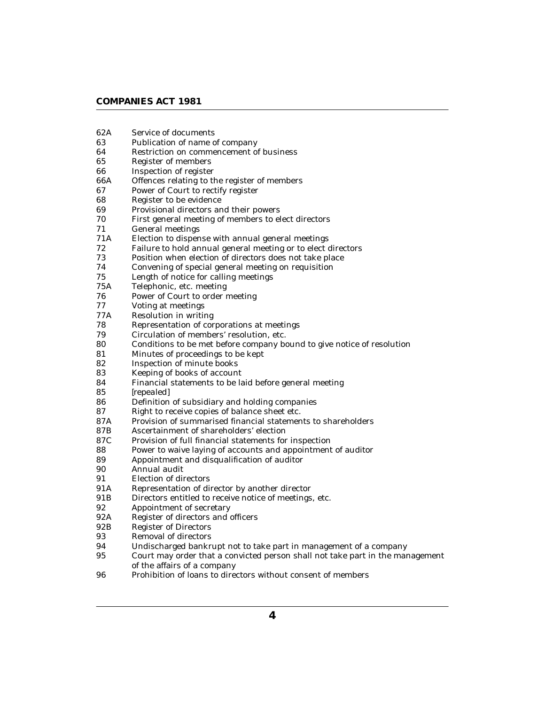62A 63

[Service of documents](#page-62-0)

[Publication of name of company](#page-63-0)

| 64              | Restriction on commencement of business                                                                      |
|-----------------|--------------------------------------------------------------------------------------------------------------|
| 65              | Register of members                                                                                          |
| 66              | Inspection of register                                                                                       |
| 66A             | Offences relating to the register of members                                                                 |
| 67              | Power of Court to rectify register                                                                           |
| 68              | Register to be evidence                                                                                      |
| 69              | Provisional directors and their powers                                                                       |
| 70              | First general meeting of members to elect directors                                                          |
| 71              | General meetings                                                                                             |
| 71A             | Election to dispense with annual general meetings                                                            |
| 72              | Failure to hold annual general meeting or to elect directors                                                 |
| 73              | Position when election of directors does not take place                                                      |
| 74              | Convening of special general meeting on requisition                                                          |
| 75              | Length of notice for calling meetings                                                                        |
| 75A             | Telephonic, etc. meeting                                                                                     |
| 76              | Power of Court to order meeting                                                                              |
| 77              | Voting at meetings                                                                                           |
| 77A             | Resolution in writing                                                                                        |
| 78              | Representation of corporations at meetings                                                                   |
| 79              | Circulation of members' resolution, etc.                                                                     |
| 80              | Conditions to be met before company bound to give notice of resolution                                       |
| 81              | Minutes of proceedings to be kept                                                                            |
| 82              | Inspection of minute books                                                                                   |
| 83              | Keeping of books of account                                                                                  |
| 84              | Financial statements to be laid before general meeting                                                       |
| 85              | <i>repealed</i>                                                                                              |
| 86              | Definition of subsidiary and holding companies                                                               |
| 87              | Right to receive copies of balance sheet etc.                                                                |
| 87A             | Provision of summarised financial statements to shareholders                                                 |
| 87B             | Ascertainment of shareholders' election                                                                      |
| 87C             | Provision of full financial statements for inspection                                                        |
| 88              | Power to waive laying of accounts and appointment of auditor                                                 |
| 89              | Appointment and disqualification of auditor                                                                  |
| 90              | Annual audit                                                                                                 |
| 91              | Election of directors                                                                                        |
| 91A             | Representation of director by another director                                                               |
| 91 <sub>B</sub> | Directors entitled to receive notice of meetings, etc.                                                       |
| 92              | Appointment of secretary                                                                                     |
| 92A             | Register of directors and officers                                                                           |
| 92B             | <b>Register of Directors</b>                                                                                 |
| 93              | Removal of directors                                                                                         |
| 94              | Undischarged bankrupt not to take part in management of a company                                            |
| 95              | Court may order that a convicted person shall not take part in the management<br>of the affairs of a company |
| 96              | Prohibition of loans to directors without consent of members                                                 |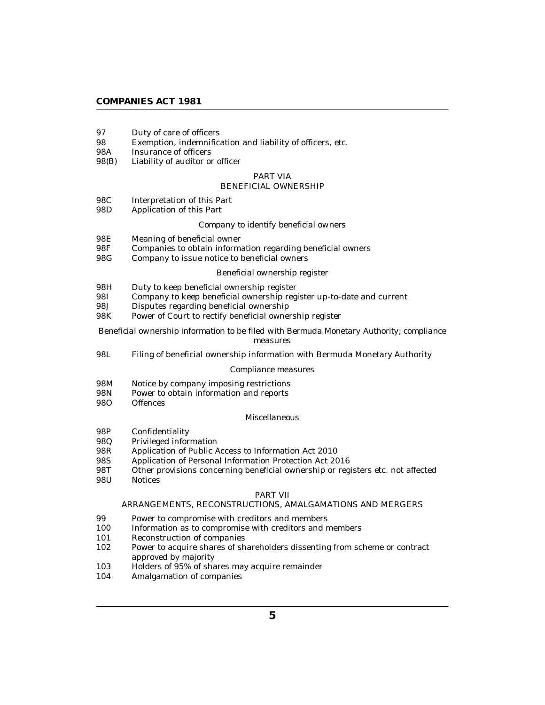- [Duty of care of officers](#page-89-0) 97
- [Exemption, indemnification and liability of officers, etc.](#page-90-0) 98
- [Insurance of officers](#page-91-0) 98A
- [Liability of auditor or officer](#page-91-0) 98(B)

# PART VIA [BENEFICIAL OWNERSHIP](#page-92-0)

- [Interpretation of this Part](#page-92-0) 98C
- [Application of this Part](#page-93-0) 98D

#### *[Company to identify beneficial owners](#page-94-0)*

- [Meaning of beneficial owner](#page-94-0) 98E
- [Companies to obtain information regarding beneficial owners](#page-94-0) 98F
- [Company to issue notice to beneficial owners](#page-95-0) 98G

### *[Beneficial ownership register](#page-95-0)*

- [Duty to keep beneficial ownership register](#page-95-0) 98H
- [Company to keep beneficial ownership register up-to-date and current](#page-96-0) 98I
- [Disputes regarding beneficial ownership](#page-97-0) 98J
- [Power of Court to rectify beneficial ownership register](#page-98-0) 98K

#### *[Beneficial ownership information to be filed with Bermuda Monetary Authority; compliance](#page-98-0) measures*

[Filing of beneficial ownership information with Bermuda Monetary Authority](#page-98-0) 98L

#### *[Compliance measures](#page-98-0)*

- [Notice by company imposing restrictions](#page-98-0) 98M
- [Power to obtain information and reports](#page-100-0) 98N
- **[Offences](#page-100-0)** 98O

#### *[Miscellaneous](#page-101-0)*

- [Confidentiality](#page-101-0) 98P
- [Privileged information](#page-101-0) 98Q
- [Application of Public Access to Information Act 2010](#page-102-0) 98R
- [Application of Personal Information Protection Act 2016](#page-102-0) 98S
- [Other provisions concerning beneficial ownership or registers etc. not affected](#page-102-0) 98T
- **[Notices](#page-102-0)** 98U

#### PART VII

### [ARRANGEMENTS, RECONSTRUCTIONS, AMALGAMATIONS AND MERGERS](#page-104-0)

- [Power to compromise with creditors and members](#page-104-0) 99
- [Information as to compromise with creditors and members](#page-104-0) 100
- [Reconstruction of companies](#page-105-0) 101
- [Power to acquire shares of shareholders dissenting from scheme or contract](#page-106-0) approved by majority 102
- [Holders of 95% of shares may acquire remainder](#page-108-0) 103
- [Amalgamation of companies](#page-109-0) 104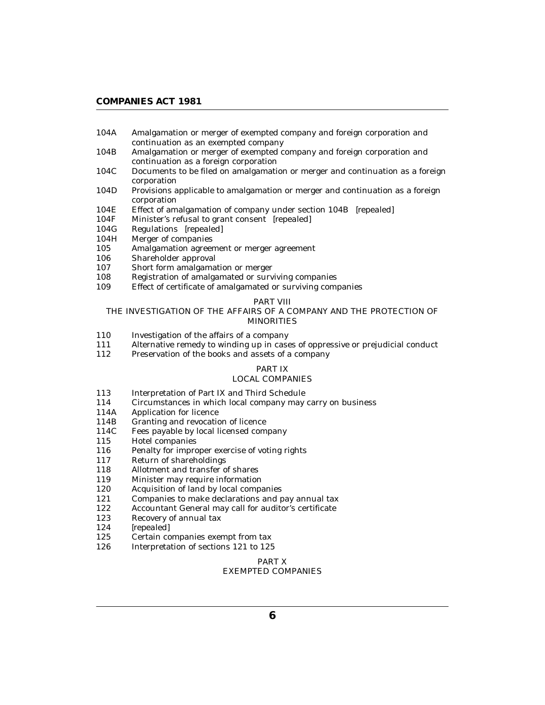- [Amalgamation or merger of exempted company and foreign corporation and](#page-109-0) continuation as an exempted company 104A
- [Amalgamation or merger of exempted company and foreign corporation and](#page-110-0) continuation as a foreign corporation 104B
- [Documents to be filed on amalgamation or merger and continuation as a foreign](#page-112-0) corporation 104C
- [Provisions applicable to amalgamation or merger and continuation as a foreign](#page-112-0) corporation 104D
- [Effect of amalgamation of company under section 104B](#page-113-0) *[repealed]* 104E
- [Minister's refusal to grant consent](#page-113-0) *[repealed]* 104F
- [Regulations](#page-113-0) *[repealed]* 104G
- [Merger of companies](#page-113-0) 104H
- [Amalgamation agreement or merger agreement](#page-114-0) 105
- [Shareholder approval](#page-115-0) 106
- [Short form amalgamation or merger](#page-116-0) 107
- [Registration of amalgamated or surviving companies](#page-117-0) 108
- [Effect of certificate of amalgamated or surviving companies](#page-118-0) 109

#### PART VIII

### [THE INVESTIGATION OF THE AFFAIRS OF A COMPANY AND THE PROTECTION OF](#page-119-0) **MINORITIES**

- [Investigation of the affairs of a company](#page-119-0) 110
- [Alternative remedy to winding up in cases of oppressive or prejudicial conduct](#page-120-0) 111
- [Preservation of the books and assets of a company](#page-121-0) 112

# PART IX

# [LOCAL COMPANIES](#page-122-0)

- [Interpretation of Part IX and Third Schedule](#page-122-0) 113
- [Circumstances in which local company may carry on business](#page-123-0) 114
- [Application for licence](#page-124-0) 114A
- [Granting and revocation of licence](#page-124-0) 114B
- [Fees payable by local licensed company](#page-125-0) 114C
- [Hotel companies](#page-126-0) 115
- [Penalty for improper exercise of voting rights](#page-126-0) 116
- [Return of shareholdings](#page-127-0) 117
- [Allotment and transfer of shares](#page-128-0) 118
- [Minister may require information](#page-129-0) 119
- [Acquisition of land by local companies](#page-129-0) 120
- [Companies to make declarations and pay annual tax](#page-131-0) 121
- [Accountant General may call for auditor's certificate](#page-132-0) 122
- [Recovery of annual tax](#page-132-0) 123
- *[repealed]* 124
- [Certain companies exempt from tax](#page-132-0) 125
- [Interpretation of sections 121 to 125](#page-133-0) 126

# PART X

# [EXEMPTED COMPANIES](#page-133-0)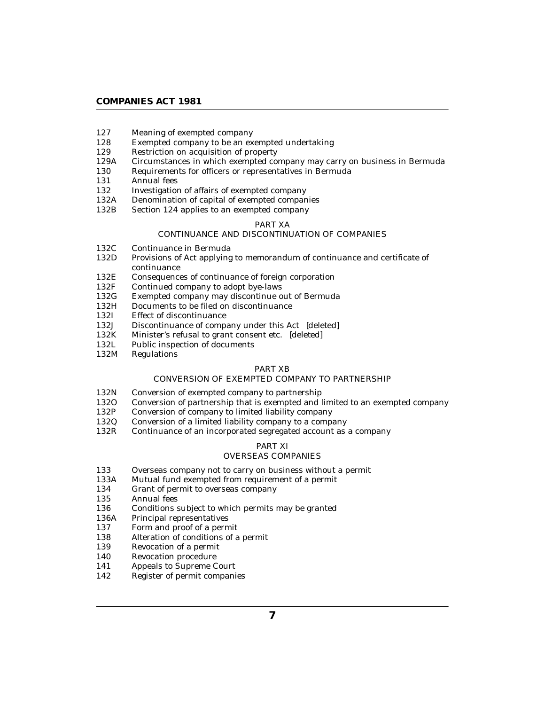- [Meaning of exempted company](#page-133-0) 127
- [Exempted company to be an exempted undertaking](#page-133-0) 128
- [Restriction on acquisition of property](#page-134-0) 129
- [Circumstances in which exempted company may carry on business in Bermuda](#page-137-0) 129A
- [Requirements for officers or representatives in Bermuda](#page-138-0) 130
- [Annual fees](#page-140-0) 131
- [Investigation of affairs of exempted company](#page-143-0) 132
- [Denomination of capital of exempted companies](#page-144-0) 132A
- [Section 124 applies to an exempted company](#page-144-0) 132B

# PART XA

# [CONTINUANCE AND DISCONTINUATION OF COMPANIES](#page-144-0)

- [Continuance in Bermuda](#page-144-0) 132C
- [Provisions of Act applying to memorandum of continuance and certificate of](#page-146-0) continuance 132D
- [Consequences of continuance of foreign corporation](#page-146-0) 132E
- [Continued company to adopt bye-laws](#page-147-0) 132F
- [Exempted company may discontinue out of Bermuda](#page-147-0) 132G
- [Documents to be filed on discontinuance](#page-148-0) 132H
- [Effect of discontinuance](#page-149-0) 132I
- [Discontinuance of company under this Act](#page-149-0) *[deleted]* 132J
- [Minister's refusal to grant consent etc.](#page-149-0) *[deleted]* 132K
- [Public inspection of documents](#page-149-0) 132L
- [Regulations](#page-149-0) 132M

#### PART XB

### [CONVERSION OF EXEMPTED COMPANY TO PARTNERSHIP](#page-149-0)

- [Conversion of exempted company to partnership](#page-149-0) 132N
- [Conversion of partnership that is exempted and limited to an exempted company](#page-152-0) 132O
- [Conversion of company to limited liability company](#page-153-0) 132P
- [Conversion of a limited liability company to a company](#page-153-0) 132Q
- [Continuance of an incorporated segregated account as a company](#page-153-0) 132R

#### PART XI

# [OVERSEAS COMPANIES](#page-154-0)

- [Overseas company not to carry on business without a permit](#page-154-0) 133
- [Mutual fund exempted from requirement of a permit](#page-155-0) 133A
- [Grant of permit to overseas company](#page-155-0) 134
- [Annual fees](#page-156-0) 135
- [Conditions subject to which permits may be granted](#page-156-0) 136
- [Principal representatives](#page-157-0) 136A
- [Form and proof of a permit](#page-157-0) 137
- [Alteration of conditions of a permit](#page-158-0) 138
- [Revocation of a permit](#page-158-0) 139
- [Revocation procedure](#page-159-0) 140
- [Appeals to Supreme Court](#page-159-0) 141
- [Register of permit companies](#page-159-0) 142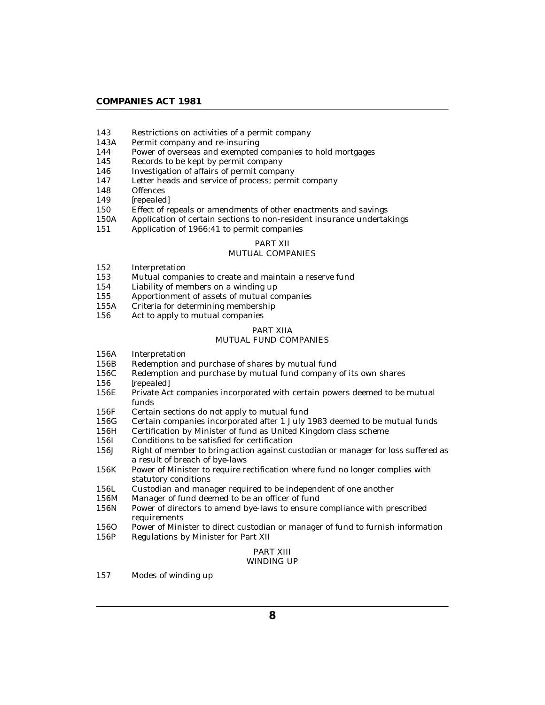- [Restrictions on activities of a permit company](#page-160-0) 143
- [Permit company and re-insuring](#page-161-0) 143A
- [Power of overseas and exempted companies to hold mortgages](#page-161-0) 144
- [Records to be kept by permit company](#page-162-0) 145
- [Investigation of affairs of permit company](#page-162-0) 146
- [Letter heads and service of process; permit company](#page-163-0) 147
- **[Offences](#page-163-0)** 148
- *[repealed]* 149
- [Effect of repeals or amendments of other enactments and savings](#page-163-0) 150
- [Application of certain sections to non-resident insurance undertakings](#page-163-0) 150A
- [Application of 1966:41 to permit companies](#page-163-0) 151

### PART XII

### [MUTUAL COMPANIES](#page-164-0)

- [Interpretation](#page-164-0) 152
- [Mutual companies to create and maintain a reserve fund](#page-164-0) 153
- [Liability of members on a winding up](#page-164-0) 154
- [Apportionment of assets of mutual companies](#page-164-0) 155
- [Criteria for determining membership](#page-165-0) 155A
- [Act to apply to mutual companies](#page-165-0) 156

#### PART XIIA

#### [MUTUAL FUND COMPANIES](#page-165-0)

- [Interpretation](#page-165-0) 156A
- [Redemption and purchase of shares by mutual fund](#page-166-0) 156B
- [Redemption and purchase by mutual fund company of its own shares](#page-166-0) *[repealed]* 156C 156
- 
- [Private Act companies incorporated with certain powers deemed to be mutual](#page-166-0) funds 156E
- [Certain sections do not apply to mutual fund](#page-167-0) 156F
- [Certain companies incorporated after 1 July 1983 deemed to be mutual funds](#page-167-0) 156G
- [Certification by Minister of fund as United Kingdom class scheme](#page-167-0) 156H
- [Conditions to be satisfied for certification](#page-167-0) 156I
- [Right of member to bring action against custodian or manager for loss suffered as](#page-168-0) a result of breach of bye-laws 156J
- [Power of Minister to require rectification where fund no longer complies with](#page-168-0) statutory conditions 156K
- [Custodian and manager required to be independent of one another](#page-168-0) 156L
- [Manager of fund deemed to be an officer of fund](#page-168-0) 156M
- [Power of directors to amend bye-laws to ensure compliance with prescribed](#page-168-0) requirements 156N
- [Power of Minister to direct custodian or manager of fund to furnish information](#page-169-0) 156O
- [Regulations by Minister for Part XII](#page-169-0) 156P

#### PART XIII [WINDING UP](#page-169-0)

[Modes of winding up](#page-169-0) 157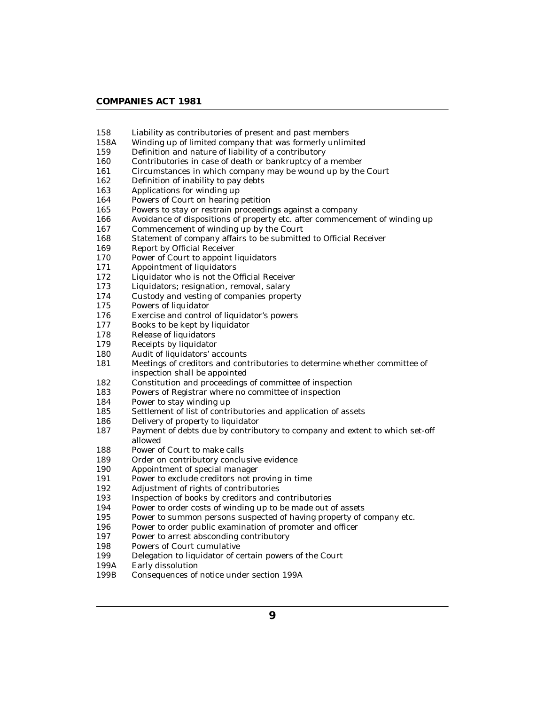- [Liability as contributories of present and past members](#page-169-0) 158
- [Winding up of limited company that was formerly unlimited](#page-170-0) 158A
- [Definition and nature of liability of a contributory](#page-171-0) 159
- [Contributories in case of death or bankruptcy of a member](#page-171-0) 160
- [Circumstances in which company may be wound up by the Court](#page-171-0) 161
- [Definition of inability to pay debts](#page-172-0) 162
- [Applications for winding up](#page-172-0) 163
- [Powers of Court on hearing petition](#page-174-0) 164
- [Powers to stay or restrain proceedings against a company](#page-174-0) 165
- [Avoidance of dispositions of property etc. after commencement of winding up](#page-174-0) 166
- [Commencement of winding up by the Court](#page-175-0) 167
- [Statement of company affairs to be submitted to Official Receiver](#page-175-0) 168
- [Report by Official Receiver](#page-176-0) 169
- [Power of Court to appoint liquidators](#page-177-0) 170
- [Appointment of liquidators](#page-177-0) 171
- [Liquidator who is not the Official Receiver](#page-177-0) 172
- [Liquidators; resignation, removal, salary](#page-178-0) 173
- [Custody and vesting of companies property](#page-178-0) 174
- [Powers of liquidator](#page-178-0) 175
- [Exercise and control of liquidator's powers](#page-180-0) 176
- [Books to be kept by liquidator](#page-180-0) 177
- [Release of liquidators](#page-180-0) 178
- [Receipts by liquidator](#page-181-0) 179
- [Audit of liquidators' accounts](#page-181-0) 180
- [Meetings of creditors and contributories to determine whether committee of](#page-181-0) inspection shall be appointed 181
- [Constitution and proceedings of committee of inspection](#page-181-0) 182
- [Powers of Registrar where no committee of inspection](#page-182-0) 183
- [Power to stay winding up](#page-182-0) 184
- [Settlement of list of contributories and application of assets](#page-183-0) 185
- [Delivery of property to liquidator](#page-183-0) 186
- [Payment of debts due by contributory to company and extent to which set-off](#page-183-0) allowed 187
- [Power of Court to make calls](#page-183-0) 188
- [Order on contributory conclusive evidence](#page-184-0) 189
- [Appointment of special manager](#page-184-0) 190
- [Power to exclude creditors not proving in time](#page-184-0) 191
- [Adjustment of rights of contributories](#page-184-0) 192
- [Inspection of books by creditors and contributories](#page-184-0) 193
- [Power to order costs of winding up to be made out of assets](#page-184-0) 194
- [Power to summon persons suspected of having property of company etc.](#page-185-0) 195
- [Power to order public examination of promoter and officer](#page-185-0) 196
- [Power to arrest absconding contributory](#page-186-0) 197
- [Powers of Court cumulative](#page-186-0) 198
- [Delegation to liquidator of certain powers of the Court](#page-186-0) 199
- [Early dissolution](#page-187-0) 199A
- [Consequences of notice under section 199A](#page-188-0) 199B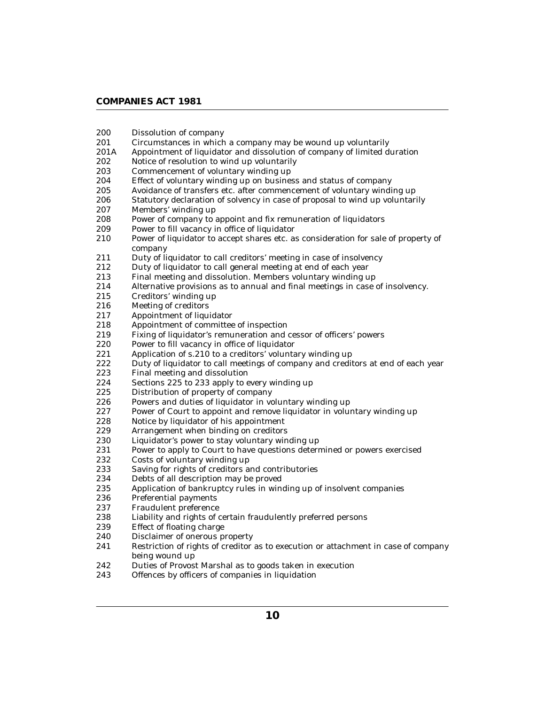| 200        | Dissolution of company                                                                                     |
|------------|------------------------------------------------------------------------------------------------------------|
| 201        | Circumstances in which a company may be wound up voluntarily                                               |
| 201A       | Appointment of liquidator and dissolution of company of limited duration                                   |
| 202        | Notice of resolution to wind up voluntarily                                                                |
| 203        | Commencement of voluntary winding up                                                                       |
| 204        | Effect of voluntary winding up on business and status of company                                           |
| 205        | Avoidance of transfers etc. after commencement of voluntary winding up                                     |
| 206        | Statutory declaration of solvency in case of proposal to wind up voluntarily                               |
| 207        | Members' winding up                                                                                        |
| 208        | Power of company to appoint and fix remuneration of liquidators                                            |
| 209        | Power to fill vacancy in office of liquidator                                                              |
| 210        | Power of liquidator to accept shares etc. as consideration for sale of property of                         |
|            | company                                                                                                    |
| 211        | Duty of liquidator to call creditors' meeting in case of insolvency                                        |
| 212        | Duty of liquidator to call general meeting at end of each year                                             |
| 213        | Final meeting and dissolution. Members voluntary winding up                                                |
| 214        | Alternative provisions as to annual and final meetings in case of insolvency.                              |
| 215        | Creditors' winding up                                                                                      |
| 216        | Meeting of creditors                                                                                       |
| 217        | Appointment of liquidator                                                                                  |
|            | Appointment of committee of inspection                                                                     |
| 218        |                                                                                                            |
| 219<br>220 | Fixing of liquidator's remuneration and cessor of officers' powers                                         |
|            | Power to fill vacancy in office of liquidator<br>Application of s.210 to a creditors' voluntary winding up |
| 221        |                                                                                                            |
| 222        | Duty of liquidator to call meetings of company and creditors at end of each year                           |
| 223        | Final meeting and dissolution                                                                              |
| 224        | Sections 225 to 233 apply to every winding up                                                              |
| 225        | Distribution of property of company                                                                        |
| 226        | Powers and duties of liquidator in voluntary winding up                                                    |
| 227        | Power of Court to appoint and remove liquidator in voluntary winding up                                    |
| 228        | Notice by liquidator of his appointment                                                                    |
| 229        | Arrangement when binding on creditors                                                                      |
| 230        | Liquidator's power to stay voluntary winding up                                                            |
| 231        | Power to apply to Court to have questions determined or powers exercised                                   |
| 232        | Costs of voluntary winding up                                                                              |
| 233        | Saving for rights of creditors and contributories                                                          |
| 234        | Debts of all description may be proved                                                                     |
| 235        | Application of bankruptcy rules in winding up of insolvent companies                                       |
| 236        | Preferential payments                                                                                      |
| 237        | Fraudulent preference                                                                                      |
| 238        | Liability and rights of certain fraudulently preferred persons                                             |
| 239        | Effect of floating charge                                                                                  |
| 240        | Disclaimer of onerous property                                                                             |
| 241        | Restriction of rights of creditor as to execution or attachment in case of company                         |
|            | being wound up                                                                                             |
| 242        | Duties of Provost Marshal as to goods taken in execution                                                   |
| 243        | Offences by officers of companies in liquidation                                                           |
|            |                                                                                                            |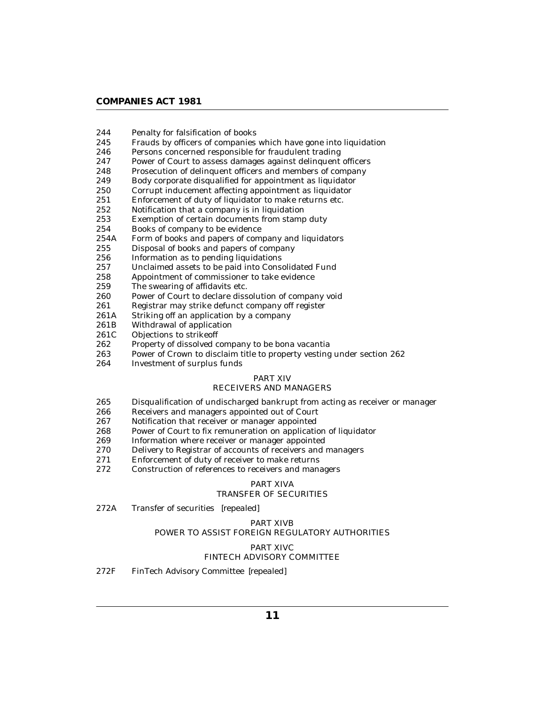- [Penalty for falsification of books](#page-206-0) 244
- [Frauds by officers of companies which have gone into liquidation](#page-206-0) 245
- [Persons concerned responsible for fraudulent trading](#page-207-0) 246
- [Power of Court to assess damages against delinquent officers](#page-208-0) 247
- [Prosecution of delinquent officers and members of company](#page-208-0) 248
- [Body corporate disqualified for appointment as liquidator](#page-209-0) 249
- [Corrupt inducement affecting appointment as liquidator](#page-209-0) 250
- [Enforcement of duty of liquidator to make returns etc.](#page-209-0) 251
- [Notification that a company is in liquidation](#page-209-0) 252
- [Exemption of certain documents from stamp duty](#page-210-0) 253
- [Books of company to be evidence](#page-210-0) 254
- [Form of books and papers of company and liquidators](#page-210-0) 254A
- [Disposal of books and papers of company](#page-211-0) 255
- [Information as to pending liquidations](#page-213-0) 256
- [Unclaimed assets to be paid into Consolidated Fund](#page-213-0) 257
- [Appointment of commissioner to take evidence](#page-213-0) 258
- [The swearing of affidavits etc.](#page-214-0) 259
- [Power of Court to declare dissolution of company void](#page-214-0) 260
- [Registrar may strike defunct company off register](#page-214-0) 261
- [Striking off an application by a company](#page-216-0) 261A
- [Withdrawal of application](#page-217-0) 261B
- [Objections to strikeoff](#page-218-0) 261C
- [Property of dissolved company to be bona vacantia](#page-218-0) 262
- [Power of Crown to disclaim title to property vesting under section 262](#page-218-0) 263
- [Investment of surplus funds](#page-218-0) 264

#### PART XIV

## [RECEIVERS AND MANAGERS](#page-219-0)

- [Disqualification of undischarged bankrupt from acting as receiver or manager](#page-219-0) 265
- [Receivers and managers appointed out of Court](#page-219-0) 266
- [Notification that receiver or manager appointed](#page-220-0) 267
- [Power of Court to fix remuneration on application of liquidator](#page-220-0) 268
- [Information where receiver or manager appointed](#page-220-0) 269
- [Delivery to Registrar of accounts of receivers and managers](#page-220-0) 270
- [Enforcement of duty of receiver to make returns](#page-221-0) 271
- [Construction of references to receivers and managers](#page-221-0) 272

# PART XIVA

# [TRANSFER OF SECURITIES](#page-222-0)

[Transfer of securities](#page-222-0) *[repealed]* 272A

#### PART XIVB

#### [POWER TO ASSIST FOREIGN REGULATORY AUTHORITIES](#page-222-0)

#### PART XIVC

### [FINTECH ADVISORY COMMITTEE](#page-222-0)

[FinTech Advisory Committee](#page-222-0) *[repealed]* 272F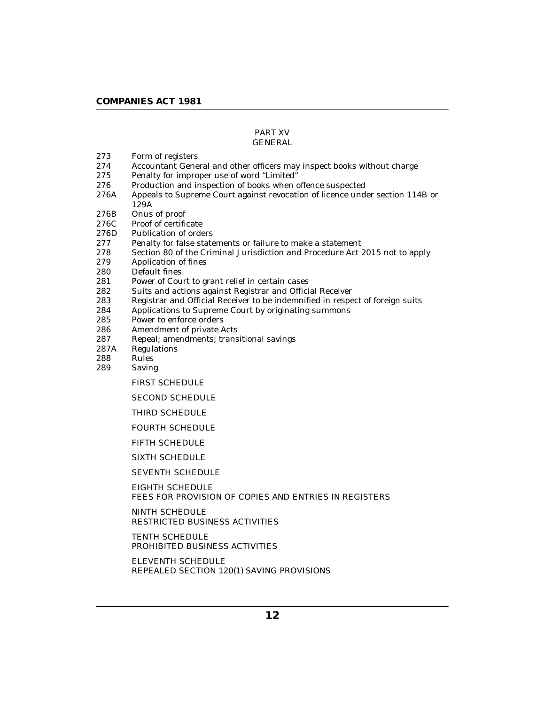#### PART XV [GENERAL](#page-222-0)

- [Form of registers](#page-222-0) 273
- [Accountant General and other officers may inspect books without charge](#page-223-0) 274
- [Penalty for improper use of word "Limited"](#page-223-0) 275
- [Production and inspection of books when offence suspected](#page-223-0) 276
- [Appeals to Supreme Court against revocation of licence under section 114B or](#page-224-0) 129A 276A
- [Onus of proof](#page-224-0) 276B
- [Proof of certificate](#page-224-0) 276C
- [Publication of orders](#page-224-0) 276D
- [Penalty for false statements or failure to make a statement](#page-224-0) 277
- [Section 80 of the Criminal Jurisdiction and Procedure Act 2015 not to apply](#page-225-0) 278
- [Application of fines](#page-225-0) 279
- [Default fines](#page-225-0) 280
- [Power of Court to grant relief in certain cases](#page-225-0) 281
- [Suits and actions against Registrar and Official Receiver](#page-226-0) 282
- [Registrar and Official Receiver to be indemnified in respect of foreign suits](#page-226-0) 283
- [Applications to Supreme Court by originating summons](#page-226-0) 284
- [Power to enforce orders](#page-226-0) 285
- [Amendment of private Acts](#page-226-0) 286
- [Repeal; amendments; transitional savings](#page-227-0) 287
- [Regulations](#page-229-0) 287A
- [Rules](#page-229-0) 288
- [Saving](#page-230-0) 289

[FIRST SCHEDULE](#page-231-0)

### [SECOND SCHEDULE](#page-232-0)

[THIRD SCHEDULE](#page-233-0)

#### [FOURTH SCHEDULE](#page-234-0)

### [FIFTH SCHEDULE](#page-235-0)

[SIXTH SCHEDULE](#page-239-0)

#### [SEVENTH SCHEDULE](#page-240-0)

EIGHTH SCHEDULE [FEES FOR PROVISION OF COPIES AND ENTRIES IN REGISTERS](#page-241-0)

NINTH SCHEDULE [RESTRICTED BUSINESS ACTIVITIES](#page-242-0)

TENTH SCHEDULE [PROHIBITED BUSINESS ACTIVITIES](#page-243-0)

ELEVENTH SCHEDULE [REPEALED SECTION 120\(1\) SAVING PROVISIONS](#page-244-0)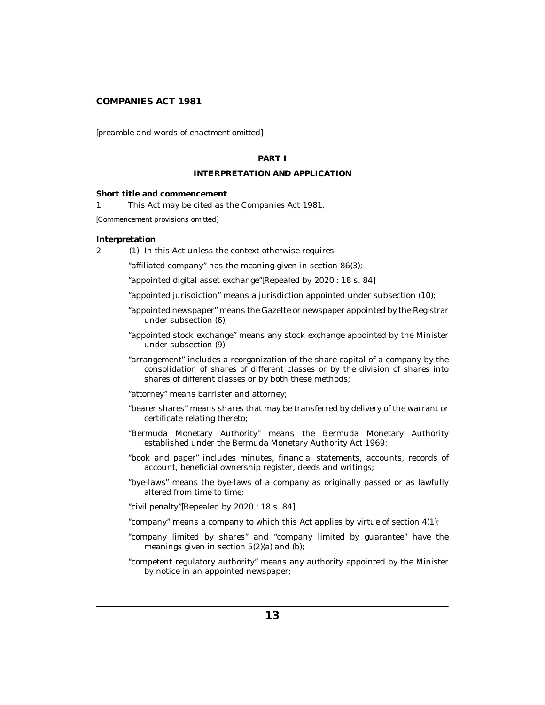<span id="page-12-0"></span>*[preamble and words of enactment omitted]*

# **PART I**

#### **INTERPRETATION AND APPLICATION**

**Short title and commencement**

This Act may be cited as the Companies Act 1981. 1

*[Commencement provisions omitted]*

#### **Interpretation**

2 (1) In this Act unless the context otherwise requires—

"affiliated company" has the meaning given in section 86(3);

"appointed digital asset exchange"*[Repealed by 2020 : 18 s. 84]*

- "appointed jurisdiction" means a jurisdiction appointed under subsection (10);
- "appointed newspaper" means the Gazette or newspaper appointed by the Registrar under subsection (6);
- "appointed stock exchange" means any stock exchange appointed by the Minister under subsection (9);
- "arrangement" includes a reorganization of the share capital of a company by the consolidation of shares of different classes or by the division of shares into shares of different classes or by both these methods;
- "attorney" means barrister and attorney;
- "bearer shares" means shares that may be transferred by delivery of the warrant or certificate relating thereto;
- "Bermuda Monetary Authority" means the Bermuda Monetary Authority established under the Bermuda Monetary Authority Act 1969;
- "book and paper" includes minutes, financial statements, accounts, records of account, beneficial ownership register, deeds and writings;
- "bye-laws" means the bye-laws of a company as originally passed or as lawfully altered from time to time;
- "civil penalty"*[Repealed by 2020 : 18 s. 84]*
- "company" means a company to which this Act applies by virtue of section 4(1);
- "company limited by shares" and "company limited by guarantee" have the meanings given in section  $5(2)(a)$  and  $(b)$ ;
- "competent regulatory authority" means any authority appointed by the Minister by notice in an appointed newspaper;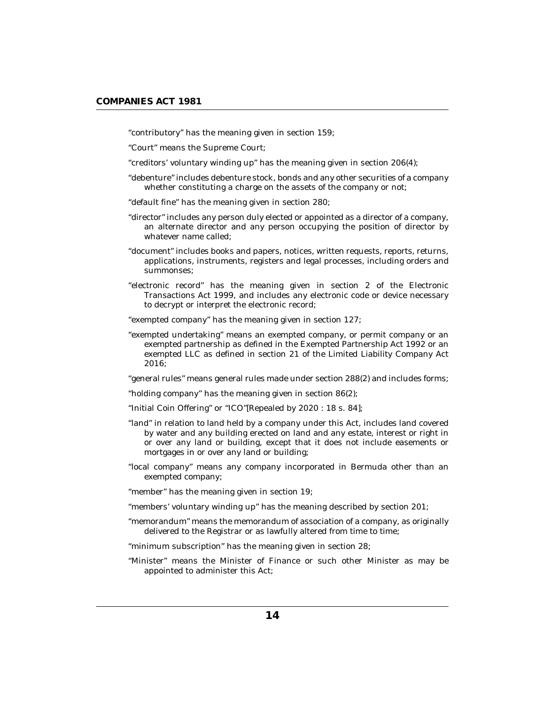"contributory" has the meaning given in section 159;

"Court" means the Supreme Court;

- "creditors' voluntary winding up" has the meaning given in section 206(4);
- "debenture" includes debenture stock, bonds and any other securities of a company whether constituting a charge on the assets of the company or not;
- "default fine" has the meaning given in section 280;
- "director" includes any person duly elected or appointed as a director of a company, an alternate director and any person occupying the position of director by whatever name called;
- "document" includes books and papers, notices, written requests, reports, returns, applications, instruments, registers and legal processes, including orders and summonses;
- "electronic record" has the meaning given in section 2 of the Electronic Transactions Act 1999, and includes any electronic code or device necessary to decrypt or interpret the electronic record;
- "exempted company" has the meaning given in section 127;
- "exempted undertaking" means an exempted company, or permit company or an exempted partnership as defined in the Exempted Partnership Act 1992 or an exempted LLC as defined in section 21 of the Limited Liability Company Act 2016;

"general rules" means general rules made under section 288(2) and includes forms;

"holding company" has the meaning given in section 86(2);

- "Initial Coin Offering" or "ICO"[Repealed by 2020 : 18 s. 84];
- "land" in relation to land held by a company under this Act, includes land covered by water and any building erected on land and any estate, interest or right in or over any land or building, except that it does not include easements or mortgages in or over any land or building;
- "local company" means any company incorporated in Bermuda other than an exempted company;

"member" has the meaning given in section 19;

- "members' voluntary winding up" has the meaning described by section 201;
- "memorandum" means the memorandum of association of a company, as originally delivered to the Registrar or as lawfully altered from time to time;
- "minimum subscription" has the meaning given in section 28;
- "Minister" means the Minister of Finance or such other Minister as may be appointed to administer this Act;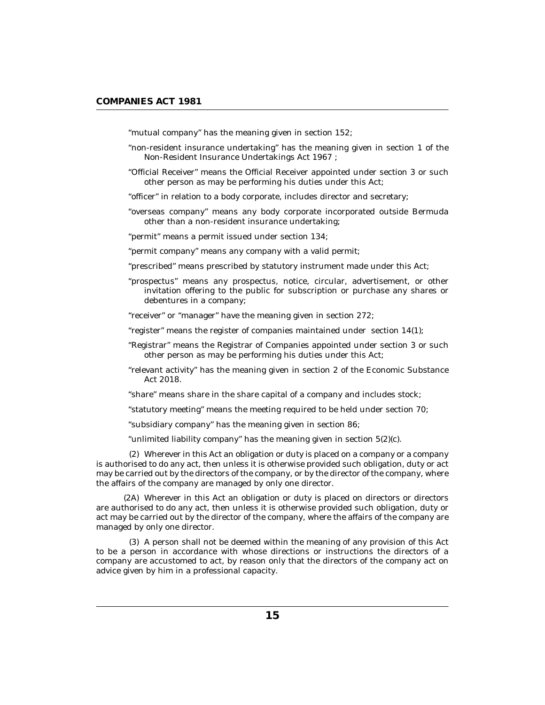"mutual company" has the meaning given in section 152;

- "non-resident insurance undertaking" has the meaning given in section 1 of the Non-Resident Insurance Undertakings Act 1967 ;
- "Official Receiver" means the Official Receiver appointed under section 3 or such other person as may be performing his duties under this Act;
- "officer" in relation to a body corporate, includes director and secretary;
- "overseas company" means any body corporate incorporated outside Bermuda other than a non-resident insurance undertaking;
- "permit" means a permit issued under section 134;
- "permit company" means any company with a valid permit;
- "prescribed" means prescribed by statutory instrument made under this Act;
- "prospectus" means any prospectus, notice, circular, advertisement, or other invitation offering to the public for subscription or purchase any shares or debentures in a company;
- "receiver" or "manager" have the meaning given in section 272;
- "register" means the register of companies maintained under section 14(1);
- "Registrar" means the Registrar of Companies appointed under section 3 or such other person as may be performing his duties under this Act;
- "relevant activity" has the meaning given in section 2 of the Economic Substance Act 2018.
- "share" means share in the share capital of a company and includes stock;
- "statutory meeting" means the meeting required to be held under section 70;

"subsidiary company" has the meaning given in section 86;

"unlimited liability company" has the meaning given in section 5(2)(c).

Wherever in this Act an obligation or duty is placed on a company or a company (2) is authorised to do any act, then unless it is otherwise provided such obligation, duty or act may be carried out by the directors of the company, or by the director of the company, where the affairs of the company are managed by only one director.

Wherever in this Act an obligation or duty is placed on directors or directors (2A) are authorised to do any act, then unless it is otherwise provided such obligation, duty or act may be carried out by the director of the company, where the affairs of the company are managed by only one director.

A person shall not be deemed within the meaning of any provision of this Act (3) to be a person in accordance with whose directions or instructions the directors of a company are accustomed to act, by reason only that the directors of the company act on advice given by him in a professional capacity.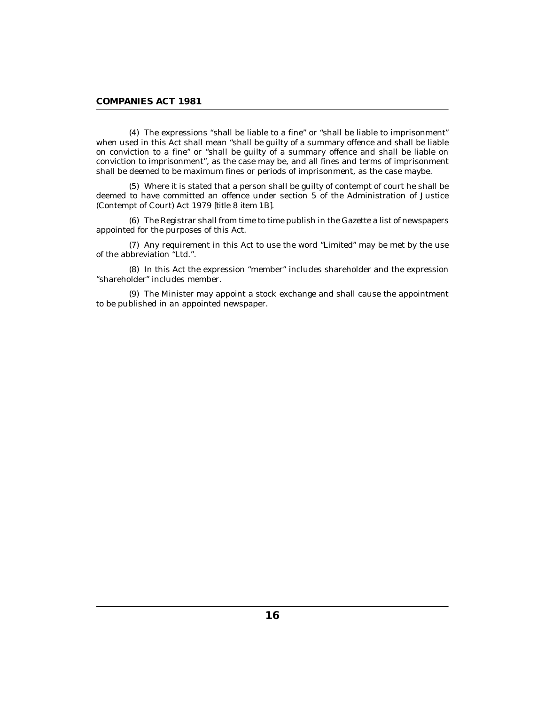The expressions "shall be liable to a fine" or "shall be liable to imprisonment" (4) when used in this Act shall mean "shall be guilty of a summary offence and shall be liable on conviction to a fine" or "shall be guilty of a summary offence and shall be liable on conviction to imprisonment", as the case may be, and all fines and terms of imprisonment shall be deemed to be maximum fines or periods of imprisonment, as the case maybe.

Where it is stated that a person shall be guilty of contempt of court he shall be (5) deemed to have committed an offence under section 5 of the Administration of Justice (Contempt of Court) Act 1979 *[title 8 item 1B]*.

The Registrar shall from time to time publish in the Gazette a list of newspapers (6) appointed for the purposes of this Act.

(7) Any requirement in this Act to use the word "Limited" may be met by the use of the abbreviation "Ltd.".

(8) In this Act the expression "member" includes shareholder and the expression "shareholder" includes member.

The Minister may appoint a stock exchange and shall cause the appointment (9) to be published in an appointed newspaper.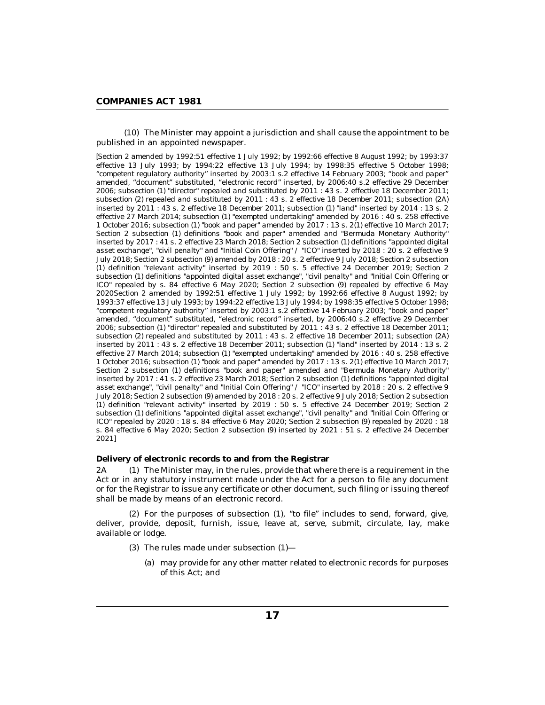<span id="page-16-0"></span> $(10)$  The Minister may appoint a jurisdiction and shall cause the appointment to be published in an appointed newspaper.

*[Section 2 amended by 1992:51 effective 1 July 1992; by 1992:66 effective 8 August 1992; by 1993:37 effective 13 July 1993; by 1994:22 effective 13 July 1994; by 1998:35 effective 5 October 1998; "competent regulatory authority" inserted by 2003:1 s.2 effective 14 February 2003; "book and paper" amended, "document" substituted, "electronic record" inserted, by 2006:40 s.2 effective 29 December 2006; subsection (1) "director" repealed and substituted by 2011 : 43 s. 2 effective 18 December 2011; subsection (2) repealed and substituted by 2011 : 43 s. 2 effective 18 December 2011; subsection (2A) inserted by 2011 : 43 s. 2 effective 18 December 2011; subsection (1) "land" inserted by 2014 : 13 s. 2 effective 27 March 2014; subsection (1) "exempted undertaking" amended by 2016 : 40 s. 258 effective 1 October 2016; subsection (1) "book and paper" amended by 2017 : 13 s. 2(1) effective 10 March 2017; Section 2 subsection (1) definitions "book and paper" amended and "Bermuda Monetary Authority" inserted by 2017 : 41 s. 2 effective 23 March 2018; Section 2 subsection (1) definitions "appointed digital asset exchange", "civil penalty" and "Initial Coin Offering" / "ICO" inserted by 2018 : 20 s. 2 effective 9 July 2018; Section 2 subsection (9) amended by 2018 : 20 s. 2 effective 9 July 2018; Section 2 subsection (1) definition "relevant activity" inserted by 2019 : 50 s. 5 effective 24 December 2019; Section 2 subsection (1) definitions "appointed digital asset exchange", "civil penalty" and "Initial Coin Offering or ICO" repealed by s. 84 effective 6 May 2020; Section 2 subsection (9) repealed by effective 6 May 2020Section 2 amended by 1992:51 effective 1 July 1992; by 1992:66 effective 8 August 1992; by 1993:37 effective 13 July 1993; by 1994:22 effective 13 July 1994; by 1998:35 effective 5 October 1998; "competent regulatory authority" inserted by 2003:1 s.2 effective 14 February 2003; "book and paper" amended, "document" substituted, "electronic record" inserted, by 2006:40 s.2 effective 29 December 2006; subsection (1) "director" repealed and substituted by 2011 : 43 s. 2 effective 18 December 2011; subsection (2) repealed and substituted by 2011 : 43 s. 2 effective 18 December 2011; subsection (2A) inserted by 2011 : 43 s. 2 effective 18 December 2011; subsection (1) "land" inserted by 2014 : 13 s. 2 effective 27 March 2014; subsection (1) "exempted undertaking" amended by 2016 : 40 s. 258 effective 1 October 2016; subsection (1) "book and paper" amended by 2017 : 13 s. 2(1) effective 10 March 2017; Section 2 subsection (1) definitions "book and paper" amended and "Bermuda Monetary Authority" inserted by 2017 : 41 s. 2 effective 23 March 2018; Section 2 subsection (1) definitions "appointed digital asset exchange", "civil penalty" and "Initial Coin Offering" / "ICO" inserted by 2018 : 20 s. 2 effective 9 July 2018; Section 2 subsection (9) amended by 2018 : 20 s. 2 effective 9 July 2018; Section 2 subsection (1) definition "relevant activity" inserted by 2019 : 50 s. 5 effective 24 December 2019; Section 2 subsection (1) definitions "appointed digital asset exchange", "civil penalty" and "Initial Coin Offering or ICO" repealed by 2020 : 18 s. 84 effective 6 May 2020; Section 2 subsection (9) repealed by 2020 : 18 s. 84 effective 6 May 2020; Section 2 subsection (9) inserted by 2021 : 51 s. 2 effective 24 December 2021]*

**Delivery of electronic records to and from the Registrar**

2A (1) The Minister may, in the rules, provide that where there is a requirement in the Act or in any statutory instrument made under the Act for a person to file any document or for the Registrar to issue any certificate or other document, such filing or issuing thereof shall be made by means of an electronic record.

 $(2)$  For the purposes of subsection  $(1)$ , "to file" includes to send, forward, give, deliver, provide, deposit, furnish, issue, leave at, serve, submit, circulate, lay, make available or lodge.

- (3) The rules made under subsection  $(1)$ 
	- may provide for any other matter related to electronic records for purposes (a) of this Act; and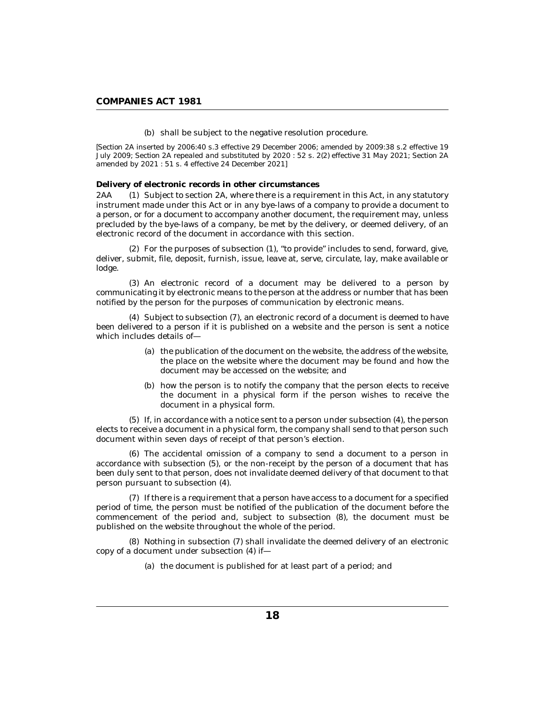(b) shall be subject to the negative resolution procedure.

<span id="page-17-0"></span>*[Section 2A inserted by 2006:40 s.3 effective 29 December 2006; amended by 2009:38 s.2 effective 19 July 2009; Section 2A repealed and substituted by 2020 : 52 s. 2(2) effective 31 May 2021; Section 2A amended by 2021 : 51 s. 4 effective 24 December 2021]*

**Delivery of electronic records in other circumstances**

 $(1)$  Subject to section 2A, where there is a requirement in this Act, in any statutory instrument made under this Act or in any bye-laws of a company to provide a document to a person, or for a document to accompany another document, the requirement may, unless precluded by the bye-laws of a company, be met by the delivery, or deemed delivery, of an electronic record of the document in accordance with this section.  $2AA$ 

For the purposes of subsection (1), "to provide" includes to send, forward, give, (2) deliver, submit, file, deposit, furnish, issue, leave at, serve, circulate, lay, make available or lodge.

(3) An electronic record of a document may be delivered to a person by communicating it by electronic means to the person at the address or number that has been notified by the person for the purposes of communication by electronic means.

Subject to subsection (7), an electronic record of a document is deemed to have (4) been delivered to a person if it is published on a website and the person is sent a notice which includes details of—

- (a) the publication of the document on the website, the address of the website, the place on the website where the document may be found and how the document may be accessed on the website; and
- (b) how the person is to notify the company that the person elects to receive the document in a physical form if the person wishes to receive the document in a physical form.

If, in accordance with a notice sent to a person under subsection (4), the person (5) elects to receive a document in a physical form, the company shall send to that person such document within seven days of receipt of that person's election.

The accidental omission of a company to send a document to a person in (6) accordance with subsection (5), or the non-receipt by the person of a document that has been duly sent to that person, does not invalidate deemed delivery of that document to that person pursuant to subsection (4).

If there is a requirement that a person have access to a document for a specified (7) period of time, the person must be notified of the publication of the document before the commencement of the period and, subject to subsection (8), the document must be published on the website throughout the whole of the period.

(8) Nothing in subsection (7) shall invalidate the deemed delivery of an electronic copy of a document under subsection (4) if—

(a) the document is published for at least part of a period; and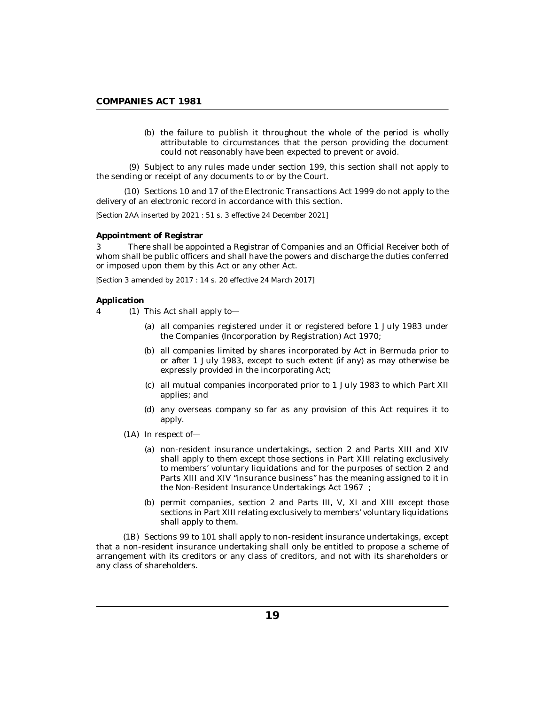(b) the failure to publish it throughout the whole of the period is wholly attributable to circumstances that the person providing the document could not reasonably have been expected to prevent or avoid.

<span id="page-18-0"></span>(9) Subject to any rules made under section 199, this section shall not apply to the sending or receipt of any documents to or by the Court.

 $(10)$  Sections 10 and 17 of the Electronic Transactions Act 1999 do not apply to the delivery of an electronic record in accordance with this section.

*[Section 2AA inserted by 2021 : 51 s. 3 effective 24 December 2021]*

#### **Appointment of Registrar**

There shall be appointed a Registrar of Companies and an Official Receiver both of whom shall be public officers and shall have the powers and discharge the duties conferred or imposed upon them by this Act or any other Act. 3

*[Section 3 amended by 2017 : 14 s. 20 effective 24 March 2017]*

#### **Application**

- 4 (1) This Act shall apply to-
	- (a) all companies registered under it or registered before 1 July 1983 under the Companies (Incorporation by Registration) Act 1970;
	- (b) all companies limited by shares incorporated by Act in Bermuda prior to or after 1 July 1983, except to such extent (if any) as may otherwise be expressly provided in the incorporating Act;
	- all mutual companies incorporated prior to 1 July 1983 to which Part XII (c) applies; and
	- (d) any overseas company so far as any provision of this Act requires it to apply.
	- $(1A)$  In respect of
		- non-resident insurance undertakings, section 2 and Parts XIII and XIV (a) shall apply to them except those sections in Part XIII relating exclusively to members' voluntary liquidations and for the purposes of section 2 and Parts XIII and XIV "insurance business" has the meaning assigned to it in the Non-Resident Insurance Undertakings Act 1967 ;
		- (b) permit companies, section 2 and Parts III, V, XI and XIII except those sections in Part XIII relating exclusively to members' voluntary liquidations shall apply to them.

(1B) Sections 99 to 101 shall apply to non-resident insurance undertakings, except that a non-resident insurance undertaking shall only be entitled to propose a scheme of arrangement with its creditors or any class of creditors, and not with its shareholders or any class of shareholders.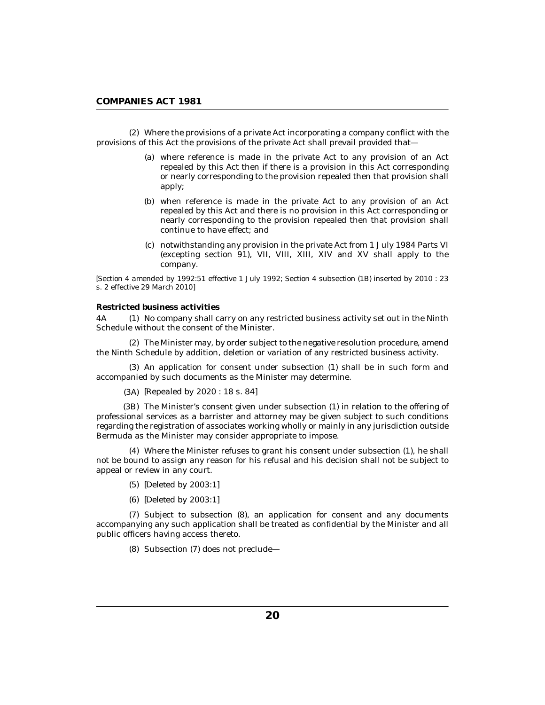<span id="page-19-0"></span>Where the provisions of a private Act incorporating a company conflict with the (2) provisions of this Act the provisions of the private Act shall prevail provided that—

- where reference is made in the private Act to any provision of an Act (a) repealed by this Act then if there is a provision in this Act corresponding or nearly corresponding to the provision repealed then that provision shall apply;
- (b) when reference is made in the private Act to any provision of an Act repealed by this Act and there is no provision in this Act corresponding or nearly corresponding to the provision repealed then that provision shall continue to have effect; and
- (c) notwithstanding any provision in the private Act from 1 July 1984 Parts VI (excepting section 91), VII, VIII, XIII, XIV and XV shall apply to the company.

*[Section 4 amended by 1992:51 effective 1 July 1992; Section 4 subsection (1B) inserted by 2010 : 23 s. 2 effective 29 March 2010]*

**Restricted business activities**

4A (1) No company shall carry on any restricted business activity set out in the Ninth Schedule without the consent of the Minister.

The Minister may, by order subject to the negative resolution procedure, amend (2) the Ninth Schedule by addition, deletion or variation of any restricted business activity.

(3) An application for consent under subsection (1) shall be in such form and accompanied by such documents as the Minister may determine.

*[Repealed by 2020 : 18 s. 84]* (3A)

(3B) The Minister's consent given under subsection (1) in relation to the offering of professional services as a barrister and attorney may be given subject to such conditions regarding the registration of associates working wholly or mainly in any jurisdiction outside Bermuda as the Minister may consider appropriate to impose.

Where the Minister refuses to grant his consent under subsection (1), he shall (4) not be bound to assign any reason for his refusal and his decision shall not be subject to appeal or review in any court.

- *[Deleted by 2003:1]* (5)
- *[Deleted by 2003:1]* (6)

(7) Subject to subsection (8), an application for consent and any documents accompanying any such application shall be treated as confidential by the Minister and all public officers having access thereto.

(8) Subsection (7) does not preclude—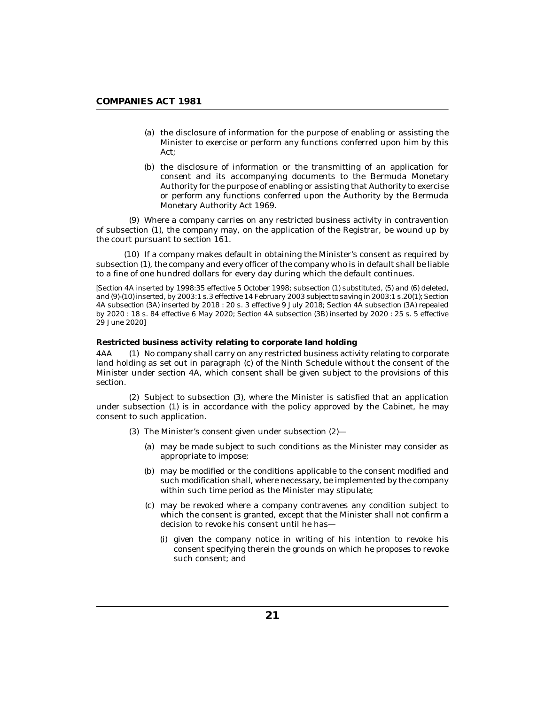- <span id="page-20-0"></span>(a) the disclosure of information for the purpose of enabling or assisting the Minister to exercise or perform any functions conferred upon him by this Act;
- (b) the disclosure of information or the transmitting of an application for consent and its accompanying documents to the Bermuda Monetary Authority for the purpose of enabling or assisting that Authority to exercise or perform any functions conferred upon the Authority by the Bermuda Monetary Authority Act 1969.

Where a company carries on any restricted business activity in contravention (9) of subsection (1), the company may, on the application of the Registrar, be wound up by the court pursuant to section 161.

(10) If a company makes default in obtaining the Minister's consent as required by subsection (1), the company and every officer of the company who is in default shall be liable to a fine of one hundred dollars for every day during which the default continues.

*[Section 4A inserted by 1998:35 effective 5 October 1998; subsection (1) substituted, (5) and (6) deleted, and (9)-(10) inserted, by 2003:1 s.3 effective 14 February 2003 subject to saving in 2003:1 s.20(1); Section 4A subsection (3A) inserted by 2018 : 20 s. 3 effective 9 July 2018; Section 4A subsection (3A) repealed by 2020 : 18 s. 84 effective 6 May 2020; Section 4A subsection (3B) inserted by 2020 : 25 s. 5 effective 29 June 2020]*

**Restricted business activity relating to corporate land holding**

(1) No company shall carry on any restricted business activity relating to corporate land holding as set out in paragraph (c) of the Ninth Schedule without the consent of the Minister under section 4A, which consent shall be given subject to the provisions of this section.  $4AA$ 

 $(2)$  Subject to subsection  $(3)$ , where the Minister is satisfied that an application under subsection (1) is in accordance with the policy approved by the Cabinet, he may consent to such application.

- (3) The Minister's consent given under subsection (2)
	- may be made subject to such conditions as the Minister may consider as (a) appropriate to impose;
	- (b) may be modified or the conditions applicable to the consent modified and such modification shall, where necessary, be implemented by the company within such time period as the Minister may stipulate;
	- may be revoked where a company contravenes any condition subject to (c) which the consent is granted, except that the Minister shall not confirm a decision to revoke his consent until he has
		- given the company notice in writing of his intention to revoke his (i) consent specifying therein the grounds on which he proposes to revoke such consent; and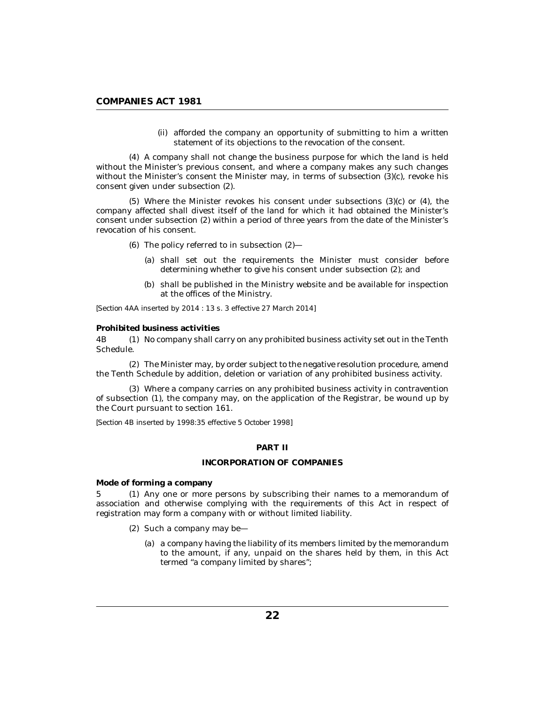afforded the company an opportunity of submitting to him a written (ii) statement of its objections to the revocation of the consent.

<span id="page-21-0"></span>A company shall not change the business purpose for which the land is held (4) without the Minister's previous consent, and where a company makes any such changes without the Minister's consent the Minister may, in terms of subsection (3)(c), revoke his consent given under subsection (2).

Where the Minister revokes his consent under subsections (3)(c) or (4), the (5) company affected shall divest itself of the land for which it had obtained the Minister's consent under subsection (2) within a period of three years from the date of the Minister's revocation of his consent.

- $(6)$  The policy referred to in subsection  $(2)$ 
	- (a) shall set out the requirements the Minister must consider before determining whether to give his consent under subsection (2); and
	- (b) shall be published in the Ministry website and be available for inspection at the offices of the Ministry.

*[Section 4AA inserted by 2014 : 13 s. 3 effective 27 March 2014]*

#### **Prohibited business activities**

4B (1) No company shall carry on any prohibited business activity set out in the Tenth Schedule.

The Minister may, by order subject to the negative resolution procedure, amend (2) the Tenth Schedule by addition, deletion or variation of any prohibited business activity.

Where a company carries on any prohibited business activity in contravention (3) of subsection (1), the company may, on the application of the Registrar, be wound up by the Court pursuant to section 161.

*[Section 4B inserted by 1998:35 effective 5 October 1998]*

### **PART II**

#### **INCORPORATION OF COMPANIES**

**Mode of forming a company**

5 (1) Any one or more persons by subscribing their names to a memorandum of association and otherwise complying with the requirements of this Act in respect of registration may form a company with or without limited liability.

- (2) Such a company may be—
	- (a) a company having the liability of its members limited by the memorandum to the amount, if any, unpaid on the shares held by them, in this Act termed "a company limited by shares";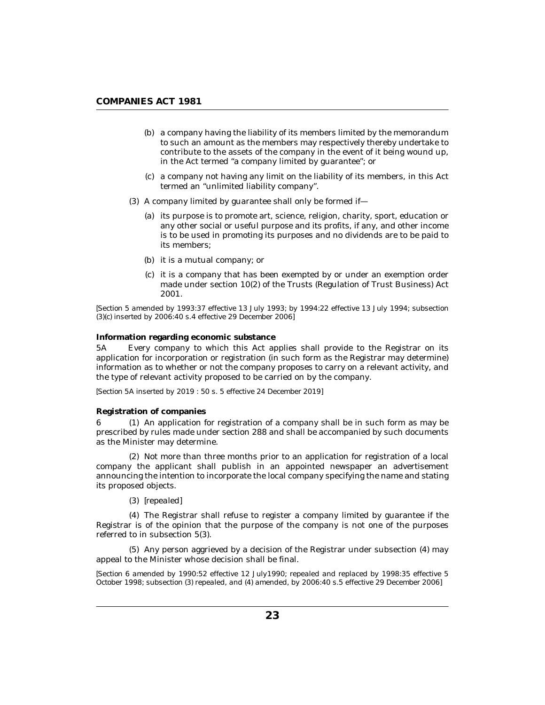- <span id="page-22-0"></span>(b) a company having the liability of its members limited by the memorandum to such an amount as the members may respectively thereby undertake to contribute to the assets of the company in the event of it being wound up, in the Act termed "a company limited by guarantee"; or
- a company not having any limit on the liability of its members, in this Act (c) termed an "unlimited liability company".
- (3) A company limited by guarantee shall only be formed if-
	- (a) its purpose is to promote art, science, religion, charity, sport, education or any other social or useful purpose and its profits, if any, and other income is to be used in promoting its purposes and no dividends are to be paid to its members;
	- (b) it is a mutual company; or
	- it is a company that has been exempted by or under an exemption order (c) made under section 10(2) of the Trusts (Regulation of Trust Business) Act 2001.

*[Section 5 amended by 1993:37 effective 13 July 1993; by 1994:22 effective 13 July 1994; subsection (3)(c) inserted by 2006:40 s.4 effective 29 December 2006]*

#### **Information regarding economic substance**

Every company to which this Act applies shall provide to the Registrar on its application for incorporation or registration (in such form as the Registrar may determine) information as to whether or not the company proposes to carry on a relevant activity, and the type of relevant activity proposed to be carried on by the company. 5A

*[Section 5A inserted by 2019 : 50 s. 5 effective 24 December 2019]*

#### **Registration of companies**

6 (1) An application for registration of a company shall be in such form as may be prescribed by rules made under section 288 and shall be accompanied by such documents as the Minister may determine.

 $(2)$  Not more than three months prior to an application for registration of a local company the applicant shall publish in an appointed newspaper an advertisement announcing the intention to incorporate the local company specifying the name and stating its proposed objects.

*[repealed]* (3)

The Registrar shall refuse to register a company limited by guarantee if the (4) Registrar is of the opinion that the purpose of the company is not one of the purposes referred to in subsection 5(3).

(5) Any person aggrieved by a decision of the Registrar under subsection (4) may appeal to the Minister whose decision shall be final.

*[Section 6 amended by 1990:52 effective 12 July1990; repealed and replaced by 1998:35 effective 5 October 1998; subsection (3) repealed, and (4) amended, by 2006:40 s.5 effective 29 December 2006]*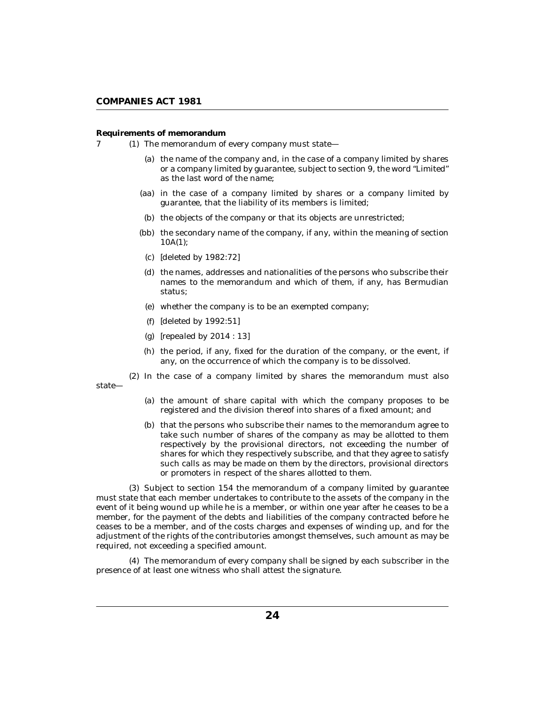<span id="page-23-0"></span>**Requirements of memorandum**

7 (1) The memorandum of every company must state—

- (a) the name of the company and, in the case of a company limited by shares or a company limited by guarantee, subject to section 9, the word "Limited" as the last word of the name;
- (aa) in the case of a company limited by shares or a company limited by guarantee, that the liability of its members is limited;
- (b) the objects of the company or that its objects are unrestricted;
- (bb) the secondary name of the company, if any, within the meaning of section 10A(1);
	- *[deleted by 1982:72]* (c)
- (d) the names, addresses and nationalities of the persons who subscribe their names to the memorandum and which of them, if any, has Bermudian status;
- whether the company is to be an exempted company; (e)
- *[deleted by 1992:51]* (f)
- *[repealed by 2014 : 13]* (g)
- (h) the period, if any, fixed for the duration of the company, or the event, if any, on the occurrence of which the company is to be dissolved.

 $(2)$  In the case of a company limited by shares the memorandum must also state—

- (a) the amount of share capital with which the company proposes to be registered and the division thereof into shares of a fixed amount; and
- (b) that the persons who subscribe their names to the memorandum agree to take such number of shares of the company as may be allotted to them respectively by the provisional directors, not exceeding the number of shares for which they respectively subscribe, and that they agree to satisfy such calls as may be made on them by the directors, provisional directors or promoters in respect of the shares allotted to them.

(3) Subject to section 154 the memorandum of a company limited by guarantee must state that each member undertakes to contribute to the assets of the company in the event of it being wound up while he is a member, or within one year after he ceases to be a member, for the payment of the debts and liabilities of the company contracted before he ceases to be a member, and of the costs charges and expenses of winding up, and for the adjustment of the rights of the contributories amongst themselves, such amount as may be required, not exceeding a specified amount.

The memorandum of every company shall be signed by each subscriber in the (4) presence of at least one witness who shall attest the signature.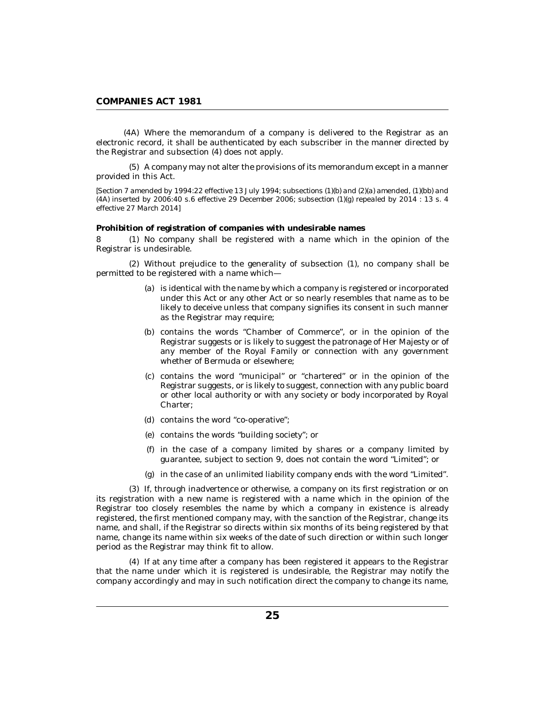<span id="page-24-0"></span>Where the memorandum of a company is delivered to the Registrar as an (4A) electronic record, it shall be authenticated by each subscriber in the manner directed by the Registrar and subsection (4) does not apply.

A company may not alter the provisions of its memorandum except in a manner (5) provided in this Act.

*[Section 7 amended by 1994:22 effective 13 July 1994; subsections (1)(b) and (2)(a) amended, (1)(bb) and (4A) inserted by 2006:40 s.6 effective 29 December 2006; subsection (1)(g) repealed by 2014 : 13 s. 4 effective 27 March 2014]*

**Prohibition of registration of companies with undesirable names**

8 (1) No company shall be registered with a name which in the opinion of the Registrar is undesirable.

Without prejudice to the generality of subsection (1), no company shall be (2) permitted to be registered with a name which—

- is identical with the name by which a company is registered or incorporated (a) under this Act or any other Act or so nearly resembles that name as to be likely to deceive unless that company signifies its consent in such manner as the Registrar may require;
- (b) contains the words "Chamber of Commerce", or in the opinion of the Registrar suggests or is likely to suggest the patronage of Her Majesty or of any member of the Royal Family or connection with any government whether of Bermuda or elsewhere;
- (c) contains the word "municipal" or "chartered" or in the opinion of the Registrar suggests, or is likely to suggest, connection with any public board or other local authority or with any society or body incorporated by Royal Charter;
- (d) contains the word "co-operative";
- contains the words "building society"; or (e)
- in the case of a company limited by shares or a company limited by (f) guarantee, subject to section 9, does not contain the word "Limited"; or
- (g) in the case of an unlimited liability company ends with the word "Limited".

(3) If, through inadvertence or otherwise, a company on its first registration or on its registration with a new name is registered with a name which in the opinion of the Registrar too closely resembles the name by which a company in existence is already registered, the first mentioned company may, with the sanction of the Registrar, change its name, and shall, if the Registrar so directs within six months of its being registered by that name, change its name within six weeks of the date of such direction or within such longer period as the Registrar may think fit to allow.

If at any time after a company has been registered it appears to the Registrar (4) that the name under which it is registered is undesirable, the Registrar may notify the company accordingly and may in such notification direct the company to change its name,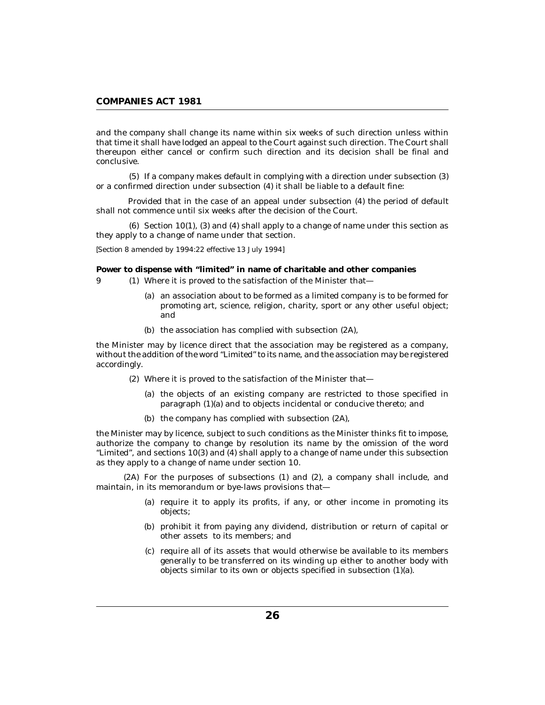<span id="page-25-0"></span>and the company shall change its name within six weeks of such direction unless within that time it shall have lodged an appeal to the Court against such direction. The Court shall thereupon either cancel or confirm such direction and its decision shall be final and conclusive.

(5) If a company makes default in complying with a direction under subsection (3) or a confirmed direction under subsection (4) it shall be liable to a default fine:

Provided that in the case of an appeal under subsection (4) the period of default shall not commence until six weeks after the decision of the Court.

 $(6)$  Section 10(1),  $(3)$  and  $(4)$  shall apply to a change of name under this section as they apply to a change of name under that section.

*[Section 8 amended by 1994:22 effective 13 July 1994]*

**Power to dispense with "limited" in name of charitable and other companies**

- Where it is proved to the satisfaction of the Minister that— 9 (1)
	- an association about to be formed as a limited company is to be formed for (a) promoting art, science, religion, charity, sport or any other useful object; and
	- (b) the association has complied with subsection (2A),

the Minister may by licence direct that the association may be registered as a company, without the addition of the word "Limited" to its name, and the association may be registered accordingly.

- Where it is proved to the satisfaction of the Minister that— (2)
	- (a) the objects of an existing company are restricted to those specified in paragraph (1)(a) and to objects incidental or conducive thereto; and
	- (b) the company has complied with subsection (2A),

the Minister may by licence, subject to such conditions as the Minister thinks fit to impose, authorize the company to change by resolution its name by the omission of the word "Limited", and sections 10(3) and (4) shall apply to a change of name under this subsection as they apply to a change of name under section 10.

 $(2)$  For the purposes of subsections  $(1)$  and  $(2)$ , a company shall include, and maintain, in its memorandum or bye-laws provisions that—

- (a) require it to apply its profits, if any, or other income in promoting its objects;
- (b) prohibit it from paying any dividend, distribution or return of capital or other assets to its members; and
- (c) require all of its assets that would otherwise be available to its members generally to be transferred on its winding up either to another body with objects similar to its own or objects specified in subsection (1)(a).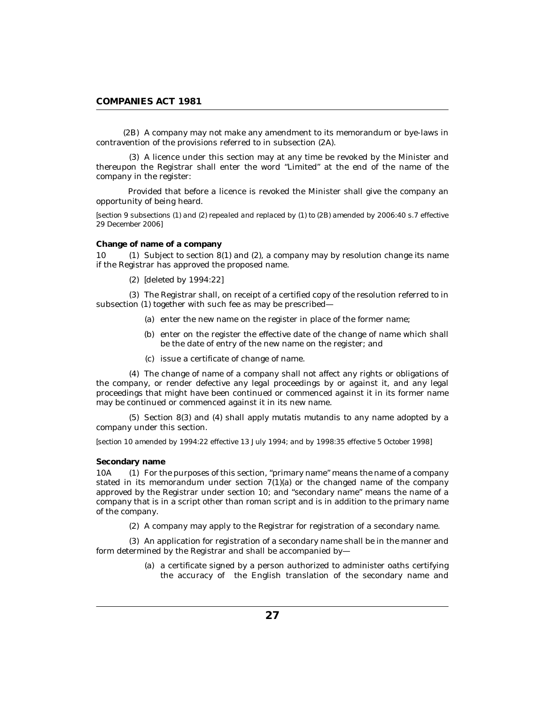<span id="page-26-0"></span>(2B) A company may not make any amendment to its memorandum or bye-laws in contravention of the provisions referred to in subsection (2A).

A licence under this section may at any time be revoked by the Minister and (3) thereupon the Registrar shall enter the word "Limited" at the end of the name of the company in the register:

Provided that before a licence is revoked the Minister shall give the company an opportunity of being heard.

*[section 9 subsections (1) and (2) repealed and replaced by (1) to (2B) amended by 2006:40 s.7 effective 29 December 2006]*

**Change of name of a company**

10 (1) Subject to section  $8(1)$  and  $(2)$ , a company may by resolution change its name if the Registrar has approved the proposed name.

*[deleted by 1994:22]* (2)

The Registrar shall, on receipt of a certified copy of the resolution referred to in (3) subsection (1) together with such fee as may be prescribed—

- (a) enter the new name on the register in place of the former name;
- (b) enter on the register the effective date of the change of name which shall be the date of entry of the new name on the register; and
- (c) issue a certificate of change of name.

The change of name of a company shall not affect any rights or obligations of (4) the company, or render defective any legal proceedings by or against it, and any legal proceedings that might have been continued or commenced against it in its former name may be continued or commenced against it in its new name.

(5) Section 8(3) and (4) shall apply *mutatis mutandis* to any name adopted by a company under this section.

*[section 10 amended by 1994:22 effective 13 July 1994; and by 1998:35 effective 5 October 1998]*

#### **Secondary name**

For the purposes of this section, "primary name" means the name of a company stated in its memorandum under section  $7(1)(a)$  or the changed name of the company approved by the Registrar under section 10; and "secondary name" means the name of a company that is in a script other than roman script and is in addition to the primary name of the company.  $10A$ 

A company may apply to the Registrar for registration of a secondary name. (2)

An application for registration of a secondary name shall be in the manner and (3) form determined by the Registrar and shall be accompanied by—

> a certificate signed by a person authorized to administer oaths certifying (a) the accuracy of the English translation of the secondary name and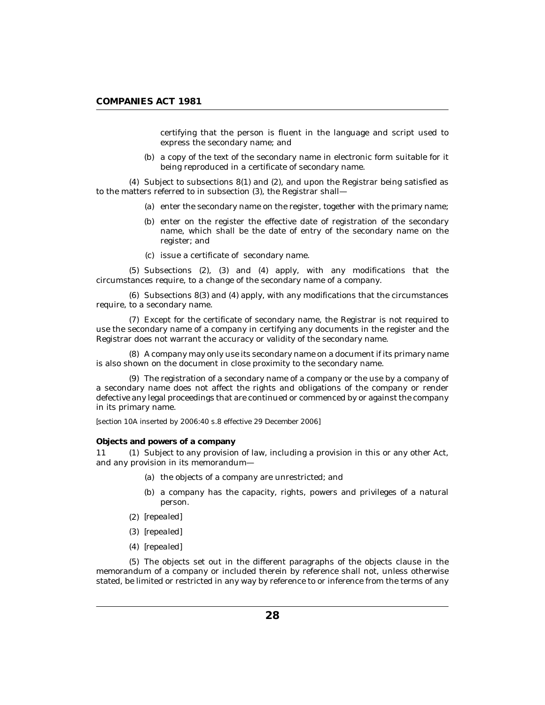certifying that the person is fluent in the language and script used to express the secondary name; and

(b) a copy of the text of the secondary name in electronic form suitable for it being reproduced in a certificate of secondary name.

<span id="page-27-0"></span> $(4)$  Subject to subsections  $8(1)$  and  $(2)$ , and upon the Registrar being satisfied as to the matters referred to in subsection (3), the Registrar shall—

- (a) enter the secondary name on the register, together with the primary name;
- (b) enter on the register the effective date of registration of the secondary name, which shall be the date of entry of the secondary name on the register; and
- (c) issue a certificate of secondary name.

(5) Subsections (2), (3) and (4) apply, with any modifications that the circumstances require, to a change of the secondary name of a company.

 $(6)$  Subsections  $8(3)$  and  $(4)$  apply, with any modifications that the circumstances require, to a secondary name.

Except for the certificate of secondary name, the Registrar is not required to (7) use the secondary name of a company in certifying any documents in the register and the Registrar does not warrant the accuracy or validity of the secondary name.

A company may only use its secondary name on a document if its primary name (8) is also shown on the document in close proximity to the secondary name.

The registration of a secondary name of a company or the use by a company of (9) a secondary name does not affect the rights and obligations of the company or render defective any legal proceedings that are continued or commenced by or against the company in its primary name.

*[section 10A inserted by 2006:40 s.8 effective 29 December 2006]*

#### **Objects and powers of a company**

11 (1) Subject to any provision of law, including a provision in this or any other Act, and any provision in its memorandum—

- (a) the objects of a company are unrestricted; and
- (b) a company has the capacity, rights, powers and privileges of a natural person.
- *[repealed]* (2)
- *[repealed]* (3)
- *[repealed]* (4)

(5) The objects set out in the different paragraphs of the objects clause in the memorandum of a company or included therein by reference shall not, unless otherwise stated, be limited or restricted in any way by reference to or inference from the terms of any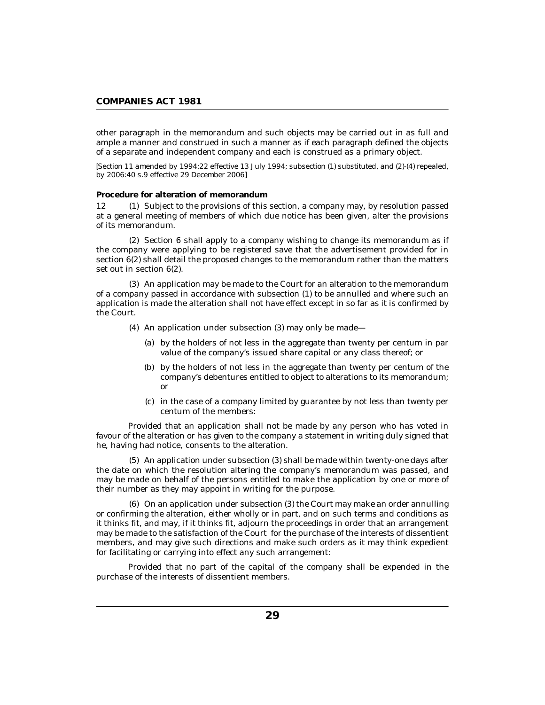<span id="page-28-0"></span>other paragraph in the memorandum and such objects may be carried out in as full and ample a manner and construed in such a manner as if each paragraph defined the objects of a separate and independent company and each is construed as a primary object.

*[Section 11 amended by 1994:22 effective 13 July 1994; subsection (1) substituted, and (2)-(4) repealed, by 2006:40 s.9 effective 29 December 2006]*

#### **Procedure for alteration of memorandum**

12 (1) Subject to the provisions of this section, a company may, by resolution passed at a general meeting of members of which due notice has been given, alter the provisions of its memorandum.

 $(2)$  Section 6 shall apply to a company wishing to change its memorandum as if the company were applying to be registered save that the advertisement provided for in section  $6(2)$  shall detail the proposed changes to the memorandum rather than the matters set out in section 6(2).

An application may be made to the Court for an alteration to the memorandum (3) of a company passed in accordance with subsection (1) to be annulled and where such an application is made the alteration shall not have effect except in so far as it is confirmed by the Court.

- An application under subsection (3) may only be made— (4)
	- (a) by the holders of not less in the aggregate than twenty per centum in par value of the company's issued share capital or any class thereof; or
	- by the holders of not less in the aggregate than twenty per centum of the (b) company's debentures entitled to object to alterations to its memorandum; or
	- in the case of a company limited by guarantee by not less than twenty per (c) centum of the members:

Provided that an application shall not be made by any person who has voted in favour of the alteration or has given to the company a statement in writing duly signed that he, having had notice, consents to the alteration.

An application under subsection (3) shall be made within twenty-one days after (5) the date on which the resolution altering the company's memorandum was passed, and may be made on behalf of the persons entitled to make the application by one or more of their number as they may appoint in writing for the purpose.

On an application under subsection (3) the Court may make an order annulling (6) or confirming the alteration, either wholly or in part, and on such terms and conditions as it thinks fit, and may, if it thinks fit, adjourn the proceedings in order that an arrangement may be made to the satisfaction of the Court for the purchase of the interests of dissentient members, and may give such directions and make such orders as it may think expedient for facilitating or carrying into effect any such arrangement:

Provided that no part of the capital of the company shall be expended in the purchase of the interests of dissentient members.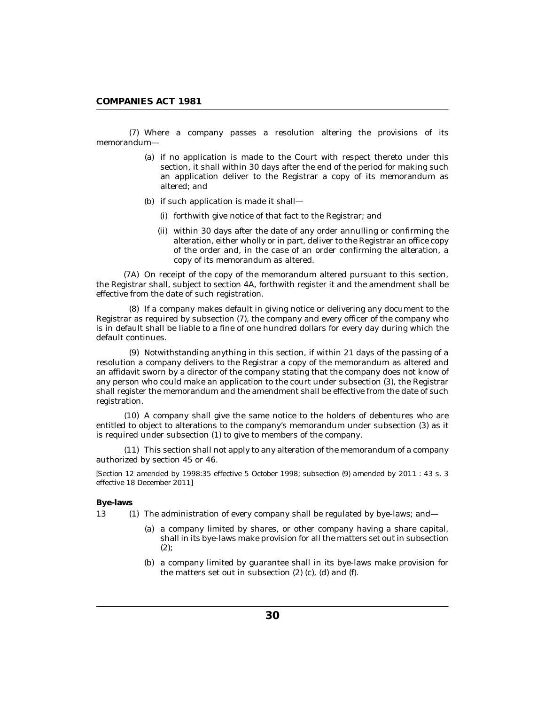<span id="page-29-0"></span>Where a company passes a resolution altering the provisions of its (7) memorandum—

- (a) if no application is made to the Court with respect thereto under this section, it shall within 30 days after the end of the period for making such an application deliver to the Registrar a copy of its memorandum as altered; and
- (b) if such application is made it shall—
	- (i) forthwith give notice of that fact to the Registrar; and
	- (ii) within 30 days after the date of any order annulling or confirming the alteration, either wholly or in part, deliver to the Registrar an office copy of the order and, in the case of an order confirming the alteration, a copy of its memorandum as altered.

(7A) On receipt of the copy of the memorandum altered pursuant to this section, the Registrar shall, subject to section 4A, forthwith register it and the amendment shall be effective from the date of such registration.

(8) If a company makes default in giving notice or delivering any document to the Registrar as required by subsection (7), the company and every officer of the company who is in default shall be liable to a fine of one hundred dollars for every day during which the default continues.

 $(9)$  Notwithstanding anything in this section, if within 21 days of the passing of a resolution a company delivers to the Registrar a copy of the memorandum as altered and an affidavit sworn by a director of the company stating that the company does not know of any person who could make an application to the court under subsection (3), the Registrar shall register the memorandum and the amendment shall be effective from the date of such registration.

 $(10)$  A company shall give the same notice to the holders of debentures who are entitled to object to alterations to the company's memorandum under subsection (3) as it is required under subsection (1) to give to members of the company.

 $(11)$  This section shall not apply to any alteration of the memorandum of a company authorized by section 45 or 46.

*[Section 12 amended by 1998:35 effective 5 October 1998; subsection (9) amended by 2011 : 43 s. 3 effective 18 December 2011]*

**Bye-laws**

13 (1) The administration of every company shall be regulated by bye-laws; and—

- (a) a company limited by shares, or other company having a share capital, shall in its bye-laws make provision for all the matters set out in subsection  $(2)$ ;
- (b) a company limited by guarantee shall in its bye-laws make provision for the matters set out in subsection (2) (c), (d) and (f).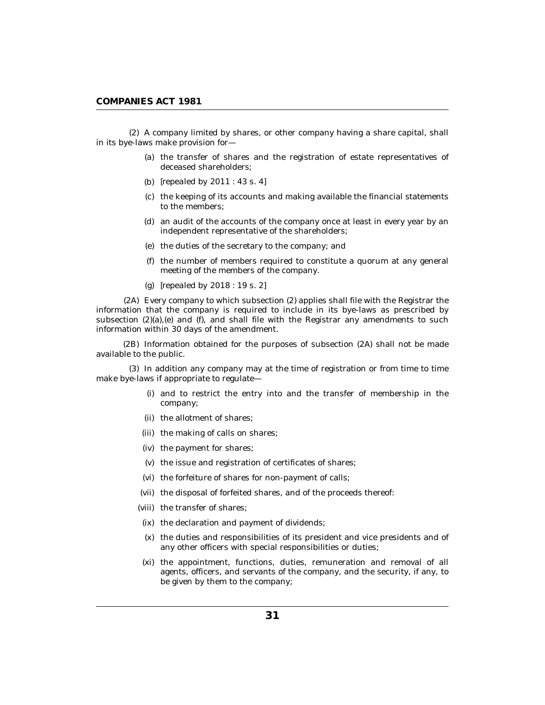A company limited by shares, or other company having a share capital, shall (2) in its bye-laws make provision for—

- (a) the transfer of shares and the registration of estate representatives of deceased shareholders;
- *[repealed by 2011 : 43 s. 4]* (b)
- (c) the keeping of its accounts and making available the financial statements to the members;
- (d) an audit of the accounts of the company once at least in every year by an independent representative of the shareholders;
- (e) the duties of the secretary to the company; and
- (f) the number of members required to constitute a quorum at any general meeting of the members of the company.
- *[repealed by 2018 : 19 s. 2]* (g)

Every company to which subsection (2) applies shall file with the Registrar the (2A) information that the company is required to include in its bye-laws as prescribed by subsection  $(2)(a)$ , (e) and  $(f)$ , and shall file with the Registrar any amendments to such information within 30 days of the amendment.

(2B) Information obtained for the purposes of subsection (2A) shall not be made available to the public.

(3) In addition any company may at the time of registration or from time to time make bye-laws if appropriate to regulate—

- (i) and to restrict the entry into and the transfer of membership in the company;
- (ii) the allotment of shares;
- (iii) the making of calls on shares;
- (iv) the payment for shares;
- (v) the issue and registration of certificates of shares;
- (vi) the forfeiture of shares for non-payment of calls;
- (vii) the disposal of forfeited shares, and of the proceeds thereof:
- (viii) the transfer of shares;
- (ix) the declaration and payment of dividends;
- (x) the duties and responsibilities of its president and vice presidents and of any other officers with special responsibilities or duties;
- (xi) the appointment, functions, duties, remuneration and removal of all agents, officers, and servants of the company, and the security, if any, to be given by them to the company;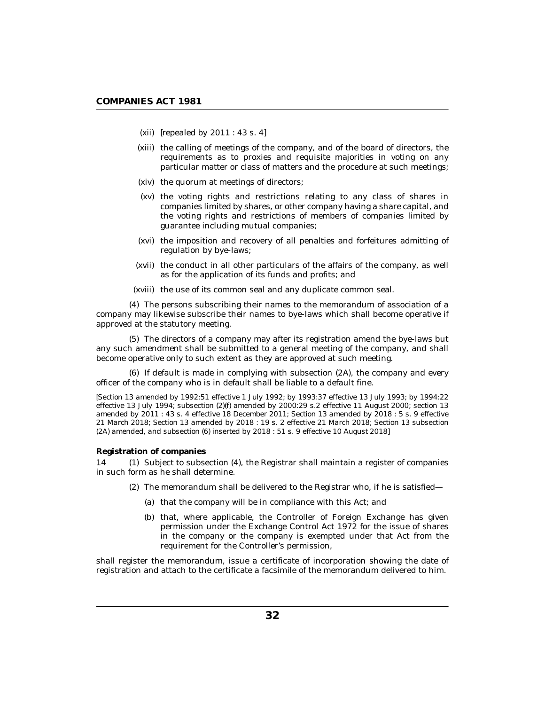- <span id="page-31-0"></span>*[repealed by 2011 : 43 s. 4]* (xii)
- (xiii) the calling of meetings of the company, and of the board of directors, the requirements as to proxies and requisite majorities in voting on any particular matter or class of matters and the procedure at such meetings;
- (xiv) the quorum at meetings of directors;
- (xv) the voting rights and restrictions relating to any class of shares in companies limited by shares, or other company having a share capital, and the voting rights and restrictions of members of companies limited by guarantee including mutual companies;
- (xvi) the imposition and recovery of all penalties and forfeitures admitting of regulation by bye-laws;
- (xvii) the conduct in all other particulars of the affairs of the company, as well as for the application of its funds and profits; and
- (xviii) the use of its common seal and any duplicate common seal.

The persons subscribing their names to the memorandum of association of a (4) company may likewise subscribe their names to bye-laws which shall become operative if approved at the statutory meeting.

The directors of a company may after its registration amend the bye-laws but (5) any such amendment shall be submitted to a general meeting of the company, and shall become operative only to such extent as they are approved at such meeting.

 $(6)$  If default is made in complying with subsection  $(2A)$ , the company and every officer of the company who is in default shall be liable to a default fine.

*[Section 13 amended by 1992:51 effective 1 July 1992; by 1993:37 effective 13 July 1993; by 1994:22 effective 13 July 1994; subsection (2)(f) amended by 2000:29 s.2 effective 11 August 2000; section 13 amended by 2011 : 43 s. 4 effective 18 December 2011; Section 13 amended by 2018 : 5 s. 9 effective 21 March 2018; Section 13 amended by 2018 : 19 s. 2 effective 21 March 2018; Section 13 subsection (2A) amended, and subsection (6) inserted by 2018 : 51 s. 9 effective 10 August 2018]*

#### **Registration of companies**

14 (1) Subject to subsection (4), the Registrar shall maintain a register of companies in such form as he shall determine.

- The memorandum shall be delivered to the Registrar who, if he is satisfied— (2)
	- (a) that the company will be in compliance with this Act; and
	- (b) that, where applicable, the Controller of Foreign Exchange has given permission under the Exchange Control Act 1972 for the issue of shares in the company or the company is exempted under that Act from the requirement for the Controller's permission,

shall register the memorandum, issue a certificate of incorporation showing the date of registration and attach to the certificate a facsimile of the memorandum delivered to him.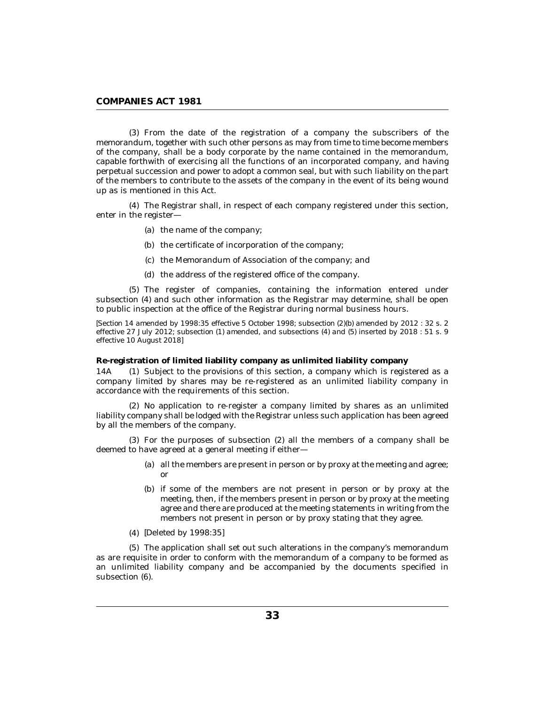<span id="page-32-0"></span>From the date of the registration of a company the subscribers of the (3) memorandum, together with such other persons as may from time to time become members of the company, shall be a body corporate by the name contained in the memorandum, capable forthwith of exercising all the functions of an incorporated company, and having perpetual succession and power to adopt a common seal, but with such liability on the part of the members to contribute to the assets of the company in the event of its being wound up as is mentioned in this Act.

The Registrar shall, in respect of each company registered under this section, (4) enter in the register—

- (a) the name of the company;
- (b) the certificate of incorporation of the company;
- (c) the Memorandum of Association of the company; and
- (d) the address of the registered office of the company.

(5) The register of companies, containing the information entered under subsection (4) and such other information as the Registrar may determine, shall be open to public inspection at the office of the Registrar during normal business hours.

*[Section 14 amended by 1998:35 effective 5 October 1998; subsection (2)(b) amended by 2012 : 32 s. 2 effective 27 July 2012; subsection (1) amended, and subsections (4) and (5) inserted by 2018 : 51 s. 9 effective 10 August 2018]*

**Re-registration of limited liability company as unlimited liability company**

Subject to the provisions of this section, a company which is registered as a company limited by shares may be re-registered as an unlimited liability company in accordance with the requirements of this section.  $14A$ 

(2) No application to re-register a company limited by shares as an unlimited liability company shall be lodged with the Registrar unless such application has been agreed by all the members of the company.

For the purposes of subsection (2) all the members of a company shall be (3) deemed to have agreed at a general meeting if either—

- all the members are present in person or by proxy at the meeting and agree; (a) or
- (b) if some of the members are not present in person or by proxy at the meeting, then, if the members present in person or by proxy at the meeting agree and there are produced at the meeting statements in writing from the members not present in person or by proxy stating that they agree.
- *[Deleted by 1998:35]* (4)

The application shall set out such alterations in the company's memorandum (5) as are requisite in order to conform with the memorandum of a company to be formed as an unlimited liability company and be accompanied by the documents specified in subsection (6).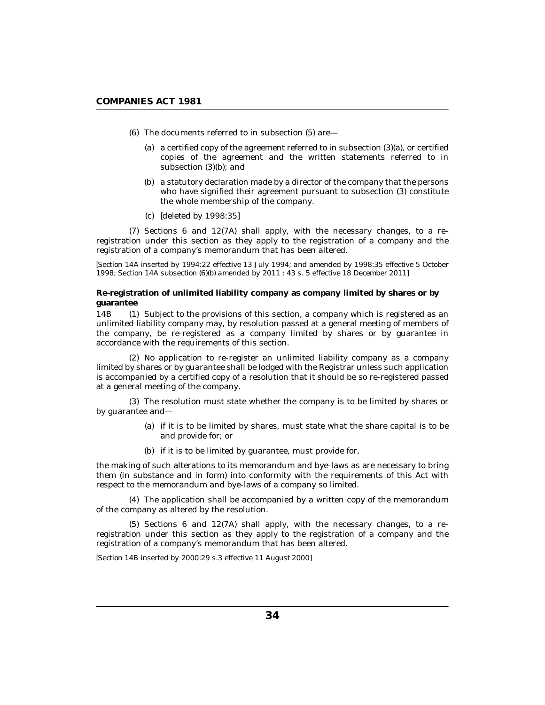- <span id="page-33-0"></span>(6) The documents referred to in subsection (5) are-
	- (a) a certified copy of the agreement referred to in subsection  $(3)(a)$ , or certified copies of the agreement and the written statements referred to in subsection (3)(b); and
	- (b) a statutory declaration made by a director of the company that the persons who have signified their agreement pursuant to subsection (3) constitute the whole membership of the company.
	- *[deleted by 1998:35]* (c)

 $(7)$  Sections 6 and 12 $(7)$  shall apply, with the necessary changes, to a reregistration under this section as they apply to the registration of a company and the registration of a company's memorandum that has been altered.

*[Section 14A inserted by 1994:22 effective 13 July 1994; and amended by 1998:35 effective 5 October 1998; Section 14A subsection (6)(b) amended by 2011 : 43 s. 5 effective 18 December 2011]*

**Re-registration of unlimited liability company as company limited by shares or by guarantee**

Subject to the provisions of this section, a company which is registered as an unlimited liability company may, by resolution passed at a general meeting of members of the company, be re-registered as a company limited by shares or by guarantee in accordance with the requirements of this section. 14B

(2) No application to re-register an unlimited liability company as a company limited by shares or by guarantee shall be lodged with the Registrar unless such application is accompanied by a certified copy of a resolution that it should be so re-registered passed at a general meeting of the company.

The resolution must state whether the company is to be limited by shares or (3) by guarantee and—

- (a) if it is to be limited by shares, must state what the share capital is to be and provide for; or
- (b) if it is to be limited by guarantee, must provide for,

the making of such alterations to its memorandum and bye-laws as are necessary to bring them (in substance and in form) into conformity with the requirements of this Act with respect to the memorandum and bye-laws of a company so limited.

The application shall be accompanied by a written copy of the memorandum (4) of the company as altered by the resolution.

 $(5)$  Sections 6 and 12 $(7)$  shall apply, with the necessary changes, to a reregistration under this section as they apply to the registration of a company and the registration of a company's memorandum that has been altered.

*[Section 14B inserted by 2000:29 s.3 effective 11 August 2000]*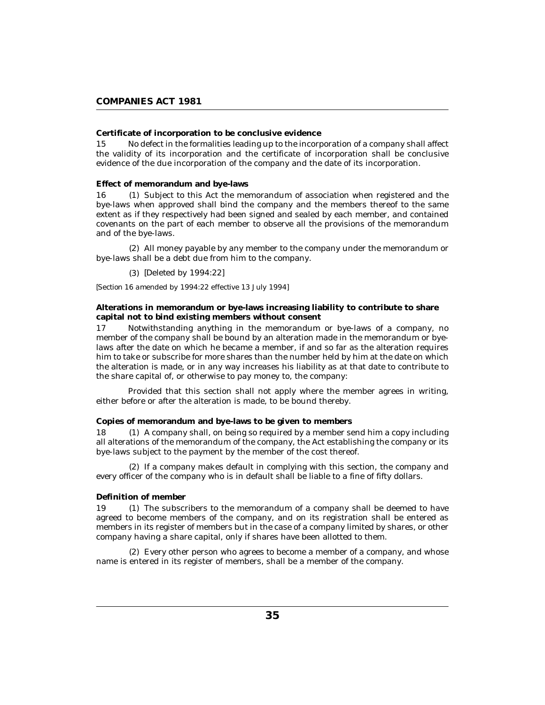#### <span id="page-34-0"></span>**Certificate of incorporation to be conclusive evidence**

No defect in the formalities leading up to the incorporation of a company shall affect the validity of its incorporation and the certificate of incorporation shall be conclusive evidence of the due incorporation of the company and the date of its incorporation. 15

#### **Effect of memorandum and bye-laws**

16 (1) Subject to this Act the memorandum of association when registered and the bye-laws when approved shall bind the company and the members thereof to the same extent as if they respectively had been signed and sealed by each member, and contained covenants on the part of each member to observe all the provisions of the memorandum and of the bye-laws.

All money payable by any member to the company under the memorandum or (2) bye-laws shall be a debt due from him to the company.

*[Deleted by 1994:22]* (3)

#### *[Section 16 amended by 1994:22 effective 13 July 1994]*

**Alterations in memorandum or bye-laws increasing liability to contribute to share capital not to bind existing members without consent**

Notwithstanding anything in the memorandum or bye-laws of a company, no member of the company shall be bound by an alteration made in the memorandum or byelaws after the date on which he became a member, if and so far as the alteration requires him to take or subscribe for more shares than the number held by him at the date on which the alteration is made, or in any way increases his liability as at that date to contribute to the share capital of, or otherwise to pay money to, the company: 17

Provided that this section shall not apply where the member agrees in writing, either before or after the alteration is made, to be bound thereby.

#### **Copies of memorandum and bye-laws to be given to members**

 $(1)$  A company shall, on being so required by a member send him a copy including all alterations of the memorandum of the company, the Act establishing the company or its bye-laws subject to the payment by the member of the cost thereof. 18

(2) If a company makes default in complying with this section, the company and every officer of the company who is in default shall be liable to a fine of fifty dollars.

#### **Definition of member**

19 (1) The subscribers to the memorandum of a company shall be deemed to have agreed to become members of the company, and on its registration shall be entered as members in its register of members but in the case of a company limited by shares, or other company having a share capital, only if shares have been allotted to them.

Every other person who agrees to become a member of a company, and whose (2) name is entered in its register of members, shall be a member of the company.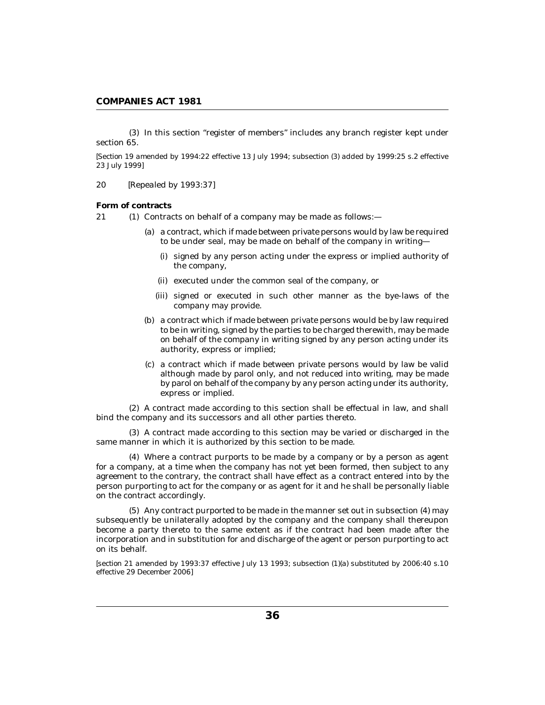<span id="page-35-0"></span>(3) In this section "register of members" includes any branch register kept under section 65.

*[Section 19 amended by 1994:22 effective 13 July 1994; subsection (3) added by 1999:25 s.2 effective 23 July 1999]*

*[Repealed by 1993:37]* 20

#### **Form of contracts**

21 (1) Contracts on behalf of a company may be made as follows:

- (a) a contract, which if made between private persons would by law be required to be under seal, may be made on behalf of the company in writing—
	- (i) signed by any person acting under the express or implied authority of the company,
	- (ii) executed under the common seal of the company, or
	- (iii) signed or executed in such other manner as the bye-laws of the company may provide.
- (b) a contract which if made between private persons would be by law required to be in writing, signed by the parties to be charged therewith, may be made on behalf of the company in writing signed by any person acting under its authority, express or implied;
- a contract which if made between private persons would by law be valid (c) although made by parol only, and not reduced into writing, may be made by parol on behalf of the company by any person acting under its authority, express or implied.

A contract made according to this section shall be effectual in law, and shall (2) bind the company and its successors and all other parties thereto.

A contract made according to this section may be varied or discharged in the (3) same manner in which it is authorized by this section to be made.

Where a contract purports to be made by a company or by a person as agent (4) for a company, at a time when the company has not yet been formed, then subject to any agreement to the contrary, the contract shall have effect as a contract entered into by the person purporting to act for the company or as agent for it and he shall be personally liable on the contract accordingly.

Any contract purported to be made in the manner set out in subsection (4) may (5) subsequently be unilaterally adopted by the company and the company shall thereupon become a party thereto to the same extent as if the contract had been made after the incorporation and in substitution for and discharge of the agent or person purporting to act on its behalf.

*[section 21 amended by 1993:37 effective July 13 1993; subsection (1)(a) substituted by 2006:40 s.10 effective 29 December 2006]*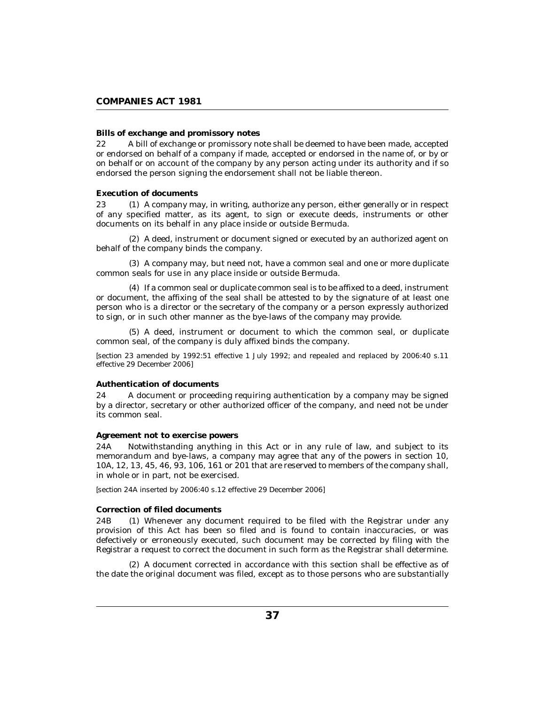# **Bills of exchange and promissory notes**

A bill of exchange or promissory note shall be deemed to have been made, accepted or endorsed on behalf of a company if made, accepted or endorsed in the name of, or by or on behalf or on account of the company by any person acting under its authority and if so endorsed the person signing the endorsement shall not be liable thereon. 22

### **Execution of documents**

23 (1) A company may, in writing, authorize any person, either generally or in respect of any specified matter, as its agent, to sign or execute deeds, instruments or other documents on its behalf in any place inside or outside Bermuda.

A deed, instrument or document signed or executed by an authorized agent on (2) behalf of the company binds the company.

(3) A company may, but need not, have a common seal and one or more duplicate common seals for use in any place inside or outside Bermuda.

If a common seal or duplicate common seal is to be affixed to a deed, instrument (4) or document, the affixing of the seal shall be attested to by the signature of at least one person who is a director or the secretary of the company or a person expressly authorized to sign, or in such other manner as the bye-laws of the company may provide.

A deed, instrument or document to which the common seal, or duplicate (5) common seal, of the company is duly affixed binds the company.

*[section 23 amended by 1992:51 effective 1 July 1992; and repealed and replaced by 2006:40 s.11 effective 29 December 2006]*

## **Authentication of documents**

A document or proceeding requiring authentication by a company may be signed by a director, secretary or other authorized officer of the company, and need not be under its common seal. 24

### **Agreement not to exercise powers**

Notwithstanding anything in this Act or in any rule of law, and subject to its memorandum and bye-laws, a company may agree that any of the powers in section 10, 10A, 12, 13, 45, 46, 93, 106, 161 or 201 that are reserved to members of the company shall, in whole or in part, not be exercised. 24A

*[section 24A inserted by 2006:40 s.12 effective 29 December 2006]*

# **Correction of filed documents**

Whenever any document required to be filed with the Registrar under any provision of this Act has been so filed and is found to contain inaccuracies, or was defectively or erroneously executed, such document may be corrected by filing with the Registrar a request to correct the document in such form as the Registrar shall determine. 24B

A document corrected in accordance with this section shall be effective as of (2) the date the original document was filed, except as to those persons who are substantially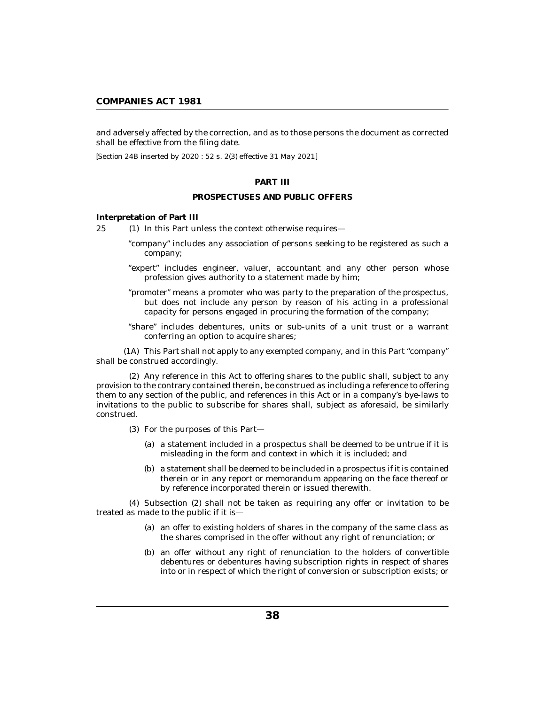and adversely affected by the correction, and as to those persons the document as corrected shall be effective from the filing date.

*[Section 24B inserted by 2020 : 52 s. 2(3) effective 31 May 2021]*

# **PART III**

# **PROSPECTUSES AND PUBLIC OFFERS**

**Interpretation of Part III**

- 25 (1) In this Part unless the context otherwise requires—
	- "company" includes any association of persons seeking to be registered as such a company;
	- "expert" includes engineer, valuer, accountant and any other person whose profession gives authority to a statement made by him;
	- "promoter" means a promoter who was party to the preparation of the prospectus, but does not include any person by reason of his acting in a professional capacity for persons engaged in procuring the formation of the company;
	- "share" includes debentures, units or sub-units of a unit trust or a warrant conferring an option to acquire shares;

 $(1A)$  This Part shall not apply to any exempted company, and in this Part "company" shall be construed accordingly.

Any reference in this Act to offering shares to the public shall, subject to any (2) provision to the contrary contained therein, be construed as including a reference to offering them to any section of the public, and references in this Act or in a company's bye-laws to invitations to the public to subscribe for shares shall, subject as aforesaid, be similarly construed.

- (3) For the purposes of this Part-
	- (a) a statement included in a prospectus shall be deemed to be untrue if it is misleading in the form and context in which it is included; and
	- a statement shall be deemed to be included in a prospectus if it is contained (b) therein or in any report or memorandum appearing on the face thereof or by reference incorporated therein or issued therewith.

(4) Subsection (2) shall not be taken as requiring any offer or invitation to be treated as made to the public if it is—

- (a) an offer to existing holders of shares in the company of the same class as the shares comprised in the offer without any right of renunciation; or
- (b) an offer without any right of renunciation to the holders of convertible debentures or debentures having subscription rights in respect of shares into or in respect of which the right of conversion or subscription exists; or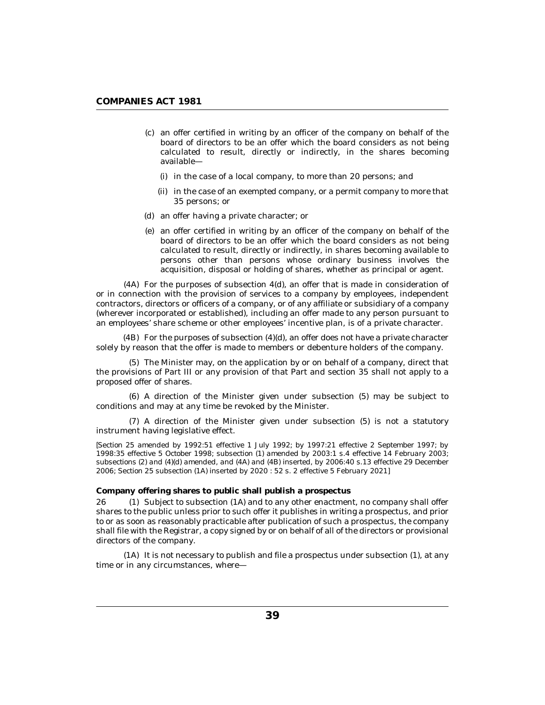- (c) an offer certified in writing by an officer of the company on behalf of the board of directors to be an offer which the board considers as not being calculated to result, directly or indirectly, in the shares becoming available—
	- (i) in the case of a local company, to more than 20 persons; and
	- (ii) in the case of an exempted company, or a permit company to more that 35 persons; or
- (d) an offer having a private character; or
- an offer certified in writing by an officer of the company on behalf of the (e) board of directors to be an offer which the board considers as not being calculated to result, directly or indirectly, in shares becoming available to persons other than persons whose ordinary business involves the acquisition, disposal or holding of shares, whether as principal or agent.

 $(4A)$  For the purposes of subsection  $4(d)$ , an offer that is made in consideration of or in connection with the provision of services to a company by employees, independent contractors, directors or officers of a company, or of any affiliate or subsidiary of a company (wherever incorporated or established), including an offer made to any person pursuant to an employees' share scheme or other employees' incentive plan, is of a private character.

 $(4B)$  For the purposes of subsection  $(4)(d)$ , an offer does not have a private character solely by reason that the offer is made to members or debenture holders of the company.

The Minister may, on the application by or on behalf of a company, direct that (5) the provisions of Part III or any provision of that Part and section 35 shall not apply to a proposed offer of shares.

A direction of the Minister given under subsection (5) may be subject to (6) conditions and may at any time be revoked by the Minister.

A direction of the Minister given under subsection (5) is not a statutory (7) instrument having legislative effect.

*[Section 25 amended by 1992:51 effective 1 July 1992; by 1997:21 effective 2 September 1997; by 1998:35 effective 5 October 1998; subsection (1) amended by 2003:1 s.4 effective 14 February 2003; subsections (2) and (4)(d) amended, and (4A) and (4B) inserted, by 2006:40 s.13 effective 29 December 2006; Section 25 subsection (1A) inserted by 2020 : 52 s. 2 effective 5 February 2021]*

**Company offering shares to public shall publish a prospectus**

26 (1) Subject to subsection (1A) and to any other enactment, no company shall offer shares to the public unless prior to such offer it publishes in writing a prospectus, and prior to or as soon as reasonably practicable after publication of such a prospectus, the company shall file with the Registrar, a copy signed by or on behalf of all of the directors or provisional directors of the company.

 $(1A)$  It is not necessary to publish and file a prospectus under subsection  $(1)$ , at any time or in any circumstances, where—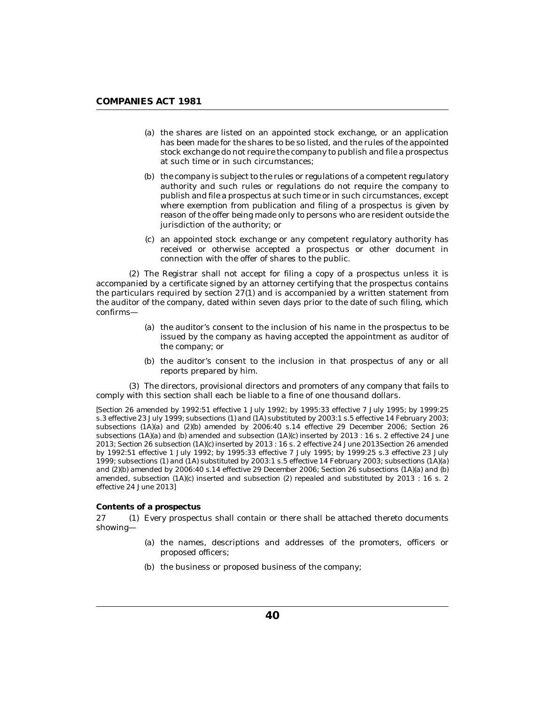- (a) the shares are listed on an appointed stock exchange, or an application has been made for the shares to be so listed, and the rules of the appointed stock exchange do not require the company to publish and file a prospectus at such time or in such circumstances;
- (b) the company is subject to the rules or regulations of a competent regulatory authority and such rules or regulations do not require the company to publish and file a prospectus at such time or in such circumstances, except where exemption from publication and filing of a prospectus is given by reason of the offer being made only to persons who are resident outside the jurisdiction of the authority; or
- (c) an appointed stock exchange or any competent regulatory authority has received or otherwise accepted a prospectus or other document in connection with the offer of shares to the public.

(2) The Registrar shall not accept for filing a copy of a prospectus unless it is accompanied by a certificate signed by an attorney certifying that the prospectus contains the particulars required by section  $27(1)$  and is accompanied by a written statement from the auditor of the company, dated within seven days prior to the date of such filing, which confirms—

- (a) the auditor's consent to the inclusion of his name in the prospectus to be issued by the company as having accepted the appointment as auditor of the company; or
- (b) the auditor's consent to the inclusion in that prospectus of any or all reports prepared by him.

The directors, provisional directors and promoters of any company that fails to (3) comply with this section shall each be liable to a fine of one thousand dollars.

*[Section 26 amended by 1992:51 effective 1 July 1992; by 1995:33 effective 7 July 1995; by 1999:25 s.3 effective 23 July 1999; subsections (1) and (1A) substituted by 2003:1 s.5 effective 14 February 2003; subsections (1A)(a) and (2)(b) amended by 2006:40 s.14 effective 29 December 2006; Section 26 subsections (1A)(a) and (b) amended and subsection (1A)(c) inserted by 2013 : 16 s. 2 effective 24 June 2013; Section 26 subsection (1A)(c) inserted by 2013 : 16 s. 2 effective 24 June 2013Section 26 amended by 1992:51 effective 1 July 1992; by 1995:33 effective 7 July 1995; by 1999:25 s.3 effective 23 July 1999; subsections (1) and (1A) substituted by 2003:1 s.5 effective 14 February 2003; subsections (1A)(a) and (2)(b) amended by 2006:40 s.14 effective 29 December 2006; Section 26 subsections (1A)(a) and (b) amended, subsection (1A)(c) inserted and subsection (2) repealed and substituted by 2013 : 16 s. 2 effective 24 June 2013]*

#### **Contents of a prospectus**

27 (1) Every prospectus shall contain or there shall be attached thereto documents showing—

- (a) the names, descriptions and addresses of the promoters, officers or proposed officers;
- (b) the business or proposed business of the company;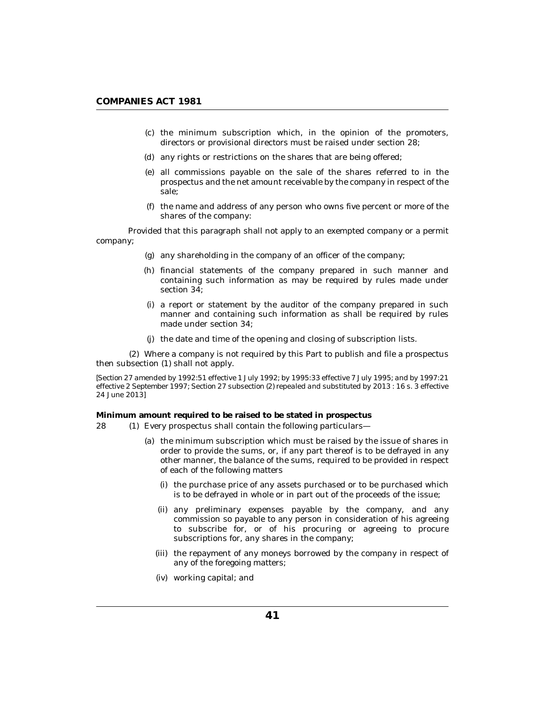- (c) the minimum subscription which, in the opinion of the promoters, directors or provisional directors must be raised under section 28;
- (d) any rights or restrictions on the shares that are being offered;
- all commissions payable on the sale of the shares referred to in the (e) prospectus and the net amount receivable by the company in respect of the sale;
- (f) the name and address of any person who owns five percent or more of the shares of the company:

Provided that this paragraph shall not apply to an exempted company or a permit company;

- any shareholding in the company of an officer of the company; (g)
- financial statements of the company prepared in such manner and (h) containing such information as may be required by rules made under section 34;
- a report or statement by the auditor of the company prepared in such (i) manner and containing such information as shall be required by rules made under section 34;
- (j) the date and time of the opening and closing of subscription lists.

Where a company is not required by this Part to publish and file a prospectus (2) then subsection (1) shall not apply.

*[Section 27 amended by 1992:51 effective 1 July 1992; by 1995:33 effective 7 July 1995; and by 1997:21 effective 2 September 1997; Section 27 subsection (2) repealed and substituted by 2013 : 16 s. 3 effective 24 June 2013]*

**Minimum amount required to be raised to be stated in prospectus**

- 28 (1) Every prospectus shall contain the following particulars—
	- (a) the minimum subscription which must be raised by the issue of shares in order to provide the sums, or, if any part thereof is to be defrayed in any other manner, the balance of the sums, required to be provided in respect of each of the following matters
		- (i) the purchase price of any assets purchased or to be purchased which is to be defrayed in whole or in part out of the proceeds of the issue;
		- (ii) any preliminary expenses payable by the company, and any commission so payable to any person in consideration of his agreeing to subscribe for, or of his procuring or agreeing to procure subscriptions for, any shares in the company;
		- (iii) the repayment of any moneys borrowed by the company in respect of any of the foregoing matters;
		- (iv) working capital; and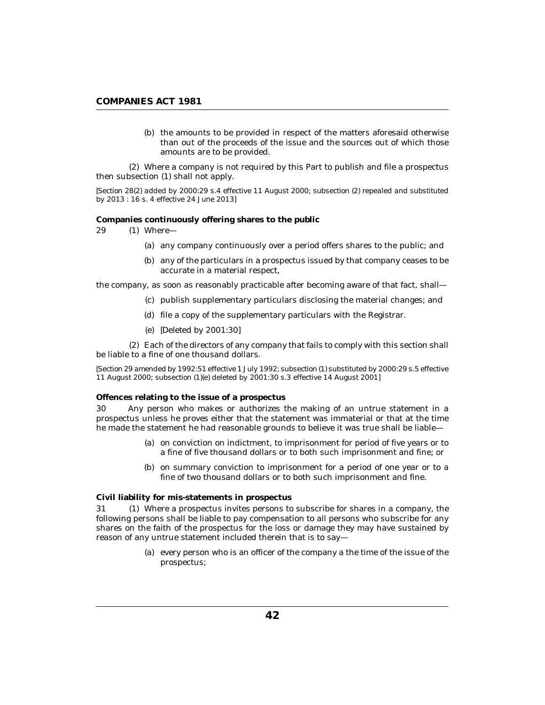(b) the amounts to be provided in respect of the matters aforesaid otherwise than out of the proceeds of the issue and the sources out of which those amounts are to be provided.

Where a company is not required by this Part to publish and file a prospectus (2) then subsection (1) shall not apply.

*[Section 28(2) added by 2000:29 s.4 effective 11 August 2000; subsection (2) repealed and substituted by 2013 : 16 s. 4 effective 24 June 2013]*

**Companies continuously offering shares to the public**

Where— 29

- (a) any company continuously over a period offers shares to the public; and
- (b) any of the particulars in a prospectus issued by that company ceases to be accurate in a material respect,

the company, as soon as reasonably practicable after becoming aware of that fact, shall—

- (c) publish supplementary particulars disclosing the material changes; and
- (d) file a copy of the supplementary particulars with the Registrar.
- *[Deleted by 2001:30]* (e)

Each of the directors of any company that fails to comply with this section shall (2) be liable to a fine of one thousand dollars.

*[Section 29 amended by 1992:51 effective 1 July 1992; subsection (1) substituted by 2000:29 s.5 effective 11 August 2000; subsection (1)(e) deleted by 2001:30 s.3 effective 14 August 2001]*

**Offences relating to the issue of a prospectus**

Any person who makes or authorizes the making of an untrue statement in a prospectus unless he proves either that the statement was immaterial or that at the time he made the statement he had reasonable grounds to believe it was true shall be liable— 30

- (a) on conviction on indictment, to imprisonment for period of five years or to a fine of five thousand dollars or to both such imprisonment and fine; or
- (b) on summary conviction to imprisonment for a period of one year or to a fine of two thousand dollars or to both such imprisonment and fine.

**Civil liability for mis-statements in prospectus**

Where a prospectus invites persons to subscribe for shares in a company, the 31 (1) following persons shall be liable to pay compensation to all persons who subscribe for any shares on the faith of the prospectus for the loss or damage they may have sustained by reason of any untrue statement included therein that is to say—

> $(a)$  every person who is an officer of the company a the time of the issue of the prospectus;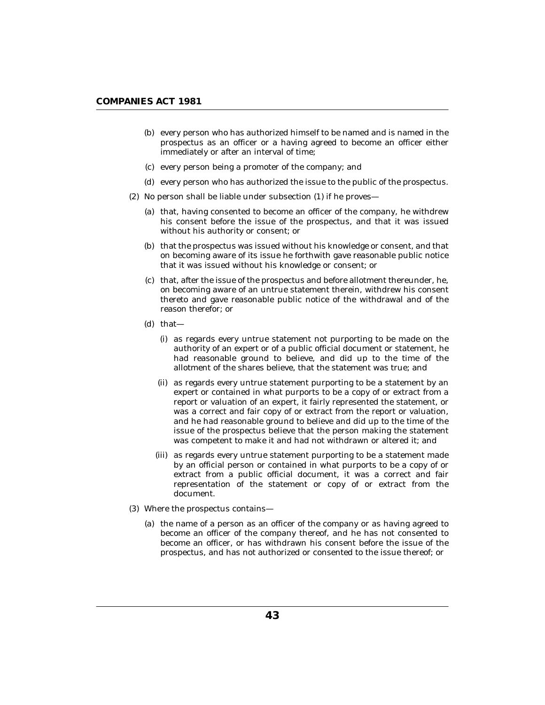- (b) every person who has authorized himself to be named and is named in the prospectus as an officer or a having agreed to become an officer either immediately or after an interval of time;
- (c) every person being a promoter of the company; and
- (d) every person who has authorized the issue to the public of the prospectus.
- (2) No person shall be liable under subsection (1) if he proves—
	- (a) that, having consented to become an officer of the company, he withdrew his consent before the issue of the prospectus, and that it was issued without his authority or consent; or
	- (b) that the prospectus was issued without his knowledge or consent, and that on becoming aware of its issue he forthwith gave reasonable public notice that it was issued without his knowledge or consent; or
	- (c) that, after the issue of the prospectus and before allotment thereunder, he, on becoming aware of an untrue statement therein, withdrew his consent thereto and gave reasonable public notice of the withdrawal and of the reason therefor; or
	- (d) that
		- as regards every untrue statement not purporting to be made on the (i) authority of an expert or of a public official document or statement, he had reasonable ground to believe, and did up to the time of the allotment of the shares believe, that the statement was true; and
		- (ii) as regards every untrue statement purporting to be a statement by an expert or contained in what purports to be a copy of or extract from a report or valuation of an expert, it fairly represented the statement, or was a correct and fair copy of or extract from the report or valuation, and he had reasonable ground to believe and did up to the time of the issue of the prospectus believe that the person making the statement was competent to make it and had not withdrawn or altered it; and
		- (iii) as regards every untrue statement purporting to be a statement made by an official person or contained in what purports to be a copy of or extract from a public official document, it was a correct and fair representation of the statement or copy of or extract from the document.
- Where the prospectus contains— (3)
	- (a) the name of a person as an officer of the company or as having agreed to become an officer of the company thereof, and he has not consented to become an officer, or has withdrawn his consent before the issue of the prospectus, and has not authorized or consented to the issue thereof; or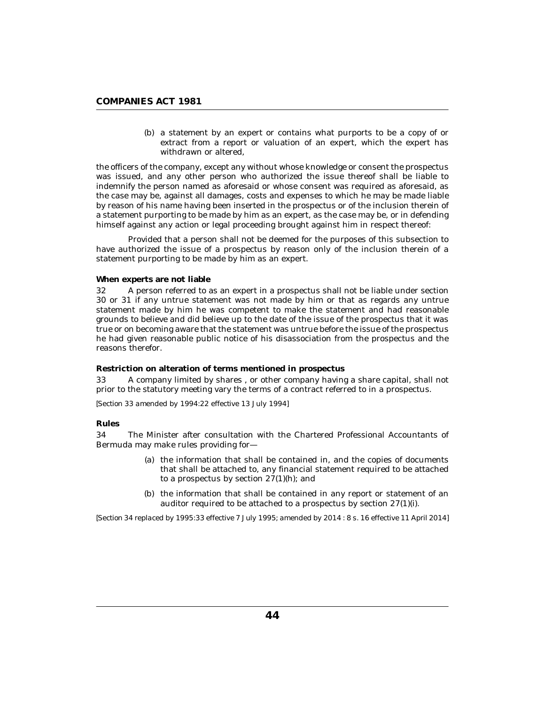(b) a statement by an expert or contains what purports to be a copy of or extract from a report or valuation of an expert, which the expert has withdrawn or altered,

the officers of the company, except any without whose knowledge or consent the prospectus was issued, and any other person who authorized the issue thereof shall be liable to indemnify the person named as aforesaid or whose consent was required as aforesaid, as the case may be, against all damages, costs and expenses to which he may be made liable by reason of his name having been inserted in the prospectus or of the inclusion therein of a statement purporting to be made by him as an expert, as the case may be, or in defending himself against any action or legal proceeding brought against him in respect thereof:

Provided that a person shall not be deemed for the purposes of this subsection to have authorized the issue of a prospectus by reason only of the inclusion therein of a statement purporting to be made by him as an expert.

### **When experts are not liable**

A person referred to as an expert in a prospectus shall not be liable under section 30 or 31 if any untrue statement was not made by him or that as regards any untrue statement made by him he was competent to make the statement and had reasonable grounds to believe and did believe up to the date of the issue of the prospectus that it was true or on becoming aware that the statement was untrue before the issue of the prospectus he had given reasonable public notice of his disassociation from the prospectus and the reasons therefor. 32

# **Restriction on alteration of terms mentioned in prospectus**

A company limited by shares , or other company having a share capital, shall not prior to the statutory meeting vary the terms of a contract referred to in a prospectus. 33

*[Section 33 amended by 1994:22 effective 13 July 1994]*

# **Rules**

The Minister after consultation with the Chartered Professional Accountants of Bermuda may make rules providing for— 34

- (a) the information that shall be contained in, and the copies of documents that shall be attached to, any financial statement required to be attached to a prospectus by section  $27(1)(h)$ ; and
- (b) the information that shall be contained in any report or statement of an auditor required to be attached to a prospectus by section 27(1)(i).

*[Section 34 replaced by 1995:33 effective 7 July 1995; amended by 2014 : 8 s. 16 effective 11 April 2014]*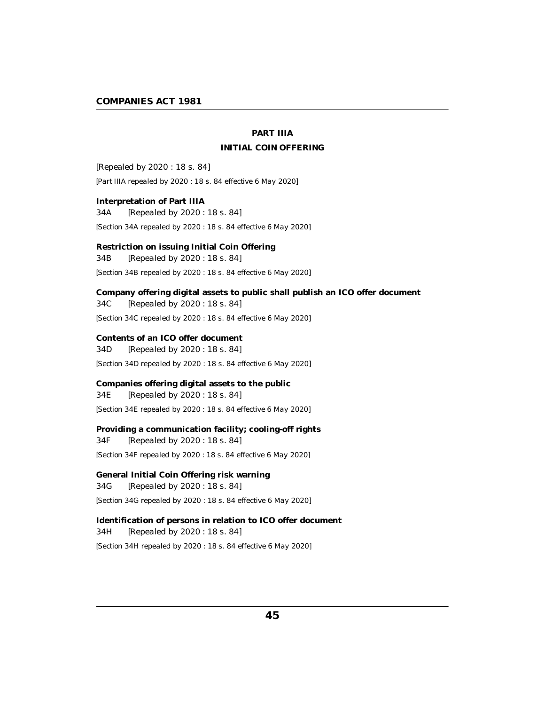# **PART IIIA**

# **INITIAL COIN OFFERING**

[Repealed by 2020 : 18 s. 84] *[Part IIIA repealed by 2020 : 18 s. 84 effective 6 May 2020]*

**Interpretation of Part IIIA** *[Repealed by 2020 : 18 s. 84] [Section 34A repealed by 2020 : 18 s. 84 effective 6 May 2020]* 34A

**Restriction on issuing Initial Coin Offering** *[Repealed by 2020 : 18 s. 84]* 34B

*[Section 34B repealed by 2020 : 18 s. 84 effective 6 May 2020]*

**Company offering digital assets to public shall publish an ICO offer document** *[Repealed by 2020 : 18 s. 84]* 34C

*[Section 34C repealed by 2020 : 18 s. 84 effective 6 May 2020]*

**Contents of an ICO offer document** *[Repealed by 2020 : 18 s. 84] [Section 34D repealed by 2020 : 18 s. 84 effective 6 May 2020]* 34D

**Companies offering digital assets to the public**

*[Repealed by 2020 : 18 s. 84]* 34E

*[Section 34E repealed by 2020 : 18 s. 84 effective 6 May 2020]*

**Providing a communication facility; cooling-off rights** *[Repealed by 2020 : 18 s. 84]* 34F

*[Section 34F repealed by 2020 : 18 s. 84 effective 6 May 2020]*

**General Initial Coin Offering risk warning** *[Repealed by 2020 : 18 s. 84]* 34G

*[Section 34G repealed by 2020 : 18 s. 84 effective 6 May 2020]*

**Identification of persons in relation to ICO offer document** *[Repealed by 2020 : 18 s. 84] [Section 34H repealed by 2020 : 18 s. 84 effective 6 May 2020]* 34H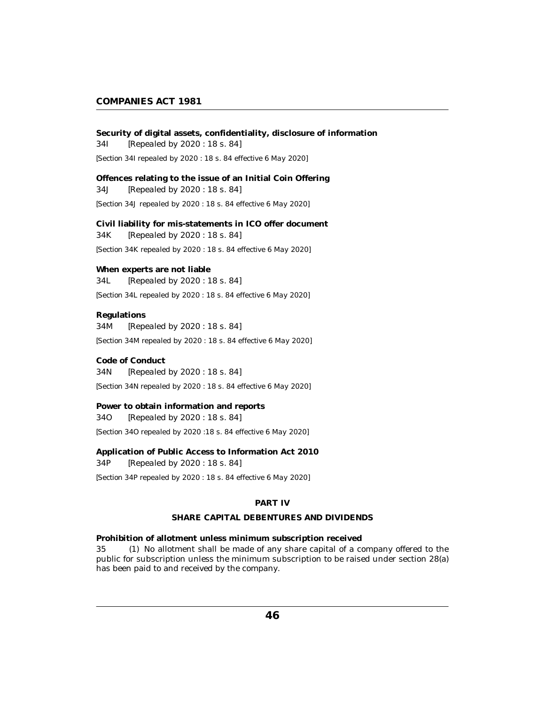**Security of digital assets, confidentiality, disclosure of information** *[Repealed by 2020 : 18 s. 84] [Section 34I repealed by 2020 : 18 s. 84 effective 6 May 2020]* **Offences relating to the issue of an Initial Coin Offering** *[Repealed by 2020 : 18 s. 84] [Section 34J repealed by 2020 : 18 s. 84 effective 6 May 2020]* **Civil liability for mis-statements in ICO offer document** *[Repealed by 2020 : 18 s. 84] [Section 34K repealed by 2020 : 18 s. 84 effective 6 May 2020]* 34I 34J 34K

**When experts are not liable** *[Repealed by 2020 : 18 s. 84] [Section 34L repealed by 2020 : 18 s. 84 effective 6 May 2020]* 34L

**Regulations** *[Repealed by 2020 : 18 s. 84]* 34M

*[Section 34M repealed by 2020 : 18 s. 84 effective 6 May 2020]*

**Code of Conduct** *[Repealed by 2020 : 18 s. 84]* 34N

*[Section 34N repealed by 2020 : 18 s. 84 effective 6 May 2020]*

**Power to obtain information and reports** *[Repealed by 2020 : 18 s. 84]* 34O

*[Section 34O repealed by 2020 :18 s. 84 effective 6 May 2020]*

**Application of Public Access to Information Act 2010** *[Repealed by 2020 : 18 s. 84]* 34P

*[Section 34P repealed by 2020 : 18 s. 84 effective 6 May 2020]*

# **PART IV**

## **SHARE CAPITAL DEBENTURES AND DIVIDENDS**

**Prohibition of allotment unless minimum subscription received**

 $(1)$  No allotment shall be made of any share capital of a company offered to the public for subscription unless the minimum subscription to be raised under section 28(a) has been paid to and received by the company. 35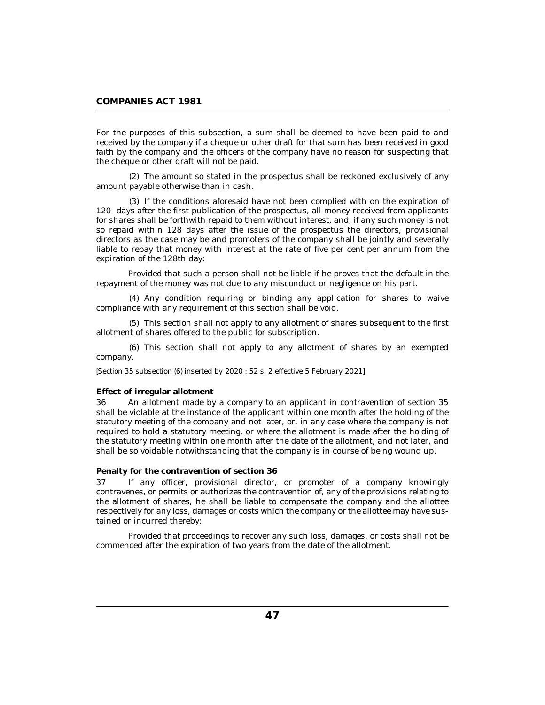For the purposes of this subsection, a sum shall be deemed to have been paid to and received by the company if a cheque or other draft for that sum has been received in good faith by the company and the officers of the company have no reason for suspecting that the cheque or other draft will not be paid.

The amount so stated in the prospectus shall be reckoned exclusively of any (2) amount payable otherwise than in cash.

(3) If the conditions aforesaid have not been complied with on the expiration of 120 days after the first publication of the prospectus, all money received from applicants for shares shall be forthwith repaid to them without interest, and, if any such money is not so repaid within 128 days after the issue of the prospectus the directors, provisional directors as the case may be and promoters of the company shall be jointly and severally liable to repay that money with interest at the rate of five per cent per annum from the expiration of the 128th day:

Provided that such a person shall not be liable if he proves that the default in the repayment of the money was not due to any misconduct or negligence on his part.

Any condition requiring or binding any application for shares to waive (4) compliance with any requirement of this section shall be void.

This section shall not apply to any allotment of shares subsequent to the first (5) allotment of shares offered to the public for subscription.

This section shall not apply to any allotment of shares by an exempted (6) company.

*[Section 35 subsection (6) inserted by 2020 : 52 s. 2 effective 5 February 2021]*

### **Effect of irregular allotment**

An allotment made by a company to an applicant in contravention of section 35 shall be violable at the instance of the applicant within one month after the holding of the statutory meeting of the company and not later, or, in any case where the company is not required to hold a statutory meeting, or where the allotment is made after the holding of the statutory meeting within one month after the date of the allotment, and not later, and shall be so voidable notwithstanding that the company is in course of being wound up. 36

### **Penalty for the contravention of section 36**

If any officer, provisional director, or promoter of a company knowingly contravenes, or permits or authorizes the contravention of, any of the provisions relating to the allotment of shares, he shall be liable to compensate the company and the allottee respectively for any loss, damages or costs which the company or the allottee may have sustained or incurred thereby: 37

Provided that proceedings to recover any such loss, damages, or costs shall not be commenced after the expiration of two years from the date of the allotment.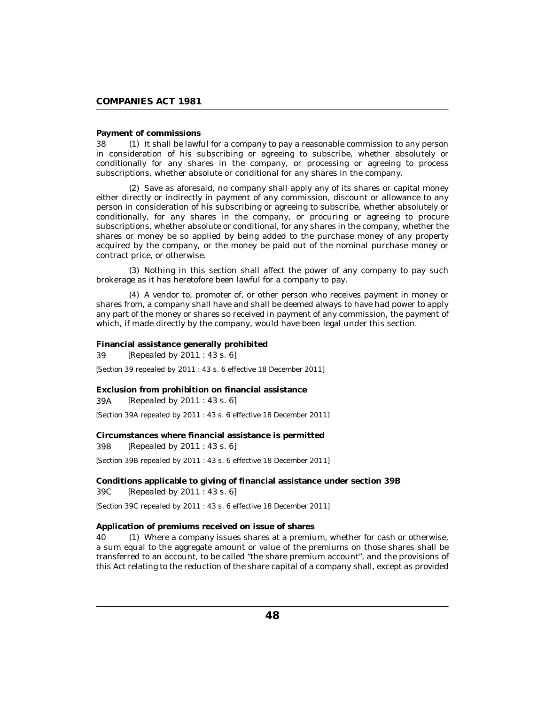# **Payment of commissions**

38 (1) It shall be lawful for a company to pay a reasonable commission to any person in consideration of his subscribing or agreeing to subscribe, whether absolutely or conditionally for any shares in the company, or processing or agreeing to process subscriptions, whether absolute or conditional for any shares in the company.

(2) Save as aforesaid, no company shall apply any of its shares or capital money either directly or indirectly in payment of any commission, discount or allowance to any person in consideration of his subscribing or agreeing to subscribe, whether absolutely or conditionally, for any shares in the company, or procuring or agreeing to procure subscriptions, whether absolute or conditional, for any shares in the company, whether the shares or money be so applied by being added to the purchase money of any property acquired by the company, or the money be paid out of the nominal purchase money or contract price, or otherwise.

(3) Nothing in this section shall affect the power of any company to pay such brokerage as it has heretofore been lawful for a company to pay.

A vendor to, promoter of, or other person who receives payment in money or (4) shares from, a company shall have and shall be deemed always to have had power to apply any part of the money or shares so received in payment of any commission, the payment of which, if made directly by the company, would have been legal under this section.

**Financial assistance generally prohibited**

*[Repealed by 2011 : 43 s. 6]* 39

*[Section 39 repealed by 2011 : 43 s. 6 effective 18 December 2011]*

**Exclusion from prohibition on financial assistance** *[Repealed by 2011 : 43 s. 6]* 39A

*[Section 39A repealed by 2011 : 43 s. 6 effective 18 December 2011]*

**Circumstances where financial assistance is permitted** *[Repealed by 2011 : 43 s. 6]* 39B

*[Section 39B repealed by 2011 : 43 s. 6 effective 18 December 2011]*

**Conditions applicable to giving of financial assistance under section 39B** *[Repealed by 2011 : 43 s. 6]* 39C

*[Section 39C repealed by 2011 : 43 s. 6 effective 18 December 2011]*

**Application of premiums received on issue of shares**

Where a company issues shares at a premium, whether for cash or otherwise, a sum equal to the aggregate amount or value of the premiums on those shares shall be transferred to an account, to be called "the share premium account", and the provisions of this Act relating to the reduction of the share capital of a company shall, except as provided 40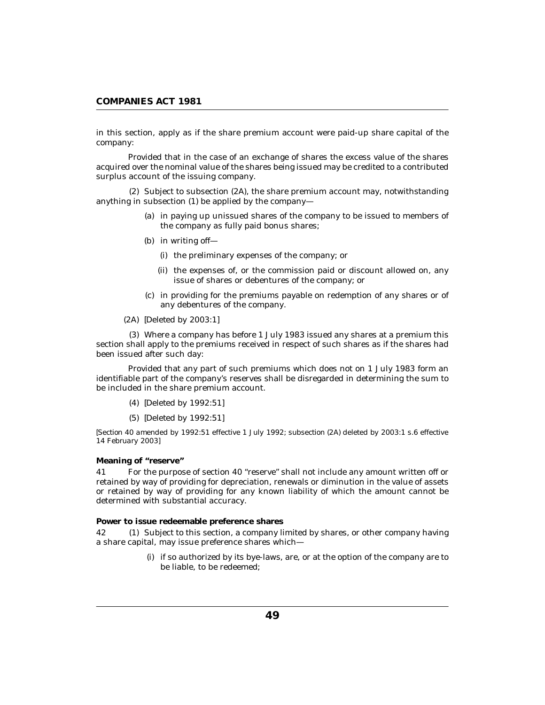in this section, apply as if the share premium account were paid-up share capital of the company:

Provided that in the case of an exchange of shares the excess value of the shares acquired over the nominal value of the shares being issued may be credited to a contributed surplus account of the issuing company.

(2) Subject to subsection (2A), the share premium account may, notwithstanding anything in subsection (1) be applied by the company—

- (a) in paying up unissued shares of the company to be issued to members of the company as fully paid bonus shares;
- $(b)$  in writing off—
	- (i) the preliminary expenses of the company; or
	- (ii) the expenses of, or the commission paid or discount allowed on, any issue of shares or debentures of the company; or
- (c) in providing for the premiums payable on redemption of any shares or of any debentures of the company.
- *[Deleted by 2003:1]* (2A)

Where a company has before 1 July 1983 issued any shares at a premium this (3) section shall apply to the premiums received in respect of such shares as if the shares had been issued after such day:

Provided that any part of such premiums which does not on 1 July 1983 form an identifiable part of the company's reserves shall be disregarded in determining the sum to be included in the share premium account.

- *[Deleted by 1992:51]* (4)
- *[Deleted by 1992:51]* (5)

*[Section 40 amended by 1992:51 effective 1 July 1992; subsection (2A) deleted by 2003:1 s.6 effective 14 February 2003]*

**Meaning of "reserve"**

For the purpose of section 40 "reserve" shall not include any amount written off or retained by way of providing for depreciation, renewals or diminution in the value of assets or retained by way of providing for any known liability of which the amount cannot be determined with substantial accuracy. 41

**Power to issue redeemable preference shares**

42 (1) Subject to this section, a company limited by shares, or other company having a share capital, may issue preference shares which—

> if so authorized by its bye-laws, are, or at the option of the company are to (i) be liable, to be redeemed;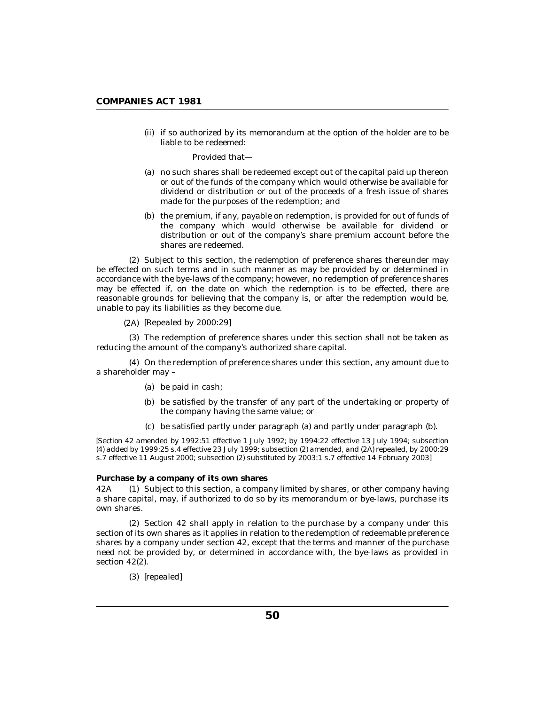(ii) if so authorized by its memorandum at the option of the holder are to be liable to be redeemed:

Provided that—

- no such shares shall be redeemed except out of the capital paid up thereon (a) or out of the funds of the company which would otherwise be available for dividend or distribution or out of the proceeds of a fresh issue of shares made for the purposes of the redemption; and
- (b) the premium, if any, payable on redemption, is provided for out of funds of the company which would otherwise be available for dividend or distribution or out of the company's share premium account before the shares are redeemed.

(2) Subject to this section, the redemption of preference shares thereunder may be effected on such terms and in such manner as may be provided by or determined in accordance with the bye-laws of the company; however, no redemption of preference shares may be effected if, on the date on which the redemption is to be effected, there are reasonable grounds for believing that the company is, or after the redemption would be, unable to pay its liabilities as they become due.

*[Repealed by 2000:29]* (2A)

The redemption of preference shares under this section shall not be taken as (3) reducing the amount of the company's authorized share capital.

On the redemption of preference shares under this section, any amount due to (4) a shareholder may –

- be paid in cash; (a)
- (b) be satisfied by the transfer of any part of the undertaking or property of the company having the same value; or
- be satisfied partly under paragraph (a) and partly under paragraph (b). (c)

*[Section 42 amended by 1992:51 effective 1 July 1992; by 1994:22 effective 13 July 1994; subsection (4) added by 1999:25 s.4 effective 23 July 1999; subsection (2) amended, and (2A) repealed, by 2000:29 s.7 effective 11 August 2000; subsection (2) substituted by 2003:1 s.7 effective 14 February 2003]*

#### **Purchase by a company of its own shares**

Subject to this section, a company limited by shares, or other company having a share capital, may, if authorized to do so by its memorandum or bye-laws, purchase its own shares. 42A

(2) Section 42 shall apply in relation to the purchase by a company under this section of its own shares as it applies in relation to the redemption of redeemable preference shares by a company under section 42, except that the terms and manner of the purchase need not be provided by, or determined in accordance with, the bye-laws as provided in section 42(2).

*[repealed]* (3)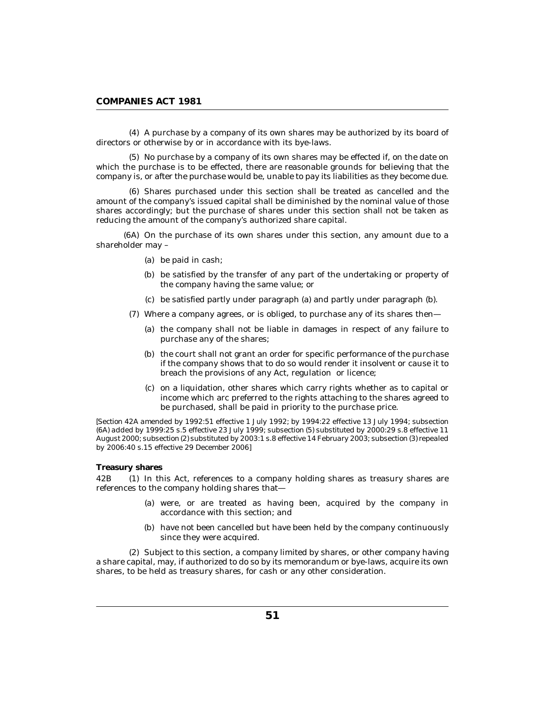(4) A purchase by a company of its own shares may be authorized by its board of directors or otherwise by or in accordance with its bye-laws.

(5) No purchase by a company of its own shares may be effected if, on the date on which the purchase is to be effected, there are reasonable grounds for believing that the company is, or after the purchase would be, unable to pay its liabilities as they become due.

Shares purchased under this section shall be treated as cancelled and the (6) amount of the company's issued capital shall be diminished by the nominal value of those shares accordingly; but the purchase of shares under this section shall not be taken as reducing the amount of the company's authorized share capital.

(6A) On the purchase of its own shares under this section, any amount due to a shareholder may –

- be paid in cash; (a)
- (b) be satisfied by the transfer of any part of the undertaking or property of the company having the same value; or
- be satisfied partly under paragraph (a) and partly under paragraph (b). (c)
- Where a company agrees, or is obliged, to purchase any of its shares then— (7)
	- (a) the company shall not be liable in damages in respect of any failure to purchase any of the shares;
	- (b) the court shall not grant an order for specific performance of the purchase if the company shows that to do so would render it insolvent or cause it to breach the provisions of any Act, regulation or licence;
	- (c) on a liquidation, other shares which carry rights whether as to capital or income which arc preferred to the rights attaching to the shares agreed to be purchased, shall be paid in priority to the purchase price.

*[Section 42A amended by 1992:51 effective 1 July 1992; by 1994:22 effective 13 July 1994; subsection (6A) added by 1999:25 s.5 effective 23 July 1999; subsection (5) substituted by 2000:29 s.8 effective 11 August 2000; subsection (2) substituted by 2003:1 s.8 effective 14 February 2003; subsection (3) repealed by 2006:40 s.15 effective 29 December 2006]*

#### **Treasury shares**

In this Act, references to a company holding shares as treasury shares are references to the company holding shares that— 42B

- were, or are treated as having been, acquired by the company in (a) accordance with this section; and
- (b) have not been cancelled but have been held by the company continuously since they were acquired.

(2) Subject to this section, a company limited by shares, or other company having a share capital, may, if authorized to do so by its memorandum or bye-laws, acquire its own shares, to be held as treasury shares, for cash or any other consideration.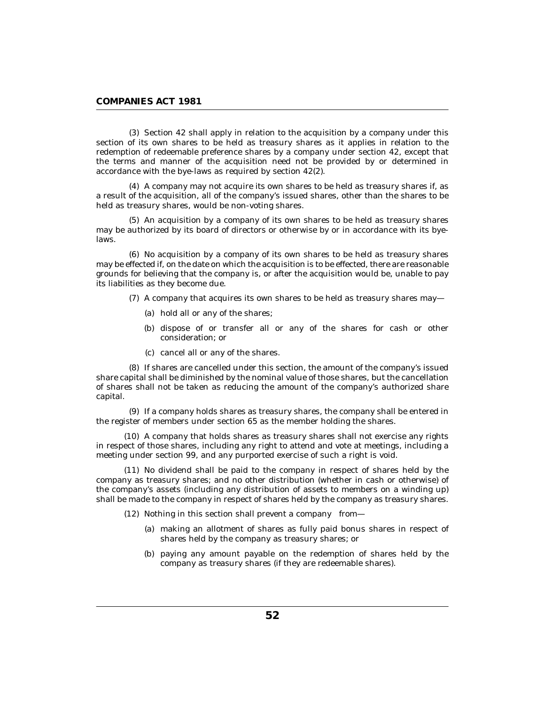$(3)$  Section 42 shall apply in relation to the acquisition by a company under this section of its own shares to be held as treasury shares as it applies in relation to the redemption of redeemable preference shares by a company under section 42, except that the terms and manner of the acquisition need not be provided by or determined in accordance with the bye-laws as required by section 42(2).

A company may not acquire its own shares to be held as treasury shares if, as (4) a result of the acquisition, all of the company's issued shares, other than the shares to be held as treasury shares, would be non-voting shares.

An acquisition by a company of its own shares to be held as treasury shares (5) may be authorized by its board of directors or otherwise by or in accordance with its byelaws.

No acquisition by a company of its own shares to be held as treasury shares (6) may be effected if, on the date on which the acquisition is to be effected, there are reasonable grounds for believing that the company is, or after the acquisition would be, unable to pay its liabilities as they become due.

- (7) A company that acquires its own shares to be held as treasury shares may—
	- (a) hold all or any of the shares;
	- (b) dispose of or transfer all or any of the shares for cash or other consideration; or
	- cancel all or any of the shares. (c)

(8) If shares are cancelled under this section, the amount of the company's issued share capital shall be diminished by the nominal value of those shares, but the cancellation of shares shall not be taken as reducing the amount of the company's authorized share capital.

If a company holds shares as treasury shares, the company shall be entered in (9) the register of members under section 65 as the member holding the shares.

 $(10)$  A company that holds shares as treasury shares shall not exercise any rights in respect of those shares, including any right to attend and vote at meetings, including a meeting under section 99, and any purported exercise of such a right is void.

 $(11)$  No dividend shall be paid to the company in respect of shares held by the company as treasury shares; and no other distribution (whether in cash or otherwise) of the company's assets (including any distribution of assets to members on a winding up) shall be made to the company in respect of shares held by the company as treasury shares.

- $(12)$  Nothing in this section shall prevent a company from
	- making an allotment of shares as fully paid bonus shares in respect of (a) shares held by the company as treasury shares; or
	- (b) paying any amount payable on the redemption of shares held by the company as treasury shares (if they are redeemable shares).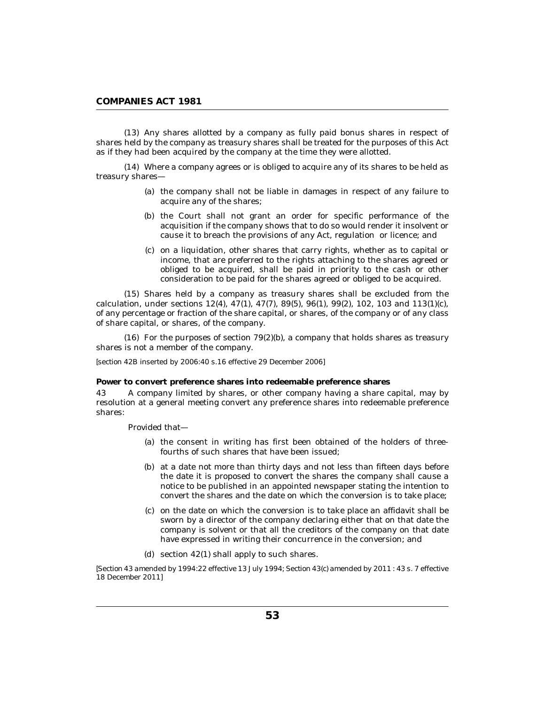$(13)$  Any shares allotted by a company as fully paid bonus shares in respect of shares held by the company as treasury shares shall be treated for the purposes of this Act as if they had been acquired by the company at the time they were allotted.

Where a company agrees or is obliged to acquire any of its shares to be held as (14) treasury shares—

- (a) the company shall not be liable in damages in respect of any failure to acquire any of the shares;
- (b) the Court shall not grant an order for specific performance of the acquisition if the company shows that to do so would render it insolvent or cause it to breach the provisions of any Act, regulation or licence; and
- (c) on a liquidation, other shares that carry rights, whether as to capital or income, that are preferred to the rights attaching to the shares agreed or obliged to be acquired, shall be paid in priority to the cash or other consideration to be paid for the shares agreed or obliged to be acquired.

(15) Shares held by a company as treasury shares shall be excluded from the calculation, under sections  $12(4)$ ,  $47(1)$ ,  $47(7)$ ,  $89(5)$ ,  $96(1)$ ,  $99(2)$ ,  $102$ ,  $103$  and  $113(1)(c)$ , of any percentage or fraction of the share capital, or shares, of the company or of any class of share capital, or shares, of the company.

 $(16)$  For the purposes of section  $79(2)(b)$ , a company that holds shares as treasury shares is not a member of the company.

*[section 42B inserted by 2006:40 s.16 effective 29 December 2006]*

**Power to convert preference shares into redeemable preference shares**

A company limited by shares, or other company having a share capital, may by resolution at a general meeting convert any preference shares into redeemable preference shares: 43

Provided that—

- (a) the consent in writing has first been obtained of the holders of threefourths of such shares that have been issued;
- (b) at a date not more than thirty days and not less than fifteen days before the date it is proposed to convert the shares the company shall cause a notice to be published in an appointed newspaper stating the intention to convert the shares and the date on which the conversion is to take place;
- (c) on the date on which the conversion is to take place an affidavit shall be sworn by a director of the company declaring either that on that date the company is solvent or that all the creditors of the company on that date have expressed in writing their concurrence in the conversion; and
- (d) section 42(1) shall apply to such shares.

*[Section 43 amended by 1994:22 effective 13 July 1994; Section 43(c) amended by 2011 : 43 s. 7 effective 18 December 2011]*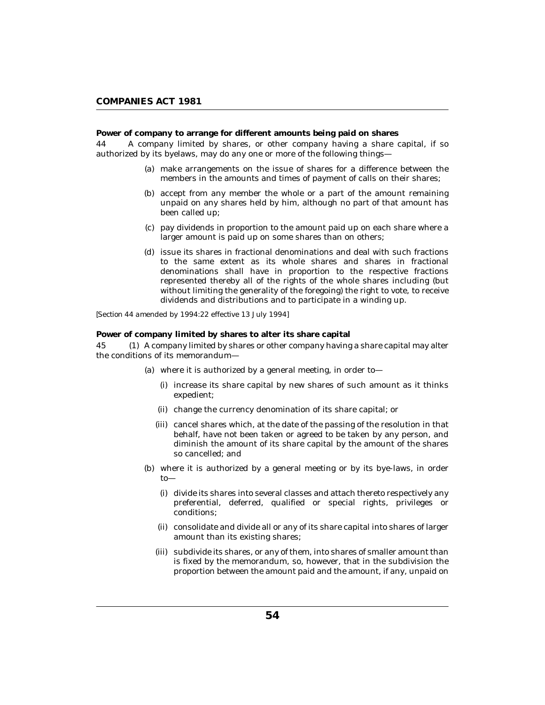**Power of company to arrange for different amounts being paid on shares**

A company limited by shares, or other company having a share capital, if so authorized by its byelaws, may do any one or more of the following things— 44

- make arrangements on the issue of shares for a difference between the (a) members in the amounts and times of payment of calls on their shares;
- (b) accept from any member the whole or a part of the amount remaining unpaid on any shares held by him, although no part of that amount has been called up;
- (c) pay dividends in proportion to the amount paid up on each share where a larger amount is paid up on some shares than on others;
- (d) issue its shares in fractional denominations and deal with such fractions to the same extent as its whole shares and shares in fractional denominations shall have in proportion to the respective fractions represented thereby all of the rights of the whole shares including (but without limiting the generality of the foregoing) the right to vote, to receive dividends and distributions and to participate in a winding up.

*[Section 44 amended by 1994:22 effective 13 July 1994]*

**Power of company limited by shares to alter its share capital**

A company limited by shares or other company having a share capital may alter 45 (1) the conditions of its memorandum—

- where it is authorized by a general meeting, in order to— (a)
	- (i) increase its share capital by new shares of such amount as it thinks expedient;
	- (ii) change the currency denomination of its share capital; or
	- (iii) cancel shares which, at the date of the passing of the resolution in that behalf, have not been taken or agreed to be taken by any person, and diminish the amount of its share capital by the amount of the shares so cancelled; and
- (b) where it is authorized by a general meeting or by its bye-laws, in order to—
	- (i) divide its shares into several classes and attach thereto respectively any preferential, deferred, qualified or special rights, privileges or conditions;
	- (ii) consolidate and divide all or any of its share capital into shares of larger amount than its existing shares;
	- (iii) subdivide its shares, or any of them, into shares of smaller amount than is fixed by the memorandum, so, however, that in the subdivision the proportion between the amount paid and the amount, if any, unpaid on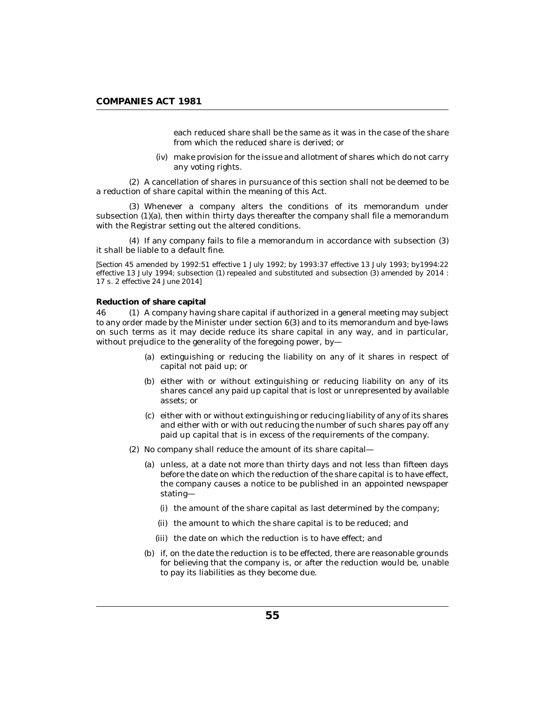each reduced share shall be the same as it was in the case of the share from which the reduced share is derived; or

(iv) make provision for the issue and allotment of shares which do not carry any voting rights.

A cancellation of shares in pursuance of this section shall not be deemed to be (2) a reduction of share capital within the meaning of this Act.

Whenever a company alters the conditions of its memorandum under (3) subsection (1)(a), then within thirty days thereafter the company shall file a memorandum with the Registrar setting out the altered conditions.

If any company fails to file a memorandum in accordance with subsection (3) (4) it shall be liable to a default fine.

*[Section 45 amended by 1992:51 effective 1 July 1992; by 1993:37 effective 13 July 1993; by1994:22 effective 13 July 1994; subsection (1) repealed and substituted and subsection (3) amended by 2014 : 17 s. 2 effective 24 June 2014]*

**Reduction of share capital**

46 (1) A company having share capital if authorized in a general meeting may subject to any order made by the Minister under section 6(3) and to its memorandum and bye-laws on such terms as it may decide reduce its share capital in any way, and in particular, without prejudice to the generality of the foregoing power, by—

- (a) extinguishing or reducing the liability on any of it shares in respect of capital not paid up; or
- (b) either with or without extinguishing or reducing liability on any of its shares cancel any paid up capital that is lost or unrepresented by available assets; or
- either with or without extinguishing or reducing liability of any of its shares (c) and either with or with out reducing the number of such shares pay off any paid up capital that is in excess of the requirements of the company.
- (2) No company shall reduce the amount of its share capital-
	- (a) unless, at a date not more than thirty days and not less than fifteen days before the date on which the reduction of the share capital is to have effect, the company causes a notice to be published in an appointed newspaper stating—
		- (i) the amount of the share capital as last determined by the company;
		- (ii) the amount to which the share capital is to be reduced; and
		- (iii) the date on which the reduction is to have effect; and
	- if, on the date the reduction is to be effected, there are reasonable grounds (b) for believing that the company is, or after the reduction would be, unable to pay its liabilities as they become due.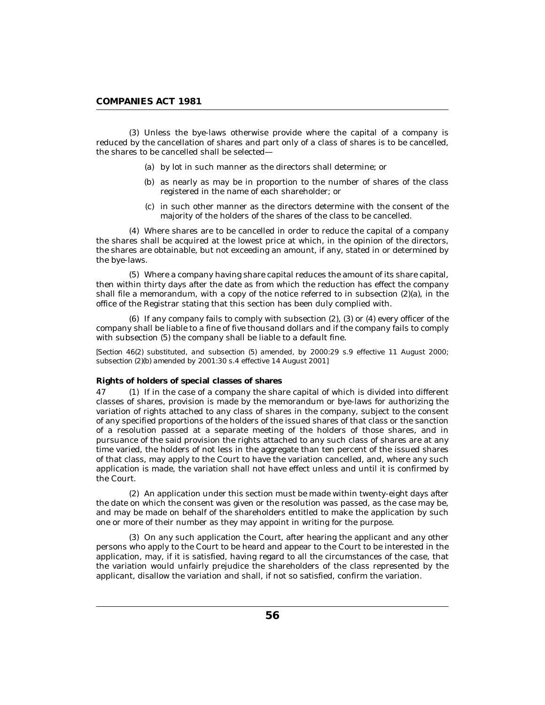Unless the bye-laws otherwise provide where the capital of a company is (3) reduced by the cancellation of shares and part only of a class of shares is to be cancelled, the shares to be cancelled shall be selected—

- by lot in such manner as the directors shall determine; or (a)
- (b) as nearly as may be in proportion to the number of shares of the class registered in the name of each shareholder; or
- (c) in such other manner as the directors determine with the consent of the majority of the holders of the shares of the class to be cancelled.

Where shares are to be cancelled in order to reduce the capital of a company (4) the shares shall be acquired at the lowest price at which, in the opinion of the directors, the shares are obtainable, but not exceeding an amount, if any, stated in or determined by the bye-laws.

Where a company having share capital reduces the amount of its share capital, (5) then within thirty days after the date as from which the reduction has effect the company shall file a memorandum, with a copy of the notice referred to in subsection (2)(a), in the office of the Registrar stating that this section has been duly complied with.

 $(6)$  If any company fails to comply with subsection  $(2)$ ,  $(3)$  or  $(4)$  every officer of the company shall be liable to a fine of five thousand dollars and if the company fails to comply with subsection (5) the company shall be liable to a default fine.

*[Section 46(2) substituted, and subsection (5) amended, by 2000:29 s.9 effective 11 August 2000; subsection (2)(b) amended by 2001:30 s.4 effective 14 August 2001]*

# **Rights of holders of special classes of shares**

47 (1) If in the case of a company the share capital of which is divided into different classes of shares, provision is made by the memorandum or bye-laws for authorizing the variation of rights attached to any class of shares in the company, subject to the consent of any specified proportions of the holders of the issued shares of that class or the sanction of a resolution passed at a separate meeting of the holders of those shares, and in pursuance of the said provision the rights attached to any such class of shares are at any time varied, the holders of not less in the aggregate than ten percent of the issued shares of that class, may apply to the Court to have the variation cancelled, and, where any such application is made, the variation shall not have effect unless and until it is confirmed by the Court.

(2) An application under this section must be made within twenty-eight days after the date on which the consent was given or the resolution was passed, as the case may be, and may be made on behalf of the shareholders entitled to make the application by such one or more of their number as they may appoint in writing for the purpose.

On any such application the Court, after hearing the applicant and any other (3) persons who apply to the Court to be heard and appear to the Court to be interested in the application, may, if it is satisfied, having regard to all the circumstances of the case, that the variation would unfairly prejudice the shareholders of the class represented by the applicant, disallow the variation and shall, if not so satisfied, confirm the variation.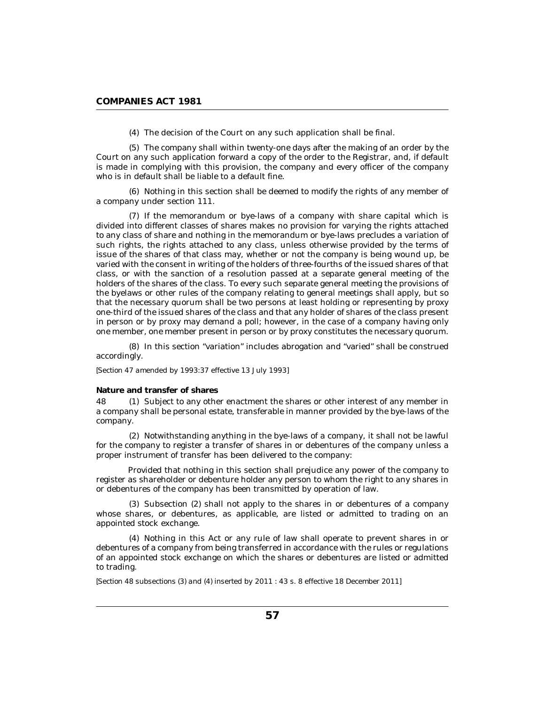The decision of the Court on any such application shall be final. (4)

The company shall within twenty-one days after the making of an order by the (5) Court on any such application forward a copy of the order to the Registrar, and, if default is made in complying with this provision, the company and every officer of the company who is in default shall be liable to a default fine.

(6) Nothing in this section shall be deemed to modify the rights of any member of a company under section 111.

(7) If the memorandum or bye-laws of a company with share capital which is divided into different classes of shares makes no provision for varying the rights attached to any class of share and nothing in the memorandum or bye-laws precludes a variation of such rights, the rights attached to any class, unless otherwise provided by the terms of issue of the shares of that class may, whether or not the company is being wound up, be varied with the consent in writing of the holders of three-fourths of the issued shares of that class, or with the sanction of a resolution passed at a separate general meeting of the holders of the shares of the class. To every such separate general meeting the provisions of the byelaws or other rules of the company relating to general meetings shall apply, but so that the necessary quorum shall be two persons at least holding or representing by proxy one-third of the issued shares of the class and that any holder of shares of the class present in person or by proxy may demand a poll; however, in the case of a company having only one member, one member present in person or by proxy constitutes the necessary quorum.

(8) In this section "variation" includes abrogation and "varied" shall be construed accordingly.

*[Section 47 amended by 1993:37 effective 13 July 1993]*

### **Nature and transfer of shares**

Subject to any other enactment the shares or other interest of any member in a company shall be personal estate, transferable in manner provided by the bye-laws of the company. 48

(2) Notwithstanding anything in the bye-laws of a company, it shall not be lawful for the company to register a transfer of shares in or debentures of the company unless a proper instrument of transfer has been delivered to the company:

Provided that nothing in this section shall prejudice any power of the company to register as shareholder or debenture holder any person to whom the right to any shares in or debentures of the company has been transmitted by operation of law.

 $(3)$  Subsection  $(2)$  shall not apply to the shares in or debentures of a company whose shares, or debentures, as applicable, are listed or admitted to trading on an appointed stock exchange.

(4) Nothing in this Act or any rule of law shall operate to prevent shares in or debentures of a company from being transferred in accordance with the rules or regulations of an appointed stock exchange on which the shares or debentures are listed or admitted to trading.

*[Section 48 subsections (3) and (4) inserted by 2011 : 43 s. 8 effective 18 December 2011]*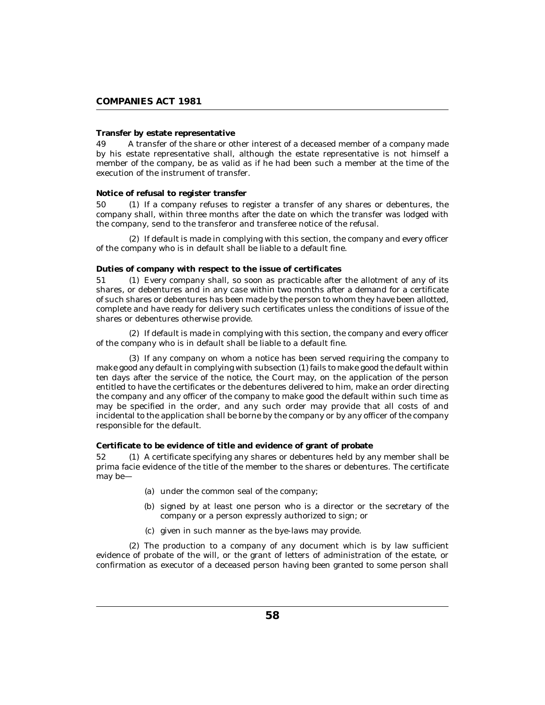# **Transfer by estate representative**

A transfer of the share or other interest of a deceased member of a company made by his estate representative shall, although the estate representative is not himself a member of the company, be as valid as if he had been such a member at the time of the execution of the instrument of transfer. 49

## **Notice of refusal to register transfer**

50 (1) If a company refuses to register a transfer of any shares or debentures, the company shall, within three months after the date on which the transfer was lodged with the company, send to the transferor and transferee notice of the refusal.

(2) If default is made in complying with this section, the company and every officer of the company who is in default shall be liable to a default fine.

### **Duties of company with respect to the issue of certificates**

51 (1) Every company shall, so soon as practicable after the allotment of any of its shares, or debentures and in any case within two months after a demand for a certificate of such shares or debentures has been made by the person to whom they have been allotted, complete and have ready for delivery such certificates unless the conditions of issue of the shares or debentures otherwise provide.

(2) If default is made in complying with this section, the company and every officer of the company who is in default shall be liable to a default fine.

(3) If any company on whom a notice has been served requiring the company to make good any default in complying with subsection (1) fails to make good the default within ten days after the service of the notice, the Court may, on the application of the person entitled to have the certificates or the debentures delivered to him, make an order directing the company and any officer of the company to make good the default within such time as may be specified in the order, and any such order may provide that all costs of and incidental to the application shall be borne by the company or by any officer of the company responsible for the default.

**Certificate to be evidence of title and evidence of grant of probate**

A certificate specifying any shares or debentures held by any member shall be prima facie evidence of the title of the member to the shares or debentures. The certificate may be—  $52<sub>1</sub>$ 

- (a) under the common seal of the company;
- (b) signed by at least one person who is a director or the secretary of the company or a person expressly authorized to sign; or
- given in such manner as the bye-laws may provide. (c)

The production to a company of any document which is by law sufficient (2) evidence of probate of the will, or the grant of letters of administration of the estate, or confirmation as executor of a deceased person having been granted to some person shall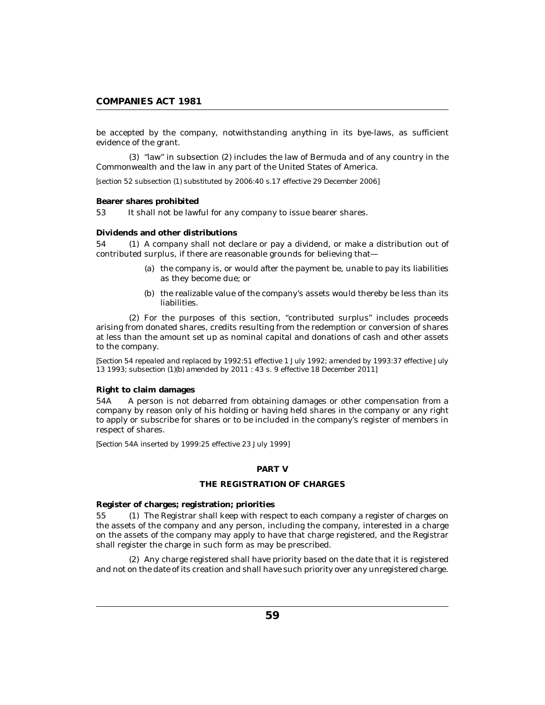be accepted by the company, notwithstanding anything in its bye-laws, as sufficient evidence of the grant.

 $(3)$  "law" in subsection  $(2)$  includes the law of Bermuda and of any country in the Commonwealth and the law in any part of the United States of America.

*[section 52 subsection (1) substituted by 2006:40 s.17 effective 29 December 2006]*

# **Bearer shares prohibited**

It shall not be lawful for any company to issue bearer shares. 53

# **Dividends and other distributions**

54 (1) A company shall not declare or pay a dividend, or make a distribution out of contributed surplus, if there are reasonable grounds for believing that—

- (a) the company is, or would after the payment be, unable to pay its liabilities as they become due; or
- (b) the realizable value of the company's assets would thereby be less than its liabilities.

For the purposes of this section, "contributed surplus" includes proceeds (2) arising from donated shares, credits resulting from the redemption or conversion of shares at less than the amount set up as nominal capital and donations of cash and other assets to the company.

*[Section 54 repealed and replaced by 1992:51 effective 1 July 1992; amended by 1993:37 effective July 13 1993; subsection (1)(b) amended by 2011 : 43 s. 9 effective 18 December 2011]*

### **Right to claim damages**

A person is not debarred from obtaining damages or other compensation from a company by reason only of his holding or having held shares in the company or any right to apply or subscribe for shares or to be included in the company's register of members in respect of shares. 54A

*[Section 54A inserted by 1999:25 effective 23 July 1999]*

# **PART V**

# **THE REGISTRATION OF CHARGES**

**Register of charges; registration; priorities**

The Registrar shall keep with respect to each company a register of charges on 55 (1) the assets of the company and any person, including the company, interested in a charge on the assets of the company may apply to have that charge registered, and the Registrar shall register the charge in such form as may be prescribed.

Any charge registered shall have priority based on the date that it is registered (2) and not on the date of its creation and shall have such priority over any unregistered charge.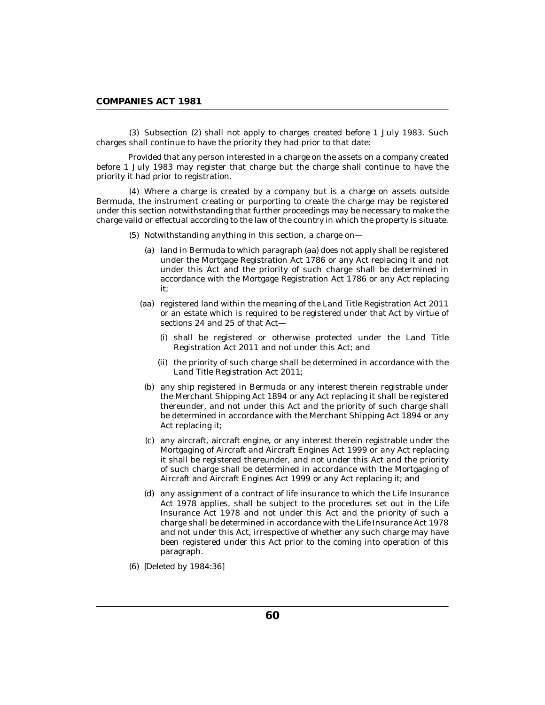(3) Subsection (2) shall not apply to charges created before 1 July 1983. Such charges shall continue to have the priority they had prior to that date:

Provided that any person interested in a charge on the assets on a company created before 1 July 1983 may register that charge but the charge shall continue to have the priority it had prior to registration.

Where a charge is created by a company but is a charge on assets outside (4) Bermuda, the instrument creating or purporting to create the charge may be registered under this section notwithstanding that further proceedings may be necessary to make the charge valid or effectual according to the law of the country in which the property is situate.

- Notwithstanding anything in this section, a charge on— (5)
	- land in Bermuda to which paragraph (aa) does not apply shall be registered (a) under the Mortgage Registration Act 1786 or any Act replacing it and not under this Act and the priority of such charge shall be determined in accordance with the Mortgage Registration Act 1786 or any Act replacing it;
	- (aa) registered land within the meaning of the Land Title Registration Act 2011 or an estate which is required to be registered under that Act by virtue of sections 24 and 25 of that Act—
		- (i) shall be registered or otherwise protected under the Land Title Registration Act 2011 and not under this Act; and
		- (ii) the priority of such charge shall be determined in accordance with the Land Title Registration Act 2011;
	- (b) any ship registered in Bermuda or any interest therein registrable under the Merchant Shipping Act 1894 or any Act replacing it shall be registered thereunder, and not under this Act and the priority of such charge shall be determined in accordance with the Merchant Shipping Act 1894 or any Act replacing it;
	- any aircraft, aircraft engine, or any interest therein registrable under the (c) Mortgaging of Aircraft and Aircraft Engines Act 1999 or any Act replacing it shall be registered thereunder, and not under this Act and the priority of such charge shall be determined in accordance with the Mortgaging of Aircraft and Aircraft Engines Act 1999 or any Act replacing it; and
	- (d) any assignment of a contract of life insurance to which the Life Insurance Act 1978 applies, shall be subject to the procedures set out in the Life Insurance Act 1978 and not under this Act and the priority of such a charge shall be determined in accordance with the Life Insurance Act 1978 and not under this Act, irrespective of whether any such charge may have been registered under this Act prior to the coming into operation of this paragraph.
- *[Deleted by 1984:36]* (6)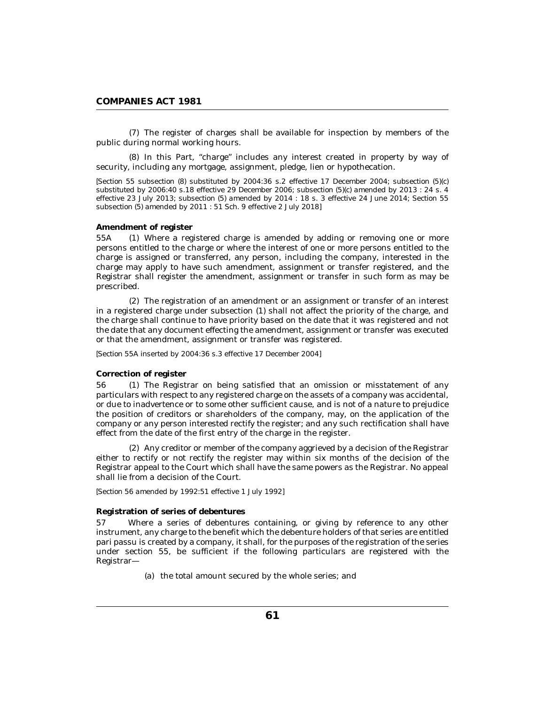(7) The register of charges shall be available for inspection by members of the public during normal working hours.

(8) In this Part, "charge" includes any interest created in property by way of security, including any mortgage, assignment, pledge, lien or hypothecation.

*[Section 55 subsection (8) substituted by 2004:36 s.2 effective 17 December 2004; subsection (5)(c) substituted by 2006:40 s.18 effective 29 December 2006; subsection (5)(c) amended by 2013 : 24 s. 4 effective 23 July 2013; subsection (5) amended by 2014 : 18 s. 3 effective 24 June 2014; Section 55 subsection (5) amended by 2011 : 51 Sch. 9 effective 2 July 2018]*

#### **Amendment of register**

55A (1) Where a registered charge is amended by adding or removing one or more persons entitled to the charge or where the interest of one or more persons entitled to the charge is assigned or transferred, any person, including the company, interested in the charge may apply to have such amendment, assignment or transfer registered, and the Registrar shall register the amendment, assignment or transfer in such form as may be prescribed.

(2) The registration of an amendment or an assignment or transfer of an interest in a registered charge under subsection (1) shall not affect the priority of the charge, and the charge shall continue to have priority based on the date that it was registered and not the date that any document effecting the amendment, assignment or transfer was executed or that the amendment, assignment or transfer was registered.

## *[Section 55A inserted by 2004:36 s.3 effective 17 December 2004]*

# **Correction of register**

 $(1)$  The Registrar on being satisfied that an omission or misstatement of any particulars with respect to any registered charge on the assets of a company was accidental, or due to inadvertence or to some other sufficient cause, and is not of a nature to prejudice the position of creditors or shareholders of the company, may, on the application of the company or any person interested rectify the register; and any such rectification shall have effect from the date of the first entry of the charge in the register.  $56$ 

Any creditor or member of the company aggrieved by a decision of the Registrar (2) either to rectify or not rectify the register may within six months of the decision of the Registrar appeal to the Court which shall have the same powers as the Registrar. No appeal shall lie from a decision of the Court.

# *[Section 56 amended by 1992:51 effective 1 July 1992]*

#### **Registration of series of debentures**

Where a series of debentures containing, or giving by reference to any other instrument, any charge to the benefit which the debenture holders of that series are entitled pari passu is created by a company, it shall, for the purposes of the registration of the series under section 55, be sufficient if the following particulars are registered with the Registrar— 57

(a) the total amount secured by the whole series; and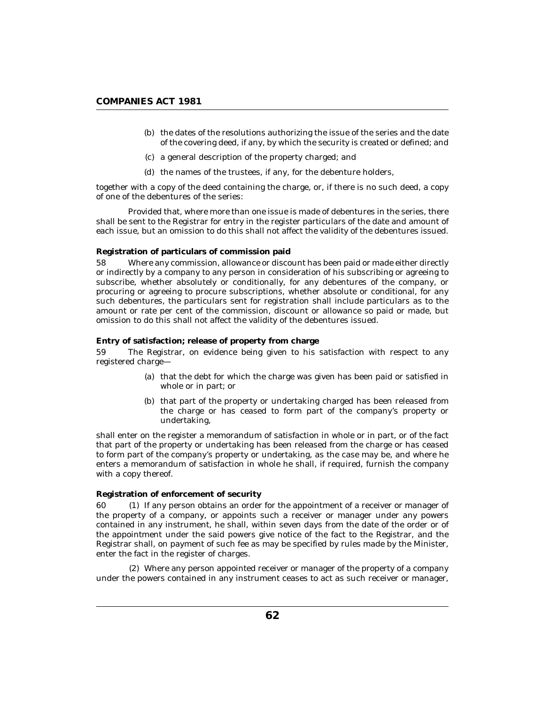- (b) the dates of the resolutions authorizing the issue of the series and the date of the covering deed, if any, by which the security is created or defined; and
- (c) a general description of the property charged; and
- (d) the names of the trustees, if any, for the debenture holders,

together with a copy of the deed containing the charge, or, if there is no such deed, a copy of one of the debentures of the series:

Provided that, where more than one issue is made of debentures in the series, there shall be sent to the Registrar for entry in the register particulars of the date and amount of each issue, but an omission to do this shall not affect the validity of the debentures issued.

# **Registration of particulars of commission paid**

Where any commission, allowance or discount has been paid or made either directly or indirectly by a company to any person in consideration of his subscribing or agreeing to subscribe, whether absolutely or conditionally, for any debentures of the company, or procuring or agreeing to procure subscriptions, whether absolute or conditional, for any such debentures, the particulars sent for registration shall include particulars as to the amount or rate per cent of the commission, discount or allowance so paid or made, but omission to do this shall not affect the validity of the debentures issued. 58

# **Entry of satisfaction; release of property from charge**

The Registrar, on evidence being given to his satisfaction with respect to any registered charge— 59

- (a) that the debt for which the charge was given has been paid or satisfied in whole or in part; or
- (b) that part of the property or undertaking charged has been released from the charge or has ceased to form part of the company's property or undertaking,

shall enter on the register a memorandum of satisfaction in whole or in part, or of the fact that part of the property or undertaking has been released from the charge or has ceased to form part of the company's property or undertaking, as the case may be, and where he enters a memorandum of satisfaction in whole he shall, if required, furnish the company with a copy thereof.

## **Registration of enforcement of security**

If any person obtains an order for the appointment of a receiver or manager of the property of a company, or appoints such a receiver or manager under any powers contained in any instrument, he shall, within seven days from the date of the order or of the appointment under the said powers give notice of the fact to the Registrar, and the Registrar shall, on payment of such fee as may be specified by rules made by the Minister, enter the fact in the register of charges. 60

Where any person appointed receiver or manager of the property of a company (2) under the powers contained in any instrument ceases to act as such receiver or manager,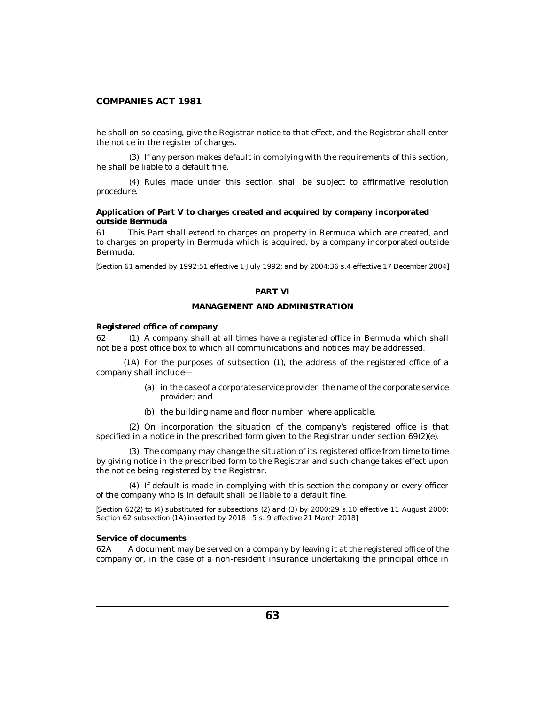he shall on so ceasing, give the Registrar notice to that effect, and the Registrar shall enter the notice in the register of charges.

(3) If any person makes default in complying with the requirements of this section, he shall be liable to a default fine.

(4) Rules made under this section shall be subject to affirmative resolution procedure.

**Application of Part V to charges created and acquired by company incorporated outside Bermuda**

This Part shall extend to charges on property in Bermuda which are created, and to charges on property in Bermuda which is acquired, by a company incorporated outside Bermuda. 61

*[Section 61 amended by 1992:51 effective 1 July 1992; and by 2004:36 s.4 effective 17 December 2004]*

### **PART VI**

### **MANAGEMENT AND ADMINISTRATION**

**Registered office of company**

62 (1) A company shall at all times have a registered office in Bermuda which shall not be a post office box to which all communications and notices may be addressed.

 $(1A)$  For the purposes of subsection  $(1)$ , the address of the registered office of a company shall include—

- (a) in the case of a corporate service provider, the name of the corporate service provider; and
- (b) the building name and floor number, where applicable.

(2) On incorporation the situation of the company's registered office is that specified in a notice in the prescribed form given to the Registrar under section 69(2)(e).

The company may change the situation of its registered office from time to time (3) by giving notice in the prescribed form to the Registrar and such change takes effect upon the notice being registered by the Registrar.

If default is made in complying with this section the company or every officer (4) of the company who is in default shall be liable to a default fine.

*[Section 62(2) to (4) substituted for subsections (2) and (3) by 2000:29 s.10 effective 11 August 2000; Section 62 subsection (1A) inserted by 2018 : 5 s. 9 effective 21 March 2018]*

### **Service of documents**

A document may be served on a company by leaving it at the registered office of the company or, in the case of a non-resident insurance undertaking the principal office in 62A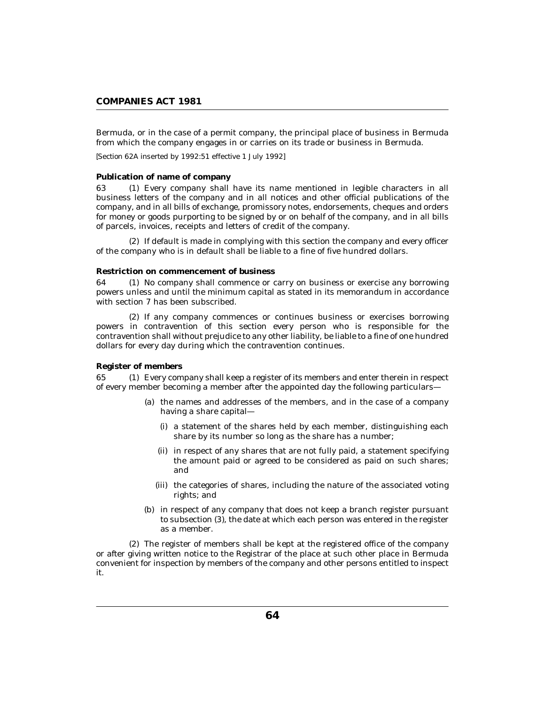Bermuda, or in the case of a permit company, the principal place of business in Bermuda from which the company engages in or carries on its trade or business in Bermuda.

*[Section 62A inserted by 1992:51 effective 1 July 1992]*

### **Publication of name of company**

63 (1) Every company shall have its name mentioned in legible characters in all business letters of the company and in all notices and other official publications of the company, and in all bills of exchange, promissory notes, endorsements, cheques and orders for money or goods purporting to be signed by or on behalf of the company, and in all bills of parcels, invoices, receipts and letters of credit of the company.

(2) If default is made in complying with this section the company and every officer of the company who is in default shall be liable to a fine of five hundred dollars.

## **Restriction on commencement of business**

64 (1) No company shall commence or carry on business or exercise any borrowing powers unless and until the minimum capital as stated in its memorandum in accordance with section 7 has been subscribed.

(2) If any company commences or continues business or exercises borrowing powers in contravention of this section every person who is responsible for the contravention shall without prejudice to any other liability, be liable to a fine of one hundred dollars for every day during which the contravention continues.

# **Register of members**

Every company shall keep a register of its members and enter therein in respect 65 (1) of every member becoming a member after the appointed day the following particulars—

- (a) the names and addresses of the members, and in the case of a company having a share capital
	- a statement of the shares held by each member, distinguishing each (i) share by its number so long as the share has a number;
	- (ii) in respect of any shares that are not fully paid, a statement specifying the amount paid or agreed to be considered as paid on such shares; and
	- (iii) the categories of shares, including the nature of the associated voting rights; and
- (b) in respect of any company that does not keep a branch register pursuant to subsection (3), the date at which each person was entered in the register as a member.

The register of members shall be kept at the registered office of the company (2) or after giving written notice to the Registrar of the place at such other place in Bermuda convenient for inspection by members of the company and other persons entitled to inspect it.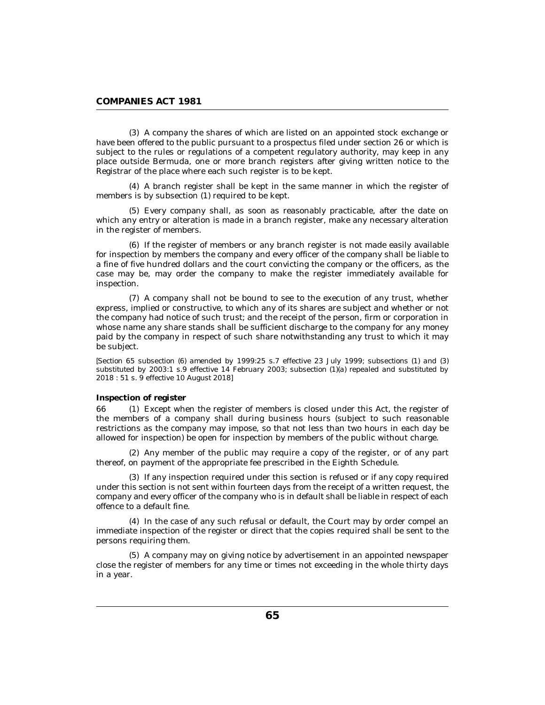A company the shares of which are listed on an appointed stock exchange or (3) have been offered to the public pursuant to a prospectus filed under section 26 or which is subject to the rules or regulations of a competent regulatory authority, may keep in any place outside Bermuda, one or more branch registers after giving written notice to the Registrar of the place where each such register is to be kept.

A branch register shall be kept in the same manner in which the register of (4) members is by subsection (1) required to be kept.

Every company shall, as soon as reasonably practicable, after the date on (5) which any entry or alteration is made in a branch register, make any necessary alteration in the register of members.

(6) If the register of members or any branch register is not made easily available for inspection by members the company and every officer of the company shall be liable to a fine of five hundred dollars and the court convicting the company or the officers, as the case may be, may order the company to make the register immediately available for inspection.

A company shall not be bound to see to the execution of any trust, whether (7) express, implied or constructive, to which any of its shares are subject and whether or not the company had notice of such trust; and the receipt of the person, firm or corporation in whose name any share stands shall be sufficient discharge to the company for any money paid by the company in respect of such share notwithstanding any trust to which it may be subject.

*[Section 65 subsection (6) amended by 1999:25 s.7 effective 23 July 1999; subsections (1) and (3) substituted by 2003:1 s.9 effective 14 February 2003; subsection (1)(a) repealed and substituted by 2018 : 51 s. 9 effective 10 August 2018]*

# **Inspection of register**

66 (1) Except when the register of members is closed under this Act, the register of the members of a company shall during business hours (subject to such reasonable restrictions as the company may impose, so that not less than two hours in each day be allowed for inspection) be open for inspection by members of the public without charge.

(2) Any member of the public may require a copy of the register, or of any part thereof, on payment of the appropriate fee prescribed in the Eighth Schedule.

(3) If any inspection required under this section is refused or if any copy required under this section is not sent within fourteen days from the receipt of a written request, the company and every officer of the company who is in default shall be liable in respect of each offence to a default fine.

(4) In the case of any such refusal or default, the Court may by order compel an immediate inspection of the register or direct that the copies required shall be sent to the persons requiring them.

A company may on giving notice by advertisement in an appointed newspaper (5) close the register of members for any time or times not exceeding in the whole thirty days in a year.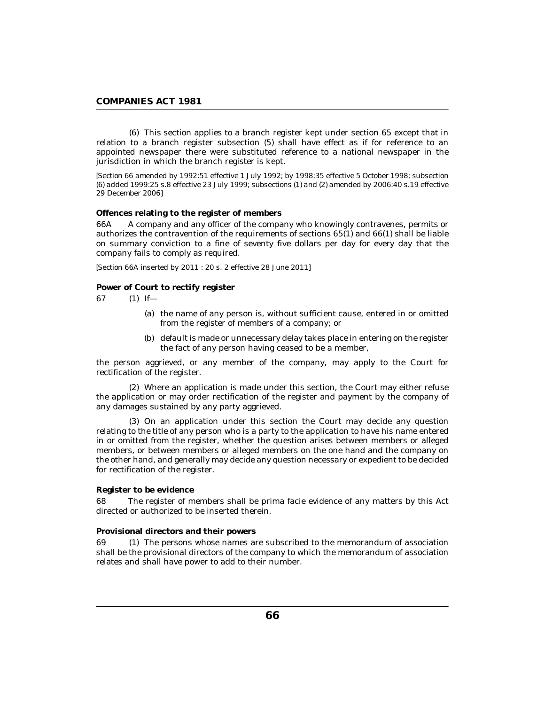This section applies to a branch register kept under section 65 except that in (6) relation to a branch register subsection (5) shall have effect as if for reference to an appointed newspaper there were substituted reference to a national newspaper in the jurisdiction in which the branch register is kept.

*[Section 66 amended by 1992:51 effective 1 July 1992; by 1998:35 effective 5 October 1998; subsection (6) added 1999:25 s.8 effective 23 July 1999; subsections (1) and (2) amended by 2006:40 s.19 effective 29 December 2006]*

#### **Offences relating to the register of members**

A company and any officer of the company who knowingly contravenes, permits or authorizes the contravention of the requirements of sections 65(1) and 66(1) shall be liable on summary conviction to a fine of seventy five dollars per day for every day that the company fails to comply as required. 66A

*[Section 66A inserted by 2011 : 20 s. 2 effective 28 June 2011]*

**Power of Court to rectify register**

 $(1)$  If— 67

- (a) the name of any person is, without sufficient cause, entered in or omitted from the register of members of a company; or
- (b) default is made or unnecessary delay takes place in entering on the register the fact of any person having ceased to be a member,

the person aggrieved, or any member of the company, may apply to the Court for rectification of the register.

Where an application is made under this section, the Court may either refuse (2) the application or may order rectification of the register and payment by the company of any damages sustained by any party aggrieved.

(3) On an application under this section the Court may decide any question relating to the title of any person who is a party to the application to have his name entered in or omitted from the register, whether the question arises between members or alleged members, or between members or alleged members on the one hand and the company on the other hand, and generally may decide any question necessary or expedient to be decided for rectification of the register.

#### **Register to be evidence**

The register of members shall be prima facie evidence of any matters by this Act directed or authorized to be inserted therein. 68

# **Provisional directors and their powers**

The persons whose names are subscribed to the memorandum of association shall be the provisional directors of the company to which the memorandum of association relates and shall have power to add to their number. 69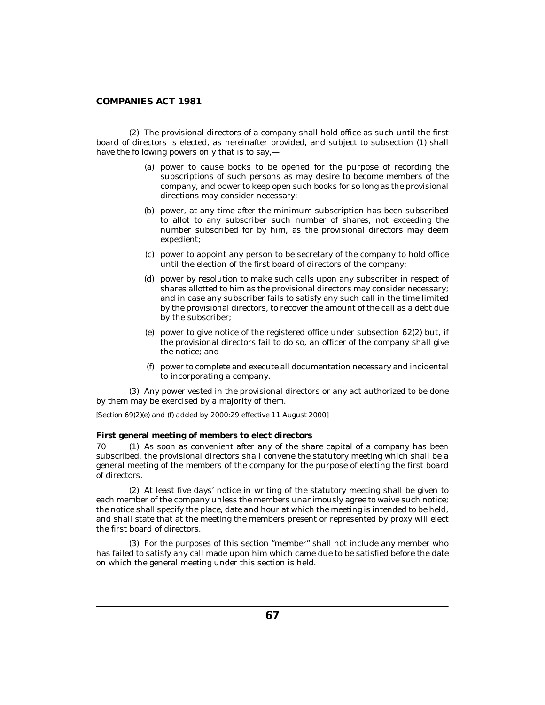The provisional directors of a company shall hold office as such until the first (2) board of directors is elected, as hereinafter provided, and subject to subsection (1) shall have the following powers only that is to say,—

- (a) power to cause books to be opened for the purpose of recording the subscriptions of such persons as may desire to become members of the company, and power to keep open such books for so long as the provisional directions may consider necessary;
- (b) power, at any time after the minimum subscription has been subscribed to allot to any subscriber such number of shares, not exceeding the number subscribed for by him, as the provisional directors may deem expedient;
- (c) power to appoint any person to be secretary of the company to hold office until the election of the first board of directors of the company;
- (d) power by resolution to make such calls upon any subscriber in respect of shares allotted to him as the provisional directors may consider necessary; and in case any subscriber fails to satisfy any such call in the time limited by the provisional directors, to recover the amount of the call as a debt due by the subscriber;
- (e) power to give notice of the registered office under subsection  $62(2)$  but, if the provisional directors fail to do so, an officer of the company shall give the notice; and
- power to complete and execute all documentation necessary and incidental (f) to incorporating a company.

(3) Any power vested in the provisional directors or any act authorized to be done by them may be exercised by a majority of them.

*[Section 69(2)(e) and (f) added by 2000:29 effective 11 August 2000]*

**First general meeting of members to elect directors**

 $(1)$  As soon as convenient after any of the share capital of a company has been subscribed, the provisional directors shall convene the statutory meeting which shall be a general meeting of the members of the company for the purpose of electing the first board of directors. 70

At least five days' notice in writing of the statutory meeting shall be given to (2) each member of the company unless the members unanimously agree to waive such notice; the notice shall specify the place, date and hour at which the meeting is intended to be held, and shall state that at the meeting the members present or represented by proxy will elect the first board of directors.

For the purposes of this section "member" shall not include any member who (3) has failed to satisfy any call made upon him which came due to be satisfied before the date on which the general meeting under this section is held.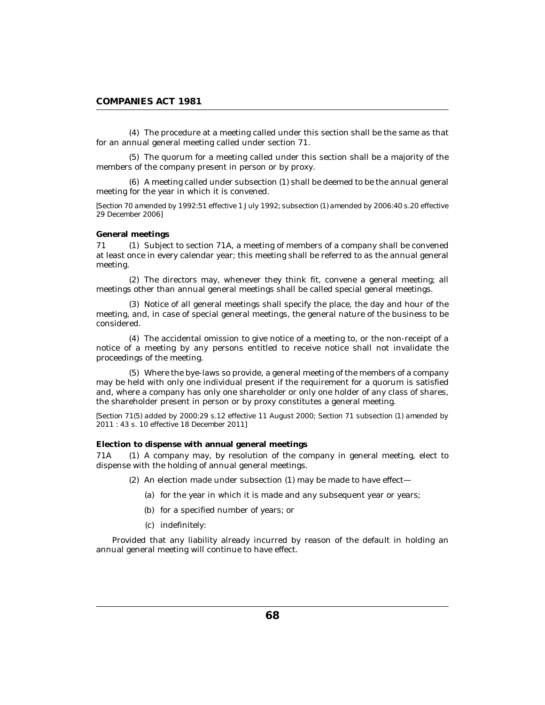The procedure at a meeting called under this section shall be the same as that (4) for an annual general meeting called under section 71.

The quorum for a meeting called under this section shall be a majority of the (5) members of the company present in person or by proxy.

A meeting called under subsection (1) shall be deemed to be the annual general (6) meeting for the year in which it is convened.

*[Section 70 amended by 1992:51 effective 1 July 1992; subsection (1) amended by 2006:40 s.20 effective 29 December 2006]*

# **General meetings**

71 (1) Subject to section 71A, a meeting of members of a company shall be convened at least once in every calendar year; this meeting shall be referred to as the annual general meeting.

The directors may, whenever they think fit, convene a general meeting; all (2) meetings other than annual general meetings shall be called special general meetings.

(3) Notice of all general meetings shall specify the place, the day and hour of the meeting, and, in case of special general meetings, the general nature of the business to be considered.

The accidental omission to give notice of a meeting to, or the non-receipt of a (4) notice of a meeting by any persons entitled to receive notice shall not invalidate the proceedings of the meeting.

Where the bye-laws so provide, a general meeting of the members of a company (5) may be held with only one individual present if the requirement for a quorum is satisfied and, where a company has only one shareholder or only one holder of any class of shares, the shareholder present in person or by proxy constitutes a general meeting.

*[Section 71(5) added by 2000:29 s.12 effective 11 August 2000; Section 71 subsection (1) amended by 2011 : 43 s. 10 effective 18 December 2011]*

**Election to dispense with annual general meetings**

A company may, by resolution of the company in general meeting, elect to dispense with the holding of annual general meetings. 71A

- (2) An election made under subsection (1) may be made to have effect-
	- (a) for the year in which it is made and any subsequent year or years;
	- (b) for a specified number of years; or
	- (c) indefinitely:

Provided that any liability already incurred by reason of the default in holding an annual general meeting will continue to have effect.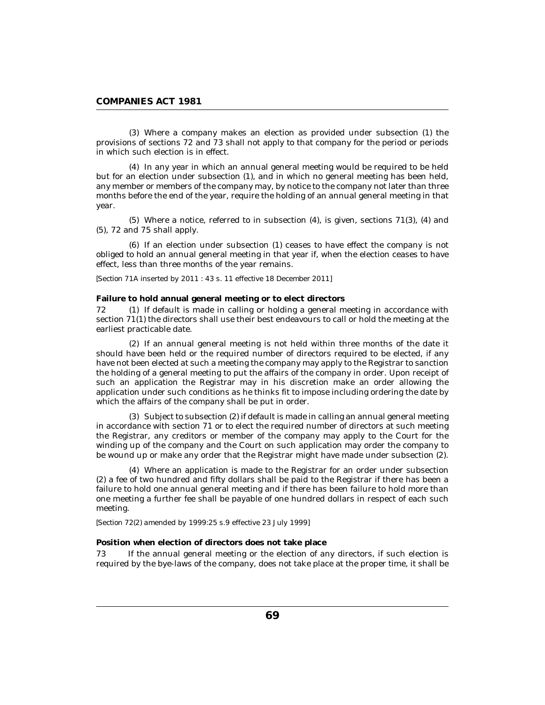Where a company makes an election as provided under subsection (1) the (3) provisions of sections 72 and 73 shall not apply to that company for the period or periods in which such election is in effect.

(4) In any year in which an annual general meeting would be required to be held but for an election under subsection (1), and in which no general meeting has been held, any member or members of the company may, by notice to the company not later than three months before the end of the year, require the holding of an annual general meeting in that year.

 $(5)$  Where a notice, referred to in subsection  $(4)$ , is given, sections  $71(3)$ ,  $(4)$  and (5), 72 and 75 shall apply.

 $(6)$  If an election under subsection  $(1)$  ceases to have effect the company is not obliged to hold an annual general meeting in that year if, when the election ceases to have effect, less than three months of the year remains.

*[Section 71A inserted by 2011 : 43 s. 11 effective 18 December 2011]*

**Failure to hold annual general meeting or to elect directors**

If default is made in calling or holding a general meeting in accordance with section 71(1) the directors shall use their best endeavours to call or hold the meeting at the earliest practicable date.  $72$ 

 $(2)$  If an annual general meeting is not held within three months of the date it should have been held or the required number of directors required to be elected, if any have not been elected at such a meeting the company may apply to the Registrar to sanction the holding of a general meeting to put the affairs of the company in order. Upon receipt of such an application the Registrar may in his discretion make an order allowing the application under such conditions as he thinks fit to impose including ordering the date by which the affairs of the company shall be put in order.

Subject to subsection (2) if default is made in calling an annual general meeting (3) in accordance with section 71 or to elect the required number of directors at such meeting the Registrar, any creditors or member of the company may apply to the Court for the winding up of the company and the Court on such application may order the company to be wound up or make any order that the Registrar might have made under subsection (2).

Where an application is made to the Registrar for an order under subsection (4) (2) a fee of two hundred and fifty dollars shall be paid to the Registrar if there has been a failure to hold one annual general meeting and if there has been failure to hold more than one meeting a further fee shall be payable of one hundred dollars in respect of each such meeting.

*[Section 72(2) amended by 1999:25 s.9 effective 23 July 1999]*

**Position when election of directors does not take place**

If the annual general meeting or the election of any directors, if such election is required by the bye-laws of the company, does not take place at the proper time, it shall be 73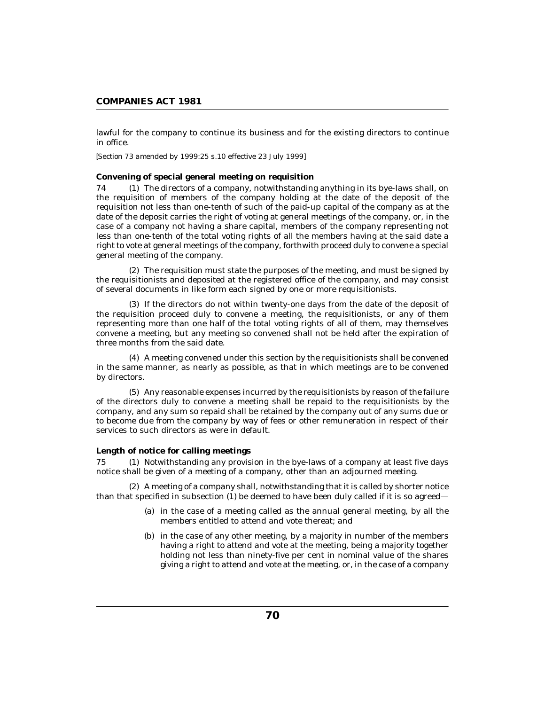lawful for the company to continue its business and for the existing directors to continue in office.

## *[Section 73 amended by 1999:25 s.10 effective 23 July 1999]*

### **Convening of special general meeting on requisition**

The directors of a company, notwithstanding anything in its bye-laws shall, on the requisition of members of the company holding at the date of the deposit of the requisition not less than one-tenth of such of the paid-up capital of the company as at the date of the deposit carries the right of voting at general meetings of the company, or, in the case of a company not having a share capital, members of the company representing not less than one-tenth of the total voting rights of all the members having at the said date a right to vote at general meetings of the company, forthwith proceed duly to convene a special general meeting of the company. 74

The requisition must state the purposes of the meeting, and must be signed by (2) the requisitionists and deposited at the registered office of the company, and may consist of several documents in like form each signed by one or more requisitionists.

(3) If the directors do not within twenty-one days from the date of the deposit of the requisition proceed duly to convene a meeting, the requisitionists, or any of them representing more than one half of the total voting rights of all of them, may themselves convene a meeting, but any meeting so convened shall not be held after the expiration of three months from the said date.

A meeting convened under this section by the requisitionists shall be convened (4) in the same manner, as nearly as possible, as that in which meetings are to be convened by directors.

Any reasonable expenses incurred by the requisitionists by reason of the failure (5) of the directors duly to convene a meeting shall be repaid to the requisitionists by the company, and any sum so repaid shall be retained by the company out of any sums due or to become due from the company by way of fees or other remuneration in respect of their services to such directors as were in default.

## **Length of notice for calling meetings**

75 (1) Notwithstanding any provision in the bye-laws of a company at least five days notice shall be given of a meeting of a company, other than an adjourned meeting.

A meeting of a company shall, notwithstanding that it is called by shorter notice (2) than that specified in subsection (1) be deemed to have been duly called if it is so agreed—

- (a) in the case of a meeting called as the annual general meeting, by all the members entitled to attend and vote thereat; and
- (b) in the case of any other meeting, by a majority in number of the members having a right to attend and vote at the meeting, being a majority together holding not less than ninety-five per cent in nominal value of the shares giving a right to attend and vote at the meeting, or, in the case of a company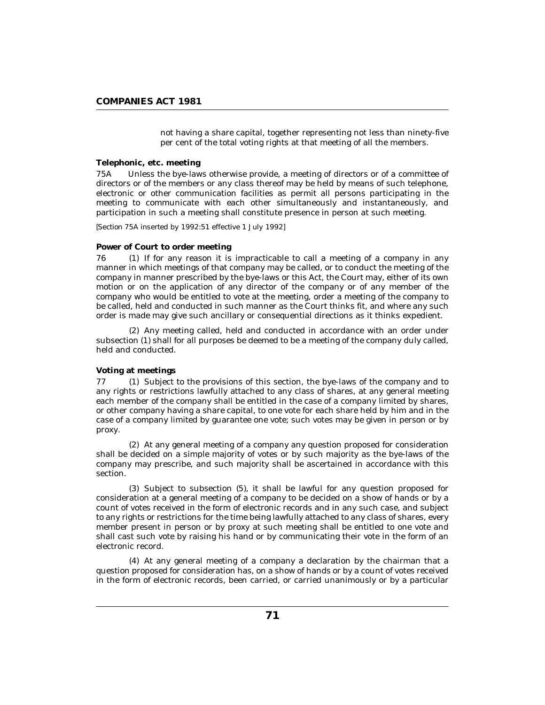not having a share capital, together representing not less than ninety-five per cent of the total voting rights at that meeting of all the members.

### **Telephonic, etc. meeting**

Unless the bye-laws otherwise provide, a meeting of directors or of a committee of directors or of the members or any class thereof may be held by means of such telephone, electronic or other communication facilities as permit all persons participating in the meeting to communicate with each other simultaneously and instantaneously, and participation in such a meeting shall constitute presence in person at such meeting. 75A

### *[Section 75A inserted by 1992:51 effective 1 July 1992]*

### **Power of Court to order meeting**

 $(1)$  If for any reason it is impracticable to call a meeting of a company in any manner in which meetings of that company may be called, or to conduct the meeting of the company in manner prescribed by the bye-laws or this Act, the Court may, either of its own motion or on the application of any director of the company or of any member of the company who would be entitled to vote at the meeting, order a meeting of the company to be called, held and conducted in such manner as the Court thinks fit, and where any such order is made may give such ancillary or consequential directions as it thinks expedient. 76

(2) Any meeting called, held and conducted in accordance with an order under subsection (1) shall for all purposes be deemed to be a meeting of the company duly called, held and conducted.

### **Voting at meetings**

77 (1) Subject to the provisions of this section, the bye-laws of the company and to any rights or restrictions lawfully attached to any class of shares, at any general meeting each member of the company shall be entitled in the case of a company limited by shares, or other company having a share capital, to one vote for each share held by him and in the case of a company limited by guarantee one vote; such votes may be given in person or by proxy.

At any general meeting of a company any question proposed for consideration (2) shall be decided on a simple majority of votes or by such majority as the bye-laws of the company may prescribe, and such majority shall be ascertained in accordance with this section.

(3) Subject to subsection (5), it shall be lawful for any question proposed for consideration at a general meeting of a company to be decided on a show of hands or by a count of votes received in the form of electronic records and in any such case, and subject to any rights or restrictions for the time being lawfully attached to any class of shares, every member present in person or by proxy at such meeting shall be entitled to one vote and shall cast such vote by raising his hand or by communicating their vote in the form of an electronic record.

At any general meeting of a company a declaration by the chairman that a (4) question proposed for consideration has, on a show of hands or by a count of votes received in the form of electronic records, been carried, or carried unanimously or by a particular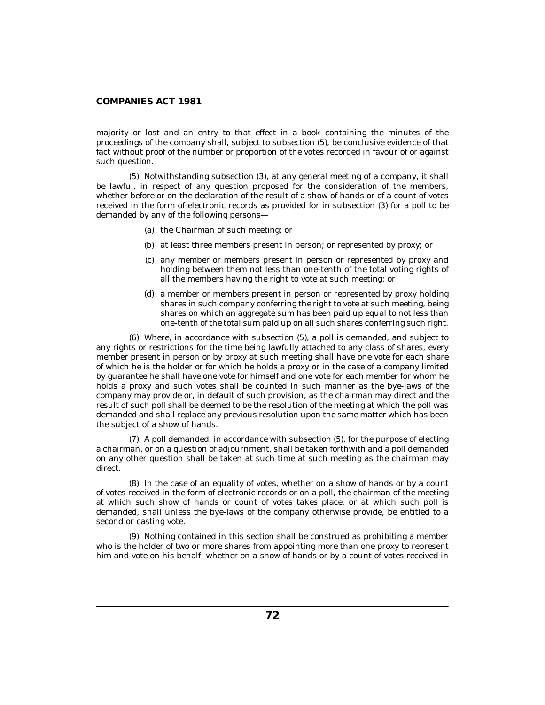majority or lost and an entry to that effect in a book containing the minutes of the proceedings of the company shall, subject to subsection (5), be conclusive evidence of that fact without proof of the number or proportion of the votes recorded in favour of or against such question.

(5) Notwithstanding subsection (3), at any general meeting of a company, it shall be lawful, in respect of any question proposed for the consideration of the members, whether before or on the declaration of the result of a show of hands or of a count of votes received in the form of electronic records as provided for in subsection (3) for a poll to be demanded by any of the following persons—

- (a) the Chairman of such meeting; or
- (b) at least three members present in person; or represented by proxy; or
- any member or members present in person or represented by proxy and (c) holding between them not less than one-tenth of the total voting rights of all the members having the right to vote at such meeting; or
- (d) a member or members present in person or represented by proxy holding shares in such company conferring the right to vote at such meeting, being shares on which an aggregate sum has been paid up equal to not less than one-tenth of the total sum paid up on all such shares conferring such right.

Where, in accordance with subsection (5), a poll is demanded, and subject to (6) any rights or restrictions for the time being lawfully attached to any class of shares, every member present in person or by proxy at such meeting shall have one vote for each share of which he is the holder or for which he holds a proxy or in the case of a company limited by guarantee he shall have one vote for himself and one vote for each member for whom he holds a proxy and such votes shall be counted in such manner as the bye-laws of the company may provide or, in default of such provision, as the chairman may direct and the result of such poll shall be deemed to be the resolution of the meeting at which the poll was demanded and shall replace any previous resolution upon the same matter which has been the subject of a show of hands.

A poll demanded, in accordance with subsection (5), for the purpose of electing (7) a chairman, or on a question of adjournment, shall be taken forthwith and a poll demanded on any other question shall be taken at such time at such meeting as the chairman may direct.

(8) In the case of an equality of votes, whether on a show of hands or by a count of votes received in the form of electronic records or on a poll, the chairman of the meeting at which such show of hands or count of votes takes place, or at which such poll is demanded, shall unless the bye-laws of the company otherwise provide, be entitled to a second or casting vote.

(9) Nothing contained in this section shall be construed as prohibiting a member who is the holder of two or more shares from appointing more than one proxy to represent him and vote on his behalf, whether on a show of hands or by a count of votes received in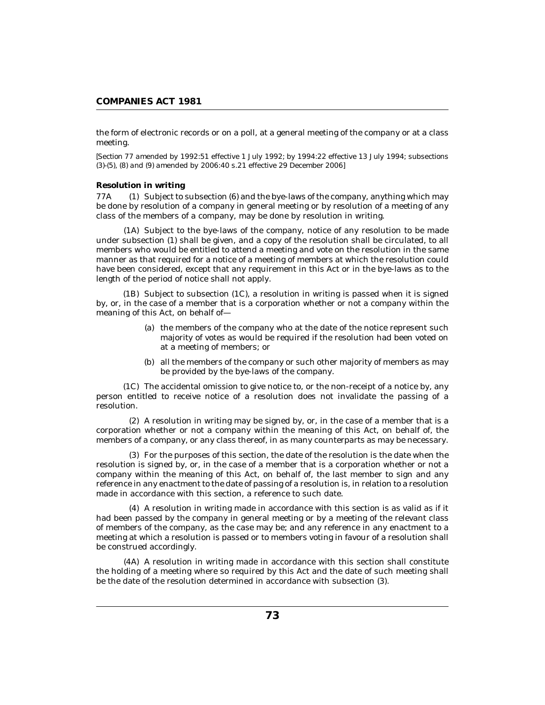the form of electronic records or on a poll, at a general meeting of the company or at a class meeting.

*[Section 77 amended by 1992:51 effective 1 July 1992; by 1994:22 effective 13 July 1994; subsections (3)-(5), (8) and (9) amended by 2006:40 s.21 effective 29 December 2006]*

### **Resolution in writing**

Subject to subsection (6) and the bye-laws of the company, anything which may be done by resolution of a company in general meeting or by resolution of a meeting of any class of the members of a company, may be done by resolution in writing. 77A (1)

(1A) Subject to the bye-laws of the company, notice of any resolution to be made under subsection (1) shall be given, and a copy of the resolution shall be circulated, to all members who would be entitled to attend a meeting and vote on the resolution in the same manner as that required for a notice of a meeting of members at which the resolution could have been considered, except that any requirement in this Act or in the bye-laws as to the length of the period of notice shall not apply.

(1B) Subject to subsection (1C), a resolution in writing is passed when it is signed by, or, in the case of a member that is a corporation whether or not a company within the meaning of this Act, on behalf of—

- (a) the members of the company who at the date of the notice represent such majority of votes as would be required if the resolution had been voted on at a meeting of members; or
- (b) all the members of the company or such other majority of members as may be provided by the bye-laws of the company.

 $(1C)$  The accidental omission to give notice to, or the non-receipt of a notice by, any person entitled to receive notice of a resolution does not invalidate the passing of a .<br>resolution.

A resolution in writing may be signed by, or, in the case of a member that is a (2) corporation whether or not a company within the meaning of this Act, on behalf of, the members of a company, or any class thereof, in as many counterparts as may be necessary.

For the purposes of this section, the date of the resolution is the date when the (3) resolution is signed by, or, in the case of a member that is a corporation whether or not a company within the meaning of this Act, on behalf of, the last member to sign and any reference in any enactment to the date of passing of a resolution is, in relation to a resolution made in accordance with this section, a reference to such date.

A resolution in writing made in accordance with this section is as valid as if it (4) had been passed by the company in general meeting or by a meeting of the relevant class of members of the company, as the case may be; and any reference in any enactment to a meeting at which a resolution is passed or to members voting in favour of a resolution shall be construed accordingly.

(4A) A resolution in writing made in accordance with this section shall constitute the holding of a meeting where so required by this Act and the date of such meeting shall be the date of the resolution determined in accordance with subsection (3).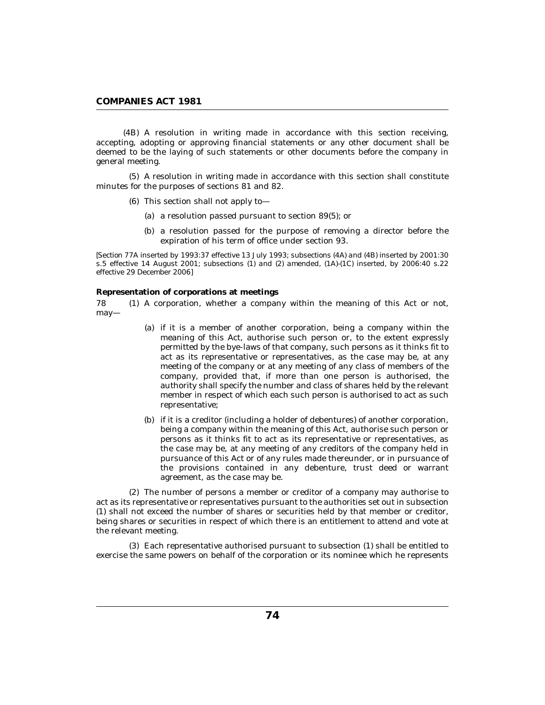A resolution in writing made in accordance with this section receiving, (4B) accepting, adopting or approving financial statements or any other document shall be deemed to be the laying of such statements or other documents before the company in general meeting.

A resolution in writing made in accordance with this section shall constitute (5) minutes for the purposes of sections 81 and 82.

- $(6)$  This section shall not apply to-
	- (a) a resolution passed pursuant to section 89(5); or
	- (b) a resolution passed for the purpose of removing a director before the expiration of his term of office under section 93.

*[Section 77A inserted by 1993:37 effective 13 July 1993; subsections (4A) and (4B) inserted by 2001:30 s.5 effective 14 August 2001; subsections (1) and (2) amended, (1A)-(1C) inserted, by 2006:40 s.22 effective 29 December 2006]*

**Representation of corporations at meetings**

78 (1) A corporation, whether a company within the meaning of this Act or not, may—

- (a) if it is a member of another corporation, being a company within the meaning of this Act, authorise such person or, to the extent expressly permitted by the bye-laws of that company, such persons as it thinks fit to act as its representative or representatives, as the case may be, at any meeting of the company or at any meeting of any class of members of the company, provided that, if more than one person is authorised, the authority shall specify the number and class of shares held by the relevant member in respect of which each such person is authorised to act as such representative;
- if it is a creditor (including a holder of debentures) of another corporation, (b) being a company within the meaning of this Act, authorise such person or persons as it thinks fit to act as its representative or representatives, as the case may be, at any meeting of any creditors of the company held in pursuance of this Act or of any rules made thereunder, or in pursuance of the provisions contained in any debenture, trust deed or warrant agreement, as the case may be.

(2) The number of persons a member or creditor of a company may authorise to act as its representative or representatives pursuant to the authorities set out in subsection (1) shall not exceed the number of shares or securities held by that member or creditor, being shares or securities in respect of which there is an entitlement to attend and vote at the relevant meeting.

Each representative authorised pursuant to subsection (1) shall be entitled to (3) exercise the same powers on behalf of the corporation or its nominee which he represents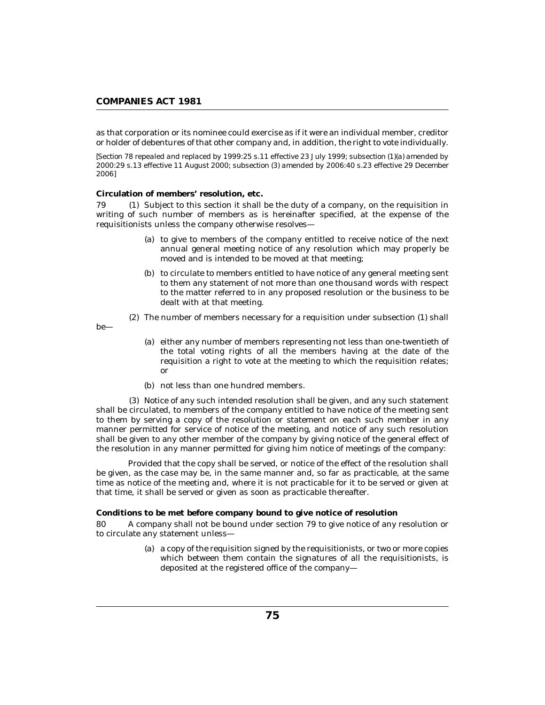as that corporation or its nominee could exercise as if it were an individual member, creditor or holder of debentures of that other company and, in addition, the right to vote individually.

*[Section 78 repealed and replaced by 1999:25 s.11 effective 23 July 1999; subsection (1)(a) amended by 2000:29 s.13 effective 11 August 2000; subsection (3) amended by 2006:40 s.23 effective 29 December 2006]*

**Circulation of members' resolution, etc.**

79 (1) Subject to this section it shall be the duty of a company, on the requisition in writing of such number of members as is hereinafter specified, at the expense of the requisitionists unless the company otherwise resolves—

- (a) to give to members of the company entitled to receive notice of the next annual general meeting notice of any resolution which may properly be moved and is intended to be moved at that meeting;
- (b) to circulate to members entitled to have notice of any general meeting sent to them any statement of not more than one thousand words with respect to the matter referred to in any proposed resolution or the business to be dealt with at that meeting.
- The number of members necessary for a requisition under subsection (1) shall (2)

be—

- (a) either any number of members representing not less than one-twentieth of the total voting rights of all the members having at the date of the requisition a right to vote at the meeting to which the requisition relates; or
- (b) not less than one hundred members.

Notice of any such intended resolution shall be given, and any such statement (3) shall be circulated, to members of the company entitled to have notice of the meeting sent to them by serving a copy of the resolution or statement on each such member in any manner permitted for service of notice of the meeting, and notice of any such resolution shall be given to any other member of the company by giving notice of the general effect of the resolution in any manner permitted for giving him notice of meetings of the company:

Provided that the copy shall be served, or notice of the effect of the resolution shall be given, as the case may be, in the same manner and, so far as practicable, at the same time as notice of the meeting and, where it is not practicable for it to be served or given at that time, it shall be served or given as soon as practicable thereafter.

**Conditions to be met before company bound to give notice of resolution**

A company shall not be bound under section 79 to give notice of any resolution or to circulate any statement unless— 80

> a copy of the requisition signed by the requisitionists, or two or more copies (a) which between them contain the signatures of all the requisitionists, is deposited at the registered office of the company—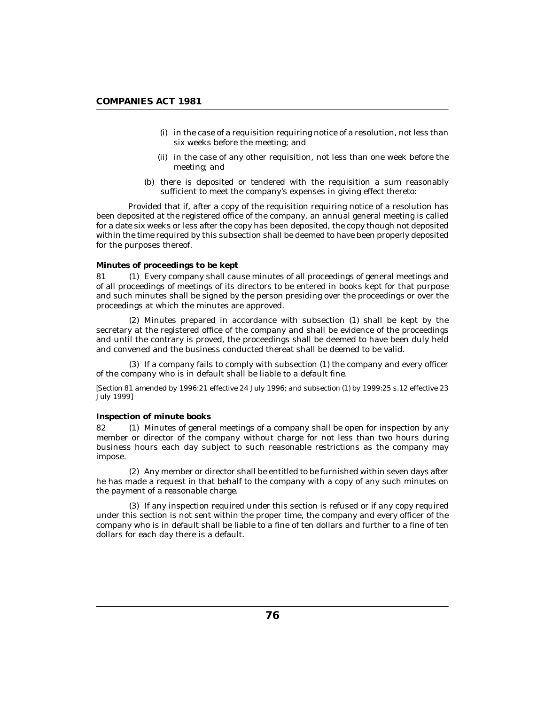- in the case of a requisition requiring notice of a resolution, not less than (i) six weeks before the meeting; and
- (ii) in the case of any other requisition, not less than one week before the meeting; and
- (b) there is deposited or tendered with the requisition a sum reasonably sufficient to meet the company's expenses in giving effect thereto:

Provided that if, after a copy of the requisition requiring notice of a resolution has been deposited at the registered office of the company, an annual general meeting is called for a date six weeks or less after the copy has been deposited, the copy though not deposited within the time required by this subsection shall be deemed to have been properly deposited for the purposes thereof.

### **Minutes of proceedings to be kept**

81 (1) Every company shall cause minutes of all proceedings of general meetings and of all proceedings of meetings of its directors to be entered in books kept for that purpose and such minutes shall be signed by the person presiding over the proceedings or over the proceedings at which the minutes are approved.

Minutes prepared in accordance with subsection (1) shall be kept by the (2) secretary at the registered office of the company and shall be evidence of the proceedings and until the contrary is proved, the proceedings shall be deemed to have been duly held and convened and the business conducted thereat shall be deemed to be valid.

 $(3)$  If a company fails to comply with subsection  $(1)$  the company and every officer of the company who is in default shall be liable to a default fine.

*[Section 81 amended by 1996:21 effective 24 July 1996; and subsection (1) by 1999:25 s.12 effective 23 July 1999]*

### **Inspection of minute books**

Minutes of general meetings of a company shall be open for inspection by any member or director of the company without charge for not less than two hours during business hours each day subject to such reasonable restrictions as the company may impose. 82

Any member or director shall be entitled to be furnished within seven days after (2) he has made a request in that behalf to the company with a copy of any such minutes on the payment of a reasonable charge.

(3) If any inspection required under this section is refused or if any copy required under this section is not sent within the proper time, the company and every officer of the company who is in default shall be liable to a fine of ten dollars and further to a fine of ten dollars for each day there is a default.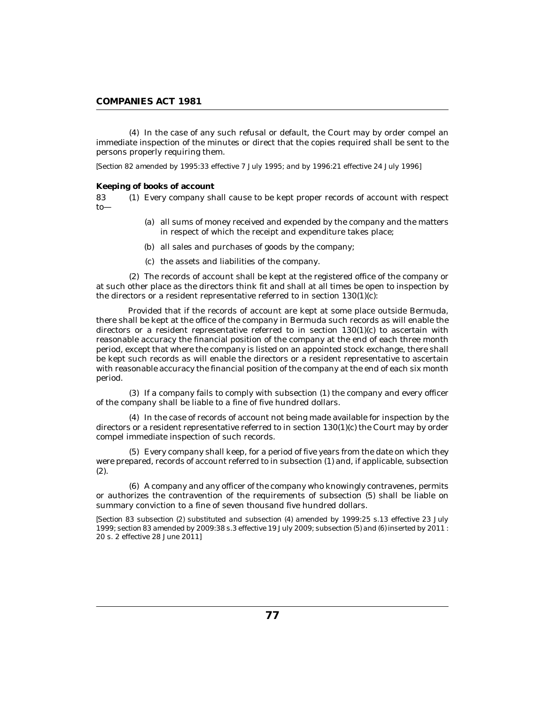(4) In the case of any such refusal or default, the Court may by order compel an immediate inspection of the minutes or direct that the copies required shall be sent to the persons properly requiring them.

*[Section 82 amended by 1995:33 effective 7 July 1995; and by 1996:21 effective 24 July 1996]*

**Keeping of books of account**

Every company shall cause to be kept proper records of account with respect to— 83

- all sums of money received and expended by the company and the matters (a) in respect of which the receipt and expenditure takes place;
- (b) all sales and purchases of goods by the company;
- (c) the assets and liabilities of the company.

The records of account shall be kept at the registered office of the company or (2) at such other place as the directors think fit and shall at all times be open to inspection by the directors or a resident representative referred to in section 130(1)(c):

Provided that if the records of account are kept at some place outside Bermuda, there shall be kept at the office of the company in Bermuda such records as will enable the directors or a resident representative referred to in section  $130(1)(c)$  to ascertain with reasonable accuracy the financial position of the company at the end of each three month period, except that where the company is listed on an appointed stock exchange, there shall be kept such records as will enable the directors or a resident representative to ascertain with reasonable accuracy the financial position of the company at the end of each six month period.

 $(3)$  If a company fails to comply with subsection  $(1)$  the company and every officer of the company shall be liable to a fine of five hundred dollars.

(4) In the case of records of account not being made available for inspection by the directors or a resident representative referred to in section 130(1)(c) the Court may by order compel immediate inspection of such records.

Every company shall keep, for a period of five years from the date on which they (5) were prepared, records of account referred to in subsection (1) and, if applicable, subsection (2).

A company and any officer of the company who knowingly contravenes, permits (6) or authorizes the contravention of the requirements of subsection (5) shall be liable on summary conviction to a fine of seven thousand five hundred dollars.

*[Section 83 subsection (2) substituted and subsection (4) amended by 1999:25 s.13 effective 23 July 1999; section 83 amended by 2009:38 s.3 effective 19 July 2009; subsection (5) and (6) inserted by 2011 : 20 s. 2 effective 28 June 2011]*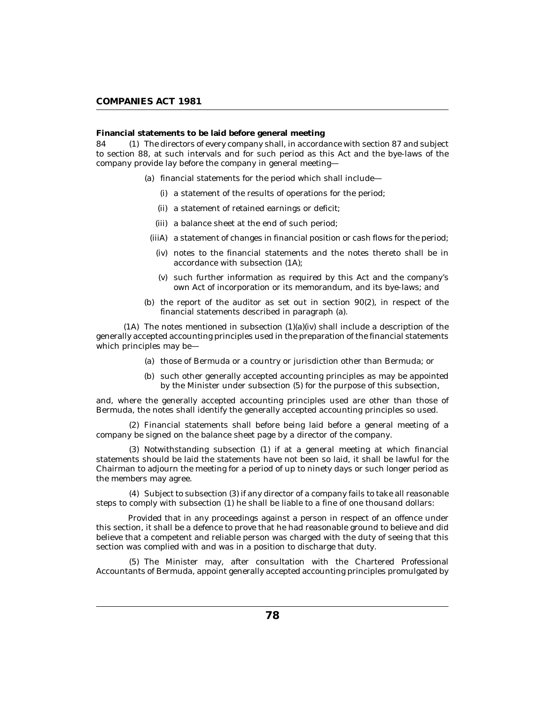**Financial statements to be laid before general meeting**

The directors of every company shall, in accordance with section 87 and subject to section 88, at such intervals and for such period as this Act and the bye-laws of the company provide lay before the company in general meeting— 84

- (a) financial statements for the period which shall include
	- a statement of the results of operations for the period; (i)
	- (ii) a statement of retained earnings or deficit;
	- (iii) a balance sheet at the end of such period;
	- (iiiA) a statement of changes in financial position or cash flows for the period;
		- (iv) notes to the financial statements and the notes thereto shall be in accordance with subsection (1A);
		- (v) such further information as required by this Act and the company's own Act of incorporation or its memorandum, and its bye-laws; and
- (b) the report of the auditor as set out in section  $90(2)$ , in respect of the financial statements described in paragraph (a).

 $(1)$  The notes mentioned in subsection  $(1)(a)(iv)$  shall include a description of the generally accepted accounting principles used in the preparation of the financial statements which principles may be—

- (a) those of Bermuda or a country or jurisdiction other than Bermuda; or
- (b) such other generally accepted accounting principles as may be appointed by the Minister under subsection (5) for the purpose of this subsection,

and, where the generally accepted accounting principles used are other than those of Bermuda, the notes shall identify the generally accepted accounting principles so used.

Financial statements shall before being laid before a general meeting of a (2) company be signed on the balance sheet page by a director of the company.

 $(3)$  Notwithstanding subsection  $(1)$  if at a general meeting at which financial statements should be laid the statements have not been so laid, it shall be lawful for the Chairman to adjourn the meeting for a period of up to ninety days or such longer period as the members may agree.

(4) Subject to subsection (3) if any director of a company fails to take all reasonable steps to comply with subsection (1) he shall be liable to a fine of one thousand dollars:

Provided that in any proceedings against a person in respect of an offence under this section, it shall be a defence to prove that he had reasonable ground to believe and did believe that a competent and reliable person was charged with the duty of seeing that this section was complied with and was in a position to discharge that duty.

The Minister may, after consultation with the Chartered Professional (5) Accountants of Bermuda, appoint generally accepted accounting principles promulgated by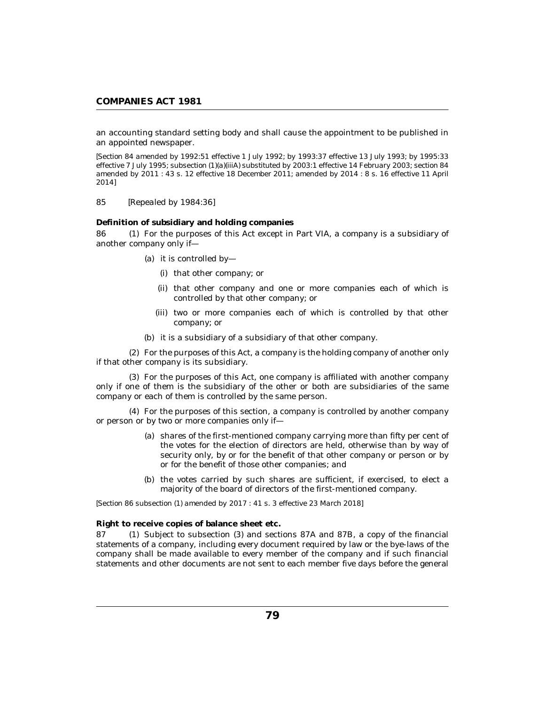an accounting standard setting body and shall cause the appointment to be published in an appointed newspaper.

*[Section 84 amended by 1992:51 effective 1 July 1992; by 1993:37 effective 13 July 1993; by 1995:33 effective 7 July 1995; subsection (1)(a)(iiiA) substituted by 2003:1 effective 14 February 2003; section 84 amended by 2011 : 43 s. 12 effective 18 December 2011; amended by 2014 : 8 s. 16 effective 11 April 2014]*

*[Repealed by 1984:36]* 85

**Definition of subsidiary and holding companies**

86 (1) For the purposes of this Act except in Part VIA, a company is a subsidiary of another company only if—

- (a) it is controlled by-
	- (i) that other company; or
	- (ii) that other company and one or more companies each of which is controlled by that other company; or
	- (iii) two or more companies each of which is controlled by that other company; or
- (b) it is a subsidiary of a subsidiary of that other company.

For the purposes of this Act, a company is the holding company of another only (2) if that other company is its subsidiary.

For the purposes of this Act, one company is affiliated with another company (3) only if one of them is the subsidiary of the other or both are subsidiaries of the same company or each of them is controlled by the same person.

For the purposes of this section, a company is controlled by another company (4) or person or by two or more companies only if—

- (a) shares of the first-mentioned company carrying more than fifty per cent of the votes for the election of directors are held, otherwise than by way of security only, by or for the benefit of that other company or person or by or for the benefit of those other companies; and
- (b) the votes carried by such shares are sufficient, if exercised, to elect a majority of the board of directors of the first-mentioned company.

*[Section 86 subsection (1) amended by 2017 : 41 s. 3 effective 23 March 2018]*

**Right to receive copies of balance sheet etc.**

Subject to subsection (3) and sections 87A and 87B, a copy of the financial statements of a company, including every document required by law or the bye-laws of the company shall be made available to every member of the company and if such financial statements and other documents are not sent to each member five days before the general 87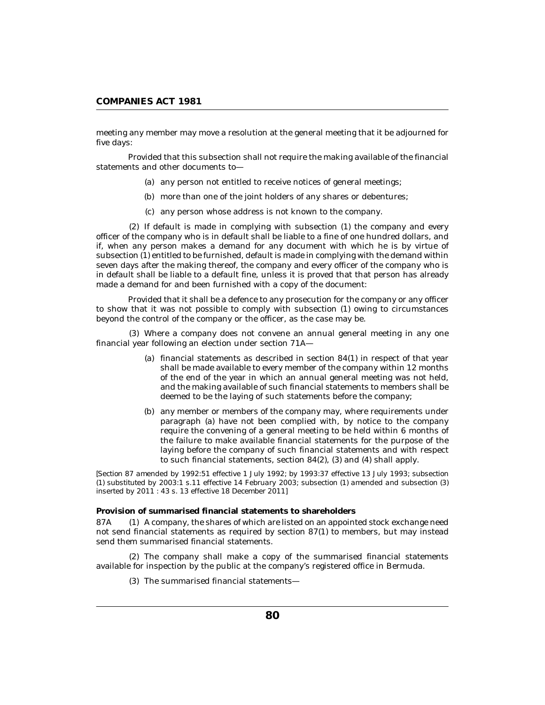meeting any member may move a resolution at the general meeting that it be adjourned for five days:

Provided that this subsection shall not require the making available of the financial statements and other documents to—

- (a) any person not entitled to receive notices of general meetings;
- (b) more than one of the joint holders of any shares or debentures;
- any person whose address is not known to the company. (c)

 $(2)$  If default is made in complying with subsection  $(1)$  the company and every officer of the company who is in default shall be liable to a fine of one hundred dollars, and if, when any person makes a demand for any document with which he is by virtue of subsection (1) entitled to be furnished, default is made in complying with the demand within seven days after the making thereof, the company and every officer of the company who is in default shall be liable to a default fine, unless it is proved that that person has already made a demand for and been furnished with a copy of the document:

Provided that it shall be a defence to any prosecution for the company or any officer to show that it was not possible to comply with subsection (1) owing to circumstances beyond the control of the company or the officer, as the case may be.

Where a company does not convene an annual general meeting in any one (3) financial year following an election under section 71A—

- (a) financial statements as described in section  $84(1)$  in respect of that year shall be made available to every member of the company within 12 months of the end of the year in which an annual general meeting was not held, and the making available of such financial statements to members shall be deemed to be the laying of such statements before the company;
- (b) any member or members of the company may, where requirements under paragraph (a) have not been complied with, by notice to the company require the convening of a general meeting to be held within 6 months of the failure to make available financial statements for the purpose of the laying before the company of such financial statements and with respect to such financial statements, section 84(2), (3) and (4) shall apply.

*[Section 87 amended by 1992:51 effective 1 July 1992; by 1993:37 effective 13 July 1993; subsection (1) substituted by 2003:1 s.11 effective 14 February 2003; subsection (1) amended and subsection (3) inserted by 2011 : 43 s. 13 effective 18 December 2011]*

**Provision of summarised financial statements to shareholders**

A company, the shares of which are listed on an appointed stock exchange need not send financial statements as required by section 87(1) to members, but may instead send them summarised financial statements. 87A (1)

The company shall make a copy of the summarised financial statements (2) available for inspection by the public at the company's registered office in Bermuda.

(3) The summarised financial statements-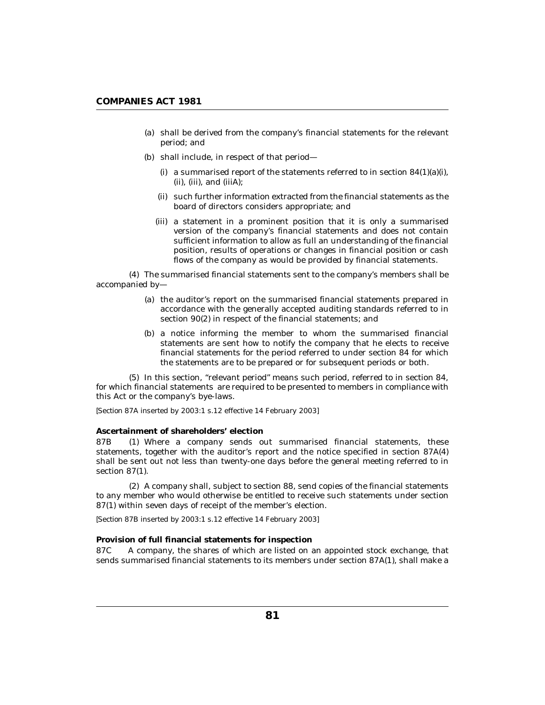- shall be derived from the company's financial statements for the relevant (a) period; and
- (b) shall include, in respect of that period-
	- (i) a summarised report of the statements referred to in section  $84(1)(a)(i)$ ,  $(ii)$ ,  $(iii)$ , and  $(iii)$ ;
	- (ii) such further information extracted from the financial statements as the board of directors considers appropriate; and
	- (iii) a statement in a prominent position that it is only a summarised version of the company's financial statements and does not contain sufficient information to allow as full an understanding of the financial position, results of operations or changes in financial position or cash flows of the company as would be provided by financial statements.

The summarised financial statements sent to the company's members shall be (4) accompanied by—

- (a) the auditor's report on the summarised financial statements prepared in accordance with the generally accepted auditing standards referred to in section 90(2) in respect of the financial statements; and
- (b) a notice informing the member to whom the summarised financial statements are sent how to notify the company that he elects to receive financial statements for the period referred to under section 84 for which the statements are to be prepared or for subsequent periods or both.

(5) In this section, "relevant period" means such period, referred to in section 84, for which financial statements are required to be presented to members in compliance with this Act or the company's bye-laws.

*[Section 87A inserted by 2003:1 s.12 effective 14 February 2003]*

**Ascertainment of shareholders' election**

Where a company sends out summarised financial statements, these statements, together with the auditor's report and the notice specified in section 87A(4) shall be sent out not less than twenty-one days before the general meeting referred to in section 87(1). 87B (1)

A company shall, subject to section 88, send copies of the financial statements (2) to any member who would otherwise be entitled to receive such statements under section 87(1) within seven days of receipt of the member's election.

*[Section 87B inserted by 2003:1 s.12 effective 14 February 2003]*

**Provision of full financial statements for inspection**

A company, the shares of which are listed on an appointed stock exchange, that sends summarised financial statements to its members under section 87A(1), shall make a 87C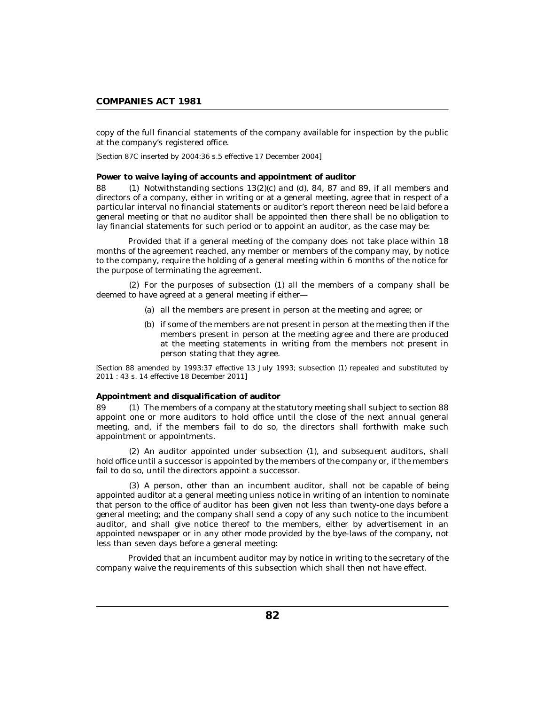copy of the full financial statements of the company available for inspection by the public at the company's registered office.

*[Section 87C inserted by 2004:36 s.5 effective 17 December 2004]*

**Power to waive laying of accounts and appointment of auditor**

88  $(1)$  Notwithstanding sections  $13(2)(c)$  and  $(d)$ , 84, 87 and 89, if all members and directors of a company, either in writing or at a general meeting, agree that in respect of a particular interval no financial statements or auditor's report thereon need be laid before a general meeting or that no auditor shall be appointed then there shall be no obligation to lay financial statements for such period or to appoint an auditor, as the case may be:

Provided that if a general meeting of the company does not take place within 18 months of the agreement reached, any member or members of the company may, by notice to the company, require the holding of a general meeting within 6 months of the notice for the purpose of terminating the agreement.

 $(2)$  For the purposes of subsection  $(1)$  all the members of a company shall be deemed to have agreed at a general meeting if either—

- all the members are present in person at the meeting and agree; or (a)
- (b) if some of the members are not present in person at the meeting then if the members present in person at the meeting agree and there are produced at the meeting statements in writing from the members not present in person stating that they agree.

*[Section 88 amended by 1993:37 effective 13 July 1993; subsection (1) repealed and substituted by 2011 : 43 s. 14 effective 18 December 2011]*

# **Appointment and disqualification of auditor**

The members of a company at the statutory meeting shall subject to section 88 appoint one or more auditors to hold office until the close of the next annual general meeting, and, if the members fail to do so, the directors shall forthwith make such appointment or appointments. 89

(2) An auditor appointed under subsection (1), and subsequent auditors, shall hold office until a successor is appointed by the members of the company or, if the members fail to do so, until the directors appoint a successor.

(3) A person, other than an incumbent auditor, shall not be capable of being appointed auditor at a general meeting unless notice in writing of an intention to nominate that person to the office of auditor has been given not less than twenty-one days before a general meeting; and the company shall send a copy of any such notice to the incumbent auditor, and shall give notice thereof to the members, either by advertisement in an appointed newspaper or in any other mode provided by the bye-laws of the company, not less than seven days before a general meeting:

Provided that an incumbent auditor may by notice in writing to the secretary of the company waive the requirements of this subsection which shall then not have effect.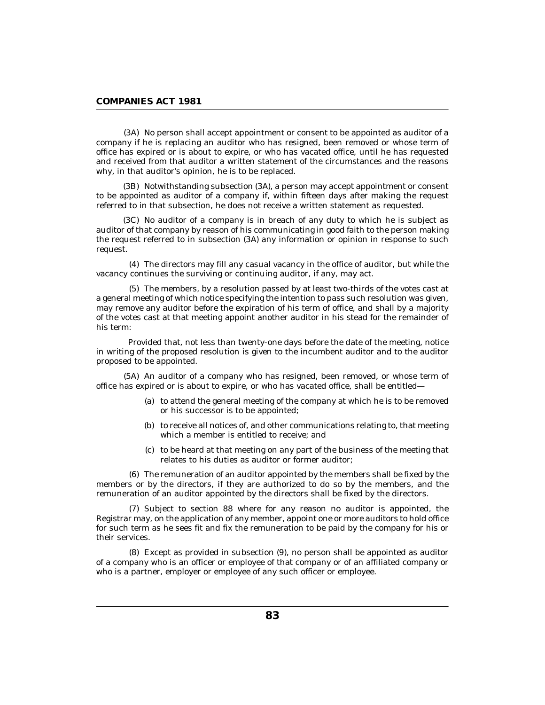(3A) No person shall accept appointment or consent to be appointed as auditor of a company if he is replacing an auditor who has resigned, been removed or whose term of office has expired or is about to expire, or who has vacated office, until he has requested and received from that auditor a written statement of the circumstances and the reasons why, in that auditor's opinion, he is to be replaced.

(3B) Notwithstanding subsection (3A), a person may accept appointment or consent to be appointed as auditor of a company if, within fifteen days after making the request referred to in that subsection, he does not receive a written statement as requested.

(3C) No auditor of a company is in breach of any duty to which he is subject as auditor of that company by reason of his communicating in good faith to the person making the request referred to in subsection (3A) any information or opinion in response to such request.

The directors may fill any casual vacancy in the office of auditor, but while the (4) vacancy continues the surviving or continuing auditor, if any, may act.

(5) The members, by a resolution passed by at least two-thirds of the votes cast at a general meeting of which notice specifying the intention to pass such resolution was given, may remove any auditor before the expiration of his term of office, and shall by a majority of the votes cast at that meeting appoint another auditor in his stead for the remainder of his term:

Provided that, not less than twenty-one days before the date of the meeting, notice in writing of the proposed resolution is given to the incumbent auditor and to the auditor proposed to be appointed.

(5A) An auditor of a company who has resigned, been removed, or whose term of office has expired or is about to expire, or who has vacated office, shall be entitled—

- (a) to attend the general meeting of the company at which he is to be removed or his successor is to be appointed;
- (b) to receive all notices of, and other communications relating to, that meeting which a member is entitled to receive; and
- (c) to be heard at that meeting on any part of the business of the meeting that relates to his duties as auditor or former auditor;

The remuneration of an auditor appointed by the members shall be fixed by the (6) members or by the directors, if they are authorized to do so by the members, and the remuneration of an auditor appointed by the directors shall be fixed by the directors.

(7) Subject to section 88 where for any reason no auditor is appointed, the Registrar may, on the application of any member, appoint one or more auditors to hold office for such term as he sees fit and fix the remuneration to be paid by the company for his or their services.

Except as provided in subsection (9), no person shall be appointed as auditor (8) of a company who is an officer or employee of that company or of an affiliated company or who is a partner, employer or employee of any such officer or employee.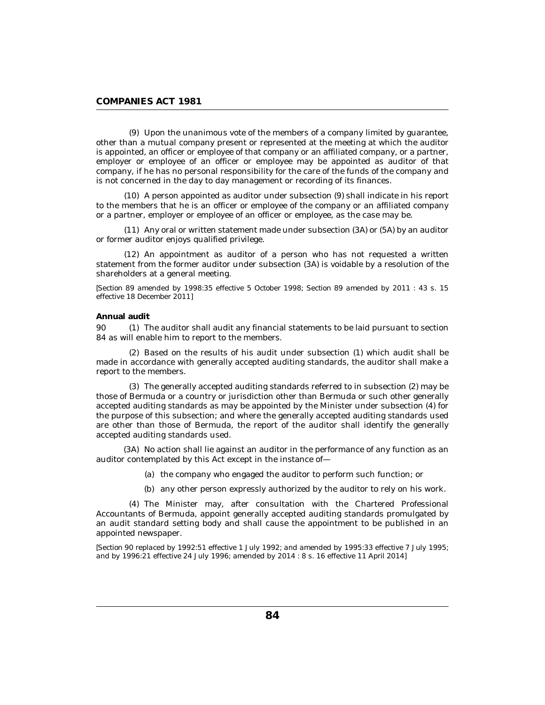Upon the unanimous vote of the members of a company limited by guarantee, (9) other than a mutual company present or represented at the meeting at which the auditor is appointed, an officer or employee of that company or an affiliated company, or a partner, employer or employee of an officer or employee may be appointed as auditor of that company, if he has no personal responsibility for the care of the funds of the company and is not concerned in the day to day management or recording of its finances.

 $(10)$  A person appointed as auditor under subsection  $(9)$  shall indicate in his report to the members that he is an officer or employee of the company or an affiliated company or a partner, employer or employee of an officer or employee, as the case may be.

 $(11)$  Any oral or written statement made under subsection  $(3A)$  or  $(5A)$  by an auditor or former auditor enjoys qualified privilege.

 $(12)$  An appointment as auditor of a person who has not requested a written statement from the former auditor under subsection (3A) is voidable by a resolution of the shareholders at a general meeting.

*[Section 89 amended by 1998:35 effective 5 October 1998; Section 89 amended by 2011 : 43 s. 15 effective 18 December 2011]*

## **Annual audit**

90 (1) The auditor shall audit any financial statements to be laid pursuant to section 84 as will enable him to report to the members.

(2) Based on the results of his audit under subsection (1) which audit shall be made in accordance with generally accepted auditing standards, the auditor shall make a report to the members.

The generally accepted auditing standards referred to in subsection (2) may be (3) those of Bermuda or a country or jurisdiction other than Bermuda or such other generally accepted auditing standards as may be appointed by the Minister under subsection (4) for the purpose of this subsection; and where the generally accepted auditing standards used are other than those of Bermuda, the report of the auditor shall identify the generally accepted auditing standards used.

(3A) No action shall lie against an auditor in the performance of any function as an auditor contemplated by this Act except in the instance of—

(a) the company who engaged the auditor to perform such function; or

(b) any other person expressly authorized by the auditor to rely on his work.

The Minister may, after consultation with the Chartered Professional (4) Accountants of Bermuda, appoint generally accepted auditing standards promulgated by an audit standard setting body and shall cause the appointment to be published in an appointed newspaper.

*[Section 90 replaced by 1992:51 effective 1 July 1992; and amended by 1995:33 effective 7 July 1995; and by 1996:21 effective 24 July 1996; amended by 2014 : 8 s. 16 effective 11 April 2014]*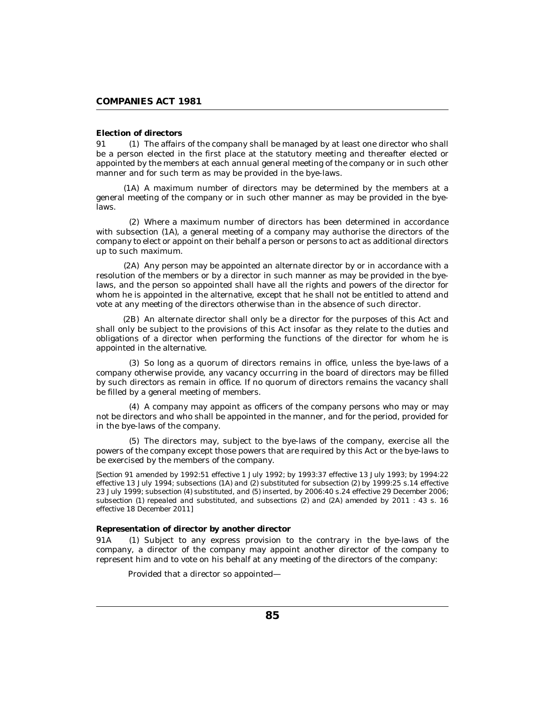# **Election of directors**

91 (1) The affairs of the company shall be managed by at least one director who shall be a person elected in the first place at the statutory meeting and thereafter elected or appointed by the members at each annual general meeting of the company or in such other manner and for such term as may be provided in the bye-laws.

(1A) A maximum number of directors may be determined by the members at a general meeting of the company or in such other manner as may be provided in the byelaws.

Where a maximum number of directors has been determined in accordance (2) with subsection (1A), a general meeting of a company may authorise the directors of the company to elect or appoint on their behalf a person or persons to act as additional directors up to such maximum.

(2A) Any person may be appointed an alternate director by or in accordance with a resolution of the members or by a director in such manner as may be provided in the byelaws, and the person so appointed shall have all the rights and powers of the director for whom he is appointed in the alternative, except that he shall not be entitled to attend and vote at any meeting of the directors otherwise than in the absence of such director.

(2B) An alternate director shall only be a director for the purposes of this Act and shall only be subject to the provisions of this Act insofar as they relate to the duties and obligations of a director when performing the functions of the director for whom he is appointed in the alternative.

(3) So long as a quorum of directors remains in office, unless the bye-laws of a company otherwise provide, any vacancy occurring in the board of directors may be filled by such directors as remain in office. If no quorum of directors remains the vacancy shall be filled by a general meeting of members.

A company may appoint as officers of the company persons who may or may (4) not be directors and who shall be appointed in the manner, and for the period, provided for in the bye-laws of the company.

The directors may, subject to the bye-laws of the company, exercise all the (5) powers of the company except those powers that are required by this Act or the bye-laws to be exercised by the members of the company.

*[Section 91 amended by 1992:51 effective 1 July 1992; by 1993:37 effective 13 July 1993; by 1994:22 effective 13 July 1994; subsections (1A) and (2) substituted for subsection (2) by 1999:25 s.14 effective 23 July 1999; subsection (4) substituted, and (5) inserted, by 2006:40 s.24 effective 29 December 2006; subsection (1) repealed and substituted, and subsections (2) and (2A) amended by 2011 : 43 s. 16 effective 18 December 2011]*

**Representation of director by another director**

Subject to any express provision to the contrary in the bye-laws of the company, a director of the company may appoint another director of the company to represent him and to vote on his behalf at any meeting of the directors of the company: 91A (1)

Provided that a director so appointed—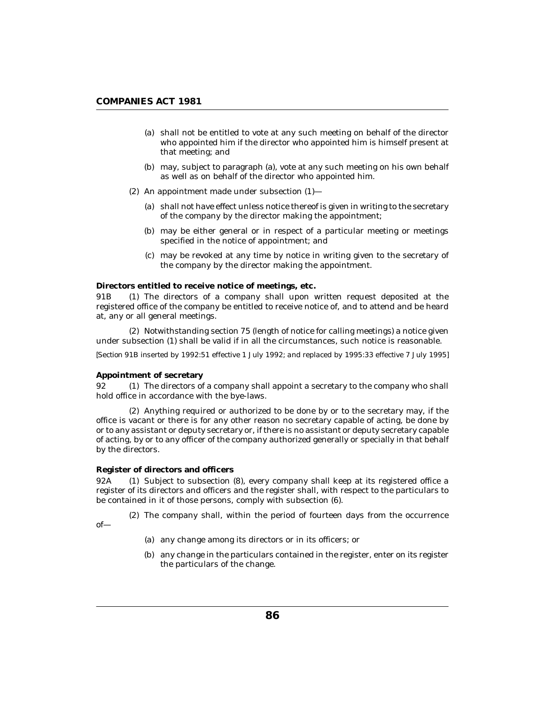- (a) shall not be entitled to vote at any such meeting on behalf of the director who appointed him if the director who appointed him is himself present at that meeting; and
- (b) may, subject to paragraph (a), vote at any such meeting on his own behalf as well as on behalf of the director who appointed him.
- (2) An appointment made under subsection  $(1)$ 
	- shall not have effect unless notice thereof is given in writing to the secretary (a) of the company by the director making the appointment;
	- (b) may be either general or in respect of a particular meeting or meetings specified in the notice of appointment; and
	- may be revoked at any time by notice in writing given to the secretary of (c) the company by the director making the appointment.

**Directors entitled to receive notice of meetings, etc.**

The directors of a company shall upon written request deposited at the registered office of the company be entitled to receive notice of, and to attend and be heard at, any or all general meetings. 91<sub>B</sub>

(2) Notwithstanding section 75 (length of notice for calling meetings) a notice given under subsection (1) shall be valid if in all the circumstances, such notice is reasonable.

*[Section 91B inserted by 1992:51 effective 1 July 1992; and replaced by 1995:33 effective 7 July 1995]*

#### **Appointment of secretary**

92 (1) The directors of a company shall appoint a secretary to the company who shall hold office in accordance with the bye-laws.

(2) Anything required or authorized to be done by or to the secretary may, if the office is vacant or there is for any other reason no secretary capable of acting, be done by or to any assistant or deputy secretary or, if there is no assistant or deputy secretary capable of acting, by or to any officer of the company authorized generally or specially in that behalf by the directors.

## **Register of directors and officers**

Subject to subsection (8), every company shall keep at its registered office a register of its directors and officers and the register shall, with respect to the particulars to be contained in it of those persons, comply with subsection (6). 92A

The company shall, within the period of fourteen days from the occurrence (2) of—

- (a) any change among its directors or in its officers; or
- (b) any change in the particulars contained in the register, enter on its register the particulars of the change.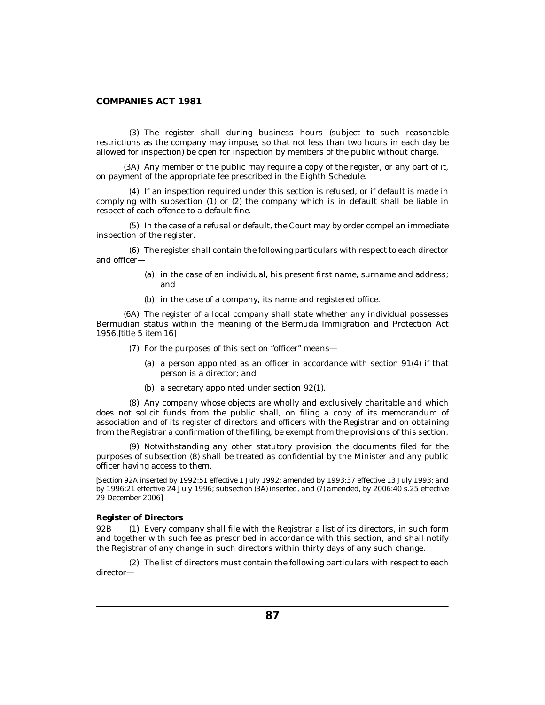The register shall during business hours (subject to such reasonable (3) restrictions as the company may impose, so that not less than two hours in each day be allowed for inspection) be open for inspection by members of the public without charge.

(3A) Any member of the public may require a copy of the register, or any part of it, on payment of the appropriate fee prescribed in the Eighth Schedule.

If an inspection required under this section is refused, or if default is made in (4) complying with subsection (1) or (2) the company which is in default shall be liable in respect of each offence to a default fine.

(5) In the case of a refusal or default, the Court may by order compel an immediate inspection of the register.

The register shall contain the following particulars with respect to each director (6) and officer—

- in the case of an individual, his present first name, surname and address; (a) and
- (b) in the case of a company, its name and registered office.

(6A) The register of a local company shall state whether any individual possesses Bermudian status within the meaning of the Bermuda Immigration and Protection Act 1956.[*title 5 item 16*]

- (7) For the purposes of this section "officer" means-
	- (a) a person appointed as an officer in accordance with section  $91(4)$  if that person is a director; and
	- (b) a secretary appointed under section  $92(1)$ .

Any company whose objects are wholly and exclusively charitable and which (8) does not solicit funds from the public shall, on filing a copy of its memorandum of association and of its register of directors and officers with the Registrar and on obtaining from the Registrar a confirmation of the filing, be exempt from the provisions of this section.

(9) Notwithstanding any other statutory provision the documents filed for the purposes of subsection (8) shall be treated as confidential by the Minister and any public officer having access to them.

*[Section 92A inserted by 1992:51 effective 1 July 1992; amended by 1993:37 effective 13 July 1993; and by 1996:21 effective 24 July 1996; subsection (3A) inserted, and (7) amended, by 2006:40 s.25 effective 29 December 2006]*

# **Register of Directors**

Every company shall file with the Registrar a list of its directors, in such form and together with such fee as prescribed in accordance with this section, and shall notify the Registrar of any change in such directors within thirty days of any such change. 92B (1)

The list of directors must contain the following particulars with respect to each (2) director—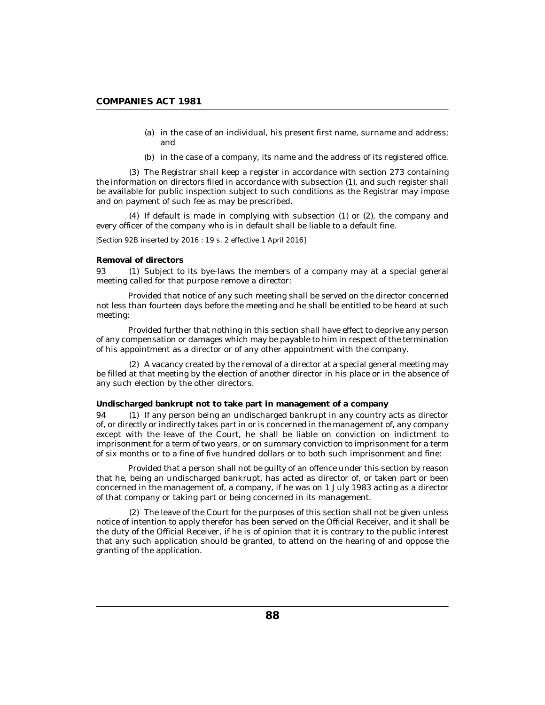- in the case of an individual, his present first name, surname and address; (a) and
- (b) in the case of a company, its name and the address of its registered office.

The Registrar shall keep a register in accordance with section 273 containing (3) the information on directors filed in accordance with subsection (1), and such register shall be available for public inspection subject to such conditions as the Registrar may impose and on payment of such fee as may be prescribed.

 $(4)$  If default is made in complying with subsection  $(1)$  or  $(2)$ , the company and every officer of the company who is in default shall be liable to a default fine.

*[Section 92B inserted by 2016 : 19 s. 2 effective 1 April 2016]*

#### **Removal of directors**

93 (1) Subject to its bye-laws the members of a company may at a special general meeting called for that purpose remove a director:

Provided that notice of any such meeting shall be served on the director concerned not less than fourteen days before the meeting and he shall be entitled to be heard at such meeting:

Provided further that nothing in this section shall have effect to deprive any person of any compensation or damages which may be payable to him in respect of the termination of his appointment as a director or of any other appointment with the company.

A vacancy created by the removal of a director at a special general meeting may (2) be filled at that meeting by the election of another director in his place or in the absence of any such election by the other directors.

#### **Undischarged bankrupt not to take part in management of a company**

94 (1) If any person being an undischarged bankrupt in any country acts as director of, or directly or indirectly takes part in or is concerned in the management of, any company except with the leave of the Court, he shall be liable on conviction on indictment to imprisonment for a term of two years, or on summary conviction to imprisonment for a term of six months or to a fine of five hundred dollars or to both such imprisonment and fine:

Provided that a person shall not be guilty of an offence under this section by reason that he, being an undischarged bankrupt, has acted as director of, or taken part or been concerned in the management of, a company, if he was on 1 July 1983 acting as a director of that company or taking part or being concerned in its management.

The leave of the Court for the purposes of this section shall not be given unless (2) notice of intention to apply therefor has been served on the Official Receiver, and it shall be the duty of the Official Receiver, if he is of opinion that it is contrary to the public interest that any such application should be granted, to attend on the hearing of and oppose the granting of the application.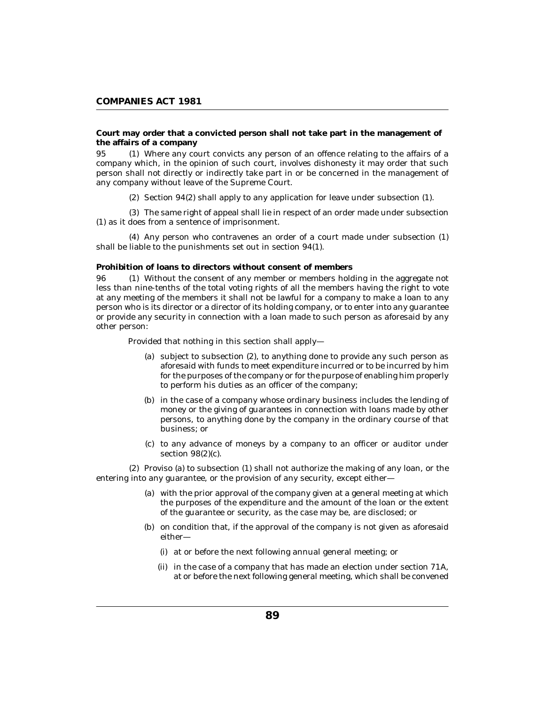**Court may order that a convicted person shall not take part in the management of the affairs of a company**

95 (1) Where any court convicts any person of an offence relating to the affairs of a company which, in the opinion of such court, involves dishonesty it may order that such person shall not directly or indirectly take part in or be concerned in the management of any company without leave of the Supreme Court.

 $(2)$  Section  $94(2)$  shall apply to any application for leave under subsection  $(1)$ .

The same right of appeal shall lie in respect of an order made under subsection (3) (1) as it does from a sentence of imprisonment.

Any person who contravenes an order of a court made under subsection (1) (4) shall be liable to the punishments set out in section 94(1).

**Prohibition of loans to directors without consent of members**

96 (1) Without the consent of any member or members holding in the aggregate not less than nine-tenths of the total voting rights of all the members having the right to vote at any meeting of the members it shall not be lawful for a company to make a loan to any person who is its director or a director of its holding company, or to enter into any guarantee or provide any security in connection with a loan made to such person as aforesaid by any other person:

Provided that nothing in this section shall apply—

- (a) subject to subsection (2), to anything done to provide any such person as aforesaid with funds to meet expenditure incurred or to be incurred by him for the purposes of the company or for the purpose of enabling him properly to perform his duties as an officer of the company;
- (b) in the case of a company whose ordinary business includes the lending of money or the giving of guarantees in connection with loans made by other persons, to anything done by the company in the ordinary course of that business; or
- to any advance of moneys by a company to an officer or auditor under (c) section 98(2)(c).

 $(2)$  Proviso (a) to subsection  $(1)$  shall not authorize the making of any loan, or the entering into any guarantee, or the provision of any security, except either—

- with the prior approval of the company given at a general meeting at which (a) the purposes of the expenditure and the amount of the loan or the extent of the guarantee or security, as the case may be, are disclosed; or
- $(b)$  on condition that, if the approval of the company is not given as aforesaid either—
	- (i) at or before the next following annual general meeting; or
	- (ii) in the case of a company that has made an election under section 71A, at or before the next following general meeting, which shall be convened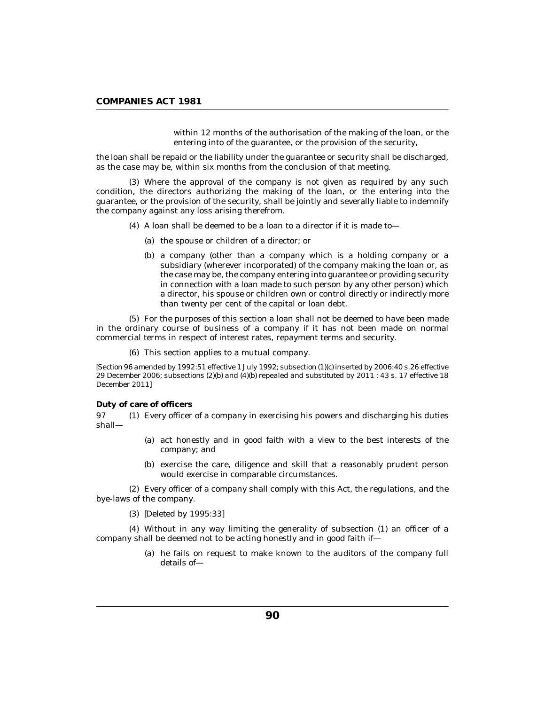within 12 months of the authorisation of the making of the loan, or the entering into of the guarantee, or the provision of the security,

the loan shall be repaid or the liability under the guarantee or security shall be discharged, as the case may be, within six months from the conclusion of that meeting.

Where the approval of the company is not given as required by any such (3) condition, the directors authorizing the making of the loan, or the entering into the guarantee, or the provision of the security, shall be jointly and severally liable to indemnify the company against any loss arising therefrom.

- A loan shall be deemed to be a loan to a director if it is made to— (4)
	- (a) the spouse or children of a director; or
	- (b) a company (other than a company which is a holding company or a subsidiary (wherever incorporated) of the company making the loan or, as the case may be, the company entering into guarantee or providing security in connection with a loan made to such person by any other person) which a director, his spouse or children own or control directly or indirectly more than twenty per cent of the capital or loan debt.

For the purposes of this section a loan shall not be deemed to have been made (5) in the ordinary course of business of a company if it has not been made on normal commercial terms in respect of interest rates, repayment terms and security.

This section applies to a mutual company. (6)

*[Section 96 amended by 1992:51 effective 1 July 1992; subsection (1)(c) inserted by 2006:40 s.26 effective 29 December 2006; subsections (2)(b) and (4)(b) repealed and substituted by 2011 : 43 s. 17 effective 18 December 2011]*

### **Duty of care of officers**

97 (1) Every officer of a company in exercising his powers and discharging his duties shall—

- (a) act honestly and in good faith with a view to the best interests of the company; and
- (b) exercise the care, diligence and skill that a reasonably prudent person would exercise in comparable circumstances.

Every officer of a company shall comply with this Act, the regulations, and the (2) bye-laws of the company.

*[Deleted by 1995:33]* (3)

Without in any way limiting the generality of subsection (1) an officer of a (4) company shall be deemed not to be acting honestly and in good faith if—

> (a) he fails on request to make known to the auditors of the company full details of—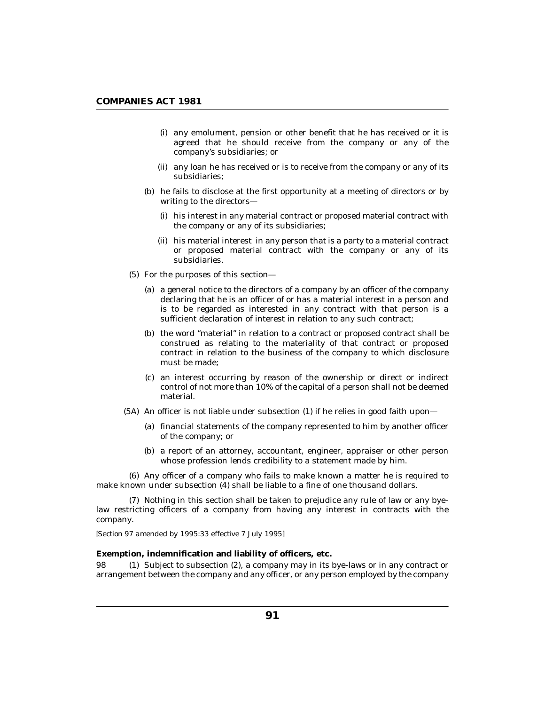- (i) any emolument, pension or other benefit that he has received or it is agreed that he should receive from the company or any of the company's subsidiaries; or
- (ii) any loan he has received or is to receive from the company or any of its subsidiaries;
- (b) he fails to disclose at the first opportunity at a meeting of directors or by writing to the directors
	- his interest in any material contract or proposed material contract with (i) the company or any of its subsidiaries;
	- (ii) his material interest in any person that is a party to a material contract or proposed material contract with the company or any of its subsidiaries.
- (5) For the purposes of this section—
	- (a) a general notice to the directors of a company by an officer of the company declaring that he is an officer of or has a material interest in a person and is to be regarded as interested in any contract with that person is a sufficient declaration of interest in relation to any such contract;
	- (b) the word "material" in relation to a contract or proposed contract shall be construed as relating to the materiality of that contract or proposed contract in relation to the business of the company to which disclosure must be made;
	- (c) an interest occurring by reason of the ownership or direct or indirect control of not more than 10% of the capital of a person shall not be deemed material.
- $(5A)$  An officer is not liable under subsection  $(1)$  if he relies in good faith upon
	- financial statements of the company represented to him by another officer (a) of the company; or
	- a report of an attorney, accountant, engineer, appraiser or other person (b) whose profession lends credibility to a statement made by him.

Any officer of a company who fails to make known a matter he is required to (6) make known under subsection (4) shall be liable to a fine of one thousand dollars.

(7) Nothing in this section shall be taken to prejudice any rule of law or any byelaw restricting officers of a company from having any interest in contracts with the company.

*[Section 97 amended by 1995:33 effective 7 July 1995]*

**Exemption, indemnification and liability of officers, etc.**

98 (1) Subject to subsection (2), a company may in its bye-laws or in any contract or arrangement between the company and any officer, or any person employed by the company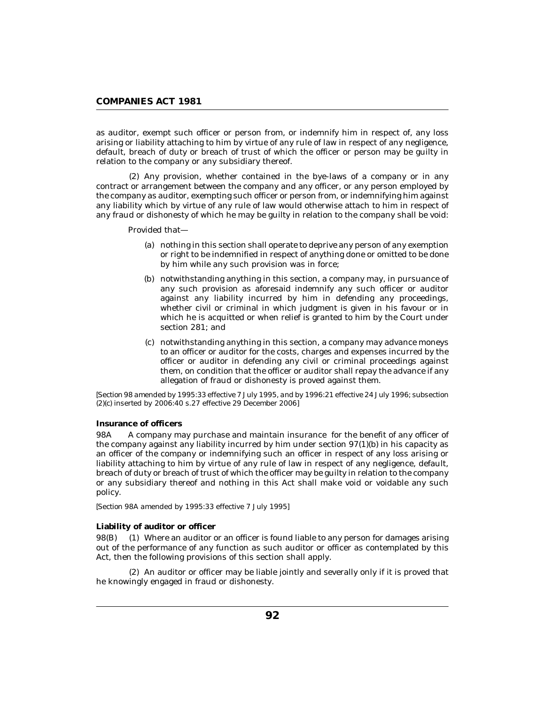as auditor, exempt such officer or person from, or indemnify him in respect of, any loss arising or liability attaching to him by virtue of any rule of law in respect of any negligence, default, breach of duty or breach of trust of which the officer or person may be guilty in relation to the company or any subsidiary thereof.

(2) Any provision, whether contained in the bye-laws of a company or in any contract or arrangement between the company and any officer, or any person employed by the company as auditor, exempting such officer or person from, or indemnifying him against any liability which by virtue of any rule of law would otherwise attach to him in respect of any fraud or dishonesty of which he may be guilty in relation to the company shall be void:

Provided that—

- nothing in this section shall operate to deprive any person of any exemption (a) or right to be indemnified in respect of anything done or omitted to be done by him while any such provision was in force;
- (b) notwithstanding anything in this section, a company may, in pursuance of any such provision as aforesaid indemnify any such officer or auditor against any liability incurred by him in defending any proceedings, whether civil or criminal in which judgment is given in his favour or in which he is acquitted or when relief is granted to him by the Court under section 281; and
- notwithstanding anything in this section, a company may advance moneys (c) to an officer or auditor for the costs, charges and expenses incurred by the officer or auditor in defending any civil or criminal proceedings against them, on condition that the officer or auditor shall repay the advance if any allegation of fraud or dishonesty is proved against them.

*[Section 98 amended by 1995:33 effective 7 July 1995, and by 1996:21 effective 24 July 1996; subsection (2)(c) inserted by 2006:40 s.27 effective 29 December 2006]*

### **Insurance of officers**

A company may purchase and maintain insurance for the benefit of any officer of the company against any liability incurred by him under section  $97(1)(b)$  in his capacity as an officer of the company or indemnifying such an officer in respect of any loss arising or liability attaching to him by virtue of any rule of law in respect of any negligence, default, breach of duty or breach of trust of which the officer may be guilty in relation to the company or any subsidiary thereof and nothing in this Act shall make void or voidable any such policy. 98A

*[Section 98A amended by 1995:33 effective 7 July 1995]*

## **Liability of auditor or officer**

Where an auditor or an officer is found liable to any person for damages arising out of the performance of any function as such auditor or officer as contemplated by this Act, then the following provisions of this section shall apply.  $98(B)$ 

(2) An auditor or officer may be liable jointly and severally only if it is proved that he knowingly engaged in fraud or dishonesty.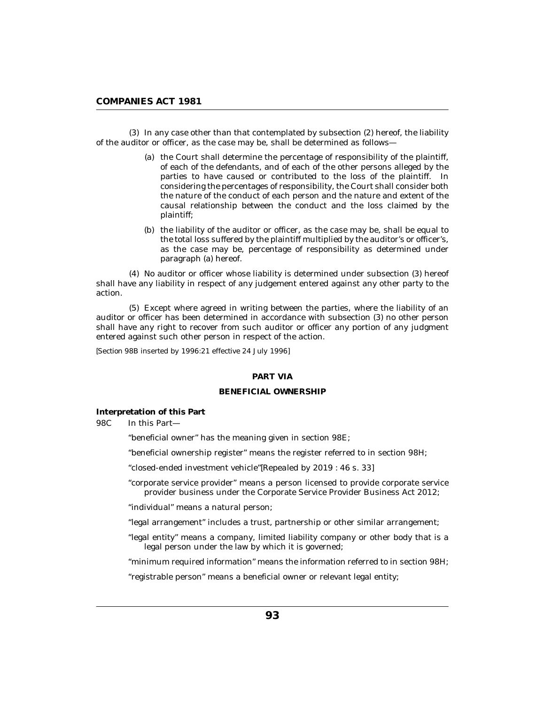$(3)$  In any case other than that contemplated by subsection  $(2)$  hereof, the liability of the auditor or officer, as the case may be, shall be determined as follows—

- (a) the Court shall determine the percentage of responsibility of the plaintiff, of each of the defendants, and of each of the other persons alleged by the parties to have caused or contributed to the loss of the plaintiff. In considering the percentages of responsibility, the Court shall consider both the nature of the conduct of each person and the nature and extent of the causal relationship between the conduct and the loss claimed by the plaintiff;
- (b) the liability of the auditor or officer, as the case may be, shall be equal to the total loss suffered by the plaintiff multiplied by the auditor's or officer's, as the case may be, percentage of responsibility as determined under paragraph (a) hereof.

(4) No auditor or officer whose liability is determined under subsection (3) hereof shall have any liability in respect of any judgement entered against any other party to the action.

Except where agreed in writing between the parties, where the liability of an (5) auditor or officer has been determined in accordance with subsection (3) no other person shall have any right to recover from such auditor or officer any portion of any judgment entered against such other person in respect of the action.

*[Section 98B inserted by 1996:21 effective 24 July 1996]*

# **PART VIA**

# **BENEFICIAL OWNERSHIP**

**Interpretation of this Part**

In this Part— 98C

"beneficial owner" has the meaning given in section 98E;

"beneficial ownership register" means the register referred to in section 98H;

"closed-ended investment vehicle"*[Repealed by 2019 : 46 s. 33]*

"corporate service provider" means a person licensed to provide corporate service provider business under the Corporate Service Provider Business Act 2012;

"individual" means a natural person;

"legal arrangement" includes a trust, partnership or other similar arrangement;

"legal entity" means a company, limited liability company or other body that is a legal person under the law by which it is governed;

"minimum required information" means the information referred to in section 98H;

"registrable person" means a beneficial owner or relevant legal entity;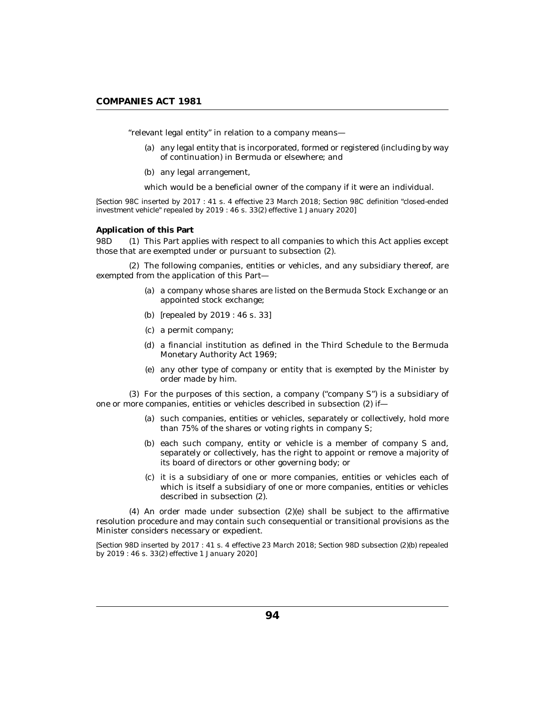"relevant legal entity" in relation to a company means—

- (a) any legal entity that is incorporated, formed or registered (including by way of continuation) in Bermuda or elsewhere; and
- (b) any legal arrangement,

which would be a beneficial owner of the company if it were an individual.

*[Section 98C inserted by 2017 : 41 s. 4 effective 23 March 2018; Section 98C definition "closed-ended investment vehicle" repealed by 2019 : 46 s. 33(2) effective 1 January 2020]*

#### **Application of this Part**

This Part applies with respect to all companies to which this Act applies except those that are exempted under or pursuant to subsection (2). 98D (1)

The following companies, entities or vehicles, and any subsidiary thereof, are (2) exempted from the application of this Part—

- (a) a company whose shares are listed on the Bermuda Stock Exchange or an appointed stock exchange;
- *[repealed by 2019 : 46 s. 33]* (b)
- a permit company; (c)
- (d) a financial institution as defined in the Third Schedule to the Bermuda Monetary Authority Act 1969;
- any other type of company or entity that is exempted by the Minister by (e) order made by him.

 $(3)$  For the purposes of this section, a company ("company S") is a subsidiary of one or more companies, entities or vehicles described in subsection (2) if—

- (a) such companies, entities or vehicles, separately or collectively, hold more than 75% of the shares or voting rights in company S;
- (b) each such company, entity or vehicle is a member of company S and, separately or collectively, has the right to appoint or remove a majority of its board of directors or other governing body; or
- (c) it is a subsidiary of one or more companies, entities or vehicles each of which is itself a subsidiary of one or more companies, entities or vehicles described in subsection (2).

 $(4)$  An order made under subsection  $(2)(e)$  shall be subject to the affirmative resolution procedure and may contain such consequential or transitional provisions as the Minister considers necessary or expedient.

*[Section 98D inserted by 2017 : 41 s. 4 effective 23 March 2018; Section 98D subsection (2)(b) repealed by 2019 : 46 s. 33(2) effective 1 January 2020]*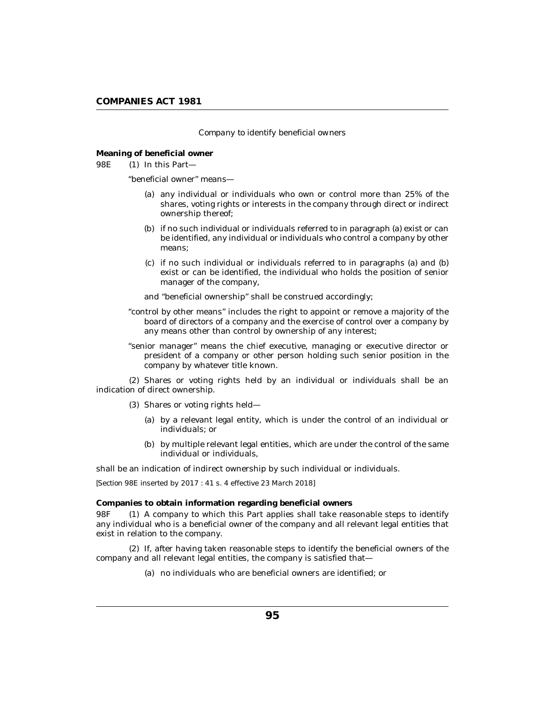### *Company to identify beneficial owners*

**Meaning of beneficial owner**

 $(1)$  In this Part— 98E (1)

"beneficial owner" means—

- (a) any individual or individuals who own or control more than 25% of the shares, voting rights or interests in the company through direct or indirect ownership thereof;
- (b) if no such individual or individuals referred to in paragraph (a) exist or can be identified, any individual or individuals who control a company by other means;
- if no such individual or individuals referred to in paragraphs (a) and (b) (c) exist or can be identified, the individual who holds the position of senior manager of the company,

and "beneficial ownership" shall be construed accordingly;

- "control by other means" includes the right to appoint or remove a majority of the board of directors of a company and the exercise of control over a company by any means other than control by ownership of any interest;
- "senior manager" means the chief executive, managing or executive director or president of a company or other person holding such senior position in the company by whatever title known.

Shares or voting rights held by an individual or individuals shall be an (2) indication of direct ownership.

- (3) Shares or voting rights held—
	- (a) by a relevant legal entity, which is under the control of an individual or individuals; or
	- by multiple relevant legal entities, which are under the control of the same (b) individual or individuals,

shall be an indication of indirect ownership by such individual or individuals.

*[Section 98E inserted by 2017 : 41 s. 4 effective 23 March 2018]*

**Companies to obtain information regarding beneficial owners**

A company to which this Part applies shall take reasonable steps to identify any individual who is a beneficial owner of the company and all relevant legal entities that exist in relation to the company. 98F (1)

(2) If, after having taken reasonable steps to identify the beneficial owners of the company and all relevant legal entities, the company is satisfied that—

no individuals who are beneficial owners are identified; or (a)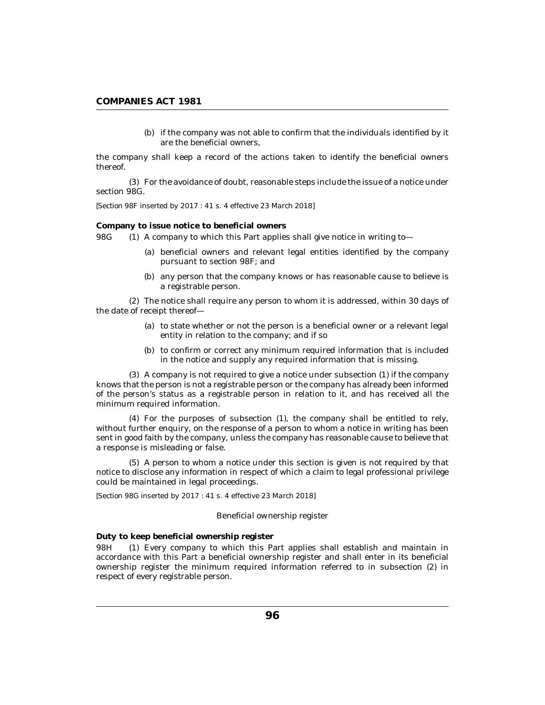(b) if the company was not able to confirm that the individuals identified by it are the beneficial owners,

the company shall keep a record of the actions taken to identify the beneficial owners thereof.

For the avoidance of doubt, reasonable steps include the issue of a notice under (3) section 98G.

*[Section 98F inserted by 2017 : 41 s. 4 effective 23 March 2018]*

**Company to issue notice to beneficial owners**

(1) A company to which this Part applies shall give notice in writing to-98G (1)

- beneficial owners and relevant legal entities identified by the company (a) pursuant to section 98F; and
- (b) any person that the company knows or has reasonable cause to believe is a registrable person.

The notice shall require any person to whom it is addressed, within 30 days of (2) the date of receipt thereof—

- (a) to state whether or not the person is a beneficial owner or a relevant legal entity in relation to the company; and if so
- (b) to confirm or correct any minimum required information that is included in the notice and supply any required information that is missing.

 $(3)$  A company is not required to give a notice under subsection  $(1)$  if the company knows that the person is not a registrable person or the company has already been informed of the person's status as a registrable person in relation to it, and has received all the minimum required information.

For the purposes of subsection (1), the company shall be entitled to rely, (4) without further enquiry, on the response of a person to whom a notice in writing has been sent in good faith by the company, unless the company has reasonable cause to believe that a response is misleading or false.

A person to whom a notice under this section is given is not required by that (5) notice to disclose any information in respect of which a claim to legal professional privilege could be maintained in legal proceedings.

*[Section 98G inserted by 2017 : 41 s. 4 effective 23 March 2018]*

# *Beneficial ownership register*

**Duty to keep beneficial ownership register**

Every company to which this Part applies shall establish and maintain in accordance with this Part a beneficial ownership register and shall enter in its beneficial ownership register the minimum required information referred to in subsection (2) in respect of every registrable person. 98H (1)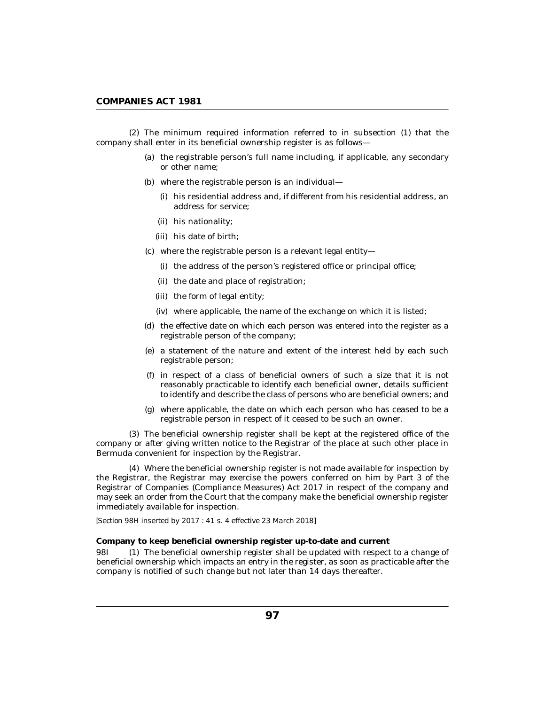(2) The minimum required information referred to in subsection (1) that the company shall enter in its beneficial ownership register is as follows—

- (a) the registrable person's full name including, if applicable, any secondary or other name;
- (b) where the registrable person is an individual
	- his residential address and, if different from his residential address, an (i) address for service;
	- (ii) his nationality;
	- (iii) his date of birth;
- where the registrable person is a relevant legal entity— (c)
	- (i) the address of the person's registered office or principal office;
	- (ii) the date and place of registration;
	- (iii) the form of legal entity;
	- (iv) where applicable, the name of the exchange on which it is listed;
- (d) the effective date on which each person was entered into the register as a registrable person of the company;
- a statement of the nature and extent of the interest held by each such (e) registrable person;
- $(f)$  in respect of a class of beneficial owners of such a size that it is not reasonably practicable to identify each beneficial owner, details sufficient to identify and describe the class of persons who are beneficial owners; and
- where applicable, the date on which each person who has ceased to be a (g) registrable person in respect of it ceased to be such an owner.

The beneficial ownership register shall be kept at the registered office of the (3) company or after giving written notice to the Registrar of the place at such other place in Bermuda convenient for inspection by the Registrar.

Where the beneficial ownership register is not made available for inspection by (4) the Registrar, the Registrar may exercise the powers conferred on him by Part 3 of the Registrar of Companies (Compliance Measures) Act 2017 in respect of the company and may seek an order from the Court that the company make the beneficial ownership register immediately available for inspection.

*[Section 98H inserted by 2017 : 41 s. 4 effective 23 March 2018]*

**Company to keep beneficial ownership register up-to-date and current**

The beneficial ownership register shall be updated with respect to a change of beneficial ownership which impacts an entry in the register, as soon as practicable after the company is notified of such change but not later than 14 days thereafter. 98I (1)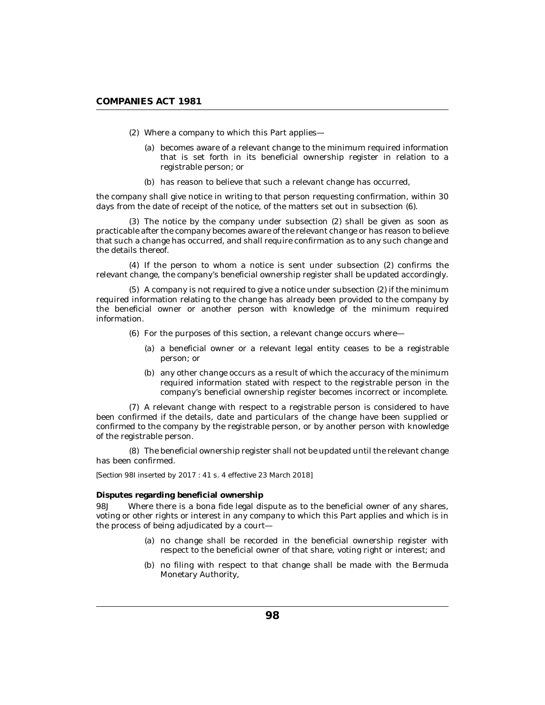- Where a company to which this Part applies— (2)
	- (a) becomes aware of a relevant change to the minimum required information that is set forth in its beneficial ownership register in relation to a registrable person; or
	- (b) has reason to believe that such a relevant change has occurred,

the company shall give notice in writing to that person requesting confirmation, within 30 days from the date of receipt of the notice, of the matters set out in subsection (6).

 $(3)$  The notice by the company under subsection  $(2)$  shall be given as soon as practicable after the company becomes aware of the relevant change or has reason to believe that such a change has occurred, and shall require confirmation as to any such change and the details thereof.

 $(4)$  If the person to whom a notice is sent under subsection  $(2)$  confirms the relevant change, the company's beneficial ownership register shall be updated accordingly.

 $(5)$  A company is not required to give a notice under subsection  $(2)$  if the minimum required information relating to the change has already been provided to the company by the beneficial owner or another person with knowledge of the minimum required information.

- (6) For the purposes of this section, a relevant change occurs where
	- a beneficial owner or a relevant legal entity ceases to be a registrable (a) person; or
	- any other change occurs as a result of which the accuracy of the minimum (b) required information stated with respect to the registrable person in the company's beneficial ownership register becomes incorrect or incomplete.

A relevant change with respect to a registrable person is considered to have (7) been confirmed if the details, date and particulars of the change have been supplied or confirmed to the company by the registrable person, or by another person with knowledge of the registrable person.

The beneficial ownership register shall not be updated until the relevant change (8) has been confirmed.

### *[Section 98I inserted by 2017 : 41 s. 4 effective 23 March 2018]*

#### **Disputes regarding beneficial ownership**

Where there is a bona fide legal dispute as to the beneficial owner of any shares, voting or other rights or interest in any company to which this Part applies and which is in the process of being adjudicated by a court— 98J

- (a) no change shall be recorded in the beneficial ownership register with respect to the beneficial owner of that share, voting right or interest; and
- (b) no filing with respect to that change shall be made with the Bermuda Monetary Authority,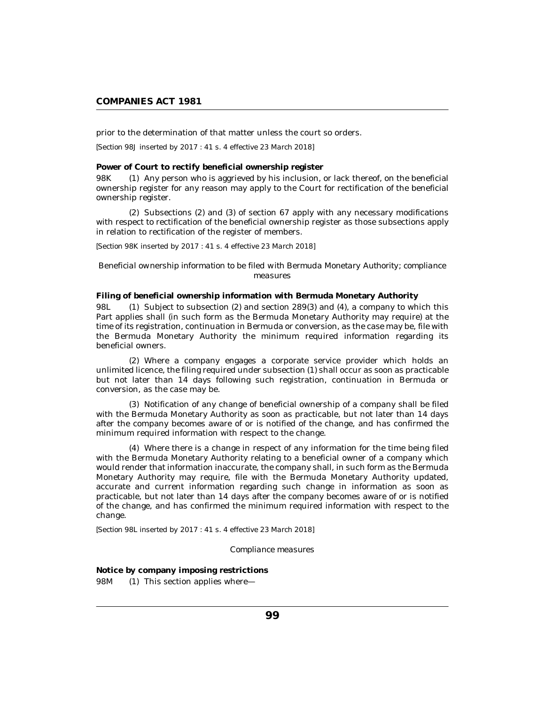prior to the determination of that matter unless the court so orders.

*[Section 98J inserted by 2017 : 41 s. 4 effective 23 March 2018]*

**Power of Court to rectify beneficial ownership register**

 $(1)$  Any person who is aggrieved by his inclusion, or lack thereof, on the beneficial ownership register for any reason may apply to the Court for rectification of the beneficial ownership register. 98K

 $(2)$  Subsections  $(2)$  and  $(3)$  of section  $67$  apply with any necessary modifications with respect to rectification of the beneficial ownership register as those subsections apply in relation to rectification of the register of members.

*[Section 98K inserted by 2017 : 41 s. 4 effective 23 March 2018]*

### *Beneficial ownership information to be filed with Bermuda Monetary Authority; compliance measures*

**Filing of beneficial ownership information with Bermuda Monetary Authority**

 $(1)$  Subject to subsection  $(2)$  and section 289 $(3)$  and  $(4)$ , a company to which this Part applies shall (in such form as the Bermuda Monetary Authority may require) at the time of its registration, continuation in Bermuda or conversion, as the case may be, file with the Bermuda Monetary Authority the minimum required information regarding its beneficial owners. 98L

Where a company engages a corporate service provider which holds an (2) unlimited licence, the filing required under subsection (1) shall occur as soon as practicable but not later than 14 days following such registration, continuation in Bermuda or conversion, as the case may be.

(3) Notification of any change of beneficial ownership of a company shall be filed with the Bermuda Monetary Authority as soon as practicable, but not later than 14 days after the company becomes aware of or is notified of the change, and has confirmed the minimum required information with respect to the change.

Where there is a change in respect of any information for the time being filed (4) with the Bermuda Monetary Authority relating to a beneficial owner of a company which would render that information inaccurate, the company shall, in such form as the Bermuda Monetary Authority may require, file with the Bermuda Monetary Authority updated, accurate and current information regarding such change in information as soon as practicable, but not later than 14 days after the company becomes aware of or is notified of the change, and has confirmed the minimum required information with respect to the change.

*[Section 98L inserted by 2017 : 41 s. 4 effective 23 March 2018]*

*Compliance measures*

**Notice by company imposing restrictions**  $(1)$  This section applies where-98M (1)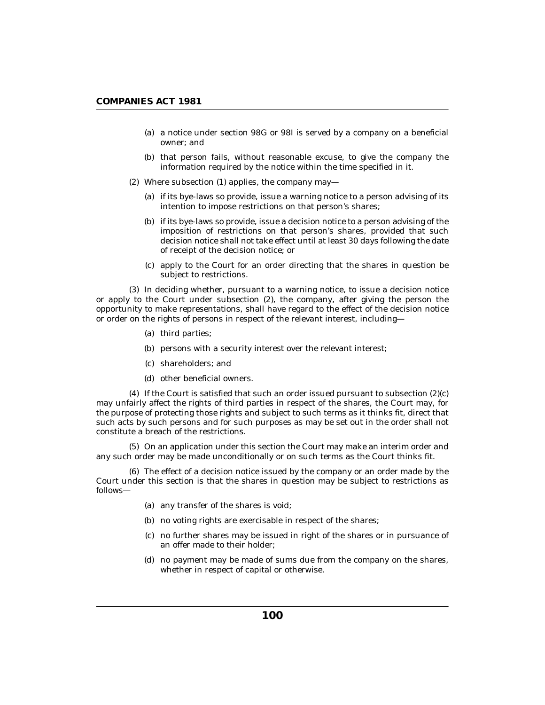- (a) a notice under section 98G or 98I is served by a company on a beneficial owner; and
- (b) that person fails, without reasonable excuse, to give the company the information required by the notice within the time specified in it.
- Where subsection (1) applies, the company may— (2)
	- (a) if its bye-laws so provide, issue a warning notice to a person advising of its intention to impose restrictions on that person's shares;
	- (b) if its bye-laws so provide, issue a decision notice to a person advising of the imposition of restrictions on that person's shares, provided that such decision notice shall not take effect until at least 30 days following the date of receipt of the decision notice; or
	- (c) apply to the Court for an order directing that the shares in question be subject to restrictions.

(3) In deciding whether, pursuant to a warning notice, to issue a decision notice or apply to the Court under subsection (2), the company, after giving the person the opportunity to make representations, shall have regard to the effect of the decision notice or order on the rights of persons in respect of the relevant interest, including—

- (a) third parties;
- (b) persons with a security interest over the relevant interest;
- shareholders; and (c)
- (d) other beneficial owners.

 $(4)$  If the Court is satisfied that such an order issued pursuant to subsection  $(2)(c)$ may unfairly affect the rights of third parties in respect of the shares, the Court may, for the purpose of protecting those rights and subject to such terms as it thinks fit, direct that such acts by such persons and for such purposes as may be set out in the order shall not constitute a breach of the restrictions.

On an application under this section the Court may make an interim order and (5) any such order may be made unconditionally or on such terms as the Court thinks fit.

The effect of a decision notice issued by the company or an order made by the (6) Court under this section is that the shares in question may be subject to restrictions as follows—

- (a) any transfer of the shares is void;
- (b) no voting rights are exercisable in respect of the shares;
- no further shares may be issued in right of the shares or in pursuance of (c) an offer made to their holder;
- no payment may be made of sums due from the company on the shares, (d) whether in respect of capital or otherwise.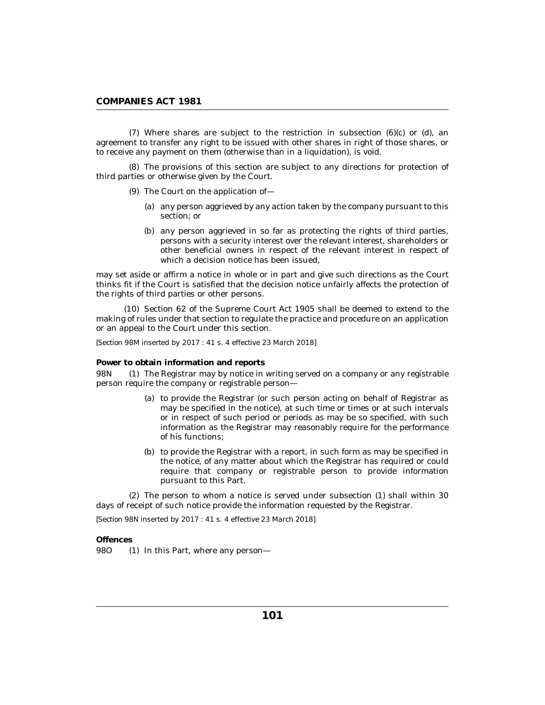(7) Where shares are subject to the restriction in subsection  $(6)(c)$  or  $(d)$ , an agreement to transfer any right to be issued with other shares in right of those shares, or to receive any payment on them (otherwise than in a liquidation), is void.

The provisions of this section are subject to any directions for protection of (8) third parties or otherwise given by the Court.

- $(9)$  The Court on the application of-
	- (a) any person aggrieved by any action taken by the company pursuant to this section; or
	- (b) any person aggrieved in so far as protecting the rights of third parties, persons with a security interest over the relevant interest, shareholders or other beneficial owners in respect of the relevant interest in respect of which a decision notice has been issued,

may set aside or affirm a notice in whole or in part and give such directions as the Court thinks fit if the Court is satisfied that the decision notice unfairly affects the protection of the rights of third parties or other persons.

 $(10)$  Section 62 of the Supreme Court Act 1905 shall be deemed to extend to the making of rules under that section to regulate the practice and procedure on an application or an appeal to the Court under this section.

*[Section 98M inserted by 2017 : 41 s. 4 effective 23 March 2018]*

**Power to obtain information and reports**

The Registrar may by notice in writing served on a company or any registrable person require the company or registrable person— 98N (1)

- (a) to provide the Registrar (or such person acting on behalf of Registrar as may be specified in the notice), at such time or times or at such intervals or in respect of such period or periods as may be so specified, with such information as the Registrar may reasonably require for the performance of his functions;
- (b) to provide the Registrar with a report, in such form as may be specified in the notice, of any matter about which the Registrar has required or could require that company or registrable person to provide information pursuant to this Part.

The person to whom a notice is served under subsection (1) shall within 30 (2) days of receipt of such notice provide the information requested by the Registrar.

*[Section 98N inserted by 2017 : 41 s. 4 effective 23 March 2018]*

#### **Offences**

 $(1)$  In this Part, where any person—  $98O$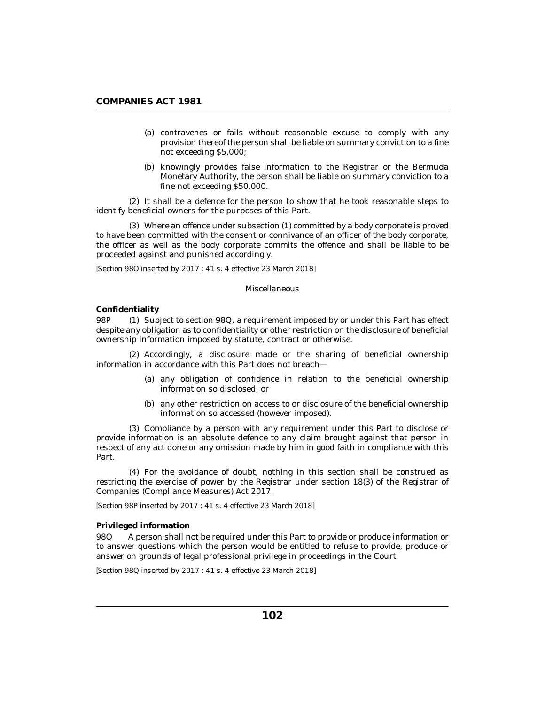- (a) contravenes or fails without reasonable excuse to comply with any provision thereof the person shall be liable on summary conviction to a fine not exceeding \$5,000;
- (b) knowingly provides false information to the Registrar or the Bermuda Monetary Authority, the person shall be liable on summary conviction to a fine not exceeding \$50,000.

 $(2)$  It shall be a defence for the person to show that he took reasonable steps to identify beneficial owners for the purposes of this Part.

Where an offence under subsection (1) committed by a body corporate is proved (3) to have been committed with the consent or connivance of an officer of the body corporate, the officer as well as the body corporate commits the offence and shall be liable to be proceeded against and punished accordingly.

*[Section 98O inserted by 2017 : 41 s. 4 effective 23 March 2018]*

### *Miscellaneous*

# **Confidentiality**

 $(1)$  Subject to section 98Q, a requirement imposed by or under this Part has effect despite any obligation as to confidentiality or other restriction on the disclosure of beneficial ownership information imposed by statute, contract or otherwise. 98P

(2) Accordingly, a disclosure made or the sharing of beneficial ownership information in accordance with this Part does not breach—

- (a) any obligation of confidence in relation to the beneficial ownership information so disclosed; or
- (b) any other restriction on access to or disclosure of the beneficial ownership information so accessed (however imposed).

Compliance by a person with any requirement under this Part to disclose or (3) provide information is an absolute defence to any claim brought against that person in respect of any act done or any omission made by him in good faith in compliance with this Part.

For the avoidance of doubt, nothing in this section shall be construed as (4) restricting the exercise of power by the Registrar under section 18(3) of the Registrar of Companies (Compliance Measures) Act 2017.

*[Section 98P inserted by 2017 : 41 s. 4 effective 23 March 2018]*

#### **Privileged information**

A person shall not be required under this Part to provide or produce information or to answer questions which the person would be entitled to refuse to provide, produce or answer on grounds of legal professional privilege in proceedings in the Court. 98Q

*[Section 98Q inserted by 2017 : 41 s. 4 effective 23 March 2018]*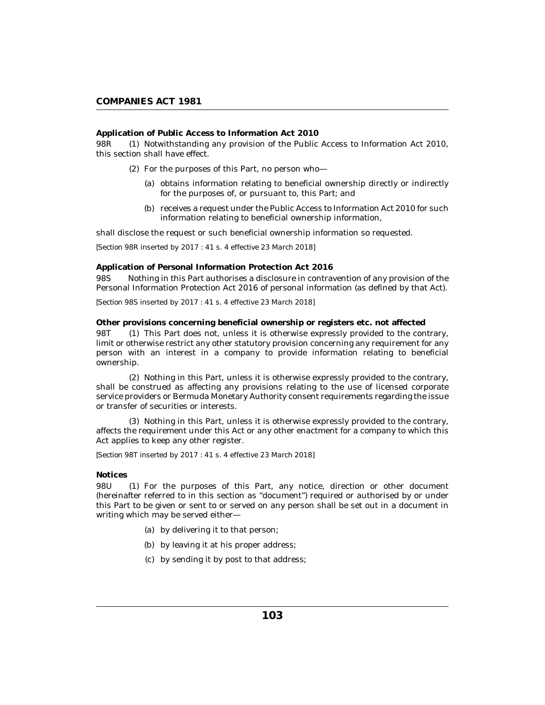**Application of Public Access to Information Act 2010**

 $(1)$  Notwithstanding any provision of the Public Access to Information Act 2010, this section shall have effect. 98R (1)

- (2) For the purposes of this Part, no person who-
	- (a) obtains information relating to beneficial ownership directly or indirectly for the purposes of, or pursuant to, this Part; and
	- (b) receives a request under the Public Access to Information Act 2010 for such information relating to beneficial ownership information,

shall disclose the request or such beneficial ownership information so requested.

*[Section 98R inserted by 2017 : 41 s. 4 effective 23 March 2018]*

**Application of Personal Information Protection Act 2016**

Nothing in this Part authorises a disclosure in contravention of any provision of the Personal Information Protection Act 2016 of personal information (as defined by that Act). 98S

*[Section 98S inserted by 2017 : 41 s. 4 effective 23 March 2018]*

**Other provisions concerning beneficial ownership or registers etc. not affected**

This Part does not, unless it is otherwise expressly provided to the contrary, limit or otherwise restrict any other statutory provision concerning any requirement for any person with an interest in a company to provide information relating to beneficial ownership. 98T (1)

(2) Nothing in this Part, unless it is otherwise expressly provided to the contrary, shall be construed as affecting any provisions relating to the use of licensed corporate service providers or Bermuda Monetary Authority consent requirements regarding the issue or transfer of securities or interests.

(3) Nothing in this Part, unless it is otherwise expressly provided to the contrary, affects the requirement under this Act or any other enactment for a company to which this Act applies to keep any other register.

*[Section 98T inserted by 2017 : 41 s. 4 effective 23 March 2018]*

**Notices**

For the purposes of this Part, any notice, direction or other document (hereinafter referred to in this section as "document") required or authorised by or under this Part to be given or sent to or served on any person shall be set out in a document in writing which may be served either— 98U (1)

- (a) by delivering it to that person;
- by leaving it at his proper address; (b)
- by sending it by post to that address; (c)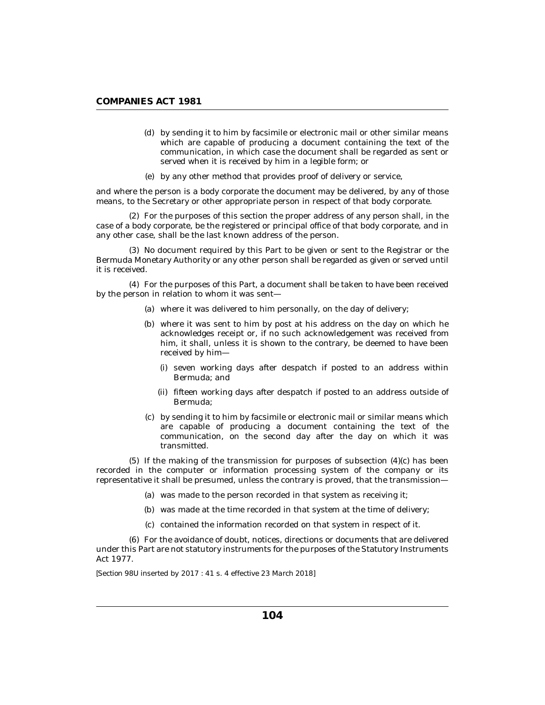- by sending it to him by facsimile or electronic mail or other similar means (d) which are capable of producing a document containing the text of the communication, in which case the document shall be regarded as sent or served when it is received by him in a legible form; or
- by any other method that provides proof of delivery or service, (e)

and where the person is a body corporate the document may be delivered, by any of those means, to the Secretary or other appropriate person in respect of that body corporate.

(2) For the purposes of this section the proper address of any person shall, in the case of a body corporate, be the registered or principal office of that body corporate, and in any other case, shall be the last known address of the person.

(3) No document required by this Part to be given or sent to the Registrar or the Bermuda Monetary Authority or any other person shall be regarded as given or served until it is received.

For the purposes of this Part, a document shall be taken to have been received (4) by the person in relation to whom it was sent—

- where it was delivered to him personally, on the day of delivery; (a)
- (b) where it was sent to him by post at his address on the day on which he acknowledges receipt or, if no such acknowledgement was received from him, it shall, unless it is shown to the contrary, be deemed to have been received by him—
	- (i) seven working days after despatch if posted to an address within Bermuda; and
	- fifteen working days after despatch if posted to an address outside of (ii) Bermuda;
- by sending it to him by facsimile or electronic mail or similar means which (c) are capable of producing a document containing the text of the communication, on the second day after the day on which it was transmitted.

 $(5)$  If the making of the transmission for purposes of subsection  $(4)(c)$  has been recorded in the computer or information processing system of the company or its representative it shall be presumed, unless the contrary is proved, that the transmission—

- was made to the person recorded in that system as receiving it; (a)
- (b) was made at the time recorded in that system at the time of delivery;
- (c) contained the information recorded on that system in respect of it.

For the avoidance of doubt, notices, directions or documents that are delivered (6) under this Part are not statutory instruments for the purposes of the Statutory Instruments Act 1977.

*[Section 98U inserted by 2017 : 41 s. 4 effective 23 March 2018]*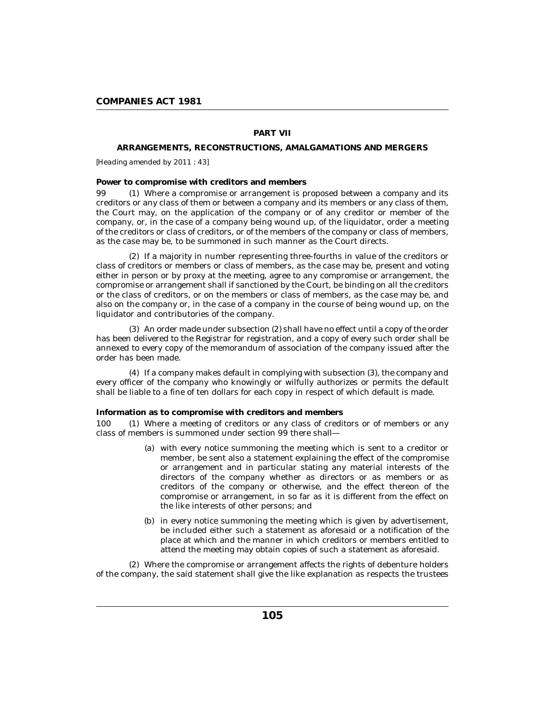# **PART VII**

## **ARRANGEMENTS, RECONSTRUCTIONS, AMALGAMATIONS AND MERGERS**

*[Heading amended by 2011 : 43]*

#### **Power to compromise with creditors and members**

99 (1) Where a compromise or arrangement is proposed between a company and its creditors or any class of them or between a company and its members or any class of them, the Court may, on the application of the company or of any creditor or member of the company, or, in the case of a company being wound up, of the liquidator, order a meeting of the creditors or class of creditors, or of the members of the company or class of members, as the case may be, to be summoned in such manner as the Court directs.

(2) If a majority in number representing three-fourths in value of the creditors or class of creditors or members or class of members, as the case may be, present and voting either in person or by proxy at the meeting, agree to any compromise or arrangement, the compromise or arrangement shall if sanctioned by the Court, be binding on all the creditors or the class of creditors, or on the members or class of members, as the case may be, and also on the company or, in the case of a company in the course of being wound up, on the liquidator and contributories of the company.

An order made under subsection (2) shall have no effect until a copy of the order (3) has been delivered to the Registrar for registration, and a copy of every such order shall be annexed to every copy of the memorandum of association of the company issued after the order has been made.

(4) If a company makes default in complying with subsection (3), the company and every officer of the company who knowingly or wilfully authorizes or permits the default shall be liable to a fine of ten dollars for each copy in respect of which default is made.

### **Information as to compromise with creditors and members**

Where a meeting of creditors or any class of creditors or of members or any class of members is summoned under section 99 there shall— 100

- with every notice summoning the meeting which is sent to a creditor or (a) member, be sent also a statement explaining the effect of the compromise or arrangement and in particular stating any material interests of the directors of the company whether as directors or as members or as creditors of the company or otherwise, and the effect thereon of the compromise or arrangement, in so far as it is different from the effect on the like interests of other persons; and
- (b) in every notice summoning the meeting which is given by advertisement, be included either such a statement as aforesaid or a notification of the place at which and the manner in which creditors or members entitled to attend the meeting may obtain copies of such a statement as aforesaid.

Where the compromise or arrangement affects the rights of debenture holders (2) of the company, the said statement shall give the like explanation as respects the trustees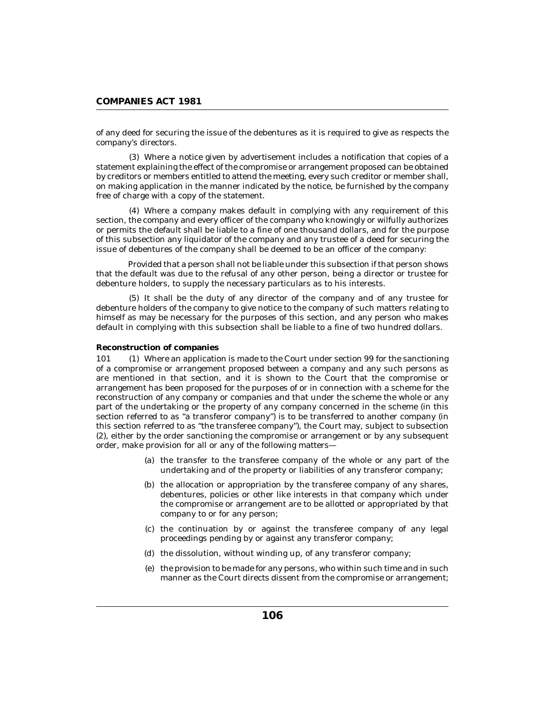of any deed for securing the issue of the debentures as it is required to give as respects the company's directors.

Where a notice given by advertisement includes a notification that copies of a (3) statement explaining the effect of the compromise or arrangement proposed can be obtained by creditors or members entitled to attend the meeting, every such creditor or member shall, on making application in the manner indicated by the notice, be furnished by the company free of charge with a copy of the statement.

Where a company makes default in complying with any requirement of this (4) section, the company and every officer of the company who knowingly or wilfully authorizes or permits the default shall be liable to a fine of one thousand dollars, and for the purpose of this subsection any liquidator of the company and any trustee of a deed for securing the issue of debentures of the company shall be deemed to be an officer of the company:

Provided that a person shall not be liable under this subsection if that person shows that the default was due to the refusal of any other person, being a director or trustee for debenture holders, to supply the necessary particulars as to his interests.

(5) It shall be the duty of any director of the company and of any trustee for debenture holders of the company to give notice to the company of such matters relating to himself as may be necessary for the purposes of this section, and any person who makes default in complying with this subsection shall be liable to a fine of two hundred dollars.

### **Reconstruction of companies**

Where an application is made to the Court under section 99 for the sanctioning of a compromise or arrangement proposed between a company and any such persons as are mentioned in that section, and it is shown to the Court that the compromise or arrangement has been proposed for the purposes of or in connection with a scheme for the reconstruction of any company or companies and that under the scheme the whole or any part of the undertaking or the property of any company concerned in the scheme (in this section referred to as "a transferor company") is to be transferred to another company (in this section referred to as "the transferee company"), the Court may, subject to subsection (2), either by the order sanctioning the compromise or arrangement or by any subsequent order, make provision for all or any of the following matters— 101 (1)

- (a) the transfer to the transferee company of the whole or any part of the undertaking and of the property or liabilities of any transferor company;
- (b) the allocation or appropriation by the transferee company of any shares, debentures, policies or other like interests in that company which under the compromise or arrangement are to be allotted or appropriated by that company to or for any person;
- (c) the continuation by or against the transferee company of any legal proceedings pending by or against any transferor company;
- (d) the dissolution, without winding up, of any transferor company;
- (e) the provision to be made for any persons, who within such time and in such manner as the Court directs dissent from the compromise or arrangement;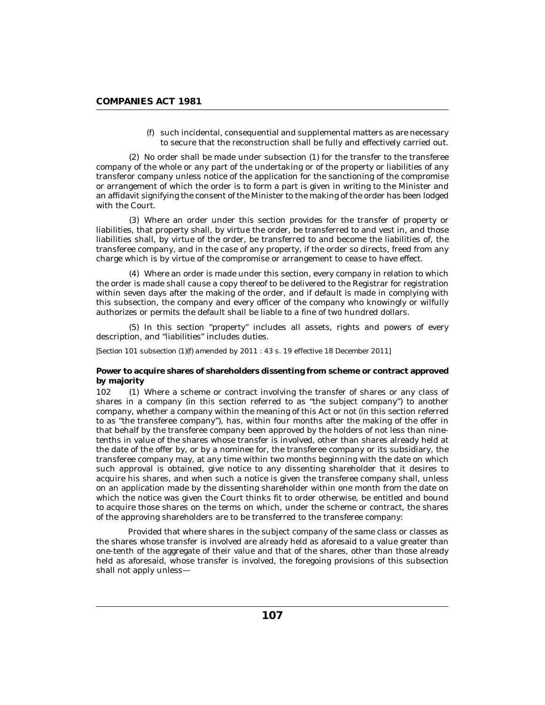such incidental, consequential and supplemental matters as are necessary (f) to secure that the reconstruction shall be fully and effectively carried out.

 $(2)$  No order shall be made under subsection  $(1)$  for the transfer to the transferee company of the whole or any part of the undertaking or of the property or liabilities of any transferor company unless notice of the application for the sanctioning of the compromise or arrangement of which the order is to form a part is given in writing to the Minister and an affidavit signifying the consent of the Minister to the making of the order has been lodged with the Court.

Where an order under this section provides for the transfer of property or (3) liabilities, that property shall, by virtue the order, be transferred to and vest in, and those liabilities shall, by virtue of the order, be transferred to and become the liabilities of, the transferee company, and in the case of any property, if the order so directs, freed from any charge which is by virtue of the compromise or arrangement to cease to have effect.

Where an order is made under this section, every company in relation to which (4) the order is made shall cause a copy thereof to be delivered to the Registrar for registration within seven days after the making of the order, and if default is made in complying with this subsection, the company and every officer of the company who knowingly or wilfully authorizes or permits the default shall be liable to a fine of two hundred dollars.

(5) In this section "property" includes all assets, rights and powers of every description, and "liabilities" includes duties.

*[Section 101 subsection (1)(f) amended by 2011 : 43 s. 19 effective 18 December 2011]*

**Power to acquire shares of shareholders dissenting from scheme or contract approved by majority**

Where a scheme or contract involving the transfer of shares or any class of shares in a company (in this section referred to as "the subject company") to another company, whether a company within the meaning of this Act or not (in this section referred to as "the transferee company"), has, within four months after the making of the offer in that behalf by the transferee company been approved by the holders of not less than ninetenths in value of the shares whose transfer is involved, other than shares already held at the date of the offer by, or by a nominee for, the transferee company or its subsidiary, the transferee company may, at any time within two months beginning with the date on which such approval is obtained, give notice to any dissenting shareholder that it desires to acquire his shares, and when such a notice is given the transferee company shall, unless on an application made by the dissenting shareholder within one month from the date on which the notice was given the Court thinks fit to order otherwise, be entitled and bound to acquire those shares on the terms on which, under the scheme or contract, the shares of the approving shareholders are to be transferred to the transferee company: 102

Provided that where shares in the subject company of the same class or classes as the shares whose transfer is involved are already held as aforesaid to a value greater than one-tenth of the aggregate of their value and that of the shares, other than those already held as aforesaid, whose transfer is involved, the foregoing provisions of this subsection shall not apply unless—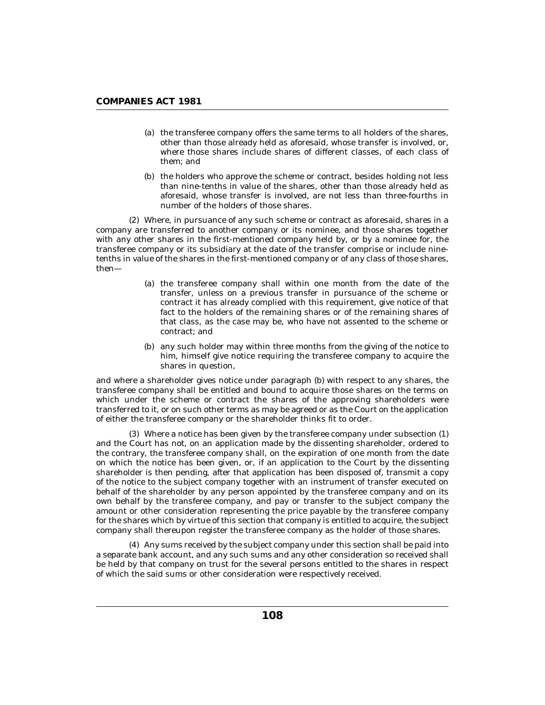- (a) the transferee company offers the same terms to all holders of the shares, other than those already held as aforesaid, whose transfer is involved, or, where those shares include shares of different classes, of each class of them; and
- (b) the holders who approve the scheme or contract, besides holding not less than nine-tenths in value of the shares, other than those already held as aforesaid, whose transfer is involved, are not less than three-fourths in number of the holders of those shares.

Where, in pursuance of any such scheme or contract as aforesaid, shares in a (2) company are transferred to another company or its nominee, and those shares together with any other shares in the first-mentioned company held by, or by a nominee for, the transferee company or its subsidiary at the date of the transfer comprise or include ninetenths in value of the shares in the first-mentioned company or of any class of those shares, then—

- (a) the transferee company shall within one month from the date of the transfer, unless on a previous transfer in pursuance of the scheme or contract it has already complied with this requirement, give notice of that fact to the holders of the remaining shares or of the remaining shares of that class, as the case may be, who have not assented to the scheme or contract; and
- (b) any such holder may within three months from the giving of the notice to him, himself give notice requiring the transferee company to acquire the shares in question,

and where a shareholder gives notice under paragraph (b) with respect to any shares, the transferee company shall be entitled and bound to acquire those shares on the terms on which under the scheme or contract the shares of the approving shareholders were transferred to it, or on such other terms as may be agreed or as the Court on the application of either the transferee company or the shareholder thinks fit to order.

Where a notice has been given by the transferee company under subsection (1) (3) and the Court has not, on an application made by the dissenting shareholder, ordered to the contrary, the transferee company shall, on the expiration of one month from the date on which the notice has been given, or, if an application to the Court by the dissenting shareholder is then pending, after that application has been disposed of, transmit a copy of the notice to the subject company together with an instrument of transfer executed on behalf of the shareholder by any person appointed by the transferee company and on its own behalf by the transferee company, and pay or transfer to the subject company the amount or other consideration representing the price payable by the transferee company for the shares which by virtue of this section that company is entitled to acquire, the subject company shall thereupon register the transferee company as the holder of those shares.

Any sums received by the subject company under this section shall be paid into (4) a separate bank account, and any such sums and any other consideration so received shall be held by that company on trust for the several persons entitled to the shares in respect of which the said sums or other consideration were respectively received.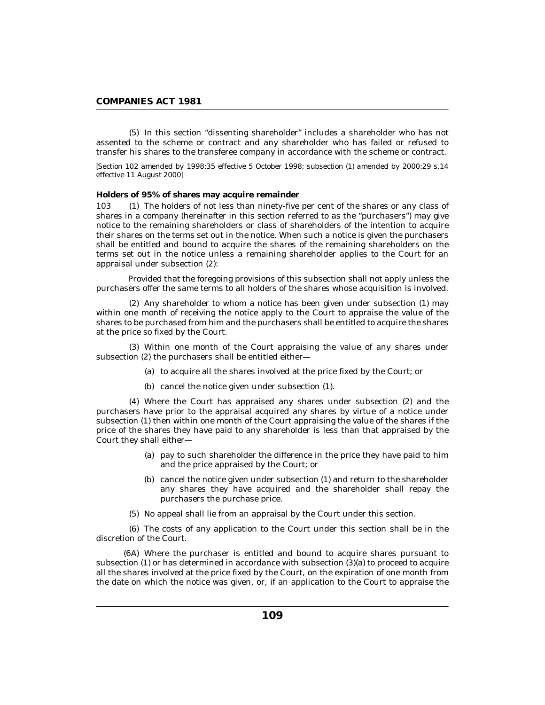(5) In this section "dissenting shareholder" includes a shareholder who has not assented to the scheme or contract and any shareholder who has failed or refused to transfer his shares to the transferee company in accordance with the scheme or contract.

*[Section 102 amended by 1998:35 effective 5 October 1998; subsection (1) amended by 2000:29 s.14 effective 11 August 2000]*

**Holders of 95% of shares may acquire remainder**

(1) The holders of not less than ninety-five per cent of the shares or any class of shares in a company (hereinafter in this section referred to as the "purchasers") may give notice to the remaining shareholders or class of shareholders of the intention to acquire their shares on the terms set out in the notice. When such a notice is given the purchasers shall be entitled and bound to acquire the shares of the remaining shareholders on the terms set out in the notice unless a remaining shareholder applies to the Court for an appraisal under subsection (2): 103

Provided that the foregoing provisions of this subsection shall not apply unless the purchasers offer the same terms to all holders of the shares whose acquisition is involved.

(2) Any shareholder to whom a notice has been given under subsection (1) may within one month of receiving the notice apply to the Court to appraise the value of the shares to be purchased from him and the purchasers shall be entitled to acquire the shares at the price so fixed by the Court.

Within one month of the Court appraising the value of any shares under (3) subsection (2) the purchasers shall be entitled either—

- (a) to acquire all the shares involved at the price fixed by the Court; or
- (b) cancel the notice given under subsection (1).

Where the Court has appraised any shares under subsection (2) and the (4) purchasers have prior to the appraisal acquired any shares by virtue of a notice under subsection (1) then within one month of the Court appraising the value of the shares if the price of the shares they have paid to any shareholder is less than that appraised by the Court they shall either—

- (a) pay to such shareholder the difference in the price they have paid to him and the price appraised by the Court; or
- (b) cancel the notice given under subsection (1) and return to the shareholder any shares they have acquired and the shareholder shall repay the purchasers the purchase price.
- (5) No appeal shall lie from an appraisal by the Court under this section.

(6) The costs of any application to the Court under this section shall be in the discretion of the Court.

Where the purchaser is entitled and bound to acquire shares pursuant to (6A) subsection (1) or has determined in accordance with subsection (3)(a) to proceed to acquire all the shares involved at the price fixed by the Court, on the expiration of one month from the date on which the notice was given, or, if an application to the Court to appraise the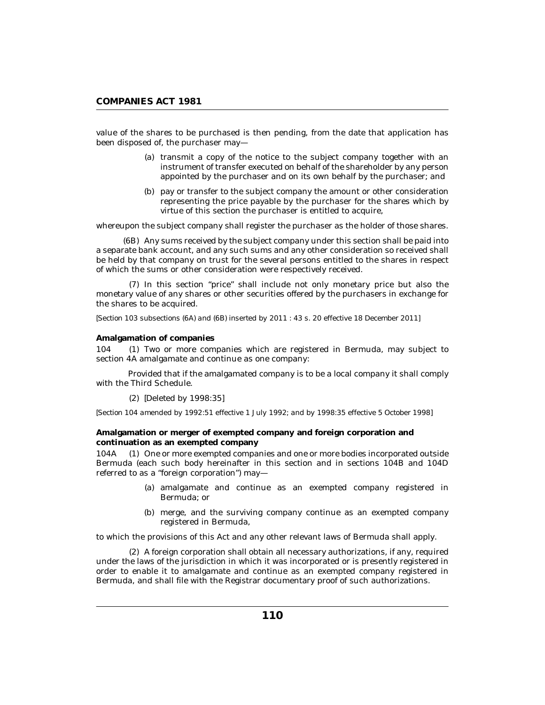value of the shares to be purchased is then pending, from the date that application has been disposed of, the purchaser may—

- (a) transmit a copy of the notice to the subject company together with an instrument of transfer executed on behalf of the shareholder by any person appointed by the purchaser and on its own behalf by the purchaser; and
- (b) pay or transfer to the subject company the amount or other consideration representing the price payable by the purchaser for the shares which by virtue of this section the purchaser is entitled to acquire,

whereupon the subject company shall register the purchaser as the holder of those shares.

(6B) Any sums received by the subject company under this section shall be paid into a separate bank account, and any such sums and any other consideration so received shall be held by that company on trust for the several persons entitled to the shares in respect of which the sums or other consideration were respectively received.

(7) In this section "price" shall include not only monetary price but also the monetary value of any shares or other securities offered by the purchasers in exchange for the shares to be acquired.

*[Section 103 subsections (6A) and (6B) inserted by 2011 : 43 s. 20 effective 18 December 2011]*

**Amalgamation of companies**

Two or more companies which are registered in Bermuda, may subject to section 4A amalgamate and continue as one company: 104

Provided that if the amalgamated company is to be a local company it shall comply with the Third Schedule.

*[Deleted by 1998:35]* (2)

*[Section 104 amended by 1992:51 effective 1 July 1992; and by 1998:35 effective 5 October 1998]*

**Amalgamation or merger of exempted company and foreign corporation and continuation as an exempted company**

One or more exempted companies and one or more bodies incorporated outside Bermuda (each such body hereinafter in this section and in sections 104B and 104D referred to as a "foreign corporation") may—  $104A$ 

- (a) amalgamate and continue as an exempted company registered in Bermuda; or
- (b) merge, and the surviving company continue as an exempted company registered in Bermuda,

to which the provisions of this Act and any other relevant laws of Bermuda shall apply.

A foreign corporation shall obtain all necessary authorizations, if any, required (2) under the laws of the jurisdiction in which it was incorporated or is presently registered in order to enable it to amalgamate and continue as an exempted company registered in Bermuda, and shall file with the Registrar documentary proof of such authorizations.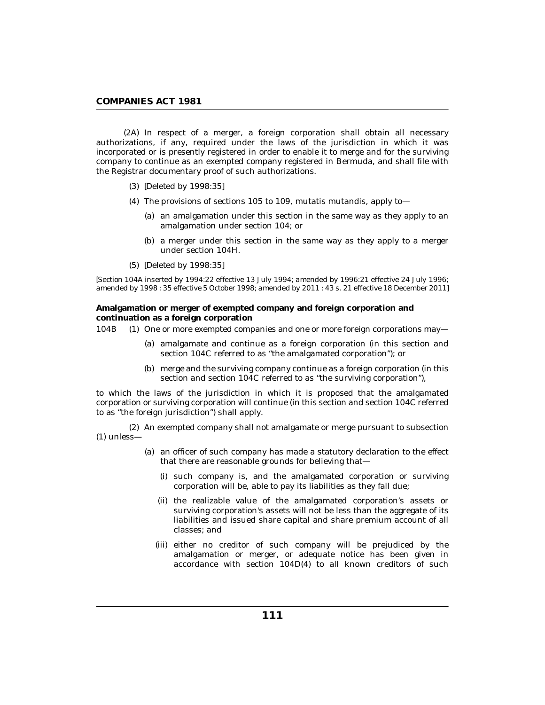## **COMPANIES ACT 1981**

(2A) In respect of a merger, a foreign corporation shall obtain all necessary authorizations, if any, required under the laws of the jurisdiction in which it was incorporated or is presently registered in order to enable it to merge and for the surviving company to continue as an exempted company registered in Bermuda, and shall file with the Registrar documentary proof of such authorizations.

- *[Deleted by 1998:35]* (3)
- The provisions of sections 105 to 109, mutatis mutandis, apply to— (4)
	- (a) an amalgamation under this section in the same way as they apply to an amalgamation under section 104; or
	- (b) a merger under this section in the same way as they apply to a merger under section 104H.
- *[Deleted by 1998:35]* (5)

*[Section 104A inserted by 1994:22 effective 13 July 1994; amended by 1996:21 effective 24 July 1996; amended by 1998 : 35 effective 5 October 1998; amended by 2011 : 43 s. 21 effective 18 December 2011]*

**Amalgamation or merger of exempted company and foreign corporation and continuation as a foreign corporation**

- $(1)$  One or more exempted companies and one or more foreign corporations may— 104B
	- (a) amalgamate and continue as a foreign corporation (in this section and section 104C referred to as "the amalgamated corporation"); or
	- (b) merge and the surviving company continue as a foreign corporation (in this section and section 104C referred to as "the surviving corporation"),

to which the laws of the jurisdiction in which it is proposed that the amalgamated corporation or surviving corporation will continue (in this section and section 104C referred to as "the foreign jurisdiction") shall apply.

An exempted company shall not amalgamate or merge pursuant to subsection (2) (1) unless—

- (a) an officer of such company has made a statutory declaration to the effect that there are reasonable grounds for believing that
	- such company is, and the amalgamated corporation or surviving (i) corporation will be, able to pay its liabilities as they fall due;
	- (ii) the realizable value of the amalgamated corporation's assets or surviving corporation's assets will not be less than the aggregate of its liabilities and issued share capital and share premium account of all classes; and
	- (iii) either no creditor of such company will be prejudiced by the amalgamation or merger, or adequate notice has been given in accordance with section 104D(4) to all known creditors of such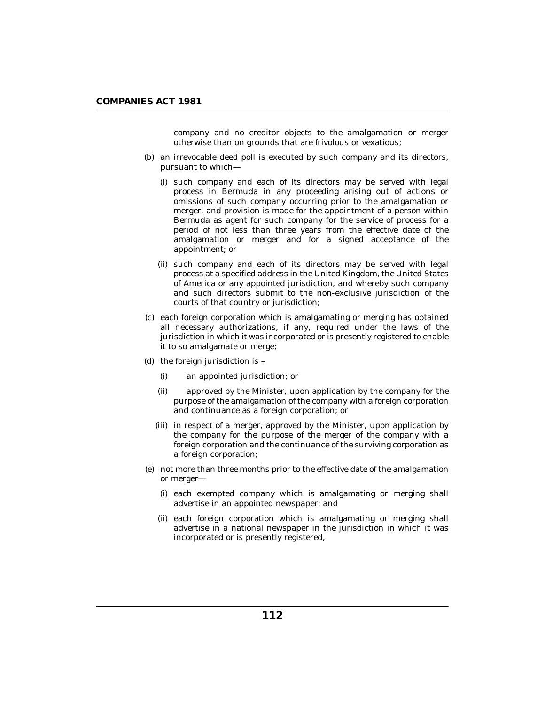company and no creditor objects to the amalgamation or merger otherwise than on grounds that are frivolous or vexatious;

- (b) an irrevocable deed poll is executed by such company and its directors, pursuant to which—
	- (i) such company and each of its directors may be served with legal process in Bermuda in any proceeding arising out of actions or omissions of such company occurring prior to the amalgamation or merger, and provision is made for the appointment of a person within Bermuda as agent for such company for the service of process for a period of not less than three years from the effective date of the amalgamation or merger and for a signed acceptance of the appointment; or
	- (ii) such company and each of its directors may be served with legal process at a specified address in the United Kingdom, the United States of America or any appointed jurisdiction, and whereby such company and such directors submit to the non-exclusive jurisdiction of the courts of that country or jurisdiction;
- (c) each foreign corporation which is amalgamating or merging has obtained all necessary authorizations, if any, required under the laws of the jurisdiction in which it was incorporated or is presently registered to enable it to so amalgamate or merge;
- (d) the foreign jurisdiction is  $$ 
	- an appointed jurisdiction; or (i)
	- approved by the Minister, upon application by the company for the purpose of the amalgamation of the company with a foreign corporation and continuance as a foreign corporation; or (ii)
	- (iii) in respect of a merger, approved by the Minister, upon application by the company for the purpose of the merger of the company with a foreign corporation and the continuance of the surviving corporation as a foreign corporation;
- not more than three months prior to the effective date of the amalgamation (e) or merger—
	- (i) each exempted company which is amalgamating or merging shall advertise in an appointed newspaper; and
	- (ii) each foreign corporation which is amalgamating or merging shall advertise in a national newspaper in the jurisdiction in which it was incorporated or is presently registered,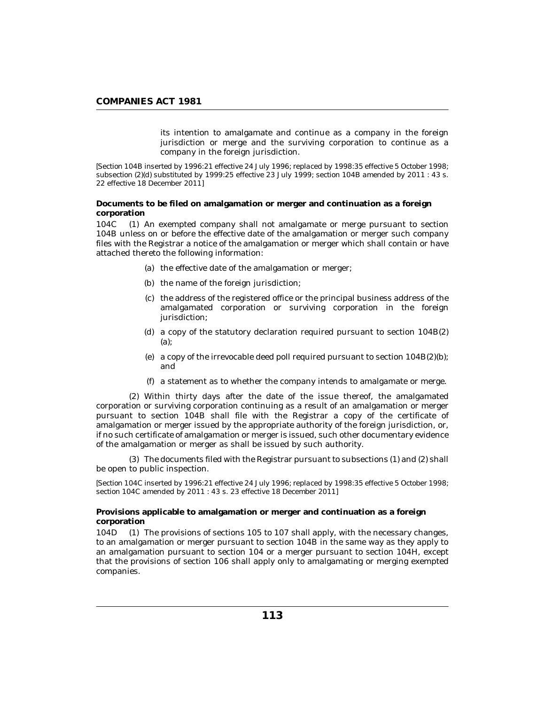its intention to amalgamate and continue as a company in the foreign jurisdiction or merge and the surviving corporation to continue as a company in the foreign jurisdiction.

*[Section 104B inserted by 1996:21 effective 24 July 1996; replaced by 1998:35 effective 5 October 1998; subsection (2)(d) substituted by 1999:25 effective 23 July 1999; section 104B amended by 2011 : 43 s. 22 effective 18 December 2011]*

**Documents to be filed on amalgamation or merger and continuation as a foreign corporation**

An exempted company shall not amalgamate or merge pursuant to section 104B unless on or before the effective date of the amalgamation or merger such company files with the Registrar a notice of the amalgamation or merger which shall contain or have attached thereto the following information: 104C

- (a) the effective date of the amalgamation or merger;
- (b) the name of the foreign jurisdiction;
- (c) the address of the registered office or the principal business address of the amalgamated corporation or surviving corporation in the foreign jurisdiction;
- (d) a copy of the statutory declaration required pursuant to section  $104B(2)$ (a);
- a copy of the irrevocable deed poll required pursuant to section 104B(2)(b); (e) and
- a statement as to whether the company intends to amalgamate or merge. (f)

Within thirty days after the date of the issue thereof, the amalgamated (2) corporation or surviving corporation continuing as a result of an amalgamation or merger pursuant to section 104B shall file with the Registrar a copy of the certificate of amalgamation or merger issued by the appropriate authority of the foreign jurisdiction, or, if no such certificate of amalgamation or merger is issued, such other documentary evidence of the amalgamation or merger as shall be issued by such authority.

The documents filed with the Registrar pursuant to subsections (1) and (2) shall (3) be open to public inspection.

*[Section 104C inserted by 1996:21 effective 24 July 1996; replaced by 1998:35 effective 5 October 1998; section 104C amended by 2011 : 43 s. 23 effective 18 December 2011]*

**Provisions applicable to amalgamation or merger and continuation as a foreign corporation**

 $(1)$  The provisions of sections 105 to 107 shall apply, with the necessary changes, to an amalgamation or merger pursuant to section 104B in the same way as they apply to an amalgamation pursuant to section 104 or a merger pursuant to section 104H, except that the provisions of section 106 shall apply only to amalgamating or merging exempted companies.  $104D$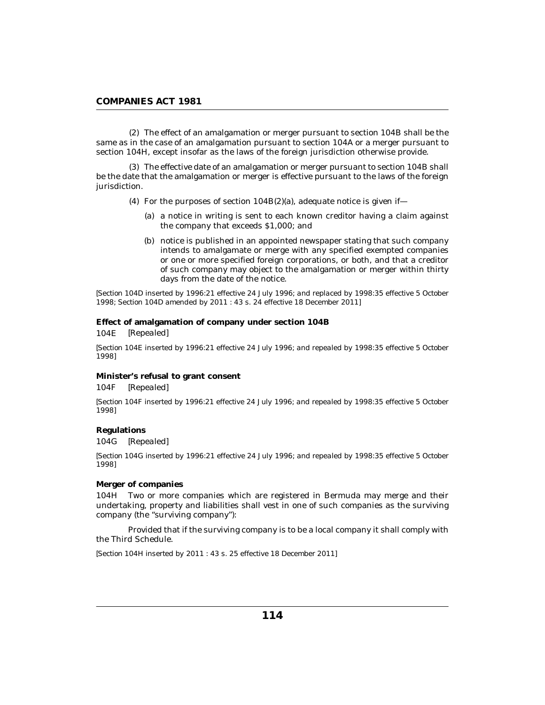The effect of an amalgamation or merger pursuant to section 104B shall be the (2) same as in the case of an amalgamation pursuant to section 104A or a merger pursuant to section 104H, except insofar as the laws of the foreign jurisdiction otherwise provide.

The effective date of an amalgamation or merger pursuant to section 104B shall (3) be the date that the amalgamation or merger is effective pursuant to the laws of the foreign jurisdiction.

- (4) For the purposes of section  $104B(2)(a)$ , adequate notice is given if-
	- (a) a notice in writing is sent to each known creditor having a claim against the company that exceeds \$1,000; and
	- (b) notice is published in an appointed newspaper stating that such company intends to amalgamate or merge with any specified exempted companies or one or more specified foreign corporations, or both, and that a creditor of such company may object to the amalgamation or merger within thirty days from the date of the notice.

*[Section 104D inserted by 1996:21 effective 24 July 1996; and replaced by 1998:35 effective 5 October 1998; Section 104D amended by 2011 : 43 s. 24 effective 18 December 2011]*

**Effect of amalgamation of company under section 104B** *[Repealed]* 104E

*[Section 104E inserted by 1996:21 effective 24 July 1996; and repealed by 1998:35 effective 5 October 1998]*

**Minister's refusal to grant consent**

*[Repealed]* 104F

*[Section 104F inserted by 1996:21 effective 24 July 1996; and repealed by 1998:35 effective 5 October 1998]*

**Regulations**

*[Repealed]* 104G

*[Section 104G inserted by 1996:21 effective 24 July 1996; and repealed by 1998:35 effective 5 October 1998]*

**Merger of companies**

Two or more companies which are registered in Bermuda may merge and their undertaking, property and liabilities shall vest in one of such companies as the surviving company (the "surviving company"): 104H

Provided that if the surviving company is to be a local company it shall comply with the Third Schedule.

*[Section 104H inserted by 2011 : 43 s. 25 effective 18 December 2011]*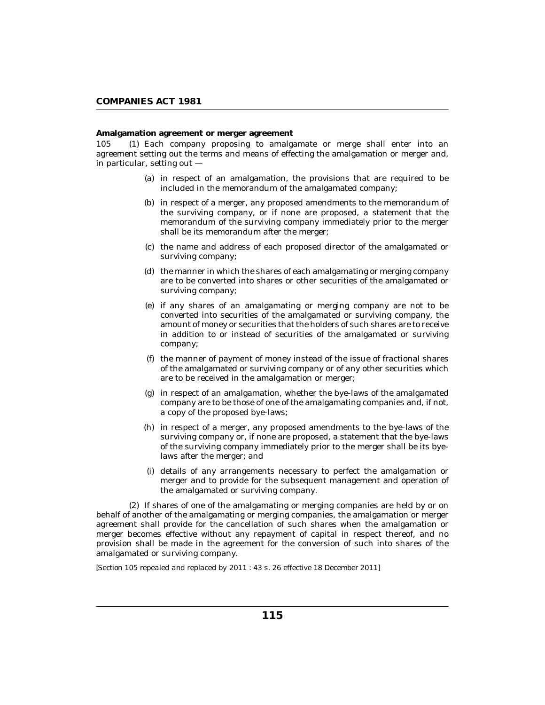**Amalgamation agreement or merger agreement**

Each company proposing to amalgamate or merge shall enter into an agreement setting out the terms and means of effecting the amalgamation or merger and, in particular, setting out — 105

- (a) in respect of an amalgamation, the provisions that are required to be included in the memorandum of the amalgamated company;
- (b) in respect of a merger, any proposed amendments to the memorandum of the surviving company, or if none are proposed, a statement that the memorandum of the surviving company immediately prior to the merger shall be its memorandum after the merger;
- (c) the name and address of each proposed director of the amalgamated or surviving company;
- (d) the manner in which the shares of each amalgamating or merging company are to be converted into shares or other securities of the amalgamated or surviving company;
- if any shares of an amalgamating or merging company are not to be (e) converted into securities of the amalgamated or surviving company, the amount of money or securities that the holders of such shares are to receive in addition to or instead of securities of the amalgamated or surviving company;
- $(f)$  the manner of payment of money instead of the issue of fractional shares of the amalgamated or surviving company or of any other securities which are to be received in the amalgamation or merger;
- (g) in respect of an amalgamation, whether the bye-laws of the amalgamated company are to be those of one of the amalgamating companies and, if not, a copy of the proposed bye-laws;
- (h) in respect of a merger, any proposed amendments to the bye-laws of the surviving company or, if none are proposed, a statement that the bye-laws of the surviving company immediately prior to the merger shall be its byelaws after the merger; and
- (i) details of any arrangements necessary to perfect the amalgamation or merger and to provide for the subsequent management and operation of the amalgamated or surviving company.

(2) If shares of one of the amalgamating or merging companies are held by or on behalf of another of the amalgamating or merging companies, the amalgamation or merger agreement shall provide for the cancellation of such shares when the amalgamation or merger becomes effective without any repayment of capital in respect thereof, and no provision shall be made in the agreement for the conversion of such into shares of the amalgamated or surviving company.

*[Section 105 repealed and replaced by 2011 : 43 s. 26 effective 18 December 2011]*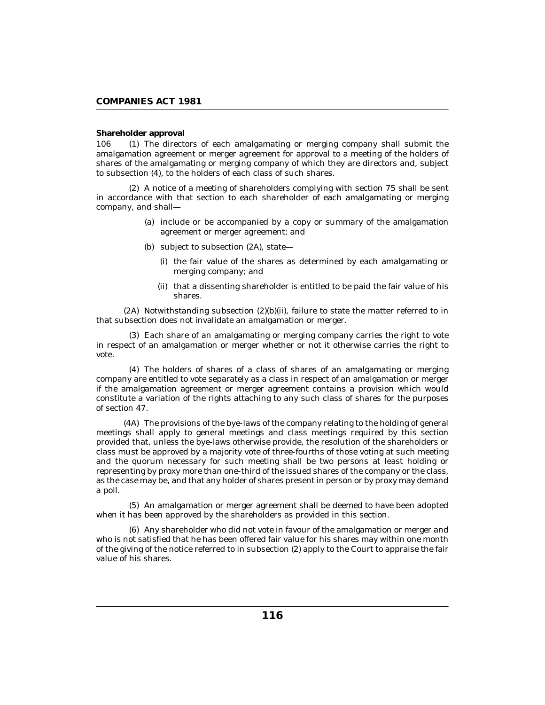#### **Shareholder approval**

The directors of each amalgamating or merging company shall submit the amalgamation agreement or merger agreement for approval to a meeting of the holders of shares of the amalgamating or merging company of which they are directors and, subject to subsection (4), to the holders of each class of such shares. 106

(2) A notice of a meeting of shareholders complying with section 75 shall be sent in accordance with that section to each shareholder of each amalgamating or merging company, and shall—

- (a) include or be accompanied by a copy or summary of the amalgamation agreement or merger agreement; and
- (b) subject to subsection (2A), state-
	- (i) the fair value of the shares as determined by each amalgamating or merging company; and
	- (ii) that a dissenting shareholder is entitled to be paid the fair value of his shares.

 $(2A)$  Notwithstanding subsection  $(2)(b)(ii)$ , failure to state the matter referred to in that subsection does not invalidate an amalgamation or merger.

Each share of an amalgamating or merging company carries the right to vote (3) in respect of an amalgamation or merger whether or not it otherwise carries the right to vote.

The holders of shares of a class of shares of an amalgamating or merging (4) company are entitled to vote separately as a class in respect of an amalgamation or merger if the amalgamation agreement or merger agreement contains a provision which would constitute a variation of the rights attaching to any such class of shares for the purposes of section 47.

(4A) The provisions of the bye-laws of the company relating to the holding of general meetings shall apply to general meetings and class meetings required by this section provided that, unless the bye-laws otherwise provide, the resolution of the shareholders or class must be approved by a majority vote of three-fourths of those voting at such meeting and the quorum necessary for such meeting shall be two persons at least holding or representing by proxy more than one-third of the issued shares of the company or the class, as the case may be, and that any holder of shares present in person or by proxy may demand a poll.

An amalgamation or merger agreement shall be deemed to have been adopted (5) when it has been approved by the shareholders as provided in this section.

(6) Any shareholder who did not vote in favour of the amalgamation or merger and who is not satisfied that he has been offered fair value for his shares may within one month of the giving of the notice referred to in subsection (2) apply to the Court to appraise the fair value of his shares.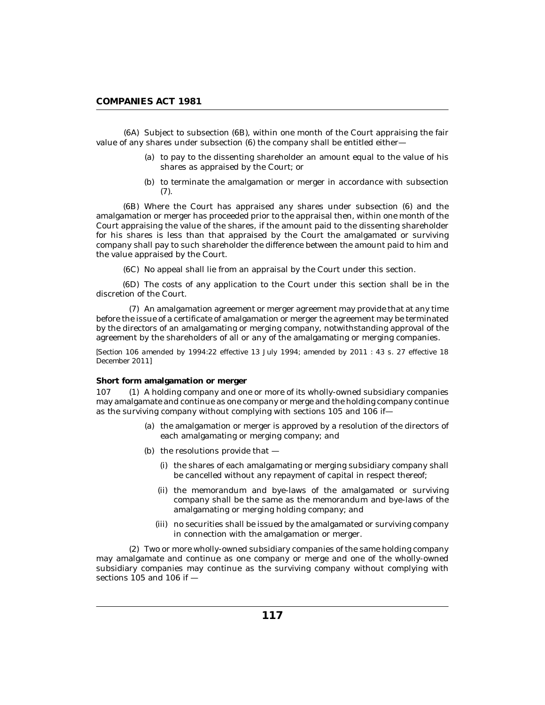(6A) Subject to subsection (6B), within one month of the Court appraising the fair value of any shares under subsection (6) the company shall be entitled either—

- (a) to pay to the dissenting shareholder an amount equal to the value of his shares as appraised by the Court; or
- (b) to terminate the amalgamation or merger in accordance with subsection  $(7).$

Where the Court has appraised any shares under subsection (6) and the (6B) amalgamation or merger has proceeded prior to the appraisal then, within one month of the Court appraising the value of the shares, if the amount paid to the dissenting shareholder for his shares is less than that appraised by the Court the amalgamated or surviving company shall pay to such shareholder the difference between the amount paid to him and the value appraised by the Court.

(6C) No appeal shall lie from an appraisal by the Court under this section.

(6D) The costs of any application to the Court under this section shall be in the discretion of the Court.

An amalgamation agreement or merger agreement may provide that at any time (7) before the issue of a certificate of amalgamation or merger the agreement may be terminated by the directors of an amalgamating or merging company, notwithstanding approval of the agreement by the shareholders of all or any of the amalgamating or merging companies.

*[Section 106 amended by 1994:22 effective 13 July 1994; amended by 2011 : 43 s. 27 effective 18 December 2011]*

**Short form amalgamation or merger**

A holding company and one or more of its wholly-owned subsidiary companies may amalgamate and continue as one company or merge and the holding company continue as the surviving company without complying with sections 105 and 106 if— 107

- (a) the amalgamation or merger is approved by a resolution of the directors of each amalgamating or merging company; and
- (b) the resolutions provide that  $-$ 
	- (i) the shares of each amalgamating or merging subsidiary company shall be cancelled without any repayment of capital in respect thereof;
	- (ii) the memorandum and bye-laws of the amalgamated or surviving company shall be the same as the memorandum and bye-laws of the amalgamating or merging holding company; and
	- (iii) no securities shall be issued by the amalgamated or surviving company in connection with the amalgamation or merger.

Two or more wholly-owned subsidiary companies of the same holding company (2) may amalgamate and continue as one company or merge and one of the wholly-owned subsidiary companies may continue as the surviving company without complying with sections 105 and 106 if —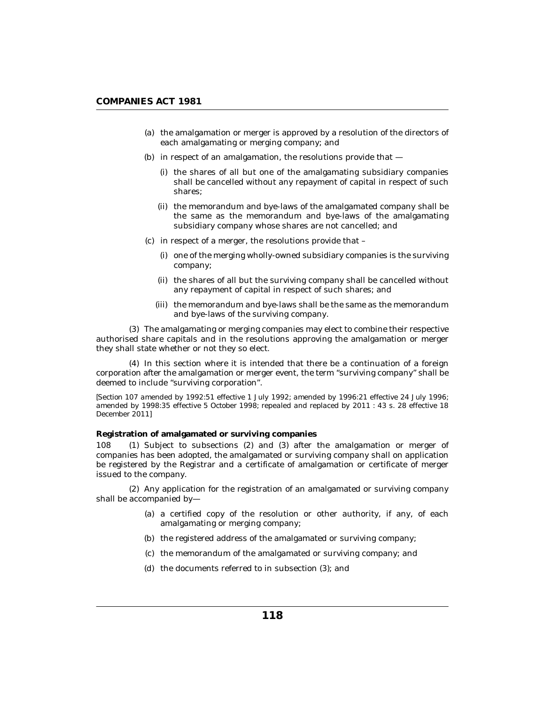- (a) the amalgamation or merger is approved by a resolution of the directors of each amalgamating or merging company; and
- (b) in respect of an amalgamation, the resolutions provide that  $-$ 
	- (i) the shares of all but one of the amalgamating subsidiary companies shall be cancelled without any repayment of capital in respect of such shares;
	- (ii) the memorandum and bye-laws of the amalgamated company shall be the same as the memorandum and bye-laws of the amalgamating subsidiary company whose shares are not cancelled; and
- (c) in respect of a merger, the resolutions provide that -
	- (i) one of the merging wholly-owned subsidiary companies is the surviving company;
	- (ii) the shares of all but the surviving company shall be cancelled without any repayment of capital in respect of such shares; and
	- (iii) the memorandum and bye-laws shall be the same as the memorandum and bye-laws of the surviving company.

The amalgamating or merging companies may elect to combine their respective (3) authorised share capitals and in the resolutions approving the amalgamation or merger they shall state whether or not they so elect.

 $(4)$  In this section where it is intended that there be a continuation of a foreign corporation after the amalgamation or merger event, the term "surviving company" shall be deemed to include "surviving corporation".

*[Section 107 amended by 1992:51 effective 1 July 1992; amended by 1996:21 effective 24 July 1996; amended by 1998:35 effective 5 October 1998; repealed and replaced by 2011 : 43 s. 28 effective 18 December 2011]*

## **Registration of amalgamated or surviving companies**

Subject to subsections (2) and (3) after the amalgamation or merger of companies has been adopted, the amalgamated or surviving company shall on application be registered by the Registrar and a certificate of amalgamation or certificate of merger issued to the company. 108

Any application for the registration of an amalgamated or surviving company (2) shall be accompanied by—

- (a) a certified copy of the resolution or other authority, if any, of each amalgamating or merging company;
- (b) the registered address of the amalgamated or surviving company;
- (c) the memorandum of the amalgamated or surviving company; and
- (d) the documents referred to in subsection (3); and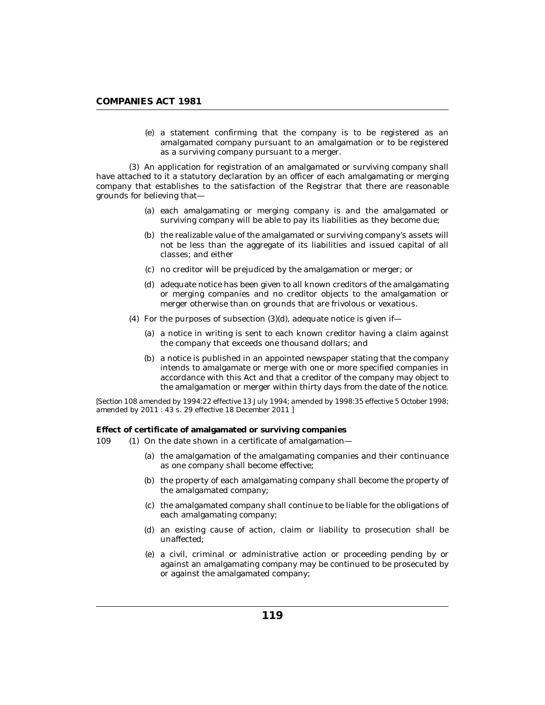a statement confirming that the company is to be registered as an (e) amalgamated company pursuant to an amalgamation or to be registered as a surviving company pursuant to a merger.

(3) An application for registration of an amalgamated or surviving company shall have attached to it a statutory declaration by an officer of each amalgamating or merging company that establishes to the satisfaction of the Registrar that there are reasonable grounds for believing that—

- (a) each amalgamating or merging company is and the amalgamated or surviving company will be able to pay its liabilities as they become due;
- (b) the realizable value of the amalgamated or surviving company's assets will not be less than the aggregate of its liabilities and issued capital of all classes; and either
- no creditor will be prejudiced by the amalgamation or merger; or (c)
- (d) adequate notice has been given to all known creditors of the amalgamating or merging companies and no creditor objects to the amalgamation or merger otherwise than on grounds that are frivolous or vexatious.
- (4) For the purposes of subsection  $(3)(d)$ , adequate notice is given if-
	- (a) a notice in writing is sent to each known creditor having a claim against the company that exceeds one thousand dollars; and
	- (b) a notice is published in an appointed newspaper stating that the company intends to amalgamate or merge with one or more specified companies in accordance with this Act and that a creditor of the company may object to the amalgamation or merger within thirty days from the date of the notice.

*[Section 108 amended by 1994:22 effective 13 July 1994; amended by 1998:35 effective 5 October 1998; amended by 2011 : 43 s. 29 effective 18 December 2011 ]*

**Effect of certificate of amalgamated or surviving companies**

- $(1)$  On the date shown in a certificate of amalgamation-109
	- (a) the amalgamation of the amalgamating companies and their continuance as one company shall become effective;
	- (b) the property of each amalgamating company shall become the property of the amalgamated company;
	- (c) the amalgamated company shall continue to be liable for the obligations of each amalgamating company;
	- (d) an existing cause of action, claim or liability to prosecution shall be unaffected;
	- a civil, criminal or administrative action or proceeding pending by or (e) against an amalgamating company may be continued to be prosecuted by or against the amalgamated company;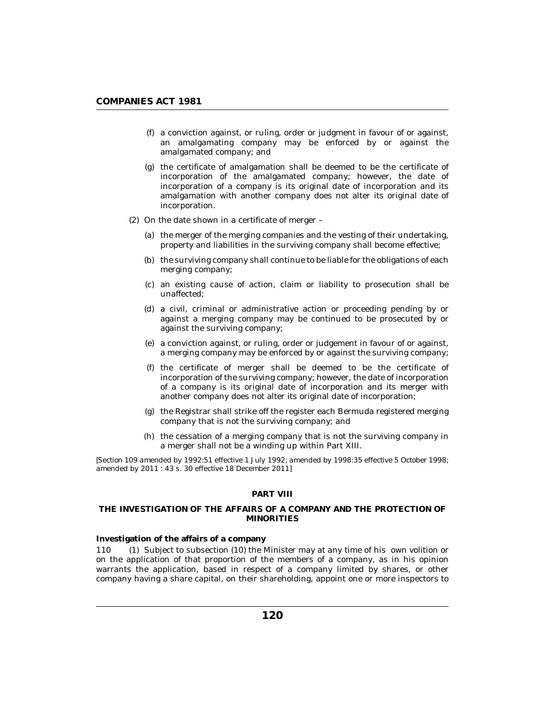- a conviction against, or ruling, order or judgment in favour of or against, (f) an amalgamating company may be enforced by or against the amalgamated company; and
- $(g)$  the certificate of amalgamation shall be deemed to be the certificate of incorporation of the amalgamated company; however, the date of incorporation of a company is its original date of incorporation and its amalgamation with another company does not alter its original date of incorporation.
- $(2)$  On the date shown in a certificate of merger -
	- (a) the merger of the merging companies and the vesting of their undertaking, property and liabilities in the surviving company shall become effective;
	- (b) the surviving company shall continue to be liable for the obligations of each merging company;
	- an existing cause of action, claim or liability to prosecution shall be (c) unaffected;
	- (d) a civil, criminal or administrative action or proceeding pending by or against a merging company may be continued to be prosecuted by or against the surviving company;
	- a conviction against, or ruling, order or judgement in favour of or against, (e) a merging company may be enforced by or against the surviving company;
	- the certificate of merger shall be deemed to be the certificate of (f) incorporation of the surviving company; however, the date of incorporation of a company is its original date of incorporation and its merger with another company does not alter its original date of incorporation;
	- (g) the Registrar shall strike off the register each Bermuda registered merging company that is not the surviving company; and
	- (h) the cessation of a merging company that is not the surviving company in a merger shall not be a winding up within Part XIII.

*[Section 109 amended by 1992:51 effective 1 July 1992; amended by 1998:35 effective 5 October 1998; amended by 2011 : 43 s. 30 effective 18 December 2011]*

# **PART VIII**

## **THE INVESTIGATION OF THE AFFAIRS OF A COMPANY AND THE PROTECTION OF MINORITIES**

# **Investigation of the affairs of a company**

 $(1)$  Subject to subsection  $(10)$  the Minister may at any time of his own volition or on the application of that proportion of the members of a company, as in his opinion warrants the application, based in respect of a company limited by shares, or other company having a share capital, on their shareholding, appoint one or more inspectors to 110 (1)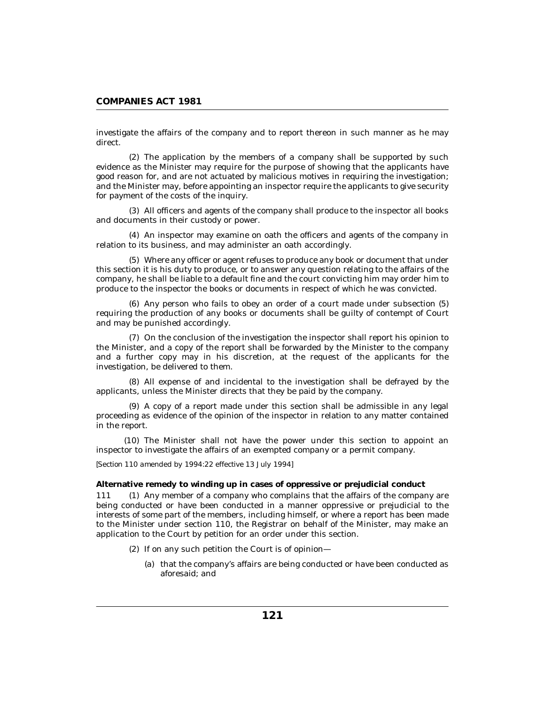investigate the affairs of the company and to report thereon in such manner as he may direct.

The application by the members of a company shall be supported by such (2) evidence as the Minister may require for the purpose of showing that the applicants have good reason for, and are not actuated by malicious motives in requiring the investigation; and the Minister may, before appointing an inspector require the applicants to give security for payment of the costs of the inquiry.

All officers and agents of the company shall produce to the inspector all books (3) and documents in their custody or power.

An inspector may examine on oath the officers and agents of the company in (4) relation to its business, and may administer an oath accordingly.

Where any officer or agent refuses to produce any book or document that under (5) this section it is his duty to produce, or to answer any question relating to the affairs of the company, he shall be liable to a default fine and the court convicting him may order him to produce to the inspector the books or documents in respect of which he was convicted.

Any person who fails to obey an order of a court made under subsection (5) (6) requiring the production of any books or documents shall be guilty of contempt of Court and may be punished accordingly.

(7) On the conclusion of the investigation the inspector shall report his opinion to the Minister, and a copy of the report shall be forwarded by the Minister to the company and a further copy may in his discretion, at the request of the applicants for the investigation, be delivered to them.

All expense of and incidental to the investigation shall be defrayed by the (8) applicants, unless the Minister directs that they be paid by the company.

A copy of a report made under this section shall be admissible in any legal (9) proceeding as evidence of the opinion of the inspector in relation to any matter contained in the report.

(10) The Minister shall not have the power under this section to appoint an inspector to investigate the affairs of an exempted company or a permit company.

*[Section 110 amended by 1994:22 effective 13 July 1994]*

**Alternative remedy to winding up in cases of oppressive or prejudicial conduct**

Any member of a company who complains that the affairs of the company are being conducted or have been conducted in a manner oppressive or prejudicial to the interests of some part of the members, including himself, or where a report has been made to the Minister under section 110, the Registrar on behalf of the Minister, may make an application to the Court by petition for an order under this section. 111

- (2) If on any such petition the Court is of opinion—
	- (a) that the company's affairs are being conducted or have been conducted as aforesaid; and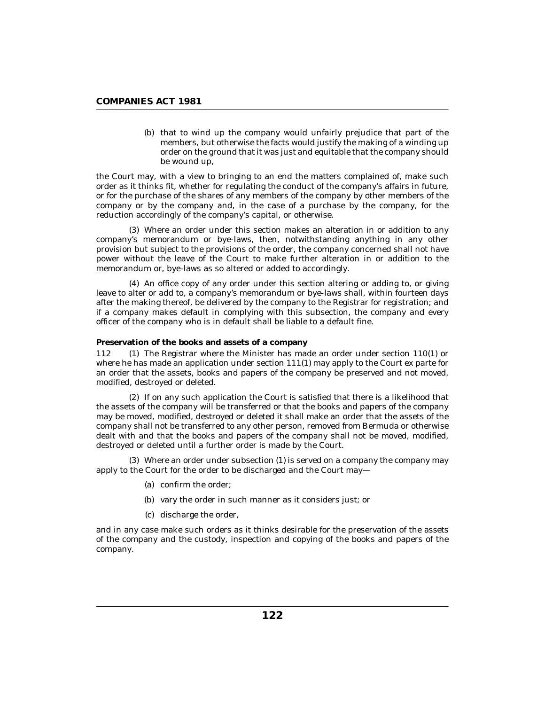(b) that to wind up the company would unfairly prejudice that part of the members, but otherwise the facts would justify the making of a winding up order on the ground that it was just and equitable that the company should be wound up,

the Court may, with a view to bringing to an end the matters complained of, make such order as it thinks fit, whether for regulating the conduct of the company's affairs in future, or for the purchase of the shares of any members of the company by other members of the company or by the company and, in the case of a purchase by the company, for the reduction accordingly of the company's capital, or otherwise.

Where an order under this section makes an alteration in or addition to any (3) company's memorandum or bye-laws, then, notwithstanding anything in any other provision but subject to the provisions of the order, the company concerned shall not have power without the leave of the Court to make further alteration in or addition to the memorandum or, bye-laws as so altered or added to accordingly.

An office copy of any order under this section altering or adding to, or giving (4) leave to alter or add to, a company's memorandum or bye-laws shall, within fourteen days after the making thereof, be delivered by the company to the Registrar for registration; and if a company makes default in complying with this subsection, the company and every officer of the company who is in default shall be liable to a default fine.

**Preservation of the books and assets of a company**

 $(1)$  The Registrar where the Minister has made an order under section  $110(1)$  or where he has made an application under section 111(1) may apply to the Court ex parte for an order that the assets, books and papers of the company be preserved and not moved, modified, destroyed or deleted. 112

 $(2)$  If on any such application the Court is satisfied that there is a likelihood that the assets of the company will be transferred or that the books and papers of the company may be moved, modified, destroyed or deleted it shall make an order that the assets of the company shall not be transferred to any other person, removed from Bermuda or otherwise dealt with and that the books and papers of the company shall not be moved, modified, destroyed or deleted until a further order is made by the Court.

Where an order under subsection (1) is served on a company the company may (3) apply to the Court for the order to be discharged and the Court may—

- (a) confirm the order;
- (b) vary the order in such manner as it considers just; or
- (c) discharge the order,

and in any case make such orders as it thinks desirable for the preservation of the assets of the company and the custody, inspection and copying of the books and papers of the company.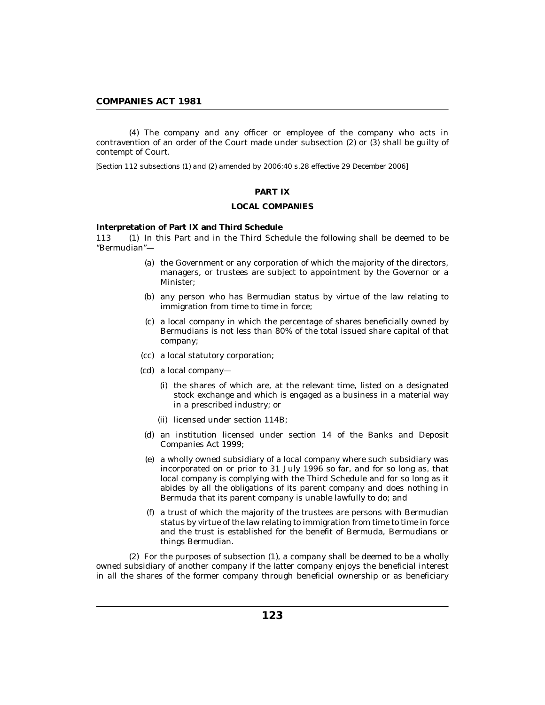The company and any officer or employee of the company who acts in (4) contravention of an order of the Court made under subsection (2) or (3) shall be guilty of contempt of Court.

*[Section 112 subsections (1) and (2) amended by 2006:40 s.28 effective 29 December 2006]*

## **PART IX**

#### **LOCAL COMPANIES**

**Interpretation of Part IX and Third Schedule**

In this Part and in the Third Schedule the following shall be deemed to be "Bermudian"— 113

- (a) the Government or any corporation of which the majority of the directors, managers, or trustees are subject to appointment by the Governor or a Minister;
- (b) any person who has Bermudian status by virtue of the law relating to immigration from time to time in force;
- a local company in which the percentage of shares beneficially owned by (c) Bermudians is not less than 80% of the total issued share capital of that company;
- a local statutory corporation; (cc)
- a local company— (cd)
	- (i) the shares of which are, at the relevant time, listed on a designated stock exchange and which is engaged as a business in a material way in a prescribed industry; or
	- (ii) licensed under section 114B;
- an institution licensed under section 14 of the Banks and Deposit (d) Companies Act 1999;
- (e) a wholly owned subsidiary of a local company where such subsidiary was incorporated on or prior to 31 July 1996 so far, and for so long as, that local company is complying with the Third Schedule and for so long as it abides by all the obligations of its parent company and does nothing in Bermuda that its parent company is unable lawfully to do; and
- a trust of which the majority of the trustees are persons with Bermudian (f) status by virtue of the law relating to immigration from time to time in force and the trust is established for the benefit of Bermuda, Bermudians or things Bermudian.

 $(2)$  For the purposes of subsection  $(1)$ , a company shall be deemed to be a wholly owned subsidiary of another company if the latter company enjoys the beneficial interest in all the shares of the former company through beneficial ownership or as beneficiary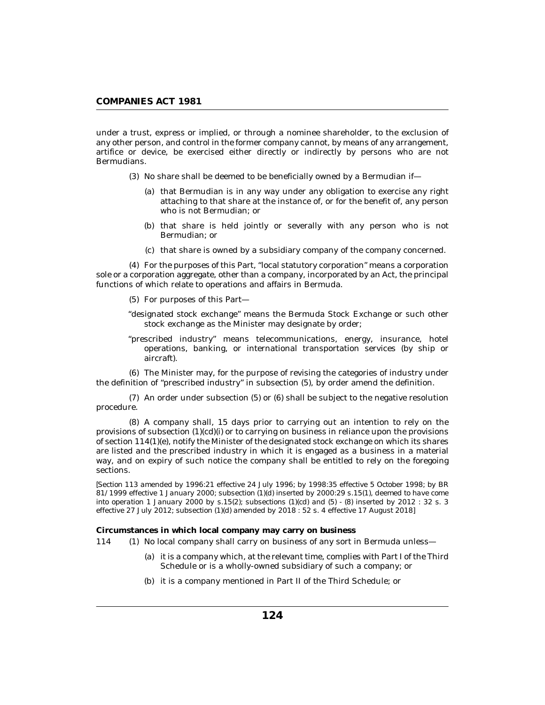under a trust, express or implied, or through a nominee shareholder, to the exclusion of any other person, and control in the former company cannot, by means of any arrangement, artifice or device, be exercised either directly or indirectly by persons who are not Bermudians.

- (3) No share shall be deemed to be beneficially owned by a Bermudian if-
	- (a) that Bermudian is in any way under any obligation to exercise any right attaching to that share at the instance of, or for the benefit of, any person who is not Bermudian; or
	- (b) that share is held jointly or severally with any person who is not Bermudian; or
	- (c) that share is owned by a subsidiary company of the company concerned.

For the purposes of this Part, "local statutory corporation" means a corporation (4) sole or a corporation aggregate, other than a company, incorporated by an Act, the principal functions of which relate to operations and affairs in Bermuda.

For purposes of this Part— (5)

- "designated stock exchange" means the Bermuda Stock Exchange or such other stock exchange as the Minister may designate by order;
- "prescribed industry" means telecommunications, energy, insurance, hotel operations, banking, or international transportation services (by ship or aircraft).

The Minister may, for the purpose of revising the categories of industry under (6) the definition of "prescribed industry" in subsection (5), by order amend the definition.

 $(7)$  An order under subsection  $(5)$  or  $(6)$  shall be subject to the negative resolution procedure.

A company shall, 15 days prior to carrying out an intention to rely on the (8) provisions of subsection (1)(cd)(i) or to carrying on business in reliance upon the provisions of section 114(1)(e), notify the Minister of the designated stock exchange on which its shares are listed and the prescribed industry in which it is engaged as a business in a material way, and on expiry of such notice the company shall be entitled to rely on the foregoing sections.

*[Section 113 amended by 1996:21 effective 24 July 1996; by 1998:35 effective 5 October 1998; by BR 81/1999 effective 1 January 2000; subsection (1)(d) inserted by 2000:29 s.15(1), deemed to have come into operation 1 January 2000 by s.15(2); subsections (1)(cd) and (5) - (8) inserted by 2012 : 32 s. 3 effective 27 July 2012; subsection (1)(d) amended by 2018 : 52 s. 4 effective 17 August 2018]*

**Circumstances in which local company may carry on business**

- No local company shall carry on business of any sort in Bermuda unless— 114
	- it is a company which, at the relevant time, complies with Part I of the Third (a) Schedule or is a wholly-owned subsidiary of such a company; or
	- (b) it is a company mentioned in Part II of the Third Schedule; or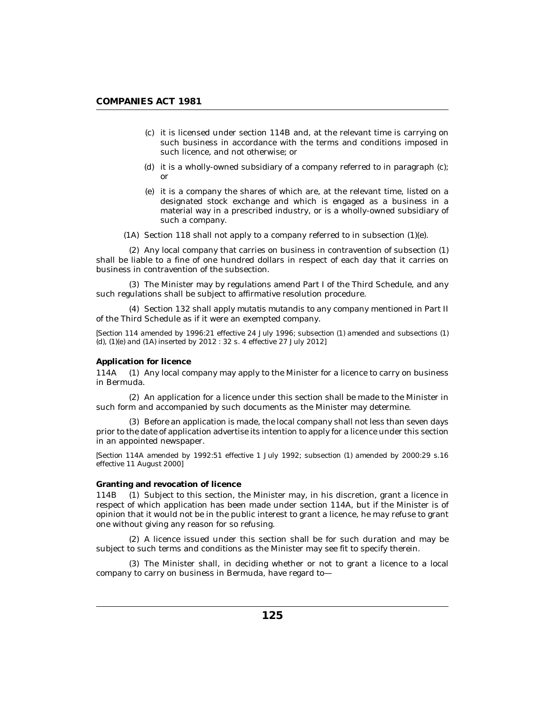- it is licensed under section 114B and, at the relevant time is carrying on (c) such business in accordance with the terms and conditions imposed in such licence, and not otherwise; or
- it is a wholly-owned subsidiary of a company referred to in paragraph (c); (d) or
- it is a company the shares of which are, at the relevant time, listed on a (e) designated stock exchange and which is engaged as a business in a material way in a prescribed industry, or is a wholly-owned subsidiary of such a company.
- $(1A)$  Section 118 shall not apply to a company referred to in subsection  $(1)(e)$ .

(2) Any local company that carries on business in contravention of subsection (1) shall be liable to a fine of one hundred dollars in respect of each day that it carries on business in contravention of the subsection.

The Minister may by regulations amend Part I of the Third Schedule, and any (3) such regulations shall be subject to affirmative resolution procedure.

(4) Section 132 shall apply *mutatis mutandis* to any company mentioned in Part II of the Third Schedule as if it were an exempted company.

*[Section 114 amended by 1996:21 effective 24 July 1996; subsection (1) amended and subsections (1) (d), (1)(e) and (1A) inserted by 2012 : 32 s. 4 effective 27 July 2012]*

#### **Application for licence**

Any local company may apply to the Minister for a licence to carry on business in Bermuda. 114A

An application for a licence under this section shall be made to the Minister in (2) such form and accompanied by such documents as the Minister may determine.

(3) Before an application is made, the local company shall not less than seven days prior to the date of application advertise its intention to apply for a licence under this section in an appointed newspaper.

*[Section 114A amended by 1992:51 effective 1 July 1992; subsection (1) amended by 2000:29 s.16 effective 11 August 2000]*

#### **Granting and revocation of licence**

Subject to this section, the Minister may, in his discretion, grant a licence in respect of which application has been made under section 114A, but if the Minister is of opinion that it would not be in the public interest to grant a licence, he may refuse to grant one without giving any reason for so refusing. 114B (1)

A licence issued under this section shall be for such duration and may be (2) subject to such terms and conditions as the Minister may see fit to specify therein.

The Minister shall, in deciding whether or not to grant a licence to a local (3) company to carry on business in Bermuda, have regard to—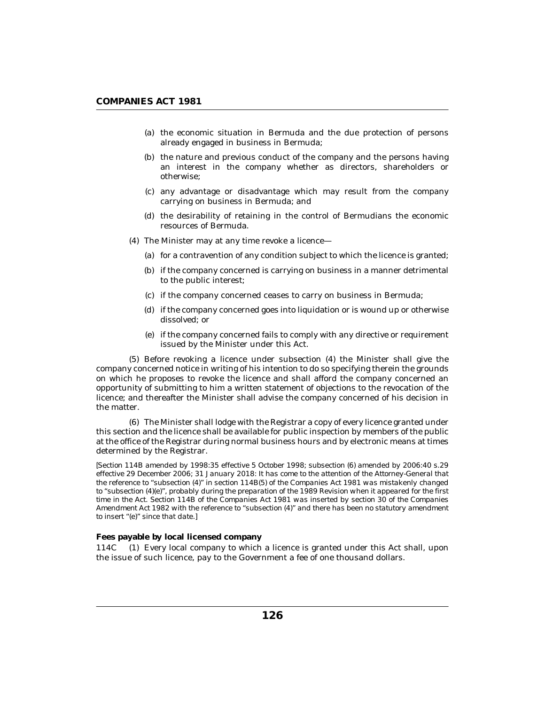- (a) the economic situation in Bermuda and the due protection of persons already engaged in business in Bermuda;
- (b) the nature and previous conduct of the company and the persons having an interest in the company whether as directors, shareholders or otherwise;
- any advantage or disadvantage which may result from the company (c) carrying on business in Bermuda; and
- (d) the desirability of retaining in the control of Bermudians the economic resources of Bermuda.
- (4) The Minister may at any time revoke a licence-
	- (a) for a contravention of any condition subject to which the licence is granted;
	- (b) if the company concerned is carrying on business in a manner detrimental to the public interest;
	- (c) if the company concerned ceases to carry on business in Bermuda;
	- if the company concerned goes into liquidation or is wound up or otherwise (d) dissolved; or
	- if the company concerned fails to comply with any directive or requirement (e) issued by the Minister under this Act.

Before revoking a licence under subsection (4) the Minister shall give the (5) company concerned notice in writing of his intention to do so specifying therein the grounds on which he proposes to revoke the licence and shall afford the company concerned an opportunity of submitting to him a written statement of objections to the revocation of the licence; and thereafter the Minister shall advise the company concerned of his decision in the matter.

The Minister shall lodge with the Registrar a copy of every licence granted under (6) this section and the licence shall be available for public inspection by members of the public at the office of the Registrar during normal business hours and by electronic means at times determined by the Registrar.

*[Section 114B amended by 1998:35 effective 5 October 1998; subsection (6) amended by 2006:40 s.29 effective 29 December 2006; 31 January 2018: It has come to the attention of the Attorney-General that the reference to "subsection (4)" in section 114B(5) of the Companies Act 1981 was mistakenly changed to "subsection (4)(e)", probably during the preparation of the 1989 Revision when it appeared for the first time in the Act. Section 114B of the Companies Act 1981 was inserted by section 30 of the Companies Amendment Act 1982 with the reference to "subsection (4)" and there has been no statutory amendment to insert "(e)" since that date.]*

**Fees payable by local licensed company**

Every local company to which a licence is granted under this Act shall, upon the issue of such licence, pay to the Government a fee of one thousand dollars. 114C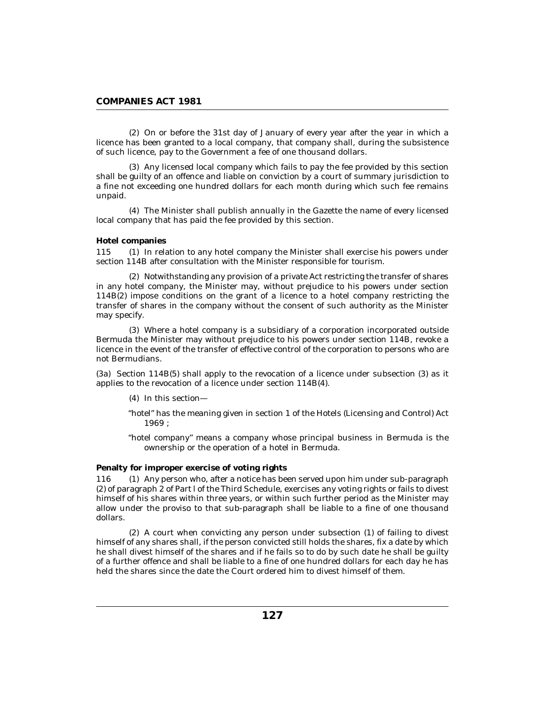(2) On or before the 31st day of January of every year after the year in which a licence has been granted to a local company, that company shall, during the subsistence of such licence, pay to the Government a fee of one thousand dollars.

Any licensed local company which fails to pay the fee provided by this section (3) shall be guilty of an offence and liable on conviction by a court of summary jurisdiction to a fine not exceeding one hundred dollars for each month during which such fee remains unpaid.

The Minister shall publish annually in the Gazette the name of every licensed (4) local company that has paid the fee provided by this section.

#### **Hotel companies**

In relation to any hotel company the Minister shall exercise his powers under section 114B after consultation with the Minister responsible for tourism. 115

(2) Notwithstanding any provision of a private Act restricting the transfer of shares in any hotel company, the Minister may, without prejudice to his powers under section 114B(2) impose conditions on the grant of a licence to a hotel company restricting the transfer of shares in the company without the consent of such authority as the Minister may specify.

Where a hotel company is a subsidiary of a corporation incorporated outside (3) Bermuda the Minister may without prejudice to his powers under section 114B, revoke a licence in the event of the transfer of effective control of the corporation to persons who are not Bermudians.

(3a) Section 114B(5) shall apply to the revocation of a licence under subsection (3) as it applies to the revocation of a licence under section 114B(4).

(4) In this section—

- "hotel" has the meaning given in section 1 of the Hotels (Licensing and Control) Act 1969 ;
- "hotel company" means a company whose principal business in Bermuda is the ownership or the operation of a hotel in Bermuda.

**Penalty for improper exercise of voting rights**

Any person who, after a notice has been served upon him under sub-paragraph (2) of paragraph 2 of Part l of the Third Schedule, exercises any voting rights or fails to divest himself of his shares within three years, or within such further period as the Minister may allow under the proviso to that sub-paragraph shall be liable to a fine of one thousand dollars. 116

 $(2)$  A court when convicting any person under subsection  $(1)$  of failing to divest himself of any shares shall, if the person convicted still holds the shares, fix a date by which he shall divest himself of the shares and if he fails so to do by such date he shall be guilty of a further offence and shall be liable to a fine of one hundred dollars for each day he has held the shares since the date the Court ordered him to divest himself of them.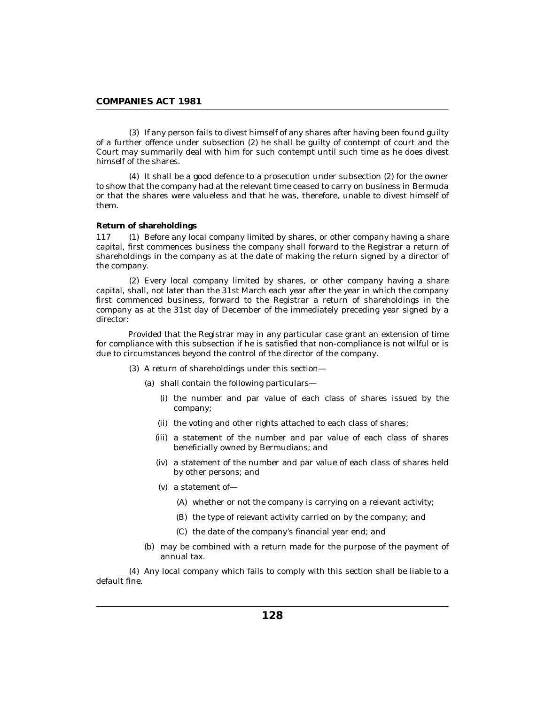(3) If any person fails to divest himself of any shares after having been found guilty of a further offence under subsection (2) he shall be guilty of contempt of court and the Court may summarily deal with him for such contempt until such time as he does divest himself of the shares.

 $(4)$  It shall be a good defence to a prosecution under subsection  $(2)$  for the owner to show that the company had at the relevant time ceased to carry on business in Bermuda or that the shares were valueless and that he was, therefore, unable to divest himself of them.

#### **Return of shareholdings**

 $(1)$  Before any local company limited by shares, or other company having a share capital, first commences business the company shall forward to the Registrar a return of shareholdings in the company as at the date of making the return signed by a director of the company. 117

Every local company limited by shares, or other company having a share (2) capital, shall, not later than the 31st March each year after the year in which the company first commenced business, forward to the Registrar a return of shareholdings in the company as at the 31st day of December of the immediately preceding year signed by a director:

Provided that the Registrar may in any particular case grant an extension of time for compliance with this subsection if he is satisfied that non-compliance is not wilful or is due to circumstances beyond the control of the director of the company.

- (3) A return of shareholdings under this section—
	- (a) shall contain the following particulars—
		- (i) the number and par value of each class of shares issued by the company;
		- (ii) the voting and other rights attached to each class of shares;
		- (iii) a statement of the number and par value of each class of shares beneficially owned by Bermudians; and
		- (iv) a statement of the number and par value of each class of shares held by other persons; and
		- a statement of— (v)
			- whether or not the company is carrying on a relevant activity; (A)
			- (B) the type of relevant activity carried on by the company; and
			- (C) the date of the company's financial year end; and
	- (b) may be combined with a return made for the purpose of the payment of annual tax.

Any local company which fails to comply with this section shall be liable to a (4) default fine.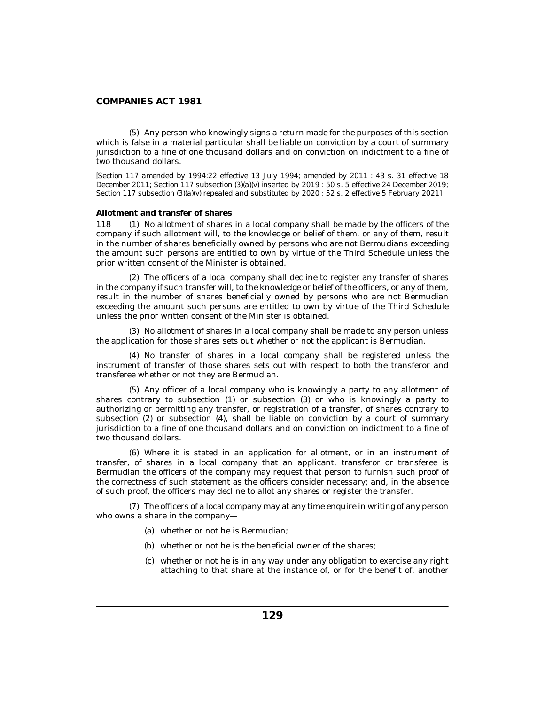Any person who knowingly signs a return made for the purposes of this section (5) which is false in a material particular shall be liable on conviction by a court of summary jurisdiction to a fine of one thousand dollars and on conviction on indictment to a fine of two thousand dollars.

*[Section 117 amended by 1994:22 effective 13 July 1994; amended by 2011 : 43 s. 31 effective 18 December 2011; Section 117 subsection (3)(a)(v) inserted by 2019 : 50 s. 5 effective 24 December 2019; Section 117 subsection (3)(a)(v) repealed and substituted by 2020 : 52 s. 2 effective 5 February 2021]*

#### **Allotment and transfer of shares**

118 (1) No allotment of shares in a local company shall be made by the officers of the company if such allotment will, to the knowledge or belief of them, or any of them, result in the number of shares beneficially owned by persons who are not Bermudians exceeding the amount such persons are entitled to own by virtue of the Third Schedule unless the prior written consent of the Minister is obtained.

The officers of a local company shall decline to register any transfer of shares (2) in the company if such transfer will, to the knowledge or belief of the officers, or any of them, result in the number of shares beneficially owned by persons who are not Bermudian exceeding the amount such persons are entitled to own by virtue of the Third Schedule unless the prior written consent of the Minister is obtained.

(3) No allotment of shares in a local company shall be made to any person unless the application for those shares sets out whether or not the applicant is Bermudian.

(4) No transfer of shares in a local company shall be registered unless the instrument of transfer of those shares sets out with respect to both the transferor and transferee whether or not they are Bermudian.

(5) Any officer of a local company who is knowingly a party to any allotment of shares contrary to subsection (1) or subsection (3) or who is knowingly a party to authorizing or permitting any transfer, or registration of a transfer, of shares contrary to subsection (2) or subsection (4), shall be liable on conviction by a court of summary jurisdiction to a fine of one thousand dollars and on conviction on indictment to a fine of two thousand dollars.

Where it is stated in an application for allotment, or in an instrument of (6) transfer, of shares in a local company that an applicant, transferor or transferee is Bermudian the officers of the company may request that person to furnish such proof of the correctness of such statement as the officers consider necessary; and, in the absence of such proof, the officers may decline to allot any shares or register the transfer.

The officers of a local company may at any time enquire in writing of any person (7) who owns a share in the company—

- whether or not he is Bermudian; (a)
- whether or not he is the beneficial owner of the shares; (b)
- (c) whether or not he is in any way under any obligation to exercise any right attaching to that share at the instance of, or for the benefit of, another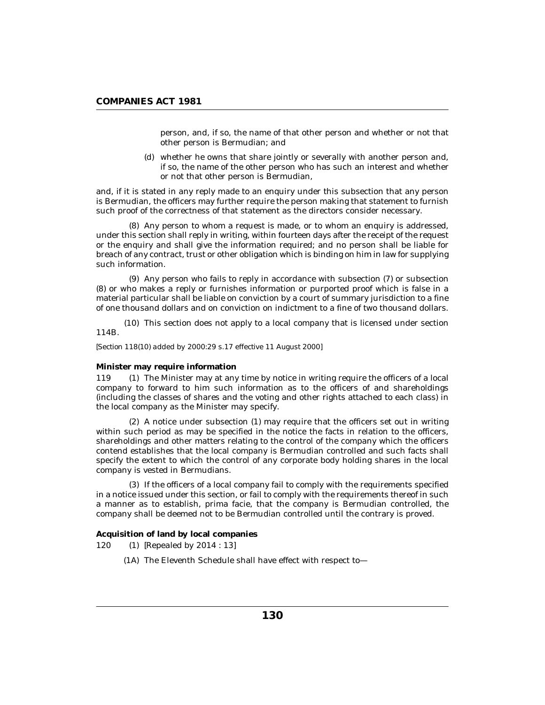person, and, if so, the name of that other person and whether or not that other person is Bermudian; and

whether he owns that share jointly or severally with another person and, (d) if so, the name of the other person who has such an interest and whether or not that other person is Bermudian,

and, if it is stated in any reply made to an enquiry under this subsection that any person is Bermudian, the officers may further require the person making that statement to furnish such proof of the correctness of that statement as the directors consider necessary.

Any person to whom a request is made, or to whom an enquiry is addressed, (8) under this section shall reply in writing, within fourteen days after the receipt of the request or the enquiry and shall give the information required; and no person shall be liable for breach of any contract, trust or other obligation which is binding on him in law for supplying such information.

Any person who fails to reply in accordance with subsection (7) or subsection (9) (8) or who makes a reply or furnishes information or purported proof which is false in a material particular shall be liable on conviction by a court of summary jurisdiction to a fine of one thousand dollars and on conviction on indictment to a fine of two thousand dollars.

 $(10)$  This section does not apply to a local company that is licensed under section 114B.

*[Section 118(10) added by 2000:29 s.17 effective 11 August 2000]*

#### **Minister may require information**

The Minister may at any time by notice in writing require the officers of a local company to forward to him such information as to the officers of and shareholdings (including the classes of shares and the voting and other rights attached to each class) in the local company as the Minister may specify. 119 (1)

 $(2)$  A notice under subsection  $(1)$  may require that the officers set out in writing within such period as may be specified in the notice the facts in relation to the officers, shareholdings and other matters relating to the control of the company which the officers contend establishes that the local company is Bermudian controlled and such facts shall specify the extent to which the control of any corporate body holding shares in the local company is vested in Bermudians.

(3) If the officers of a local company fail to comply with the requirements specified in a notice issued under this section, or fail to comply with the requirements thereof in such a manner as to establish, prima facie, that the company is Bermudian controlled, the company shall be deemed not to be Bermudian controlled until the contrary is proved.

**Acquisition of land by local companies** *[Repealed by 2014 : 13]* 120

 $(1A)$  The Eleventh Schedule shall have effect with respect to-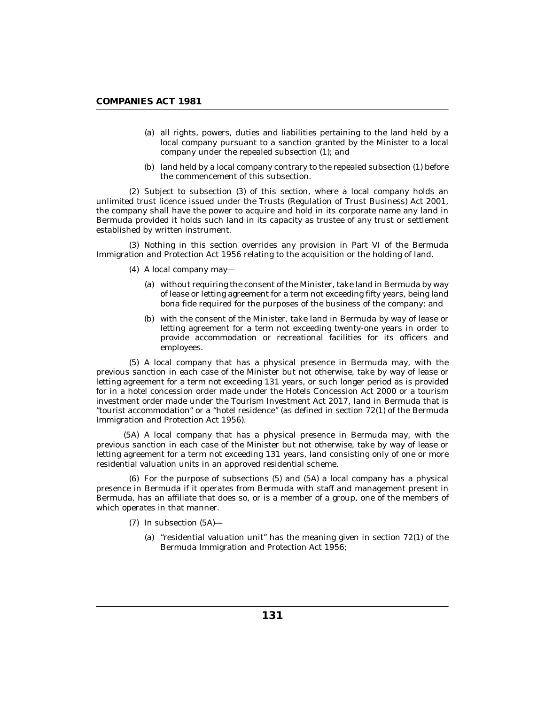- all rights, powers, duties and liabilities pertaining to the land held by a (a) local company pursuant to a sanction granted by the Minister to a local company under the repealed subsection (1); and
- $(b)$  land held by a local company contrary to the repealed subsection  $(1)$  before the commencement of this subsection.

(2) Subject to subsection (3) of this section, where a local company holds an unlimited trust licence issued under the Trusts (Regulation of Trust Business) Act 2001, the company shall have the power to acquire and hold in its corporate name any land in Bermuda provided it holds such land in its capacity as trustee of any trust or settlement established by written instrument.

(3) Nothing in this section overrides any provision in Part VI of the Bermuda Immigration and Protection Act 1956 relating to the acquisition or the holding of land.

- A local company may— (4)
	- without requiring the consent of the Minister, take land in Bermuda by way (a) of lease or letting agreement for a term not exceeding fifty years, being land bona fide required for the purposes of the business of the company; and
	- (b) with the consent of the Minister, take land in Bermuda by way of lease or letting agreement for a term not exceeding twenty-one years in order to provide accommodation or recreational facilities for its officers and employees.

A local company that has a physical presence in Bermuda may, with the (5) previous sanction in each case of the Minister but not otherwise, take by way of lease or letting agreement for a term not exceeding 131 years, or such longer period as is provided for in a hotel concession order made under the Hotels Concession Act 2000 or a tourism investment order made under the Tourism Investment Act 2017, land in Bermuda that is "tourist accommodation" or a "hotel residence" (as defined in section 72(1) of the Bermuda Immigration and Protection Act 1956).

(5A) A local company that has a physical presence in Bermuda may, with the previous sanction in each case of the Minister but not otherwise, take by way of lease or letting agreement for a term not exceeding 131 years, land consisting only of one or more residential valuation units in an approved residential scheme.

For the purpose of subsections (5) and (5A) a local company has a physical (6) presence in Bermuda if it operates from Bermuda with staff and management present in Bermuda, has an affiliate that does so, or is a member of a group, one of the members of which operates in that manner.

- $(7)$  In subsection  $(5A)$ 
	- (a) "residential valuation unit" has the meaning given in section  $72(1)$  of the Bermuda Immigration and Protection Act 1956;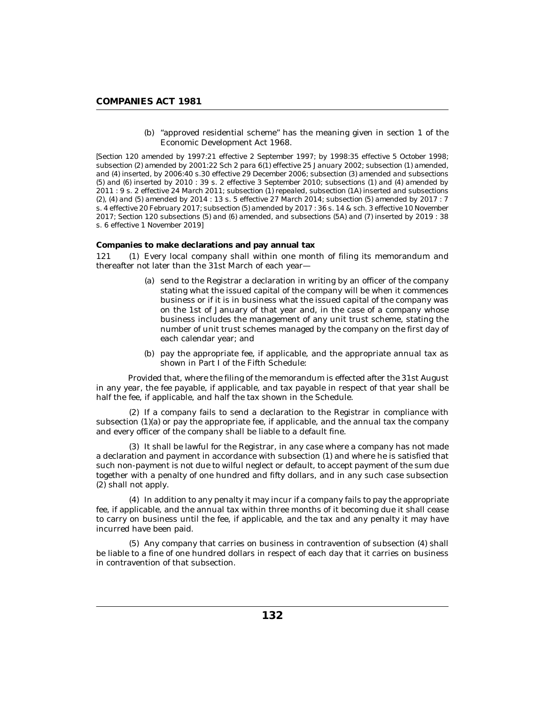(b) "approved residential scheme" has the meaning given in section 1 of the Economic Development Act 1968.

*[Section 120 amended by 1997:21 effective 2 September 1997; by 1998:35 effective 5 October 1998; subsection (2) amended by 2001:22 Sch 2 para 6(1) effective 25 January 2002; subsection (1) amended, and (4) inserted, by 2006:40 s.30 effective 29 December 2006; subsection (3) amended and subsections (5) and (6) inserted by 2010 : 39 s. 2 effective 3 September 2010; subsections (1) and (4) amended by 2011 : 9 s. 2 effective 24 March 2011; subsection (1) repealed, subsection (1A) inserted and subsections (2), (4) and (5) amended by 2014 : 13 s. 5 effective 27 March 2014; subsection (5) amended by 2017 : 7 s. 4 effective 20 February 2017; subsection (5) amended by 2017 : 36 s. 14 & sch. 3 effective 10 November 2017; Section 120 subsections (5) and (6) amended, and subsections (5A) and (7) inserted by 2019 : 38 s. 6 effective 1 November 2019]*

**Companies to make declarations and pay annual tax**

121 (1) Every local company shall within one month of filing its memorandum and thereafter not later than the 31st March of each year—

- (a) send to the Registrar a declaration in writing by an officer of the company stating what the issued capital of the company will be when it commences business or if it is in business what the issued capital of the company was on the 1st of January of that year and, in the case of a company whose business includes the management of any unit trust scheme, stating the number of unit trust schemes managed by the company on the first day of each calendar year; and
- (b) pay the appropriate fee, if applicable, and the appropriate annual tax as shown in Part I of the Fifth Schedule:

Provided that, where the filing of the memorandum is effected after the 31st August in any year, the fee payable, if applicable, and tax payable in respect of that year shall be half the fee, if applicable, and half the tax shown in the Schedule.

 $(2)$  If a company fails to send a declaration to the Registrar in compliance with subsection (1)(a) or pay the appropriate fee, if applicable, and the annual tax the company and every officer of the company shall be liable to a default fine.

(3) It shall be lawful for the Registrar, in any case where a company has not made a declaration and payment in accordance with subsection (1) and where he is satisfied that such non-payment is not due to wilful neglect or default, to accept payment of the sum due together with a penalty of one hundred and fifty dollars, and in any such case subsection (2) shall not apply.

(4) In addition to any penalty it may incur if a company fails to pay the appropriate fee, if applicable, and the annual tax within three months of it becoming due it shall cease to carry on business until the fee, if applicable, and the tax and any penalty it may have incurred have been paid.

(5) Any company that carries on business in contravention of subsection (4) shall be liable to a fine of one hundred dollars in respect of each day that it carries on business in contravention of that subsection.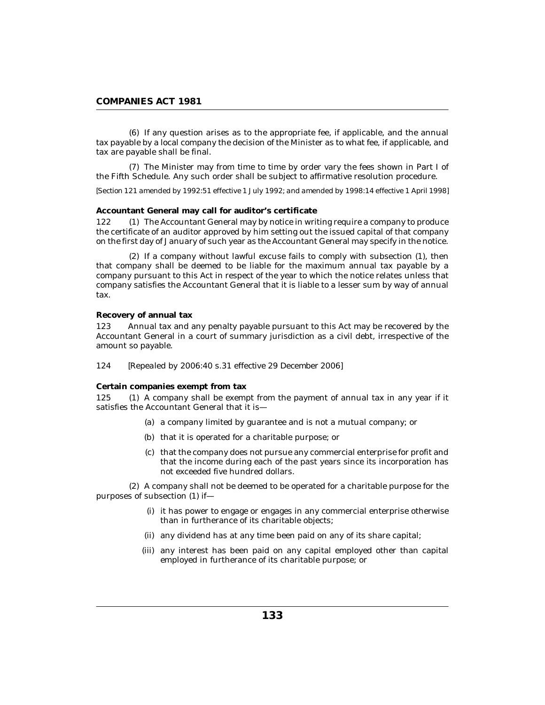$(6)$  If any question arises as to the appropriate fee, if applicable, and the annual tax payable by a local company the decision of the Minister as to what fee, if applicable, and tax are payable shall be final.

(7) The Minister may from time to time by order vary the fees shown in Part I of the Fifth Schedule. Any such order shall be subject to affirmative resolution procedure.

*[Section 121 amended by 1992:51 effective 1 July 1992; and amended by 1998:14 effective 1 April 1998]*

#### **Accountant General may call for auditor's certificate**

The Accountant General may by notice in writing require a company to produce the certificate of an auditor approved by him setting out the issued capital of that company on the first day of January of such year as the Accountant General may specify in the notice. 122

 $(2)$  If a company without lawful excuse fails to comply with subsection  $(1)$ , then that company shall be deemed to be liable for the maximum annual tax payable by a company pursuant to this Act in respect of the year to which the notice relates unless that company satisfies the Accountant General that it is liable to a lesser sum by way of annual tax.

## **Recovery of annual tax**

Annual tax and any penalty payable pursuant to this Act may be recovered by the Accountant General in a court of summary jurisdiction as a civil debt, irrespective of the amount so payable. 123

#### *[Repealed by 2006:40 s.31 effective 29 December 2006]* 124

**Certain companies exempt from tax**

 $(1)$  A company shall be exempt from the payment of annual tax in any year if it satisfies the Accountant General that it is— 125

- (a) a company limited by guarantee and is not a mutual company; or
- (b) that it is operated for a charitable purpose; or
- (c) that the company does not pursue any commercial enterprise for profit and that the income during each of the past years since its incorporation has not exceeded five hundred dollars.

A company shall not be deemed to be operated for a charitable purpose for the (2) purposes of subsection (1) if—

- (i) it has power to engage or engages in any commercial enterprise otherwise than in furtherance of its charitable objects;
- (ii) any dividend has at any time been paid on any of its share capital;
- (iii) any interest has been paid on any capital employed other than capital employed in furtherance of its charitable purpose; or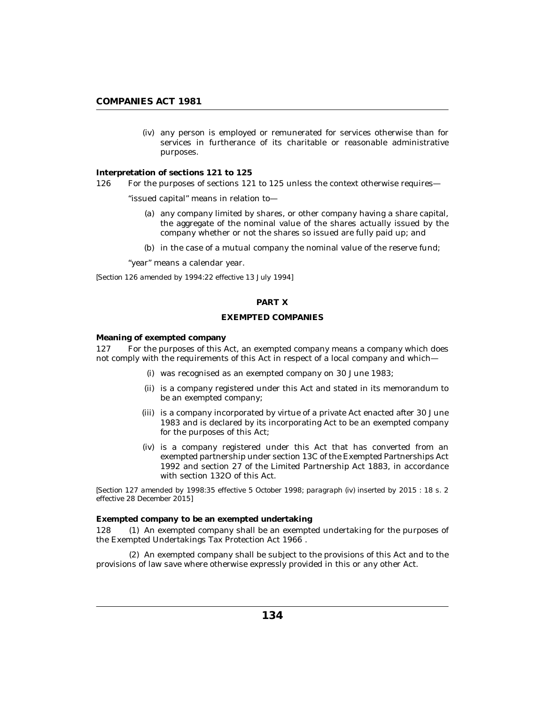(iv) any person is employed or remunerated for services otherwise than for services in furtherance of its charitable or reasonable administrative purposes.

**Interpretation of sections 121 to 125**

For the purposes of sections 121 to 125 unless the context otherwise requires— 126

"issued capital" means in relation to—

- (a) any company limited by shares, or other company having a share capital, the aggregate of the nominal value of the shares actually issued by the company whether or not the shares so issued are fully paid up; and
- (b) in the case of a mutual company the nominal value of the reserve fund;

"year" means a calendar year.

*[Section 126 amended by 1994:22 effective 13 July 1994]*

## **PART X**

## **EXEMPTED COMPANIES**

**Meaning of exempted company**

For the purposes of this Act, an exempted company means a company which does not comply with the requirements of this Act in respect of a local company and which— 127

- was recognised as an exempted company on 30 June 1983; (i)
- (ii) is a company registered under this Act and stated in its memorandum to be an exempted company;
- (iii) is a company incorporated by virtue of a private Act enacted after 30 June 1983 and is declared by its incorporating Act to be an exempted company for the purposes of this Act;
- (iv) is a company registered under this Act that has converted from an exempted partnership under section 13C of the Exempted Partnerships Act 1992 and section 27 of the Limited Partnership Act 1883, in accordance with section 132O of this Act.

*[Section 127 amended by 1998:35 effective 5 October 1998; paragraph (iv) inserted by 2015 : 18 s. 2 effective 28 December 2015]*

**Exempted company to be an exempted undertaking**

An exempted company shall be an exempted undertaking for the purposes of the Exempted Undertakings Tax Protection Act 1966 . 128

An exempted company shall be subject to the provisions of this Act and to the (2) provisions of law save where otherwise expressly provided in this or any other Act.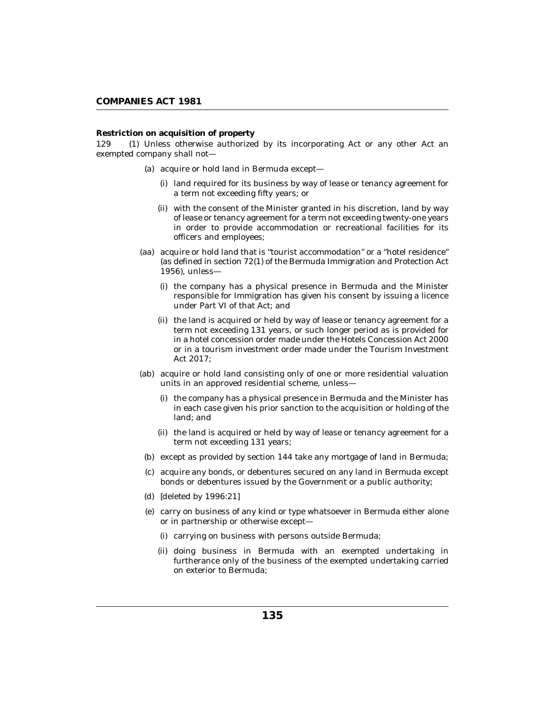**Restriction on acquisition of property**

Unless otherwise authorized by its incorporating Act or any other Act an exempted company shall not— 129

- (a) acquire or hold land in Bermuda except—
	- (i) land required for its business by way of lease or tenancy agreement for a term not exceeding fifty years; or
	- (ii) with the consent of the Minister granted in his discretion, land by way of lease or tenancy agreement for a term not exceeding twenty-one years in order to provide accommodation or recreational facilities for its officers and employees;
- (aa) acquire or hold land that is "tourist accommodation" or a "hotel residence" (as defined in section 72(1) of the Bermuda Immigration and Protection Act 1956), unless—
	- (i) the company has a physical presence in Bermuda and the Minister responsible for Immigration has given his consent by issuing a licence under Part VI of that Act; and
	- (ii) the land is acquired or held by way of lease or tenancy agreement for a term not exceeding 131 years, or such longer period as is provided for in a hotel concession order made under the Hotels Concession Act 2000 or in a tourism investment order made under the Tourism Investment Act 2017;
- (ab) acquire or hold land consisting only of one or more residential valuation units in an approved residential scheme, unless—
	- (i) the company has a physical presence in Bermuda and the Minister has in each case given his prior sanction to the acquisition or holding of the land; and
	- (ii) the land is acquired or held by way of lease or tenancy agreement for a term not exceeding 131 years;
- (b) except as provided by section 144 take any mortgage of land in Bermuda;
- acquire any bonds, or debentures secured on any land in Bermuda except (c) bonds or debentures issued by the Government or a public authority;
- *[deleted by 1996:21]* (d)
- (e) carry on business of any kind or type whatsoever in Bermuda either alone or in partnership or otherwise except—
	- (i) carrying on business with persons outside Bermuda;
	- (ii) doing business in Bermuda with an exempted undertaking in furtherance only of the business of the exempted undertaking carried on exterior to Bermuda;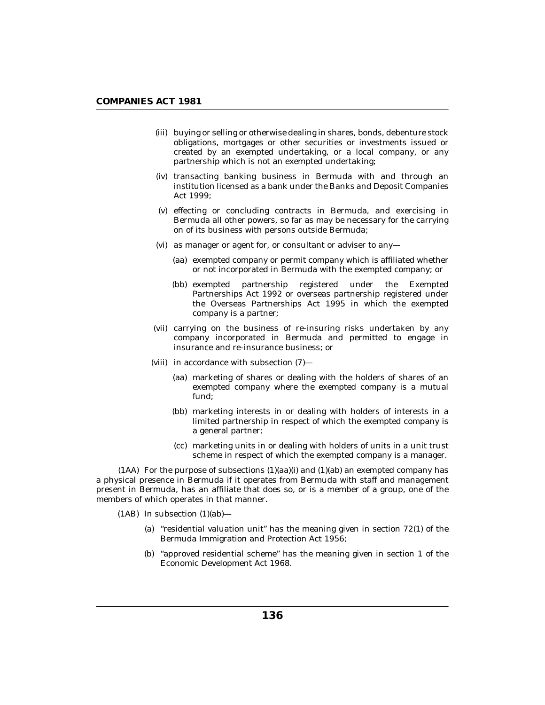- (iii) buying or selling or otherwise dealing in shares, bonds, debenture stock obligations, mortgages or other securities or investments issued or created by an exempted undertaking, or a local company, or any partnership which is not an exempted undertaking;
- (iv) transacting banking business in Bermuda with and through an institution licensed as a bank under the Banks and Deposit Companies Act 1999;
- (v) effecting or concluding contracts in Bermuda, and exercising in Bermuda all other powers, so far as may be necessary for the carrying on of its business with persons outside Bermuda;
- (vi) as manager or agent for, or consultant or adviser to any-
	- (aa) exempted company or permit company which is affiliated whether or not incorporated in Bermuda with the exempted company; or
	- (bb) exempted partnership registered under the Exempted Partnerships Act 1992 or overseas partnership registered under the Overseas Partnerships Act 1995 in which the exempted company is a partner;
- (vii) carrying on the business of re-insuring risks undertaken by any company incorporated in Bermuda and permitted to engage in insurance and re-insurance business; or
- (viii) in accordance with subsection  $(7)$ 
	- marketing of shares or dealing with the holders of shares of an (aa) exempted company where the exempted company is a mutual fund;
	- (bb) marketing interests in or dealing with holders of interests in a limited partnership in respect of which the exempted company is a general partner;
	- marketing units in or dealing with holders of units in a unit trust (cc) scheme in respect of which the exempted company is a manager.

 $(1AA)$  For the purpose of subsections  $(1)(aa)(i)$  and  $(1)(ab)$  an exempted company has a physical presence in Bermuda if it operates from Bermuda with staff and management present in Bermuda, has an affiliate that does so, or is a member of a group, one of the members of which operates in that manner.

- $(1AB)$  In subsection  $(1)(ab)$ 
	- (a) "residential valuation unit" has the meaning given in section  $72(1)$  of the Bermuda Immigration and Protection Act 1956;
	- (b) "approved residential scheme" has the meaning given in section 1 of the Economic Development Act 1968.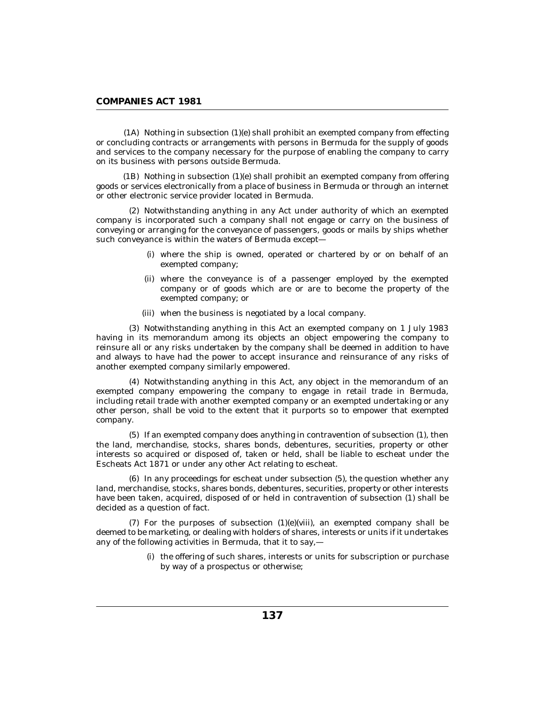$(1A)$  Nothing in subsection  $(1)(e)$  shall prohibit an exempted company from effecting or concluding contracts or arrangements with persons in Bermuda for the supply of goods and services to the company necessary for the purpose of enabling the company to carry on its business with persons outside Bermuda.

 $(1B)$  Nothing in subsection  $(1)(e)$  shall prohibit an exempted company from offering goods or services electronically from a place of business in Bermuda or through an internet or other electronic service provider located in Bermuda.

(2) Notwithstanding anything in any Act under authority of which an exempted company is incorporated such a company shall not engage or carry on the business of conveying or arranging for the conveyance of passengers, goods or mails by ships whether such conveyance is within the waters of Bermuda except—

- where the ship is owned, operated or chartered by or on behalf of an (i) exempted company;
- where the conveyance is of a passenger employed by the exempted (ii) company or of goods which are or are to become the property of the exempted company; or
- (iii) when the business is negotiated by a local company.

(3) Notwithstanding anything in this Act an exempted company on 1 July 1983 having in its memorandum among its objects an object empowering the company to reinsure all or any risks undertaken by the company shall be deemed in addition to have and always to have had the power to accept insurance and reinsurance of any risks of another exempted company similarly empowered.

(4) Notwithstanding anything in this Act, any object in the memorandum of an exempted company empowering the company to engage in retail trade in Bermuda, including retail trade with another exempted company or an exempted undertaking or any other person, shall be void to the extent that it purports so to empower that exempted company.

(5) If an exempted company does anything in contravention of subsection (1), then the land, merchandise, stocks, shares bonds, debentures, securities, property or other interests so acquired or disposed of, taken or held, shall be liable to escheat under the Escheats Act 1871 or under any other Act relating to escheat.

(6) In any proceedings for escheat under subsection (5), the question whether any land, merchandise, stocks, shares bonds, debentures, securities, property or other interests have been taken, acquired, disposed of or held in contravention of subsection (1) shall be decided as a question of fact.

 $(7)$  For the purposes of subsection  $(1)(e)(viii)$ , an exempted company shall be deemed to be marketing, or dealing with holders of shares, interests or units if it undertakes any of the following activities in Bermuda, that it to say,—

> (i) the offering of such shares, interests or units for subscription or purchase by way of a prospectus or otherwise;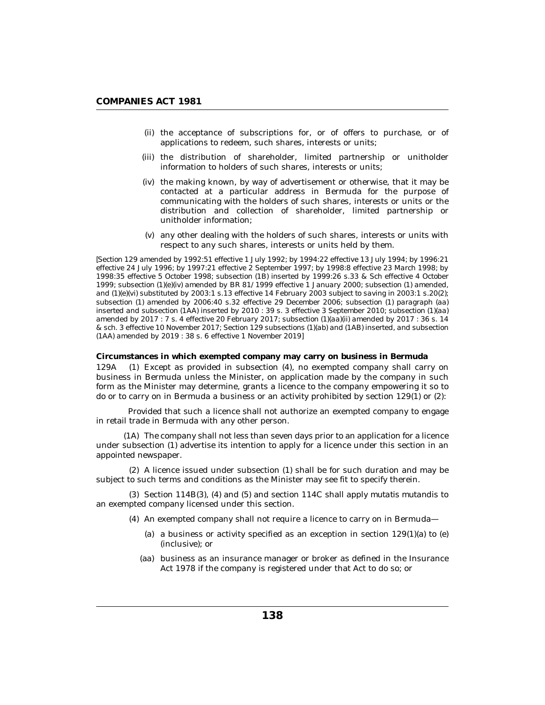- (ii) the acceptance of subscriptions for, or of offers to purchase, or of applications to redeem, such shares, interests or units;
- (iii) the distribution of shareholder, limited partnership or unitholder information to holders of such shares, interests or units;
- (iv) the making known, by way of advertisement or otherwise, that it may be contacted at a particular address in Bermuda for the purpose of communicating with the holders of such shares, interests or units or the distribution and collection of shareholder, limited partnership or unitholder information;
- (v) any other dealing with the holders of such shares, interests or units with respect to any such shares, interests or units held by them.

*[Section 129 amended by 1992:51 effective 1 July 1992; by 1994:22 effective 13 July 1994; by 1996:21 effective 24 July 1996; by 1997:21 effective 2 September 1997; by 1998:8 effective 23 March 1998; by 1998:35 effective 5 October 1998; subsection (1B) inserted by 1999:26 s.33 & Sch effective 4 October 1999; subsection (1)(e)(iv) amended by BR 81/1999 effective 1 January 2000; subsection (1) amended, and (1)(e)(vi) substituted by 2003:1 s.13 effective 14 February 2003 subject to saving in 2003:1 s.20(2); subsection (1) amended by 2006:40 s.32 effective 29 December 2006; subsection (1) paragraph (aa) inserted and subsection (1AA) inserted by 2010 : 39 s. 3 effective 3 September 2010; subsection (1)(aa) amended by 2017 : 7 s. 4 effective 20 February 2017; subsection (1)(aa)(ii) amended by 2017 : 36 s. 14 & sch. 3 effective 10 November 2017; Section 129 subsections (1)(ab) and (1AB) inserted, and subsection (1AA) amended by 2019 : 38 s. 6 effective 1 November 2019]*

**Circumstances in which exempted company may carry on business in Bermuda**

Except as provided in subsection (4), no exempted company shall carry on business in Bermuda unless the Minister, on application made by the company in such form as the Minister may determine, grants a licence to the company empowering it so to do or to carry on in Bermuda a business or an activity prohibited by section  $129(1)$  or (2):  $129A$ 

Provided that such a licence shall not authorize an exempted company to engage in retail trade in Bermuda with any other person.

(1A) The company shall not less than seven days prior to an application for a licence under subsection (1) advertise its intention to apply for a licence under this section in an appointed newspaper.

A licence issued under subsection (1) shall be for such duration and may be (2) subject to such terms and conditions as the Minister may see fit to specify therein.

(3) Section 114B(3), (4) and (5) and section 114C shall apply *mutatis mutandis* to an exempted company licensed under this section.

- (4) An exempted company shall not require a licence to carry on in Bermuda—
	- (a) a business or activity specified as an exception in section  $129(1)(a)$  to (e) (inclusive); or
	- (aa) business as an insurance manager or broker as defined in the Insurance Act 1978 if the company is registered under that Act to do so; or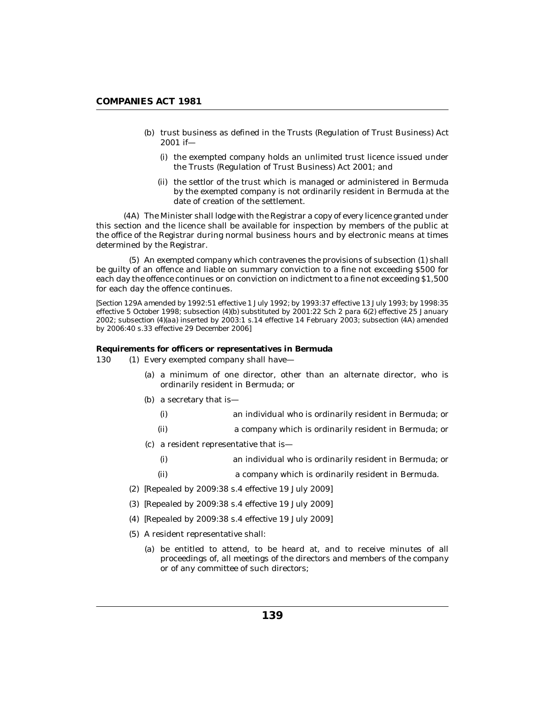- (b) trust business as defined in the Trusts (Regulation of Trust Business) Act 2001 if—
	- (i) the exempted company holds an unlimited trust licence issued under the Trusts (Regulation of Trust Business) Act 2001; and
	- (ii) the settlor of the trust which is managed or administered in Bermuda by the exempted company is not ordinarily resident in Bermuda at the date of creation of the settlement.

(4A) The Minister shall lodge with the Registrar a copy of every licence granted under this section and the licence shall be available for inspection by members of the public at the office of the Registrar during normal business hours and by electronic means at times determined by the Registrar.

An exempted company which contravenes the provisions of subsection (1) shall (5) be guilty of an offence and liable on summary conviction to a fine not exceeding \$500 for each day the offence continues or on conviction on indictment to a fine not exceeding \$1,500 for each day the offence continues.

*[Section 129A amended by 1992:51 effective 1 July 1992; by 1993:37 effective 13 July 1993; by 1998:35 effective 5 October 1998; subsection (4)(b) substituted by 2001:22 Sch 2 para 6(2) effective 25 January 2002; subsection (4)(aa) inserted by 2003:1 s.14 effective 14 February 2003; subsection (4A) amended by 2006:40 s.33 effective 29 December 2006]*

**Requirements for officers or representatives in Bermuda**

Every exempted company shall have— 130

- (a) a minimum of one director, other than an alternate director, who is ordinarily resident in Bermuda; or
- (b) a secretary that is
	- an individual who is ordinarily resident in Bermuda; or (i)
	- a company which is ordinarily resident in Bermuda; or (ii)
- a resident representative that is— (c)
	- an individual who is ordinarily resident in Bermuda; or (i)
	- a company which is ordinarily resident in Bermuda. (ii)
- *[Repealed by 2009:38 s.4 effective 19 July 2009]* (2)
- *[Repealed by 2009:38 s.4 effective 19 July 2009]* (3)
- *[Repealed by 2009:38 s.4 effective 19 July 2009]* (4)
- A resident representative shall: (5)
	- be entitled to attend, to be heard at, and to receive minutes of all (a) proceedings of, all meetings of the directors and members of the company or of any committee of such directors;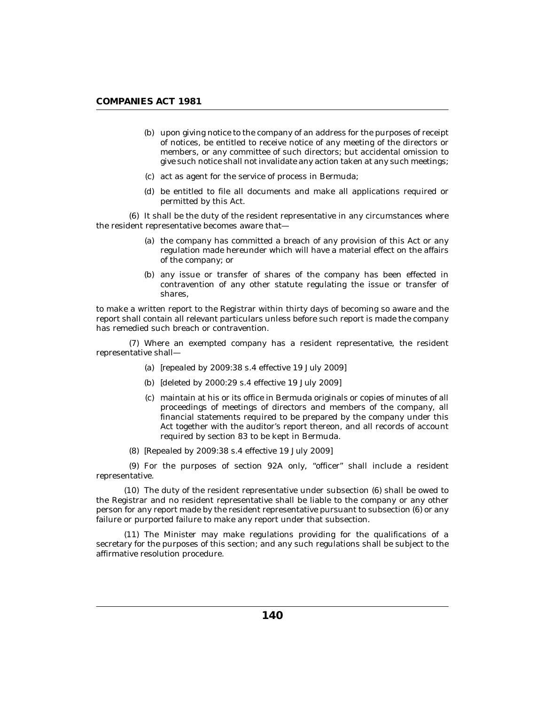- (b) upon giving notice to the company of an address for the purposes of receipt of notices, be entitled to receive notice of any meeting of the directors or members, or any committee of such directors; but accidental omission to give such notice shall not invalidate any action taken at any such meetings;
- act as agent for the service of process in Bermuda; (c)
- (d) be entitled to file all documents and make all applications required or permitted by this Act.

(6) It shall be the duty of the resident representative in any circumstances where the resident representative becomes aware that—

- (a) the company has committed a breach of any provision of this Act or any regulation made hereunder which will have a material effect on the affairs of the company; or
- (b) any issue or transfer of shares of the company has been effected in contravention of any other statute regulating the issue or transfer of shares,

to make a written report to the Registrar within thirty days of becoming so aware and the report shall contain all relevant particulars unless before such report is made the company has remedied such breach or contravention.

Where an exempted company has a resident representative, the resident (7) representative shall—

- *[repealed by 2009:38 s.4 effective 19 July 2009]* (a)
- *[deleted by 2000:29 s.4 effective 19 July 2009]* (b)
- maintain at his or its office in Bermuda originals or copies of minutes of all (c) proceedings of meetings of directors and members of the company, all financial statements required to be prepared by the company under this Act together with the auditor's report thereon, and all records of account required by section 83 to be kept in Bermuda.
- *[Repealed by 2009:38 s.4 effective 19 July 2009]* (8)

For the purposes of section 92A only, "officer" shall include a resident (9) representative.

 $(10)$  The duty of the resident representative under subsection  $(6)$  shall be owed to the Registrar and no resident representative shall be liable to the company or any other person for any report made by the resident representative pursuant to subsection (6) or any failure or purported failure to make any report under that subsection.

 $(11)$  The Minister may make regulations providing for the qualifications of a secretary for the purposes of this section; and any such regulations shall be subject to the affirmative resolution procedure.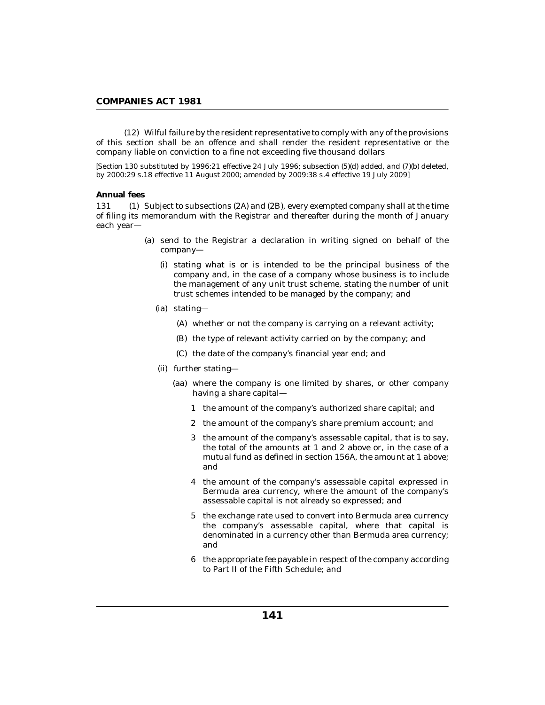Wilful failure by the resident representative to comply with any of the provisions (12) of this section shall be an offence and shall render the resident representative or the company liable on conviction to a fine not exceeding five thousand dollars

*[Section 130 substituted by 1996:21 effective 24 July 1996; subsection (5)(d) added, and (7)(b) deleted, by 2000:29 s.18 effective 11 August 2000; amended by 2009:38 s.4 effective 19 July 2009]*

## **Annual fees**

Subject to subsections (2A) and (2B), every exempted company shall at the time of filing its memorandum with the Registrar and thereafter during the month of January each year— 131

- (a) send to the Registrar a declaration in writing signed on behalf of the company
	- stating what is or is intended to be the principal business of the (i) company and, in the case of a company whose business is to include the management of any unit trust scheme, stating the number of unit trust schemes intended to be managed by the company; and
	- (ia) stating
		- whether or not the company is carrying on a relevant activity; (A)
		- (B) the type of relevant activity carried on by the company; and
		- (C) the date of the company's financial year end; and
	- (ii) further stating—
		- (aa) where the company is one limited by shares, or other company having a share capital—
			- 1 the amount of the company's authorized share capital; and
			- 2 the amount of the company's share premium account; and
			- 3 the amount of the company's assessable capital, that is to say, the total of the amounts at 1 and 2 above or, in the case of a mutual fund as defined in section 156A, the amount at 1 above; and
			- 4 the amount of the company's assessable capital expressed in Bermuda area currency, where the amount of the company's assessable capital is not already so expressed; and
			- 5 the exchange rate used to convert into Bermuda area currency the company's assessable capital, where that capital is denominated in a currency other than Bermuda area currency; and
			- 6 the appropriate fee payable in respect of the company according to Part II of the Fifth Schedule; and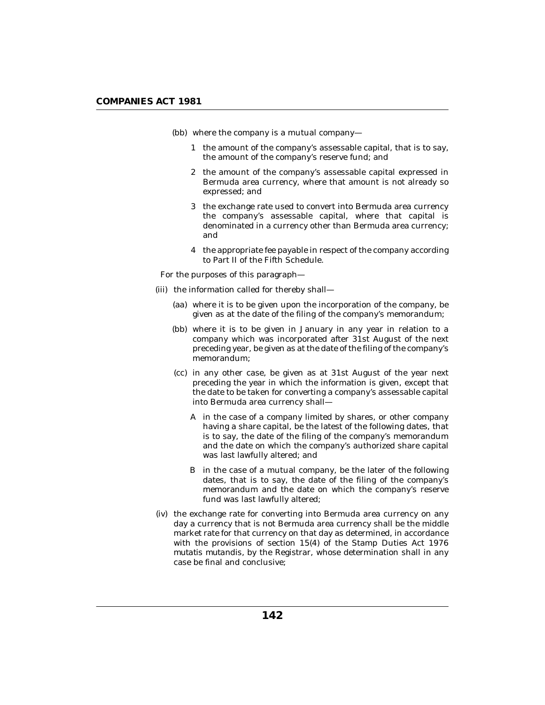(bb) where the company is a mutual company-

- 1 the amount of the company's assessable capital, that is to say, the amount of the company's reserve fund; and
- 2 the amount of the company's assessable capital expressed in Bermuda area currency, where that amount is not already so expressed; and
- 3 the exchange rate used to convert into Bermuda area currency the company's assessable capital, where that capital is denominated in a currency other than Bermuda area currency; and
- 4 the appropriate fee payable in respect of the company according to Part II of the Fifth Schedule.

For the purposes of this paragraph—

- (iii) the information called for thereby shall-
	- (aa) where it is to be given upon the incorporation of the company, be given as at the date of the filing of the company's memorandum;
	- (bb) where it is to be given in January in any year in relation to a company which was incorporated after 31st August of the next preceding year, be given as at the date of the filing of the company's memorandum;
	- (cc) in any other case, be given as at 31st August of the year next preceding the year in which the information is given, except that the date to be taken for converting a company's assessable capital into Bermuda area currency shall—
		- A in the case of a company limited by shares, or other company having a share capital, be the latest of the following dates, that is to say, the date of the filing of the company's memorandum and the date on which the company's authorized share capital was last lawfully altered; and
		- B in the case of a mutual company, be the later of the following dates, that is to say, the date of the filing of the company's memorandum and the date on which the company's reserve fund was last lawfully altered;
- (iv) the exchange rate for converting into Bermuda area currency on any day a currency that is not Bermuda area currency shall be the middle market rate for that currency on that day as determined, in accordance with the provisions of section 15(4) of the Stamp Duties Act 1976 *mutatis mutandis,* by the Registrar, whose determination shall in any case be final and conclusive;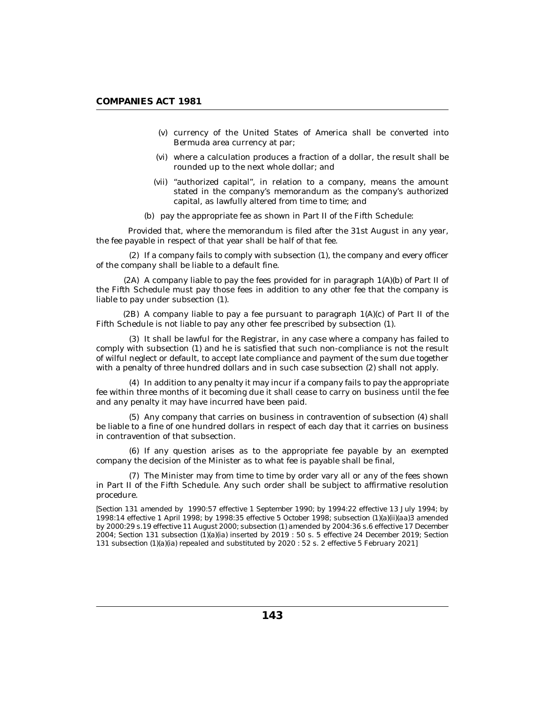- (v) currency of the United States of America shall be converted into Bermuda area currency at par;
- (vi) where a calculation produces a fraction of a dollar, the result shall be rounded up to the next whole dollar; and
- (vii) "authorized capital", in relation to a company, means the amount stated in the company's memorandum as the company's authorized capital, as lawfully altered from time to time; and
- (b) pay the appropriate fee as shown in Part II of the Fifth Schedule:

Provided that, where the memorandum is filed after the 31st August in any year, the fee payable in respect of that year shall be half of that fee.

 $(2)$  If a company fails to comply with subsection  $(1)$ , the company and every officer of the company shall be liable to a default fine.

 $(2A)$  A company liable to pay the fees provided for in paragraph  $1(A)(b)$  of Part II of the Fifth Schedule must pay those fees in addition to any other fee that the company is liable to pay under subsection (1).

(2B) A company liable to pay a fee pursuant to paragraph  $1(A)(c)$  of Part II of the Fifth Schedule is not liable to pay any other fee prescribed by subsection (1).

 $(3)$  It shall be lawful for the Registrar, in any case where a company has failed to comply with subsection (1) and he is satisfied that such non-compliance is not the result of wilful neglect or default, to accept late compliance and payment of the sum due together with a penalty of three hundred dollars and in such case subsection (2) shall not apply.

(4) In addition to any penalty it may incur if a company fails to pay the appropriate fee within three months of it becoming due it shall cease to carry on business until the fee and any penalty it may have incurred have been paid.

(5) Any company that carries on business in contravention of subsection (4) shall be liable to a fine of one hundred dollars in respect of each day that it carries on business in contravention of that subsection.

If any question arises as to the appropriate fee payable by an exempted (6) company the decision of the Minister as to what fee is payable shall be final,

The Minister may from time to time by order vary all or any of the fees shown (7) in Part II of the Fifth Schedule. Any such order shall be subject to affirmative resolution procedure.

*[Section 131 amended by 1990:57 effective 1 September 1990; by 1994:22 effective 13 July 1994; by 1998:14 effective 1 April 1998; by 1998:35 effective 5 October 1998; subsection (1)(a)(ii)(aa)3 amended by 2000:29 s.19 effective 11 August 2000; subsection (1) amended by 2004:36 s.6 effective 17 December 2004; Section 131 subsection (1)(a)(ia) inserted by 2019 : 50 s. 5 effective 24 December 2019; Section 131 subsection (1)(a)(ia) repealed and substituted by 2020 : 52 s. 2 effective 5 February 2021]*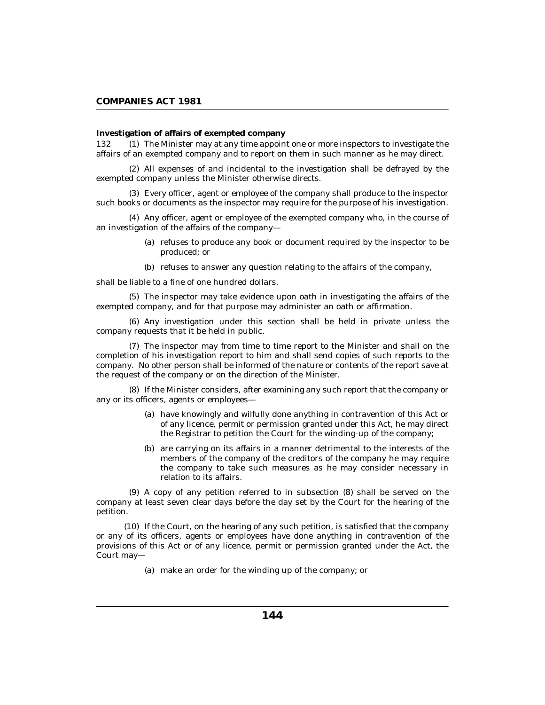**Investigation of affairs of exempted company**

The Minister may at any time appoint one or more inspectors to investigate the affairs of an exempted company and to report on them in such manner as he may direct. 132

All expenses of and incidental to the investigation shall be defrayed by the (2) exempted company unless the Minister otherwise directs.

Every officer, agent or employee of the company shall produce to the inspector (3) such books or documents as the inspector may require for the purpose of his investigation.

(4) Any officer, agent or employee of the exempted company who, in the course of an investigation of the affairs of the company—

- (a) refuses to produce any book or document required by the inspector to be produced; or
- (b) refuses to answer any question relating to the affairs of the company,

shall be liable to a fine of one hundred dollars.

The inspector may take evidence upon oath in investigating the affairs of the (5) exempted company, and for that purpose may administer an oath or affirmation.

Any investigation under this section shall be held in private unless the (6) company requests that it be held in public.

(7) The inspector may from time to time report to the Minister and shall on the completion of his investigation report to him and shall send copies of such reports to the company. No other person shall be informed of the nature or contents of the report save at the request of the company or on the direction of the Minister.

(8) If the Minister considers, after examining any such report that the company or any or its officers, agents or employees—

- (a) have knowingly and wilfully done anything in contravention of this Act or of any licence, permit or permission granted under this Act, he may direct the Registrar to petition the Court for the winding-up of the company;
- (b) are carrying on its affairs in a manner detrimental to the interests of the members of the company of the creditors of the company he may require the company to take such measures as he may consider necessary in relation to its affairs.

A copy of any petition referred to in subsection (8) shall be served on the (9) company at least seven clear days before the day set by the Court for the hearing of the petition.

(10) If the Court, on the hearing of any such petition, is satisfied that the company or any of its officers, agents or employees have done anything in contravention of the provisions of this Act or of any licence, permit or permission granted under the Act, the Court may—

(a) make an order for the winding up of the company; or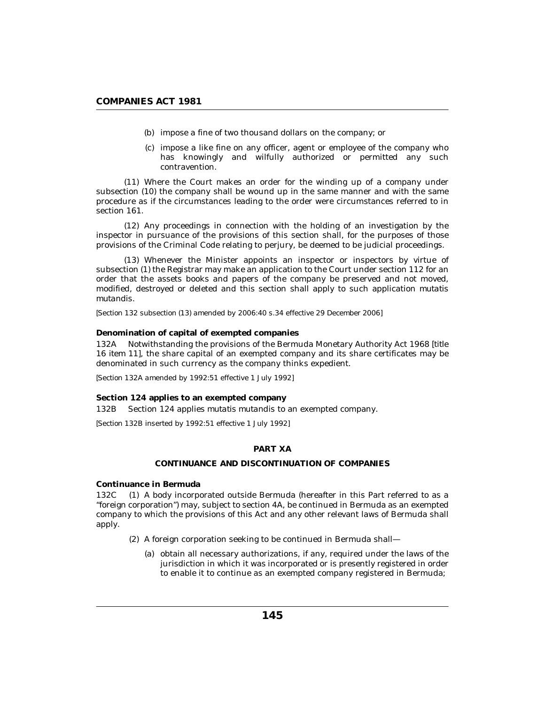- (b) impose a fine of two thousand dollars on the company; or
- (c) impose a like fine on any officer, agent or employee of the company who has knowingly and wilfully authorized or permitted any such contravention.

Where the Court makes an order for the winding up of a company under (11) subsection (10) the company shall be wound up in the same manner and with the same procedure as if the circumstances leading to the order were circumstances referred to in section 161.

 $(12)$  Any proceedings in connection with the holding of an investigation by the inspector in pursuance of the provisions of this section shall, for the purposes of those provisions of the Criminal Code relating to perjury, be deemed to be judicial proceedings.

Whenever the Minister appoints an inspector or inspectors by virtue of (13) subsection (1) the Registrar may make an application to the Court under section 112 for an order that the assets books and papers of the company be preserved and not moved, modified, destroyed or deleted and this section shall apply to such application *mutatis mutandis*.

*[Section 132 subsection (13) amended by 2006:40 s.34 effective 29 December 2006]*

**Denomination of capital of exempted companies**

Notwithstanding the provisions of the Bermuda Monetary Authority Act 1968 [*title 16 item 11*], the share capital of an exempted company and its share certificates may be denominated in such currency as the company thinks expedient. 132A

*[Section 132A amended by 1992:51 effective 1 July 1992]*

**Section 124 applies to an exempted company**

132B Section 124 applies *mutatis mutandis* to an exempted company.

*[Section 132B inserted by 1992:51 effective 1 July 1992]*

# **PART XA**

### **CONTINUANCE AND DISCONTINUATION OF COMPANIES**

**Continuance in Bermuda**

A body incorporated outside Bermuda (hereafter in this Part referred to as a "foreign corporation") may, subject to section 4A, be continued in Bermuda as an exempted company to which the provisions of this Act and any other relevant laws of Bermuda shall apply.  $132C$ 

- A foreign corporation seeking to be continued in Bermuda shall— (2)
	- (a) obtain all necessary authorizations, if any, required under the laws of the jurisdiction in which it was incorporated or is presently registered in order to enable it to continue as an exempted company registered in Bermuda;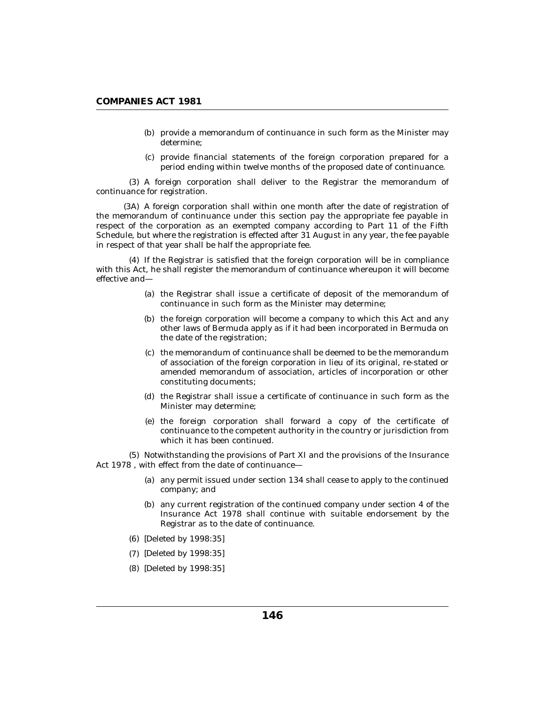- (b) provide a memorandum of continuance in such form as the Minister may determine;
- (c) provide financial statements of the foreign corporation prepared for a period ending within twelve months of the proposed date of continuance.

(3) A foreign corporation shall deliver to the Registrar the memorandum of continuance for registration.

(3A) A foreign corporation shall within one month after the date of registration of the memorandum of continuance under this section pay the appropriate fee payable in respect of the corporation as an exempted company according to Part 11 of the Fifth Schedule, but where the registration is effected after 31 August in any year, the fee payable in respect of that year shall be half the appropriate fee.

If the Registrar is satisfied that the foreign corporation will be in compliance (4) with this Act, he shall register the memorandum of continuance whereupon it will become effective and—

- (a) the Registrar shall issue a certificate of deposit of the memorandum of continuance in such form as the Minister may determine;
- (b) the foreign corporation will become a company to which this Act and any other laws of Bermuda apply as if it had been incorporated in Bermuda on the date of the registration;
- (c) the memorandum of continuance shall be deemed to be the memorandum of association of the foreign corporation in lieu of its original, re-stated or amended memorandum of association, articles of incorporation or other constituting documents;
- (d) the Registrar shall issue a certificate of continuance in such form as the Minister may determine;
- (e) the foreign corporation shall forward a copy of the certificate of continuance to the competent authority in the country or jurisdiction from which it has been continued.

(5) Notwithstanding the provisions of Part XI and the provisions of the Insurance Act 1978 , with effect from the date of continuance—

- (a) any permit issued under section 134 shall cease to apply to the continued company; and
- (b) any current registration of the continued company under section 4 of the Insurance Act 1978 shall continue with suitable endorsement by the Registrar as to the date of continuance.
- *[Deleted by 1998:35]* (6)
- *[Deleted by 1998:35]* (7)
- *[Deleted by 1998:35]* (8)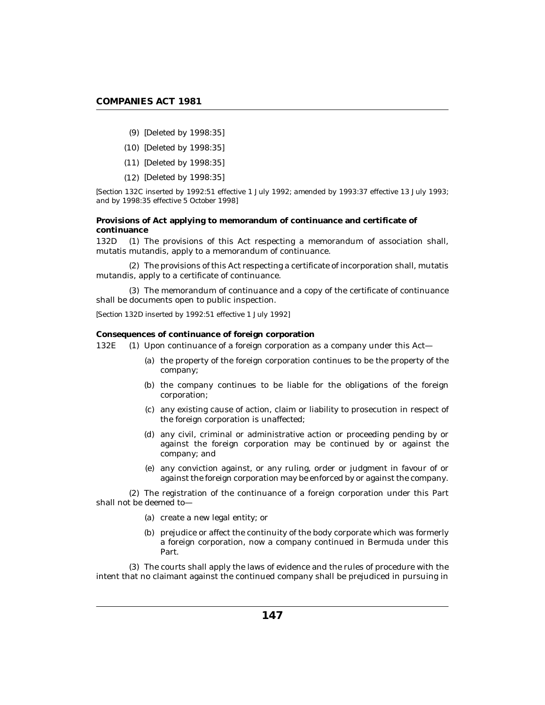- *[Deleted by 1998:35]* (9)
- *[Deleted by 1998:35]* (10)
- *[Deleted by 1998:35]* (11)
- *[Deleted by 1998:35]* (12)

*[Section 132C inserted by 1992:51 effective 1 July 1992; amended by 1993:37 effective 13 July 1993; and by 1998:35 effective 5 October 1998]*

**Provisions of Act applying to memorandum of continuance and certificate of continuance**

The provisions of this Act respecting a memorandum of association shall, mutatis mutandis, apply to a memorandum of continuance. 132D

The provisions of this Act respecting a certificate of incorporation shall, mutatis (2) mutandis, apply to a certificate of continuance.

The memorandum of continuance and a copy of the certificate of continuance (3) shall be documents open to public inspection.

*[Section 132D inserted by 1992:51 effective 1 July 1992]*

**Consequences of continuance of foreign corporation**

 $(1)$  Upon continuance of a foreign corporation as a company under this Act— 132E

- (a) the property of the foreign corporation continues to be the property of the company;
- (b) the company continues to be liable for the obligations of the foreign corporation;
- (c) any existing cause of action, claim or liability to prosecution in respect of the foreign corporation is unaffected;
- any civil, criminal or administrative action or proceeding pending by or (d) against the foreign corporation may be continued by or against the company; and
- any conviction against, or any ruling, order or judgment in favour of or (e) against the foreign corporation may be enforced by or against the company.

(2) The registration of the continuance of a foreign corporation under this Part shall not be deemed to—

- (a) create a new legal entity; or
- (b) prejudice or affect the continuity of the body corporate which was formerly a foreign corporation, now a company continued in Bermuda under this Part.

The courts shall apply the laws of evidence and the rules of procedure with the (3) intent that no claimant against the continued company shall be prejudiced in pursuing in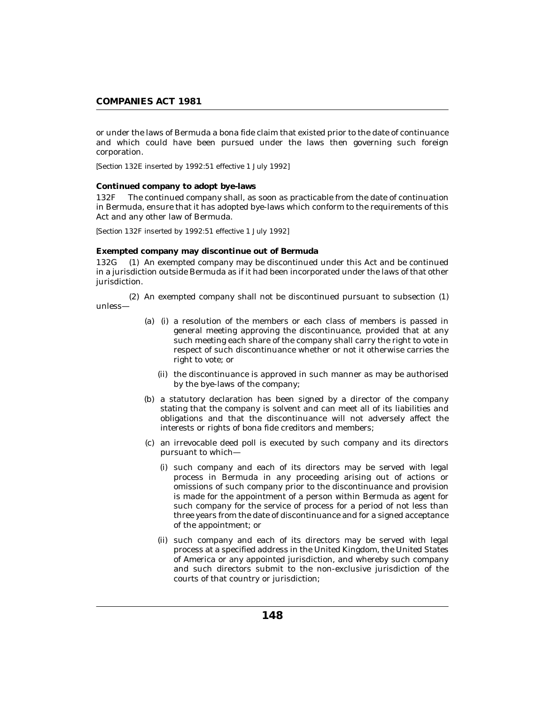or under the laws of Bermuda a bona fide claim that existed prior to the date of continuance and which could have been pursued under the laws then governing such foreign corporation.

*[Section 132E inserted by 1992:51 effective 1 July 1992]*

**Continued company to adopt bye-laws**

The continued company shall, as soon as practicable from the date of continuation in Bermuda, ensure that it has adopted bye-laws which conform to the requirements of this Act and any other law of Bermuda. 132F

*[Section 132F inserted by 1992:51 effective 1 July 1992]*

**Exempted company may discontinue out of Bermuda**

An exempted company may be discontinued under this Act and be continued in a jurisdiction outside Bermuda as if it had been incorporated under the laws of that other jurisdiction.  $132G$ 

(2) An exempted company shall not be discontinued pursuant to subsection (1) unless—

- (a) (i) a resolution of the members or each class of members is passed in general meeting approving the discontinuance, provided that at any such meeting each share of the company shall carry the right to vote in respect of such discontinuance whether or not it otherwise carries the right to vote; or
	- (ii) the discontinuance is approved in such manner as may be authorised by the bye-laws of the company;
- (b) a statutory declaration has been signed by a director of the company stating that the company is solvent and can meet all of its liabilities and obligations and that the discontinuance will not adversely affect the interests or rights of bona fide creditors and members;
- an irrevocable deed poll is executed by such company and its directors (c) pursuant to which—
	- (i) such company and each of its directors may be served with legal process in Bermuda in any proceeding arising out of actions or omissions of such company prior to the discontinuance and provision is made for the appointment of a person within Bermuda as agent for such company for the service of process for a period of not less than three years from the date of discontinuance and for a signed acceptance of the appointment; or
	- (ii) such company and each of its directors may be served with legal process at a specified address in the United Kingdom, the United States of America or any appointed jurisdiction, and whereby such company and such directors submit to the non-exclusive jurisdiction of the courts of that country or jurisdiction;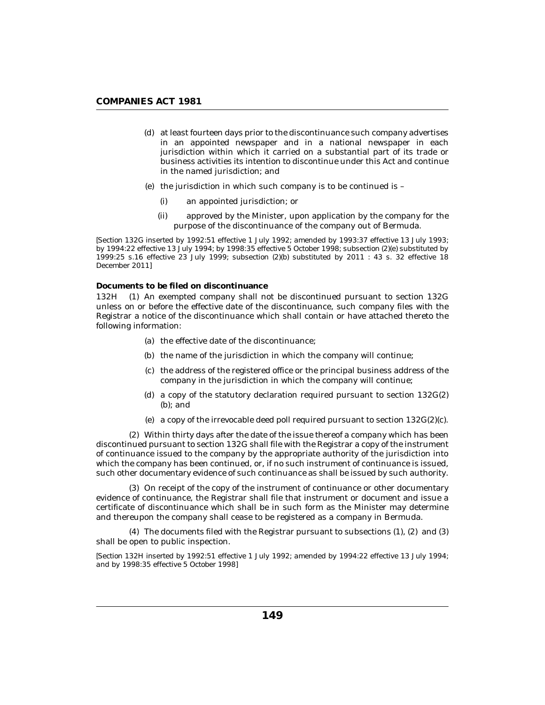- at least fourteen days prior to the discontinuance such company advertises (d) in an appointed newspaper and in a national newspaper in each jurisdiction within which it carried on a substantial part of its trade or business activities its intention to discontinue under this Act and continue in the named jurisdiction; and
- $(e)$  the jurisdiction in which such company is to be continued is  $$ 
	- an appointed jurisdiction; or (i)
	- approved by the Minister, upon application by the company for the purpose of the discontinuance of the company out of Bermuda. (ii)

*[Section 132G inserted by 1992:51 effective 1 July 1992; amended by 1993:37 effective 13 July 1993; by 1994:22 effective 13 July 1994; by 1998:35 effective 5 October 1998; subsection (2)(e) substituted by 1999:25 s.16 effective 23 July 1999; subsection (2)(b) substituted by 2011 : 43 s. 32 effective 18 December 2011]*

**Documents to be filed on discontinuance**

An exempted company shall not be discontinued pursuant to section 132G unless on or before the effective date of the discontinuance, such company files with the Registrar a notice of the discontinuance which shall contain or have attached thereto the following information: 132H (1)

- (a) the effective date of the discontinuance;
- (b) the name of the jurisdiction in which the company will continue;
- (c) the address of the registered office or the principal business address of the company in the jurisdiction in which the company will continue;
- (d) a copy of the statutory declaration required pursuant to section  $132G(2)$ (b); and
- (e) a copy of the irrevocable deed poll required pursuant to section  $132G(2)(c)$ .

Within thirty days after the date of the issue thereof a company which has been (2) discontinued pursuant to section 132G shall file with the Registrar a copy of the instrument of continuance issued to the company by the appropriate authority of the jurisdiction into which the company has been continued, or, if no such instrument of continuance is issued, such other documentary evidence of such continuance as shall be issued by such authority.

(3) On receipt of the copy of the instrument of continuance or other documentary evidence of continuance, the Registrar shall file that instrument or document and issue a certificate of discontinuance which shall be in such form as the Minister may determine and thereupon the company shall cease to be registered as a company in Bermuda.

The documents filed with the Registrar pursuant to subsections (1), (2) and (3) (4) shall be open to public inspection.

*[Section 132H inserted by 1992:51 effective 1 July 1992; amended by 1994:22 effective 13 July 1994; and by 1998:35 effective 5 October 1998]*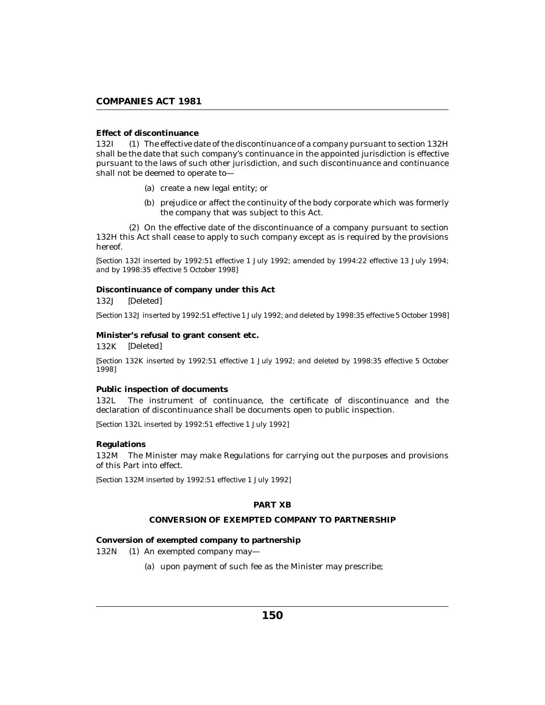### **Effect of discontinuance**

The effective date of the discontinuance of a company pursuant to section 132H shall be the date that such company's continuance in the appointed jurisdiction is effective pursuant to the laws of such other jurisdiction, and such discontinuance and continuance shall not be deemed to operate to— 132I

- (a) create a new legal entity; or
- (b) prejudice or affect the continuity of the body corporate which was formerly the company that was subject to this Act.

(2) On the effective date of the discontinuance of a company pursuant to section 132H this Act shall cease to apply to such company except as is required by the provisions hereof.

*[Section 132I inserted by 1992:51 effective 1 July 1992; amended by 1994:22 effective 13 July 1994; and by 1998:35 effective 5 October 1998]*

**Discontinuance of company under this Act** *[Deleted]* 132J

*[Section 132J inserted by 1992:51 effective 1 July 1992; and deleted by 1998:35 effective 5 October 1998]*

**Minister's refusal to grant consent etc.**

*[Deleted]* 132K

*[Section 132K inserted by 1992:51 effective 1 July 1992; and deleted by 1998:35 effective 5 October 1998]*

**Public inspection of documents**

The instrument of continuance, the certificate of discontinuance and the declaration of discontinuance shall be documents open to public inspection. 132L

*[Section 132L inserted by 1992:51 effective 1 July 1992]*

**Regulations**

132M The Minister may make Regulations for carrying out the purposes and provisions of this Part into effect.

*[Section 132M inserted by 1992:51 effective 1 July 1992]*

## **PART XB**

# **CONVERSION OF EXEMPTED COMPANY TO PARTNERSHIP**

**Conversion of exempted company to partnership**

132N (1) An exempted company may—

(a) upon payment of such fee as the Minister may prescribe;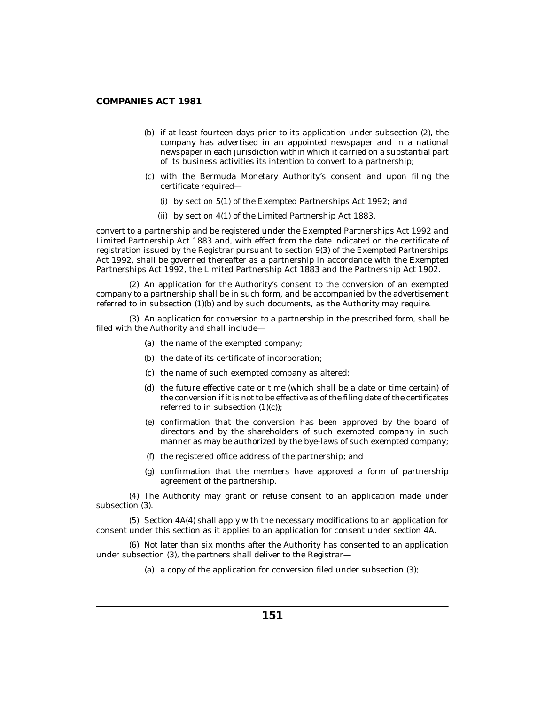- (b) if at least fourteen days prior to its application under subsection (2), the company has advertised in an appointed newspaper and in a national newspaper in each jurisdiction within which it carried on a substantial part of its business activities its intention to convert to a partnership;
- (c) with the Bermuda Monetary Authority's consent and upon filing the certificate required—
	- $(i)$  by section  $5(1)$  of the Exempted Partnerships Act 1992; and
	- by section 4(1) of the Limited Partnership Act 1883, (ii)

convert to a partnership and be registered under the Exempted Partnerships Act 1992 and Limited Partnership Act 1883 and, with effect from the date indicated on the certificate of registration issued by the Registrar pursuant to section 9(3) of the Exempted Partnerships Act 1992, shall be governed thereafter as a partnership in accordance with the Exempted Partnerships Act 1992, the Limited Partnership Act 1883 and the Partnership Act 1902.

(2) An application for the Authority's consent to the conversion of an exempted company to a partnership shall be in such form, and be accompanied by the advertisement referred to in subsection (1)(b) and by such documents, as the Authority may require.

An application for conversion to a partnership in the prescribed form, shall be (3) filed with the Authority and shall include—

- (a) the name of the exempted company;
- (b) the date of its certificate of incorporation;
- (c) the name of such exempted company as altered;
- (d) the future effective date or time (which shall be a date or time certain) of the conversion if it is not to be effective as of the filing date of the certificates referred to in subsection (1)(c));
- (e) confirmation that the conversion has been approved by the board of directors and by the shareholders of such exempted company in such manner as may be authorized by the bye-laws of such exempted company;
- (f) the registered office address of the partnership; and
- $(g)$  confirmation that the members have approved a form of partnership agreement of the partnership.

The Authority may grant or refuse consent to an application made under (4) subsection (3).

 $(5)$  Section  $4A(4)$  shall apply with the necessary modifications to an application for consent under this section as it applies to an application for consent under section 4A.

(6) Not later than six months after the Authority has consented to an application under subsection (3), the partners shall deliver to the Registrar—

(a) a copy of the application for conversion filed under subsection (3);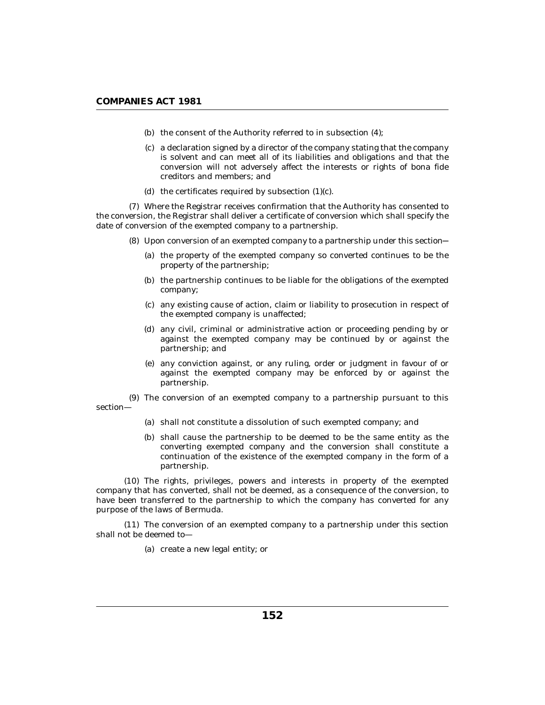section—

- (b) the consent of the Authority referred to in subsection (4);
- a declaration signed by a director of the company stating that the company (c) is solvent and can meet all of its liabilities and obligations and that the conversion will not adversely affect the interests or rights of bona fide creditors and members; and
- (d) the certificates required by subsection  $(1)(c)$ .

Where the Registrar receives confirmation that the Authority has consented to (7) the conversion, the Registrar shall deliver a certificate of conversion which shall specify the date of conversion of the exempted company to a partnership.

- (8) Upon conversion of an exempted company to a partnership under this section-
	- (a) the property of the exempted company so converted continues to be the property of the partnership;
	- (b) the partnership continues to be liable for the obligations of the exempted company;
	- any existing cause of action, claim or liability to prosecution in respect of (c) the exempted company is unaffected;
	- (d) any civil, criminal or administrative action or proceeding pending by or against the exempted company may be continued by or against the partnership; and
	- any conviction against, or any ruling, order or judgment in favour of or (e) against the exempted company may be enforced by or against the partnership.
- (9) The conversion of an exempted company to a partnership pursuant to this
	- (a) shall not constitute a dissolution of such exempted company; and
	- (b) shall cause the partnership to be deemed to be the same entity as the converting exempted company and the conversion shall constitute a continuation of the existence of the exempted company in the form of a partnership.

(10) The rights, privileges, powers and interests in property of the exempted company that has converted, shall not be deemed, as a consequence of the conversion, to have been transferred to the partnership to which the company has converted for any purpose of the laws of Bermuda.

 $(11)$  The conversion of an exempted company to a partnership under this section shall not be deemed to—

(a) create a new legal entity; or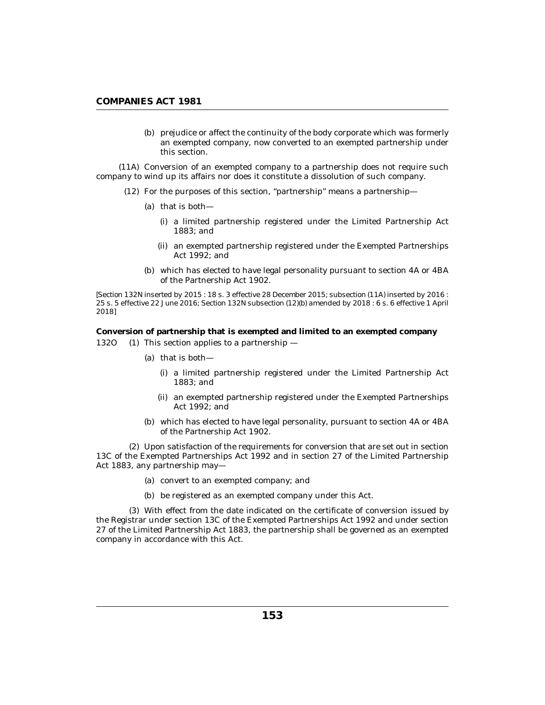(b) prejudice or affect the continuity of the body corporate which was formerly an exempted company, now converted to an exempted partnership under this section.

(11A) Conversion of an exempted company to a partnership does not require such company to wind up its affairs nor does it constitute a dissolution of such company.

- $(12)$  For the purposes of this section, "partnership" means a partnership—
	- (a) that is both
		- a limited partnership registered under the Limited Partnership Act (i) 1883; and
		- (ii) an exempted partnership registered under the Exempted Partnerships Act 1992; and
	- (b) which has elected to have legal personality pursuant to section 4A or 4BA of the Partnership Act 1902.

*[Section 132N inserted by 2015 : 18 s. 3 effective 28 December 2015; subsection (11A) inserted by 2016 : 25 s. 5 effective 22 June 2016; Section 132N subsection (12)(b) amended by 2018 : 6 s. 6 effective 1 April 2018]*

**Conversion of partnership that is exempted and limited to an exempted company** (1) This section applies to a partnership  $-$ 132O

- (a) that is both
	- a limited partnership registered under the Limited Partnership Act (i) 1883; and
	- (ii) an exempted partnership registered under the Exempted Partnerships Act 1992; and
- (b) which has elected to have legal personality, pursuant to section 4A or 4BA of the Partnership Act 1902.

Upon satisfaction of the requirements for conversion that are set out in section (2) 13C of the Exempted Partnerships Act 1992 and in section 27 of the Limited Partnership Act 1883, any partnership may—

- (a) convert to an exempted company; and
- (b) be registered as an exempted company under this Act.

With effect from the date indicated on the certificate of conversion issued by (3) the Registrar under section 13C of the Exempted Partnerships Act 1992 and under section 27 of the Limited Partnership Act 1883, the partnership shall be governed as an exempted company in accordance with this Act.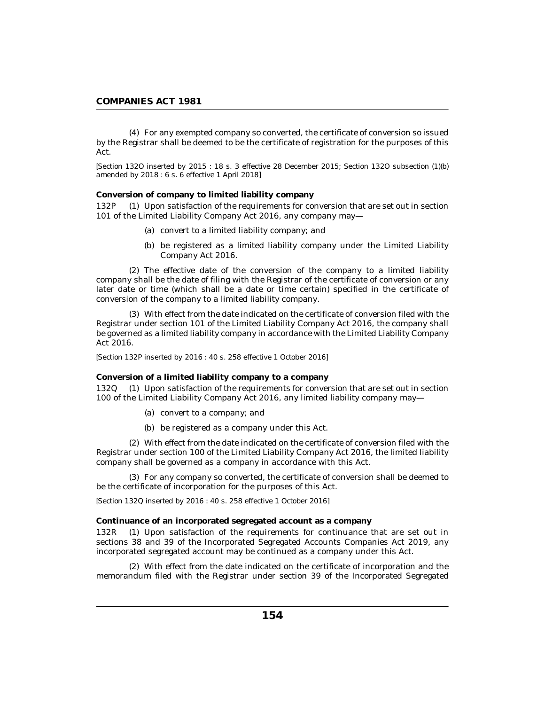For any exempted company so converted, the certificate of conversion so issued (4) by the Registrar shall be deemed to be the certificate of registration for the purposes of this Act.

*[Section 132O inserted by 2015 : 18 s. 3 effective 28 December 2015; Section 132O subsection (1)(b) amended by 2018 : 6 s. 6 effective 1 April 2018]*

**Conversion of company to limited liability company**

Upon satisfaction of the requirements for conversion that are set out in section 101 of the Limited Liability Company Act 2016, any company may— 132P

- (a) convert to a limited liability company; and
- (b) be registered as a limited liability company under the Limited Liability Company Act 2016.

The effective date of the conversion of the company to a limited liability (2) company shall be the date of filing with the Registrar of the certificate of conversion or any later date or time (which shall be a date or time certain) specified in the certificate of conversion of the company to a limited liability company.

With effect from the date indicated on the certificate of conversion filed with the (3) Registrar under section 101 of the Limited Liability Company Act 2016, the company shall be governed as a limited liability company in accordance with the Limited Liability Company Act 2016.

*[Section 132P inserted by 2016 : 40 s. 258 effective 1 October 2016]*

**Conversion of a limited liability company to a company**

132Q (1) Upon satisfaction of the requirements for conversion that are set out in section 100 of the Limited Liability Company Act 2016, any limited liability company may—

- (a) convert to a company; and
- (b) be registered as a company under this Act.

With effect from the date indicated on the certificate of conversion filed with the (2) Registrar under section 100 of the Limited Liability Company Act 2016, the limited liability company shall be governed as a company in accordance with this Act.

For any company so converted, the certificate of conversion shall be deemed to (3) be the certificate of incorporation for the purposes of this Act.

*[Section 132Q inserted by 2016 : 40 s. 258 effective 1 October 2016]*

**Continuance of an incorporated segregated account as a company**

Upon satisfaction of the requirements for continuance that are set out in sections 38 and 39 of the Incorporated Segregated Accounts Companies Act 2019, any incorporated segregated account may be continued as a company under this Act.  $132R$ 

With effect from the date indicated on the certificate of incorporation and the (2) memorandum filed with the Registrar under section 39 of the Incorporated Segregated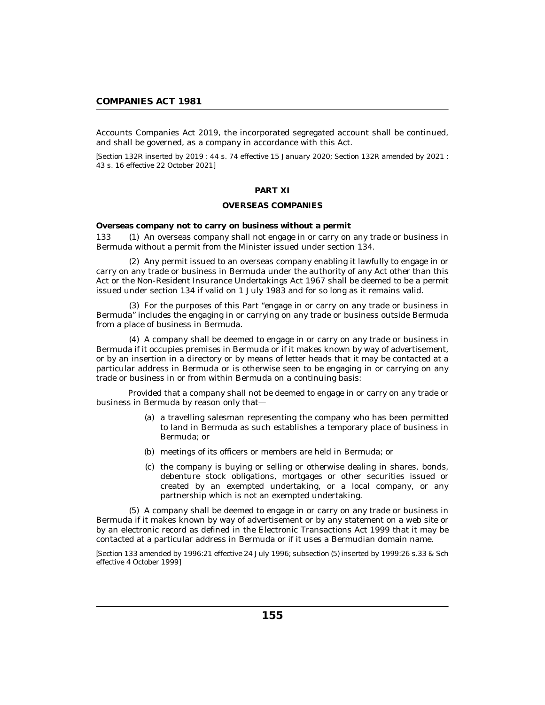Accounts Companies Act 2019, the incorporated segregated account shall be continued, and shall be governed, as a company in accordance with this Act.

*[Section 132R inserted by 2019 : 44 s. 74 effective 15 January 2020; Section 132R amended by 2021 : 43 s. 16 effective 22 October 2021]*

# **PART XI**

## **OVERSEAS COMPANIES**

**Overseas company not to carry on business without a permit** An overseas company shall not engage in or carry on any trade or business in Bermuda without a permit from the Minister issued under section 134. 133

Any permit issued to an overseas company enabling it lawfully to engage in or (2) carry on any trade or business in Bermuda under the authority of any Act other than this Act or the Non-Resident Insurance Undertakings Act 1967 shall be deemed to be a permit issued under section 134 if valid on 1 July 1983 and for so long as it remains valid.

(3) For the purposes of this Part "engage in or carry on any trade or business in Bermuda" includes the engaging in or carrying on any trade or business outside Bermuda from a place of business in Bermuda.

A company shall be deemed to engage in or carry on any trade or business in (4) Bermuda if it occupies premises in Bermuda or if it makes known by way of advertisement, or by an insertion in a directory or by means of letter heads that it may be contacted at a particular address in Bermuda or is otherwise seen to be engaging in or carrying on any trade or business in or from within Bermuda on a continuing basis:

Provided that a company shall not be deemed to engage in or carry on any trade or business in Bermuda by reason only that—

- (a) a travelling salesman representing the company who has been permitted to land in Bermuda as such establishes a temporary place of business in Bermuda; or
- (b) meetings of its officers or members are held in Bermuda; or
- (c) the company is buying or selling or otherwise dealing in shares, bonds, debenture stock obligations, mortgages or other securities issued or created by an exempted undertaking, or a local company, or any partnership which is not an exempted undertaking.

A company shall be deemed to engage in or carry on any trade or business in (5) Bermuda if it makes known by way of advertisement or by any statement on a web site or by an electronic record as defined in the Electronic Transactions Act 1999 that it may be contacted at a particular address in Bermuda or if it uses a Bermudian domain name.

*[Section 133 amended by 1996:21 effective 24 July 1996; subsection (5) inserted by 1999:26 s.33 & Sch effective 4 October 1999]*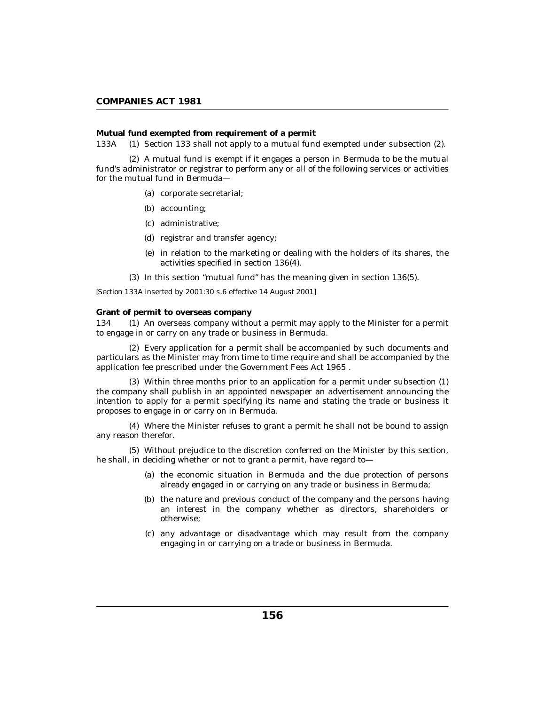**Mutual fund exempted from requirement of a permit**

 $(1)$  Section 133 shall not apply to a mutual fund exempted under subsection  $(2)$ . 133A

A mutual fund is exempt if it engages a person in Bermuda to be the mutual (2) fund's administrator or registrar to perform any or all of the following services or activities for the mutual fund in Bermuda—

- (a) corporate secretarial;
- (b) accounting;
- administrative; (c)
- (d) registrar and transfer agency;
- in relation to the marketing or dealing with the holders of its shares, the (e) activities specified in section 136(4).
- $(3)$  In this section "mutual fund" has the meaning given in section 136 $(5)$ .

*[Section 133A inserted by 2001:30 s.6 effective 14 August 2001]*

**Grant of permit to overseas company**

(1) An overseas company without a permit may apply to the Minister for a permit to engage in or carry on any trade or business in Bermuda. 134

Every application for a permit shall be accompanied by such documents and (2) particulars as the Minister may from time to time require and shall be accompanied by the application fee prescribed under the Government Fees Act 1965 .

Within three months prior to an application for a permit under subsection (1) (3) the company shall publish in an appointed newspaper an advertisement announcing the intention to apply for a permit specifying its name and stating the trade or business it proposes to engage in or carry on in Bermuda.

Where the Minister refuses to grant a permit he shall not be bound to assign (4) any reason therefor.

Without prejudice to the discretion conferred on the Minister by this section, (5) he shall, in deciding whether or not to grant a permit, have regard to—

- (a) the economic situation in Bermuda and the due protection of persons already engaged in or carrying on any trade or business in Bermuda;
- (b) the nature and previous conduct of the company and the persons having an interest in the company whether as directors, shareholders or otherwise;
- any advantage or disadvantage which may result from the company (c) engaging in or carrying on a trade or business in Bermuda.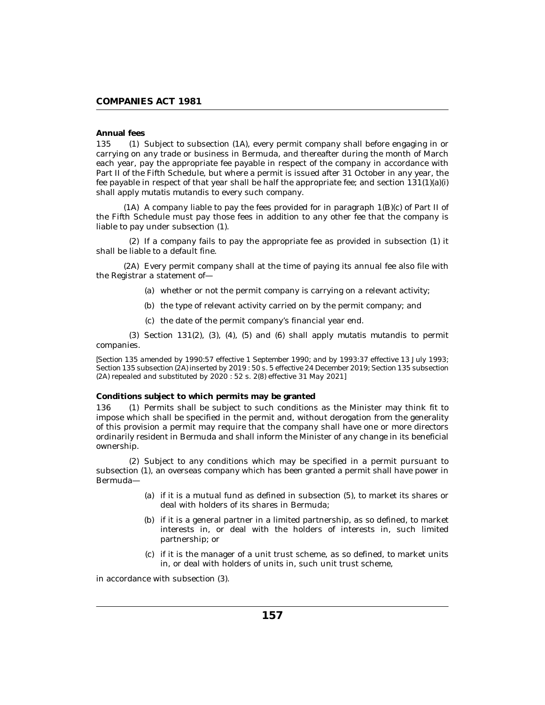# **Annual fees**

135 (1) Subject to subsection (1A), every permit company shall before engaging in or carrying on any trade or business in Bermuda, and thereafter during the month of March each year, pay the appropriate fee payable in respect of the company in accordance with Part II of the Fifth Schedule, but where a permit is issued after 31 October in any year, the fee payable in respect of that year shall be half the appropriate fee; and section  $131(1)(a)(i)$ shall apply *mutatis mutandis* to every such company.

 $(1A)$  A company liable to pay the fees provided for in paragraph  $1(B)(c)$  of Part II of the Fifth Schedule must pay those fees in addition to any other fee that the company is liable to pay under subsection (1).

 $(2)$  If a company fails to pay the appropriate fee as provided in subsection  $(1)$  it shall be liable to a default fine.

Every permit company shall at the time of paying its annual fee also file with (2A) the Registrar a statement of—

- whether or not the permit company is carrying on a relevant activity; (a)
- (b) the type of relevant activity carried on by the permit company; and
- (c) the date of the permit company's financial year end.

 $(3)$  Section  $131(2)$ ,  $(3)$ ,  $(4)$ ,  $(5)$  and  $(6)$  shall apply *mutatis mutandis* to permit companies.

*[Section 135 amended by 1990:57 effective 1 September 1990; and by 1993:37 effective 13 July 1993; Section 135 subsection (2A) inserted by 2019 : 50 s. 5 effective 24 December 2019; Section 135 subsection (2A) repealed and substituted by 2020 : 52 s. 2(8) effective 31 May 2021]*

**Conditions subject to which permits may be granted**

Permits shall be subject to such conditions as the Minister may think fit to impose which shall be specified in the permit and, without derogation from the generality of this provision a permit may require that the company shall have one or more directors ordinarily resident in Bermuda and shall inform the Minister of any change in its beneficial ownership. 136

(2) Subject to any conditions which may be specified in a permit pursuant to subsection (1), an overseas company which has been granted a permit shall have power in Bermuda—

- if it is a mutual fund as defined in subsection (5), to market its shares or (a) deal with holders of its shares in Bermuda;
- if it is a general partner in a limited partnership, as so defined, to market (b) interests in, or deal with the holders of interests in, such limited partnership; or
- if it is the manager of a unit trust scheme, as so defined, to market units (c) in, or deal with holders of units in, such unit trust scheme,

in accordance with subsection (3).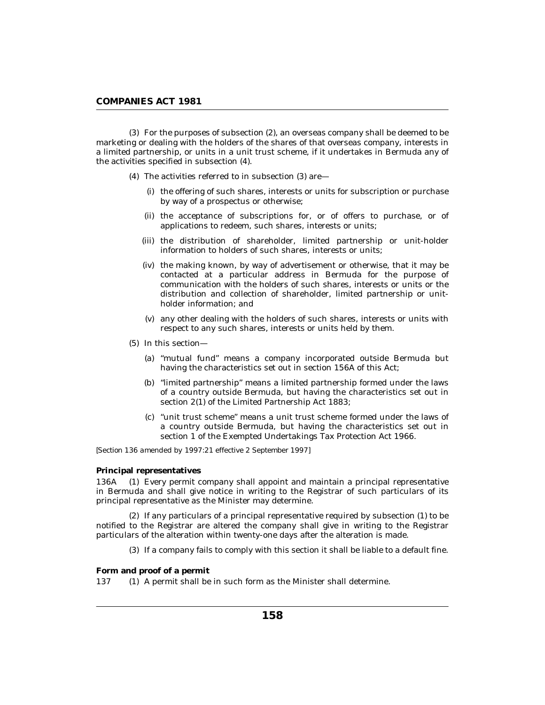For the purposes of subsection (2), an overseas company shall be deemed to be (3) marketing or dealing with the holders of the shares of that overseas company, interests in a limited partnership, or units in a unit trust scheme, if it undertakes in Bermuda any of the activities specified in subsection (4).

- (4) The activities referred to in subsection (3) are-
	- (i) the offering of such shares, interests or units for subscription or purchase by way of a prospectus or otherwise;
	- (ii) the acceptance of subscriptions for, or of offers to purchase, or of applications to redeem, such shares, interests or units;
	- (iii) the distribution of shareholder, limited partnership or unit-holder information to holders of such shares, interests or units;
	- (iv) the making known, by way of advertisement or otherwise, that it may be contacted at a particular address in Bermuda for the purpose of communication with the holders of such shares, interests or units or the distribution and collection of shareholder, limited partnership or unitholder information; and
	- (v) any other dealing with the holders of such shares, interests or units with respect to any such shares, interests or units held by them.
- (5) In this section-
	- "mutual fund" means a company incorporated outside Bermuda but (a) having the characteristics set out in section 156A of this Act;
	- "limited partnership" means a limited partnership formed under the laws (b) of a country outside Bermuda, but having the characteristics set out in section 2(1) of the Limited Partnership Act 1883;
	- "unit trust scheme" means a unit trust scheme formed under the laws of (c) a country outside Bermuda, but having the characteristics set out in section 1 of the Exempted Undertakings Tax Protection Act 1966.

*[Section 136 amended by 1997:21 effective 2 September 1997]*

### **Principal representatives**

Every permit company shall appoint and maintain a principal representative in Bermuda and shall give notice in writing to the Registrar of such particulars of its principal representative as the Minister may determine. 136A

 $(2)$  If any particulars of a principal representative required by subsection  $(1)$  to be notified to the Registrar are altered the company shall give in writing to the Registrar particulars of the alteration within twenty-one days after the alteration is made.

(3) If a company fails to comply with this section it shall be liable to a default fine.

## **Form and proof of a permit**

A permit shall be in such form as the Minister shall determine. 137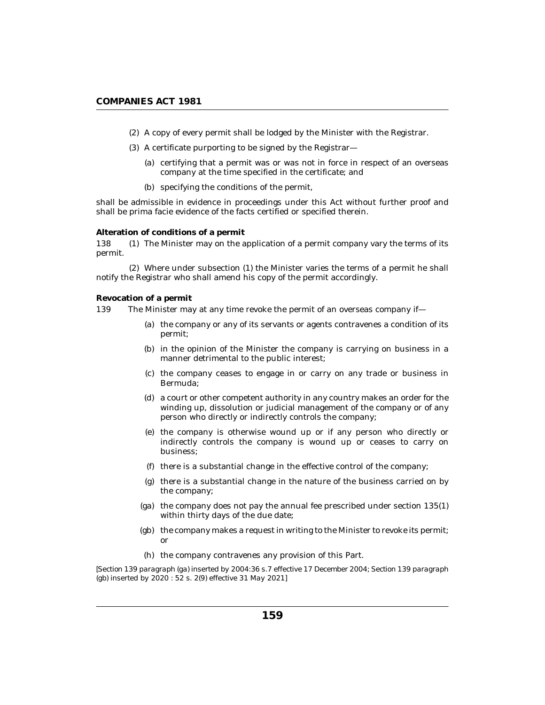- A copy of every permit shall be lodged by the Minister with the Registrar. (2)
- (3) A certificate purporting to be signed by the Registrar
	- certifying that a permit was or was not in force in respect of an overseas (a) company at the time specified in the certificate; and
	- (b) specifying the conditions of the permit,

shall be admissible in evidence in proceedings under this Act without further proof and shall be prima facie evidence of the facts certified or specified therein.

**Alteration of conditions of a permit**

The Minister may on the application of a permit company vary the terms of its permit. 138

Where under subsection (1) the Minister varies the terms of a permit he shall (2) notify the Registrar who shall amend his copy of the permit accordingly.

**Revocation of a permit**

- The Minister may at any time revoke the permit of an overseas company if— 139
	- (a) the company or any of its servants or agents contravenes a condition of its permit;
	- (b) in the opinion of the Minister the company is carrying on business in a manner detrimental to the public interest;
	- (c) the company ceases to engage in or carry on any trade or business in Bermuda;
	- a court or other competent authority in any country makes an order for the (d) winding up, dissolution or judicial management of the company or of any person who directly or indirectly controls the company;
	- (e) the company is otherwise wound up or if any person who directly or indirectly controls the company is wound up or ceases to carry on business;
	- $(f)$  there is a substantial change in the effective control of the company;
	- $(g)$  there is a substantial change in the nature of the business carried on by the company;
	- $q$  (ga) the company does not pay the annual fee prescribed under section  $135(1)$ within thirty days of the due date;
	- (gb) the company makes a request in writing to the Minister to revoke its permit; or
	- (h) the company contravenes any provision of this Part.

*[Section 139 paragraph (ga) inserted by 2004:36 s.7 effective 17 December 2004; Section 139 paragraph (gb) inserted by 2020 : 52 s. 2(9) effective 31 May 2021]*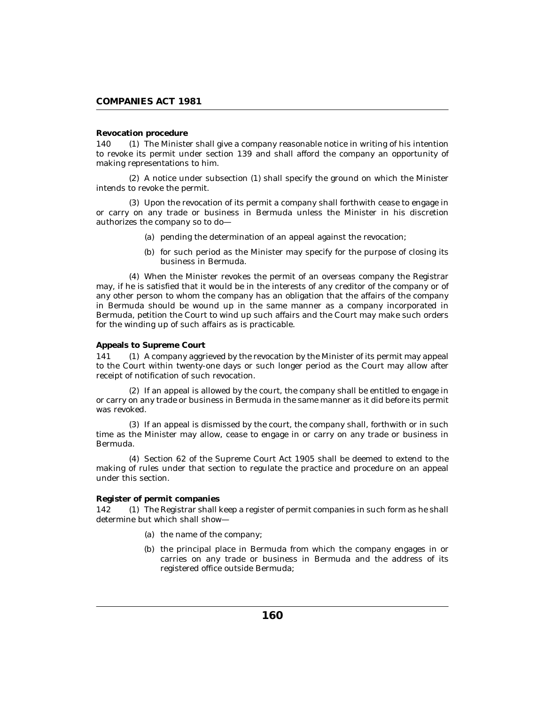### **Revocation procedure**

The Minister shall give a company reasonable notice in writing of his intention to revoke its permit under section 139 and shall afford the company an opportunity of making representations to him. 140

(2) A notice under subsection (1) shall specify the ground on which the Minister intends to revoke the permit.

Upon the revocation of its permit a company shall forthwith cease to engage in (3) or carry on any trade or business in Bermuda unless the Minister in his discretion authorizes the company so to do—

- (a) pending the determination of an appeal against the revocation;
- for such period as the Minister may specify for the purpose of closing its (b) business in Bermuda.

When the Minister revokes the permit of an overseas company the Registrar (4) may, if he is satisfied that it would be in the interests of any creditor of the company or of any other person to whom the company has an obligation that the affairs of the company in Bermuda should be wound up in the same manner as a company incorporated in Bermuda, petition the Court to wind up such affairs and the Court may make such orders for the winding up of such affairs as is practicable.

#### **Appeals to Supreme Court**

A company aggrieved by the revocation by the Minister of its permit may appeal to the Court within twenty-one days or such longer period as the Court may allow after receipt of notification of such revocation.  $141$ 

 $(2)$  If an appeal is allowed by the court, the company shall be entitled to engage in or carry on any trade or business in Bermuda in the same manner as it did before its permit was revoked.

(3) If an appeal is dismissed by the court, the company shall, forthwith or in such time as the Minister may allow, cease to engage in or carry on any trade or business in Bermuda.

(4) Section 62 of the Supreme Court Act 1905 shall be deemed to extend to the making of rules under that section to regulate the practice and procedure on an appeal under this section.

### **Register of permit companies**

The Registrar shall keep a register of permit companies in such form as he shall determine but which shall show— 142

- (a) the name of the company;
- (b) the principal place in Bermuda from which the company engages in or carries on any trade or business in Bermuda and the address of its registered office outside Bermuda;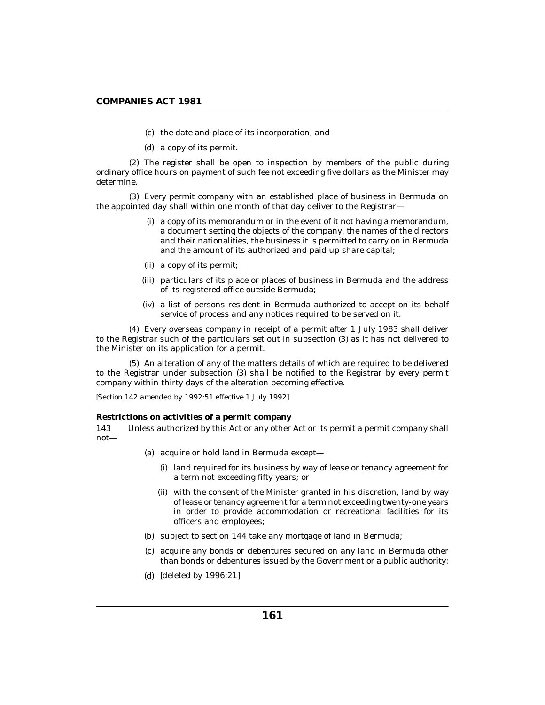- (c) the date and place of its incorporation; and
- (d) a copy of its permit.

(2) The register shall be open to inspection by members of the public during ordinary office hours on payment of such fee not exceeding five dollars as the Minister may determine.

Every permit company with an established place of business in Bermuda on (3) the appointed day shall within one month of that day deliver to the Registrar—

- a copy of its memorandum or in the event of it not having a memorandum, (i) a document setting the objects of the company, the names of the directors and their nationalities, the business it is permitted to carry on in Bermuda and the amount of its authorized and paid up share capital;
- a copy of its permit; (ii)
- (iii) particulars of its place or places of business in Bermuda and the address of its registered office outside Bermuda;
- (iv) a list of persons resident in Bermuda authorized to accept on its behalf service of process and any notices required to be served on it.

Every overseas company in receipt of a permit after 1 July 1983 shall deliver (4) to the Registrar such of the particulars set out in subsection (3) as it has not delivered to the Minister on its application for a permit.

(5) An alteration of any of the matters details of which are required to be delivered to the Registrar under subsection (3) shall be notified to the Registrar by every permit company within thirty days of the alteration becoming effective.

*[Section 142 amended by 1992:51 effective 1 July 1992]*

**Restrictions on activities of a permit company**

Unless authorized by this Act or any other Act or its permit a permit company shall not— 143

- (a) acquire or hold land in Bermuda except—
	- (i) land required for its business by way of lease or tenancy agreement for a term not exceeding fifty years; or
	- (ii) with the consent of the Minister granted in his discretion, land by way of lease or tenancy agreement for a term not exceeding twenty-one years in order to provide accommodation or recreational facilities for its officers and employees;
- (b) subject to section 144 take any mortgage of land in Bermuda;
- acquire any bonds or debentures secured on any land in Bermuda other (c) than bonds or debentures issued by the Government or a public authority;
- *[deleted by 1996:21]* (d)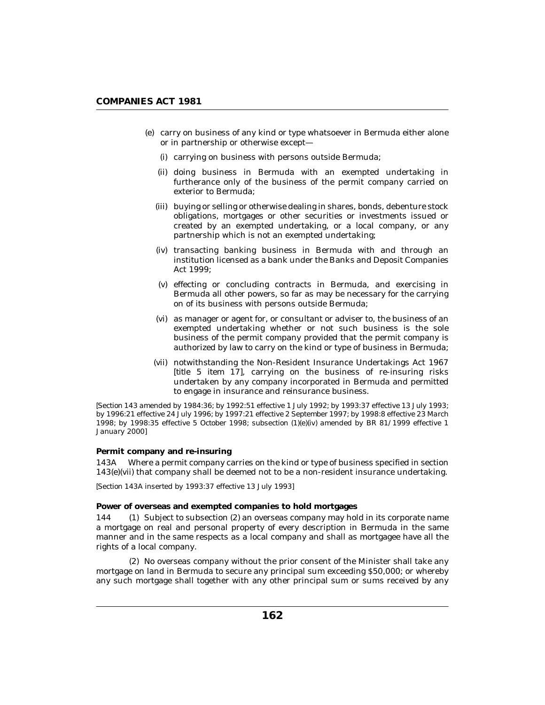- (e) carry on business of any kind or type whatsoever in Bermuda either alone or in partnership or otherwise except—
	- (i) carrying on business with persons outside Bermuda;
	- (ii) doing business in Bermuda with an exempted undertaking in furtherance only of the business of the permit company carried on exterior to Bermuda;
	- (iii) buying or selling or otherwise dealing in shares, bonds, debenture stock obligations, mortgages or other securities or investments issued or created by an exempted undertaking, or a local company, or any partnership which is not an exempted undertaking;
	- (iv) transacting banking business in Bermuda with and through an institution licensed as a bank under the Banks and Deposit Companies Act 1999;
	- (v) effecting or concluding contracts in Bermuda, and exercising in Bermuda all other powers, so far as may be necessary for the carrying on of its business with persons outside Bermuda;
	- (vi) as manager or agent for, or consultant or adviser to, the business of an exempted undertaking whether or not such business is the sole business of the permit company provided that the permit company is authorized by law to carry on the kind or type of business in Bermuda;
	- (vii) notwithstanding the Non-Resident Insurance Undertakings Act 1967 [*title 5 item 17*], carrying on the business of re-insuring risks undertaken by any company incorporated in Bermuda and permitted to engage in insurance and reinsurance business.

*[Section 143 amended by 1984:36; by 1992:51 effective 1 July 1992; by 1993:37 effective 13 July 1993; by 1996:21 effective 24 July 1996; by 1997:21 effective 2 September 1997; by 1998:8 effective 23 March 1998; by 1998:35 effective 5 October 1998; subsection (1)(e)(iv) amended by BR 81/1999 effective 1 January 2000]*

**Permit company and re-insuring**

Where a permit company carries on the kind or type of business specified in section 143(e)(vii) that company shall be deemed not to be a non-resident insurance undertaking. 143A

*[Section 143A inserted by 1993:37 effective 13 July 1993]*

**Power of overseas and exempted companies to hold mortgages**

Subject to subsection (2) an overseas company may hold in its corporate name a mortgage on real and personal property of every description in Bermuda in the same manner and in the same respects as a local company and shall as mortgagee have all the rights of a local company. 144

(2) No overseas company without the prior consent of the Minister shall take any mortgage on land in Bermuda to secure any principal sum exceeding \$50,000; or whereby any such mortgage shall together with any other principal sum or sums received by any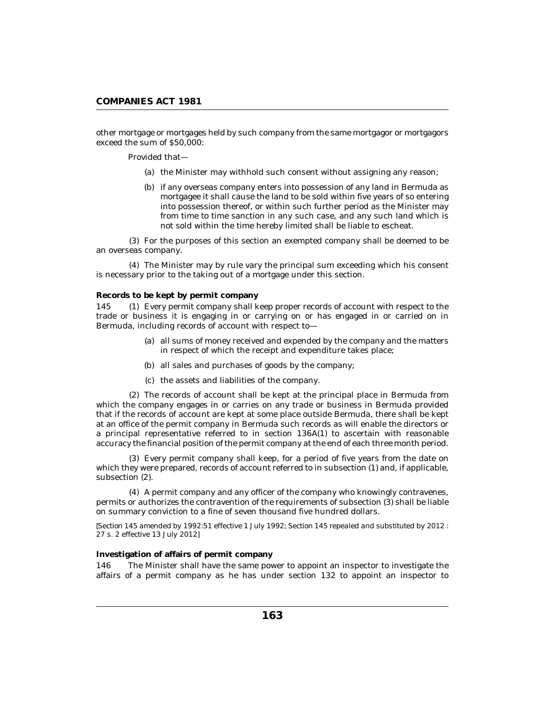other mortgage or mortgages held by such company from the same mortgagor or mortgagors exceed the sum of \$50,000:

Provided that—

- (a) the Minister may withhold such consent without assigning any reason;
- if any overseas company enters into possession of any land in Bermuda as (b) mortgagee it shall cause the land to be sold within five years of so entering into possession thereof, or within such further period as the Minister may from time to time sanction in any such case, and any such land which is not sold within the time hereby limited shall be liable to escheat.

For the purposes of this section an exempted company shall be deemed to be (3) an overseas company.

The Minister may by rule vary the principal sum exceeding which his consent (4) is necessary prior to the taking out of a mortgage under this section.

### **Records to be kept by permit company**

Every permit company shall keep proper records of account with respect to the trade or business it is engaging in or carrying on or has engaged in or carried on in Bermuda, including records of account with respect to— 145

- all sums of money received and expended by the company and the matters (a) in respect of which the receipt and expenditure takes place;
- (b) all sales and purchases of goods by the company;
- (c) the assets and liabilities of the company.

The records of account shall be kept at the principal place in Bermuda from (2) which the company engages in or carries on any trade or business in Bermuda provided that if the records of account are kept at some place outside Bermuda, there shall be kept at an office of the permit company in Bermuda such records as will enable the directors or a principal representative referred to in section 136A(1) to ascertain with reasonable accuracy the financial position of the permit company at the end of each three month period.

Every permit company shall keep, for a period of five years from the date on (3) which they were prepared, records of account referred to in subsection (1) and, if applicable, subsection (2).

A permit company and any officer of the company who knowingly contravenes, (4) permits or authorizes the contravention of the requirements of subsection (3) shall be liable on summary conviction to a fine of seven thousand five hundred dollars.

*[Section 145 amended by 1992:51 effective 1 July 1992; Section 145 repealed and substituted by 2012 : 27 s. 2 effective 13 July 2012]*

### **Investigation of affairs of permit company**

The Minister shall have the same power to appoint an inspector to investigate the affairs of a permit company as he has under section 132 to appoint an inspector to 146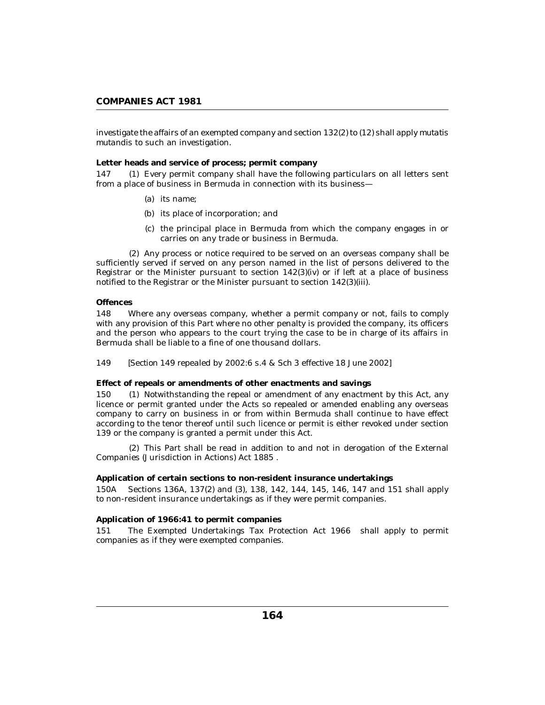investigate the affairs of an exempted company and section 132(2) to (12) shall apply *mutatis mutandis* to such an investigation.

**Letter heads and service of process; permit company**

Every permit company shall have the following particulars on all letters sent from a place of business in Bermuda in connection with its business— 147

- its name; (a)
- (b) its place of incorporation; and
- (c) the principal place in Bermuda from which the company engages in or carries on any trade or business in Bermuda.

Any process or notice required to be served on an overseas company shall be (2) sufficiently served if served on any person named in the list of persons delivered to the Registrar or the Minister pursuant to section 142(3)(iv) or if left at a place of business notified to the Registrar or the Minister pursuant to section 142(3)(iii).

### **Offences**

Where any overseas company, whether a permit company or not, fails to comply with any provision of this Part where no other penalty is provided the company, its officers and the person who appears to the court trying the case to be in charge of its affairs in Bermuda shall be liable to a fine of one thousand dollars. 148

#### *[Section 149 repealed by 2002:6 s.4 & Sch 3 effective 18 June 2002]* 149

**Effect of repeals or amendments of other enactments and savings**

 $(1)$  Notwithstanding the repeal or amendment of any enactment by this Act, any licence or permit granted under the Acts so repealed or amended enabling any overseas company to carry on business in or from within Bermuda shall continue to have effect according to the tenor thereof until such licence or permit is either revoked under section 139 or the company is granted a permit under this Act.  $150$ 

(2) This Part shall be read in addition to and not in derogation of the External Companies (Jurisdiction in Actions) Act 1885 .

**Application of certain sections to non-resident insurance undertakings** Sections 136A, 137(2) and (3), 138, 142, 144, 145, 146, 147 and 151 shall apply to non-resident insurance undertakings as if they were permit companies. 150A

**Application of 1966:41 to permit companies**

The Exempted Undertakings Tax Protection Act 1966 shall apply to permit companies as if they were exempted companies. 151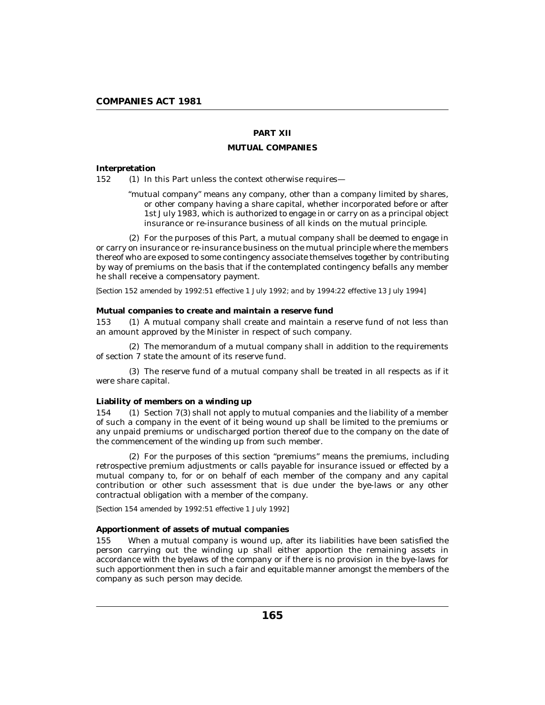# **PART XII**

### **MUTUAL COMPANIES**

#### **Interpretation**

(1) In this Part unless the context otherwise requires— 152

> "mutual company" means any company, other than a company limited by shares, or other company having a share capital, whether incorporated before or after 1st July 1983, which is authorized to engage in or carry on as a principal object insurance or re-insurance business of all kinds on the mutual principle.

For the purposes of this Part, a mutual company shall be deemed to engage in (2) or carry on insurance or re-insurance business on the mutual principle where the members thereof who are exposed to some contingency associate themselves together by contributing by way of premiums on the basis that if the contemplated contingency befalls any member he shall receive a compensatory payment.

*[Section 152 amended by 1992:51 effective 1 July 1992; and by 1994:22 effective 13 July 1994]*

#### **Mutual companies to create and maintain a reserve fund**

A mutual company shall create and maintain a reserve fund of not less than an amount approved by the Minister in respect of such company. 153

The memorandum of a mutual company shall in addition to the requirements (2) of section 7 state the amount of its reserve fund.

(3) The reserve fund of a mutual company shall be treated in all respects as if it were share capital.

### **Liability of members on a winding up**

 $(1)$  Section 7(3) shall not apply to mutual companies and the liability of a member of such a company in the event of it being wound up shall be limited to the premiums or any unpaid premiums or undischarged portion thereof due to the company on the date of the commencement of the winding up from such member. 154

For the purposes of this section "premiums" means the premiums, including (2) retrospective premium adjustments or calls payable for insurance issued or effected by a mutual company to, for or on behalf of each member of the company and any capital contribution or other such assessment that is due under the bye-laws or any other contractual obligation with a member of the company.

*[Section 154 amended by 1992:51 effective 1 July 1992]*

**Apportionment of assets of mutual companies**

When a mutual company is wound up, after its liabilities have been satisfied the person carrying out the winding up shall either apportion the remaining assets in accordance with the byelaws of the company or if there is no provision in the bye-laws for such apportionment then in such a fair and equitable manner amongst the members of the company as such person may decide. 155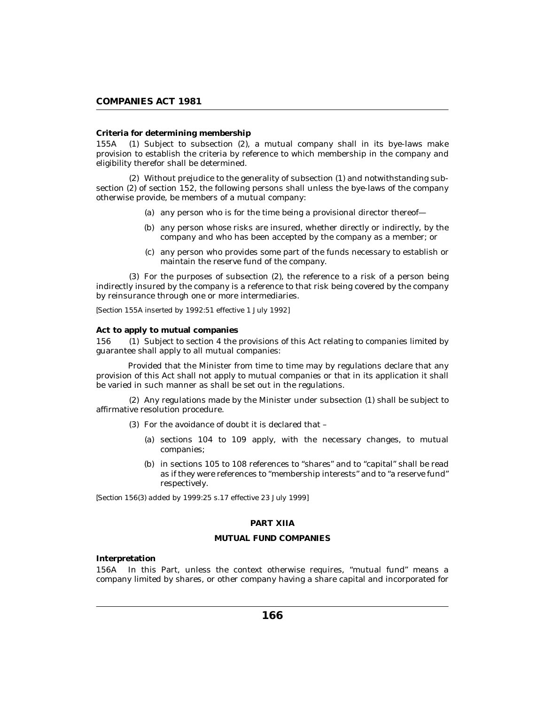## **Criteria for determining membership**

 $(1)$  Subject to subsection  $(2)$ , a mutual company shall in its bye-laws make provision to establish the criteria by reference to which membership in the company and eligibility therefor shall be determined.  $155A$ 

Without prejudice to the generality of subsection (1) and notwithstanding sub-(2) section (2) of section 152, the following persons shall unless the bye-laws of the company otherwise provide, be members of a mutual company:

- (a) any person who is for the time being a provisional director thereof—
- (b) any person whose risks are insured, whether directly or indirectly, by the company and who has been accepted by the company as a member; or
- (c) any person who provides some part of the funds necessary to establish or maintain the reserve fund of the company.

For the purposes of subsection (2), the reference to a risk of a person being (3) indirectly insured by the company is a reference to that risk being covered by the company by reinsurance through one or more intermediaries.

*[Section 155A inserted by 1992:51 effective 1 July 1992]*

**Act to apply to mutual companies**

156 (1) Subject to section 4 the provisions of this Act relating to companies limited by guarantee shall apply to all mutual companies:

Provided that the Minister from time to time may by regulations declare that any provision of this Act shall not apply to mutual companies or that in its application it shall be varied in such manner as shall be set out in the regulations.

(2) Any regulations made by the Minister under subsection (1) shall be subject to affirmative resolution procedure.

- (3) For the avoidance of doubt it is declared that -
	- (a) sections  $104$  to  $109$  apply, with the necessary changes, to mutual companies;
	- (b) in sections 105 to 108 references to "shares" and to "capital" shall be read as if they were references to "membership interests" and to "a reserve fund" respectively.

*[Section 156(3) added by 1999:25 s.17 effective 23 July 1999]*

# **PART XIIA**

### **MUTUAL FUND COMPANIES**

**Interpretation**

In this Part, unless the context otherwise requires, "mutual fund" means a company limited by shares, or other company having a share capital and incorporated for 156A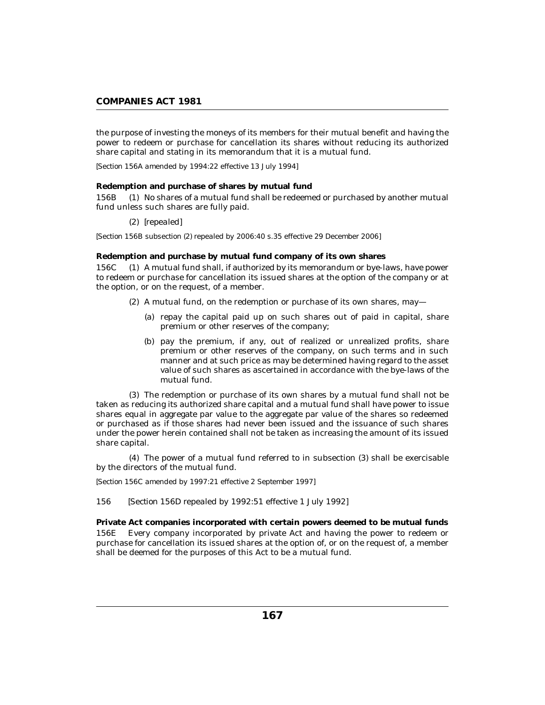the purpose of investing the moneys of its members for their mutual benefit and having the power to redeem or purchase for cancellation its shares without reducing its authorized share capital and stating in its memorandum that it is a mutual fund.

*[Section 156A amended by 1994:22 effective 13 July 1994]*

**Redemption and purchase of shares by mutual fund**

(1) No shares of a mutual fund shall be redeemed or purchased by another mutual fund unless such shares are fully paid. 156B

### *[repealed]* (2)

*[Section 156B subsection (2) repealed by 2006:40 s.35 effective 29 December 2006]*

**Redemption and purchase by mutual fund company of its own shares**

A mutual fund shall, if authorized by its memorandum or bye-laws, have power to redeem or purchase for cancellation its issued shares at the option of the company or at the option, or on the request, of a member. 156C

- $(2)$  A mutual fund, on the redemption or purchase of its own shares, may—
	- (a) repay the capital paid up on such shares out of paid in capital, share premium or other reserves of the company;
	- (b) pay the premium, if any, out of realized or unrealized profits, share premium or other reserves of the company, on such terms and in such manner and at such price as may be determined having regard to the asset value of such shares as ascertained in accordance with the bye-laws of the mutual fund.

The redemption or purchase of its own shares by a mutual fund shall not be (3) taken as reducing its authorized share capital and a mutual fund shall have power to issue shares equal in aggregate par value to the aggregate par value of the shares so redeemed or purchased as if those shares had never been issued and the issuance of such shares under the power herein contained shall not be taken as increasing the amount of its issued share capital.

The power of a mutual fund referred to in subsection (3) shall be exercisable (4) by the directors of the mutual fund.

*[Section 156C amended by 1997:21 effective 2 September 1997]*

#### *[Section 156D repealed by 1992:51 effective 1 July 1992]* 156

**Private Act companies incorporated with certain powers deemed to be mutual funds** Every company incorporated by private Act and having the power to redeem or purchase for cancellation its issued shares at the option of, or on the request of, a member shall be deemed for the purposes of this Act to be a mutual fund. 156E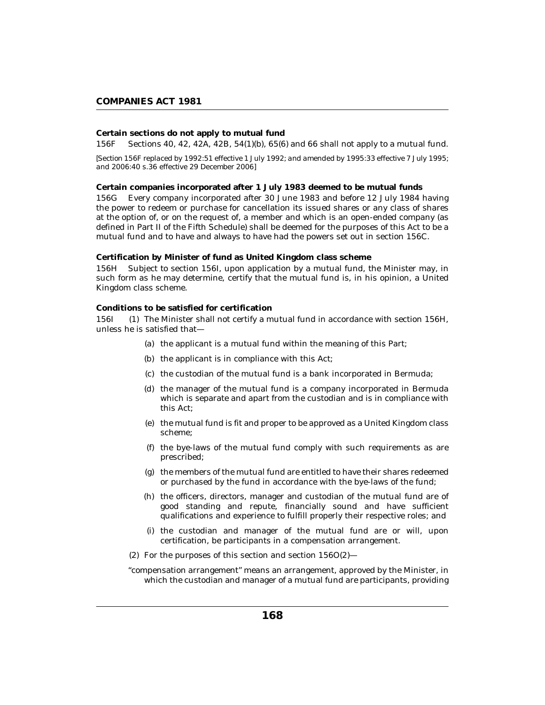**Certain sections do not apply to mutual fund** Sections 40, 42, 42A, 42B, 54(1)(b), 65(6) and 66 shall not apply to a mutual fund. 156F

*[Section 156F replaced by 1992:51 effective 1 July 1992; and amended by 1995:33 effective 7 July 1995; and 2006:40 s.36 effective 29 December 2006]*

**Certain companies incorporated after 1 July 1983 deemed to be mutual funds** Every company incorporated after 30 June 1983 and before 12 July 1984 having 156G the power to redeem or purchase for cancellation its issued shares or any class of shares at the option of, or on the request of, a member and which is an open-ended company (as defined in Part II of the Fifth Schedule) shall be deemed for the purposes of this Act to be a mutual fund and to have and always to have had the powers set out in section 156C.

**Certification by Minister of fund as United Kingdom class scheme**

Subject to section 156I, upon application by a mutual fund, the Minister may, in such form as he may determine, certify that the mutual fund is, in his opinion, a United Kingdom class scheme. 156H

**Conditions to be satisfied for certification**

The Minister shall not certify a mutual fund in accordance with section 156H, unless he is satisfied that— 156I

- (a) the applicant is a mutual fund within the meaning of this Part;
- (b) the applicant is in compliance with this Act;
- (c) the custodian of the mutual fund is a bank incorporated in Bermuda;
- (d) the manager of the mutual fund is a company incorporated in Bermuda which is separate and apart from the custodian and is in compliance with this Act;
- the mutual fund is fit and proper to be approved as a United Kingdom class (e) scheme;
- the bye-laws of the mutual fund comply with such requirements as are (f) prescribed;
- (g) the members of the mutual fund are entitled to have their shares redeemed or purchased by the fund in accordance with the bye-laws of the fund;
- (h) the officers, directors, manager and custodian of the mutual fund are of good standing and repute, financially sound and have sufficient qualifications and experience to fulfill properly their respective roles; and
- (i) the custodian and manager of the mutual fund are or will, upon certification, be participants in a compensation arrangement.
- (2) For the purposes of this section and section  $156O(2)$ —
- "compensation arrangement" means an arrangement, approved by the Minister, in which the custodian and manager of a mutual fund are participants, providing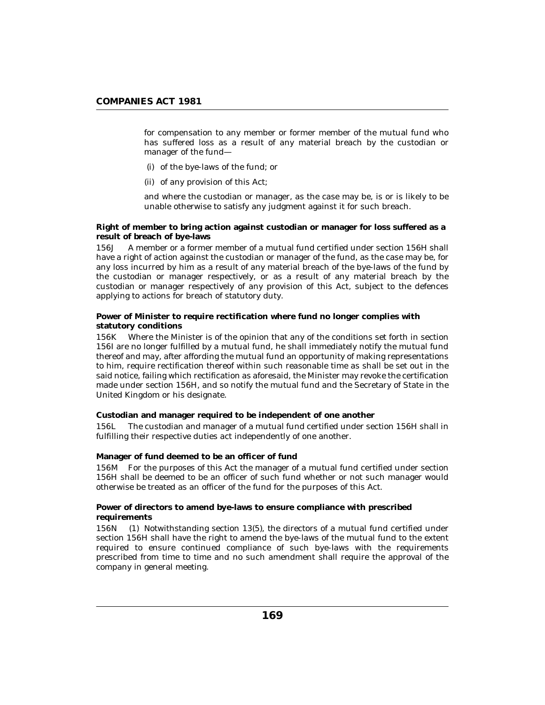for compensation to any member or former member of the mutual fund who has suffered loss as a result of any material breach by the custodian or manager of the fund—

- (i) of the bye-laws of the fund; or
- (ii) of any provision of this Act;

and where the custodian or manager, as the case may be, is or is likely to be unable otherwise to satisfy any judgment against it for such breach.

**Right of member to bring action against custodian or manager for loss suffered as a result of breach of bye-laws**

A member or a former member of a mutual fund certified under section 156H shall have a right of action against the custodian or manager of the fund, as the case may be, for any loss incurred by him as a result of any material breach of the bye-laws of the fund by the custodian or manager respectively, or as a result of any material breach by the custodian or manager respectively of any provision of this Act, subject to the defences applying to actions for breach of statutory duty. 156J

**Power of Minister to require rectification where fund no longer complies with statutory conditions**

Where the Minister is of the opinion that any of the conditions set forth in section 156I are no longer fulfilled by a mutual fund, he shall immediately notify the mutual fund thereof and may, after affording the mutual fund an opportunity of making representations to him, require rectification thereof within such reasonable time as shall be set out in the said notice, failing which rectification as aforesaid, the Minister may revoke the certification made under section 156H, and so notify the mutual fund and the Secretary of State in the United Kingdom or his designate. 156K

**Custodian and manager required to be independent of one another**

The custodian and manager of a mutual fund certified under section 156H shall in fulfilling their respective duties act independently of one another. 156L

**Manager of fund deemed to be an officer of fund**

156M For the purposes of this Act the manager of a mutual fund certified under section 156H shall be deemed to be an officer of such fund whether or not such manager would otherwise be treated as an officer of the fund for the purposes of this Act.

**Power of directors to amend bye-laws to ensure compliance with prescribed requirements**

 $(1)$  Notwithstanding section 13(5), the directors of a mutual fund certified under section 156H shall have the right to amend the bye-laws of the mutual fund to the extent required to ensure continued compliance of such bye-laws with the requirements prescribed from time to time and no such amendment shall require the approval of the company in general meeting. 156N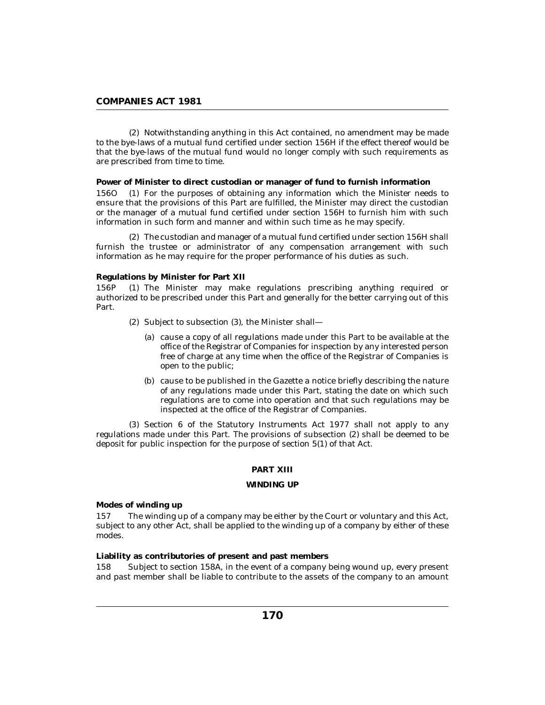(2) Notwithstanding anything in this Act contained, no amendment may be made to the bye-laws of a mutual fund certified under section 156H if the effect thereof would be that the bye-laws of the mutual fund would no longer comply with such requirements as are prescribed from time to time.

**Power of Minister to direct custodian or manager of fund to furnish information**

For the purposes of obtaining any information which the Minister needs to ensure that the provisions of this Part are fulfilled, the Minister may direct the custodian or the manager of a mutual fund certified under section 156H to furnish him with such information in such form and manner and within such time as he may specify.  $1560$ 

The custodian and manager of a mutual fund certified under section 156H shall (2) furnish the trustee or administrator of any compensation arrangement with such information as he may require for the proper performance of his duties as such.

### **Regulations by Minister for Part XII**

(1) The Minister may make regulations prescribing anything required or authorized to be prescribed under this Part and generally for the better carrying out of this Part. 156P

- (2) Subject to subsection (3), the Minister shall
	- cause a copy of all regulations made under this Part to be available at the (a) office of the Registrar of Companies for inspection by any interested person free of charge at any time when the office of the Registrar of Companies is open to the public;
	- (b) cause to be published in the Gazette a notice briefly describing the nature of any regulations made under this Part, stating the date on which such regulations are to come into operation and that such regulations may be inspected at the office of the Registrar of Companies.

 $(3)$  Section 6 of the Statutory Instruments Act 1977 shall not apply to any regulations made under this Part. The provisions of subsection (2) shall be deemed to be deposit for public inspection for the purpose of section 5(1) of that Act.

# **PART XIII**

## **WINDING UP**

**Modes of winding up**

The winding up of a company may be either by the Court or voluntary and this Act, subject to any other Act, shall be applied to the winding up of a company by either of these modes. 157

**Liability as contributories of present and past members**

Subject to section 158A, in the event of a company being wound up, every present and past member shall be liable to contribute to the assets of the company to an amount 158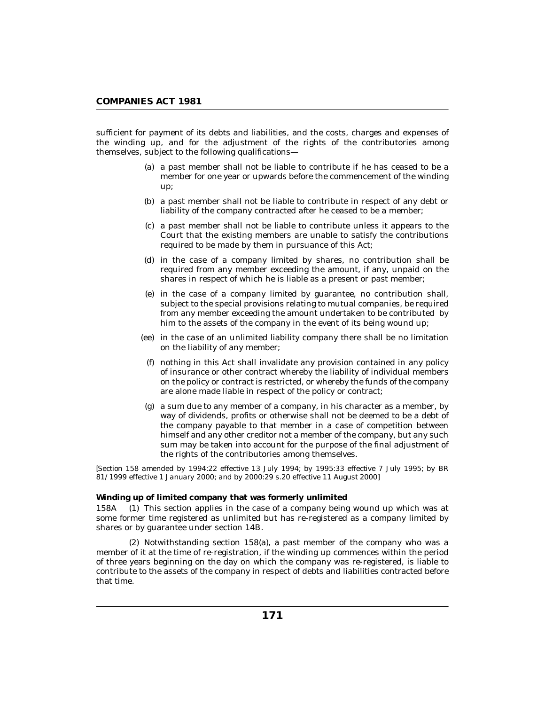sufficient for payment of its debts and liabilities, and the costs, charges and expenses of the winding up, and for the adjustment of the rights of the contributories among themselves, subject to the following qualifications—

- (a) a past member shall not be liable to contribute if he has ceased to be a member for one year or upwards before the commencement of the winding up;
- (b) a past member shall not be liable to contribute in respect of any debt or liability of the company contracted after he ceased to be a member;
- a past member shall not be liable to contribute unless it appears to the (c) Court that the existing members are unable to satisfy the contributions required to be made by them in pursuance of this Act;
- in the case of a company limited by shares, no contribution shall be (d) required from any member exceeding the amount, if any, unpaid on the shares in respect of which he is liable as a present or past member;
- in the case of a company limited by guarantee, no contribution shall, (e) subject to the special provisions relating to mutual companies, be required from any member exceeding the amount undertaken to be contributed by him to the assets of the company in the event of its being wound up;
- (ee) in the case of an unlimited liability company there shall be no limitation on the liability of any member;
- nothing in this Act shall invalidate any provision contained in any policy (f) of insurance or other contract whereby the liability of individual members on the policy or contract is restricted, or whereby the funds of the company are alone made liable in respect of the policy or contract;
- $(g)$  a sum due to any member of a company, in his character as a member, by way of dividends, profits or otherwise shall not be deemed to be a debt of the company payable to that member in a case of competition between himself and any other creditor not a member of the company, but any such sum may be taken into account for the purpose of the final adjustment of the rights of the contributories among themselves.

*[Section 158 amended by 1994:22 effective 13 July 1994; by 1995:33 effective 7 July 1995; by BR 81/1999 effective 1 January 2000; and by 2000:29 s.20 effective 11 August 2000]*

**Winding up of limited company that was formerly unlimited**

This section applies in the case of a company being wound up which was at some former time registered as unlimited but has re-registered as a company limited by shares or by guarantee under section 14B. 158A

 $(2)$  Notwithstanding section 158 $(a)$ , a past member of the company who was a member of it at the time of re-registration, if the winding up commences within the period of three years beginning on the day on which the company was re-registered, is liable to contribute to the assets of the company in respect of debts and liabilities contracted before that time.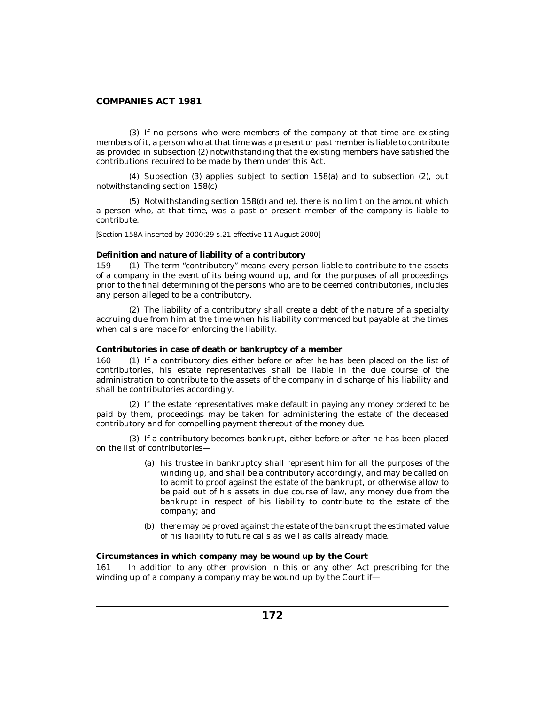(3) If no persons who were members of the company at that time are existing members of it, a person who at that time was a present or past member is liable to contribute as provided in subsection (2) notwithstanding that the existing members have satisfied the contributions required to be made by them under this Act.

 $(4)$  Subsection  $(3)$  applies subject to section  $158(a)$  and to subsection  $(2)$ , but notwithstanding section 158(c).

 $(5)$  Notwithstanding section 158 $(d)$  and  $(e)$ , there is no limit on the amount which a person who, at that time, was a past or present member of the company is liable to contribute.

*[Section 158A inserted by 2000:29 s.21 effective 11 August 2000]*

**Definition and nature of liability of a contributory**

 $(1)$  The term "contributory" means every person liable to contribute to the assets of a company in the event of its being wound up, and for the purposes of all proceedings prior to the final determining of the persons who are to be deemed contributories, includes any person alleged to be a contributory. 159

The liability of a contributory shall create a debt of the nature of a specialty (2) accruing due from him at the time when his liability commenced but payable at the times when calls are made for enforcing the liability.

**Contributories in case of death or bankruptcy of a member**

160 (1) If a contributory dies either before or after he has been placed on the list of contributories, his estate representatives shall be liable in the due course of the administration to contribute to the assets of the company in discharge of his liability and shall be contributories accordingly.

(2) If the estate representatives make default in paying any money ordered to be paid by them, proceedings may be taken for administering the estate of the deceased contributory and for compelling payment thereout of the money due.

(3) If a contributory becomes bankrupt, either before or after he has been placed on the list of contributories—

- his trustee in bankruptcy shall represent him for all the purposes of the (a) winding up, and shall be a contributory accordingly, and may be called on to admit to proof against the estate of the bankrupt, or otherwise allow to be paid out of his assets in due course of law, any money due from the bankrupt in respect of his liability to contribute to the estate of the company; and
- (b) there may be proved against the estate of the bankrupt the estimated value of his liability to future calls as well as calls already made.

**Circumstances in which company may be wound up by the Court**

In addition to any other provision in this or any other Act prescribing for the winding up of a company a company may be wound up by the Court if— 161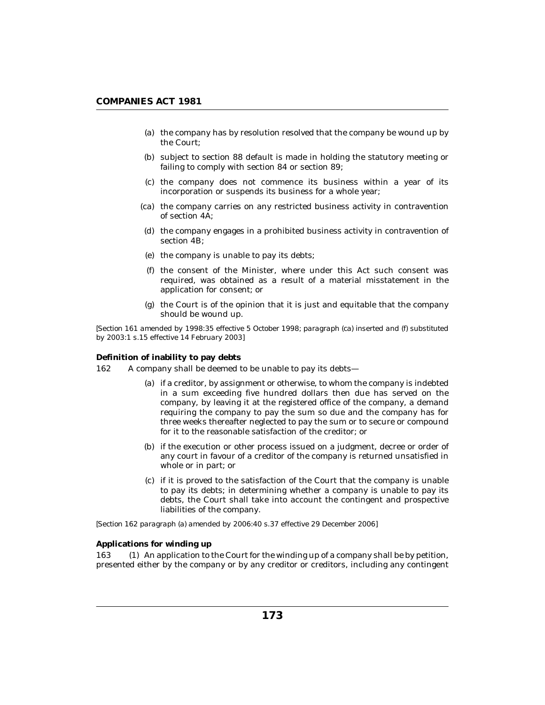- (a) the company has by resolution resolved that the company be wound up by the Court;
- (b) subject to section 88 default is made in holding the statutory meeting or failing to comply with section 84 or section 89;
- (c) the company does not commence its business within a year of its incorporation or suspends its business for a whole year;
- (ca) the company carries on any restricted business activity in contravention of section 4A;
- (d) the company engages in a prohibited business activity in contravention of section 4B;
- (e) the company is unable to pay its debts;
- (f) the consent of the Minister, where under this Act such consent was required, was obtained as a result of a material misstatement in the application for consent; or
- $(g)$  the Court is of the opinion that it is just and equitable that the company should be wound up.

*[Section 161 amended by 1998:35 effective 5 October 1998; paragraph (ca) inserted and (f) substituted by 2003:1 s.15 effective 14 February 2003]*

**Definition of inability to pay debts**

- A company shall be deemed to be unable to pay its debts— 162
	- (a) if a creditor, by assignment or otherwise, to whom the company is indebted in a sum exceeding five hundred dollars then due has served on the company, by leaving it at the registered office of the company, a demand requiring the company to pay the sum so due and the company has for three weeks thereafter neglected to pay the sum or to secure or compound for it to the reasonable satisfaction of the creditor; or
	- (b) if the execution or other process issued on a judgment, decree or order of any court in favour of a creditor of the company is returned unsatisfied in whole or in part; or
	- (c) if it is proved to the satisfaction of the Court that the company is unable to pay its debts; in determining whether a company is unable to pay its debts, the Court shall take into account the contingent and prospective liabilities of the company.

*[Section 162 paragraph (a) amended by 2006:40 s.37 effective 29 December 2006]*

### **Applications for winding up**

An application to the Court for the winding up of a company shall be by petition, presented either by the company or by any creditor or creditors, including any contingent 163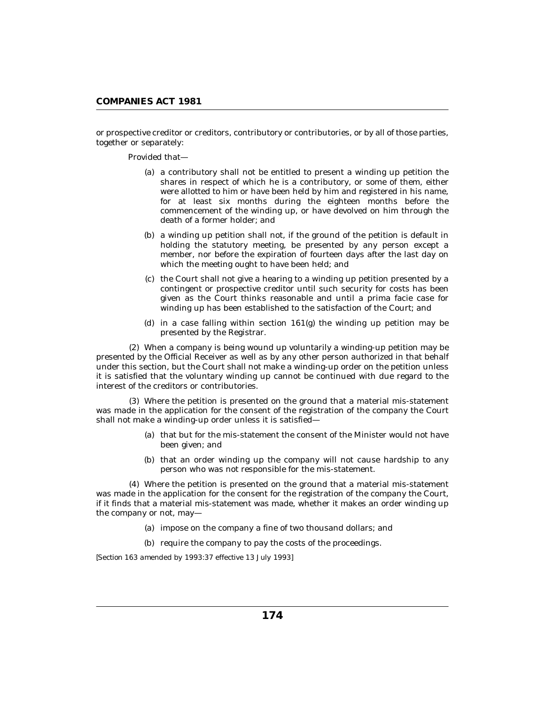or prospective creditor or creditors, contributory or contributories, or by all of those parties, together or separately:

Provided that—

- a contributory shall not be entitled to present a winding up petition the (a) shares in respect of which he is a contributory, or some of them, either were allotted to him or have been held by him and registered in his name, for at least six months during the eighteen months before the commencement of the winding up, or have devolved on him through the death of a former holder; and
- (b) a winding up petition shall not, if the ground of the petition is default in holding the statutory meeting, be presented by any person except a member, nor before the expiration of fourteen days after the last day on which the meeting ought to have been held; and
- $(c)$  the Court shall not give a hearing to a winding up petition presented by a contingent or prospective creditor until such security for costs has been given as the Court thinks reasonable and until a prima facie case for winding up has been established to the satisfaction of the Court; and
- (d) in a case falling within section  $161(g)$  the winding up petition may be presented by the Registrar.

When a company is being wound up voluntarily a winding-up petition may be (2) presented by the Official Receiver as well as by any other person authorized in that behalf under this section, but the Court shall not make a winding-up order on the petition unless it is satisfied that the voluntary winding up cannot be continued with due regard to the interest of the creditors or contributories.

Where the petition is presented on the ground that a material mis-statement (3) was made in the application for the consent of the registration of the company the Court shall not make a winding-up order unless it is satisfied—

- (a) that but for the mis-statement the consent of the Minister would not have been given; and
- (b) that an order winding up the company will not cause hardship to any person who was not responsible for the mis-statement.

Where the petition is presented on the ground that a material mis-statement (4) was made in the application for the consent for the registration of the company the Court, if it finds that a material mis-statement was made, whether it makes an order winding up the company or not, may—

- (a) impose on the company a fine of two thousand dollars; and
- (b) require the company to pay the costs of the proceedings.

*[Section 163 amended by 1993:37 effective 13 July 1993]*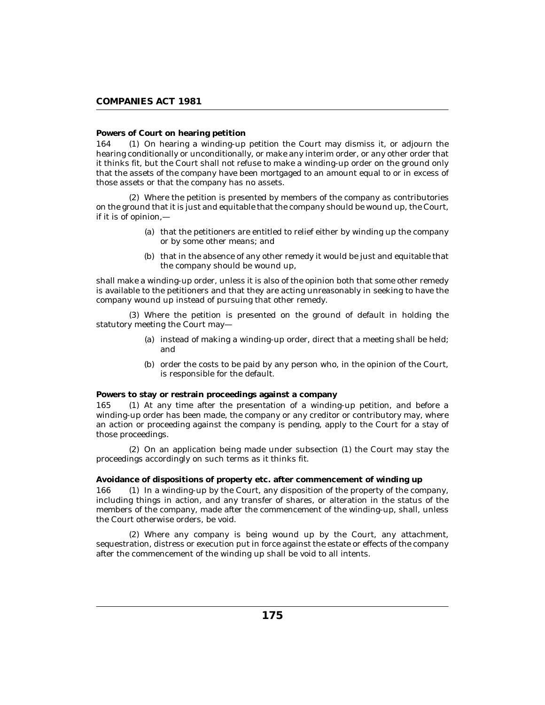# **Powers of Court on hearing petition**

 $(1)$  On hearing a winding-up petition the Court may dismiss it, or adjourn the hearing conditionally or unconditionally, or make any interim order, or any other order that it thinks fit, but the Court shall not refuse to make a winding-up order on the ground only that the assets of the company have been mortgaged to an amount equal to or in excess of those assets or that the company has no assets. 164

Where the petition is presented by members of the company as contributories (2) on the ground that it is just and equitable that the company should be wound up, the Court, if it is of opinion,—

- (a) that the petitioners are entitled to relief either by winding up the company or by some other means; and
- (b) that in the absence of any other remedy it would be just and equitable that the company should be wound up,

shall make a winding-up order, unless it is also of the opinion both that some other remedy is available to the petitioners and that they are acting unreasonably in seeking to have the company wound up instead of pursuing that other remedy.

Where the petition is presented on the ground of default in holding the (3) statutory meeting the Court may—

- (a) instead of making a winding-up order, direct that a meeting shall be held; and
- (b) order the costs to be paid by any person who, in the opinion of the Court, is responsible for the default.

**Powers to stay or restrain proceedings against a company**

(1) At any time after the presentation of a winding-up petition, and before a winding-up order has been made, the company or any creditor or contributory may, where an action or proceeding against the company is pending, apply to the Court for a stay of those proceedings. 165

 $(2)$  On an application being made under subsection  $(1)$  the Court may stay the proceedings accordingly on such terms as it thinks fit.

**Avoidance of dispositions of property etc. after commencement of winding up**

 $(1)$  In a winding-up by the Court, any disposition of the property of the company, including things in action, and any transfer of shares, or alteration in the status of the members of the company, made after the commencement of the winding-up, shall, unless the Court otherwise orders, be void. 166

Where any company is being wound up by the Court, any attachment, (2) sequestration, distress or execution put in force against the estate or effects of the company after the commencement of the winding up shall be void to all intents.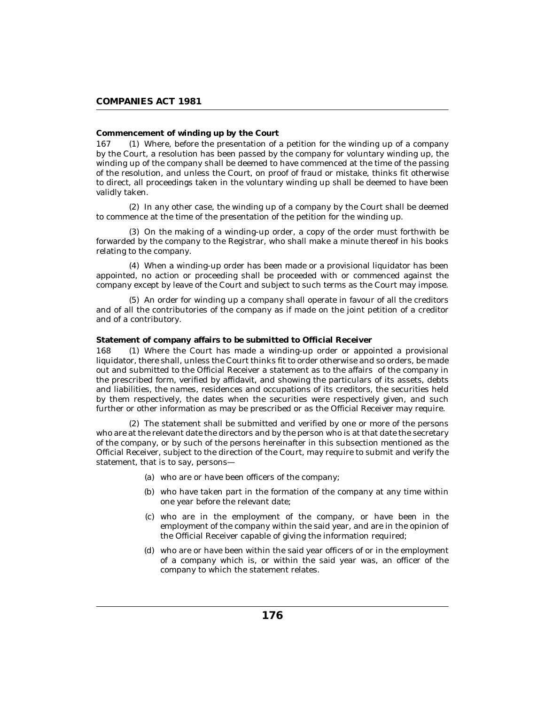# **Commencement of winding up by the Court**

Where, before the presentation of a petition for the winding up of a company by the Court, a resolution has been passed by the company for voluntary winding up, the winding up of the company shall be deemed to have commenced at the time of the passing of the resolution, and unless the Court, on proof of fraud or mistake, thinks fit otherwise to direct, all proceedings taken in the voluntary winding up shall be deemed to have been validly taken. 167

 $(2)$  In any other case, the winding up of a company by the Court shall be deemed to commence at the time of the presentation of the petition for the winding up.

On the making of a winding-up order, a copy of the order must forthwith be (3) forwarded by the company to the Registrar, who shall make a minute thereof in his books relating to the company.

When a winding-up order has been made or a provisional liquidator has been (4) appointed, no action or proceeding shall be proceeded with or commenced against the company except by leave of the Court and subject to such terms as the Court may impose.

An order for winding up a company shall operate in favour of all the creditors (5) and of all the contributories of the company as if made on the joint petition of a creditor and of a contributory.

**Statement of company affairs to be submitted to Official Receiver**

168 (1) Where the Court has made a winding-up order or appointed a provisional liquidator, there shall, unless the Court thinks fit to order otherwise and so orders, be made out and submitted to the Official Receiver a statement as to the affairs of the company in the prescribed form, verified by affidavit, and showing the particulars of its assets, debts and liabilities, the names, residences and occupations of its creditors, the securities held by them respectively, the dates when the securities were respectively given, and such further or other information as may be prescribed or as the Official Receiver may require.

The statement shall be submitted and verified by one or more of the persons (2) who are at the relevant date the directors and by the person who is at that date the secretary of the company, or by such of the persons hereinafter in this subsection mentioned as the Official Receiver, subject to the direction of the Court, may require to submit and verify the statement, that is to say, persons—

- who are or have been officers of the company; (a)
- (b) who have taken part in the formation of the company at any time within one year before the relevant date;
- who are in the employment of the company, or have been in the (c) employment of the company within the said year, and are in the opinion of the Official Receiver capable of giving the information required;
- who are or have been within the said year officers of or in the employment (d) of a company which is, or within the said year was, an officer of the company to which the statement relates.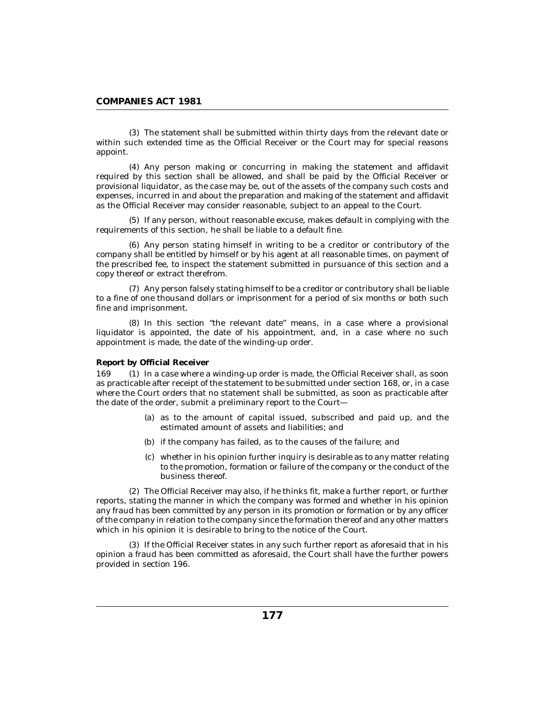The statement shall be submitted within thirty days from the relevant date or (3) within such extended time as the Official Receiver or the Court may for special reasons appoint.

Any person making or concurring in making the statement and affidavit (4) required by this section shall be allowed, and shall be paid by the Official Receiver or provisional liquidator, as the case may be, out of the assets of the company such costs and expenses, incurred in and about the preparation and making of the statement and affidavit as the Official Receiver may consider reasonable, subject to an appeal to the Court.

(5) If any person, without reasonable excuse, makes default in complying with the requirements of this section, he shall be liable to a default fine.

Any person stating himself in writing to be a creditor or contributory of the (6) company shall be entitled by himself or by his agent at all reasonable times, on payment of the prescribed fee, to inspect the statement submitted in pursuance of this section and a copy thereof or extract therefrom.

(7) Any person falsely stating himself to be a creditor or contributory shall be liable to a fine of one thousand dollars or imprisonment for a period of six months or both such fine and imprisonment.

(8) In this section "the relevant date" means, in a case where a provisional liquidator is appointed, the date of his appointment, and, in a case where no such appointment is made, the date of the winding-up order.

### **Report by Official Receiver**

In a case where a winding-up order is made, the Official Receiver shall, as soon as practicable after receipt of the statement to be submitted under section 168, or, in a case where the Court orders that no statement shall be submitted, as soon as practicable after the date of the order, submit a preliminary report to the Court— 169

- as to the amount of capital issued, subscribed and paid up, and the (a) estimated amount of assets and liabilities; and
- (b) if the company has failed, as to the causes of the failure; and
- (c) whether in his opinion further inquiry is desirable as to any matter relating to the promotion, formation or failure of the company or the conduct of the business thereof.

The Official Receiver may also, if he thinks fit, make a further report, or further (2) reports, stating the manner in which the company was formed and whether in his opinion any fraud has been committed by any person in its promotion or formation or by any officer of the company in relation to the company since the formation thereof and any other matters which in his opinion it is desirable to bring to the notice of the Court.

(3) If the Official Receiver states in any such further report as aforesaid that in his opinion a fraud has been committed as aforesaid, the Court shall have the further powers provided in section 196.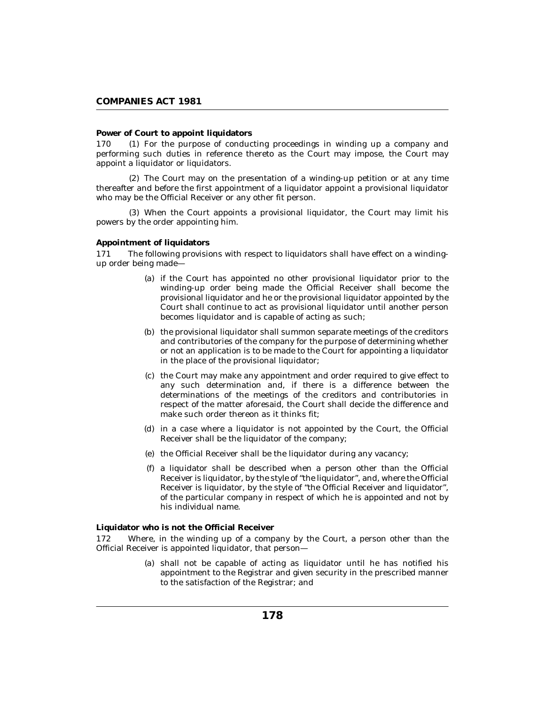## **Power of Court to appoint liquidators**

For the purpose of conducting proceedings in winding up a company and performing such duties in reference thereto as the Court may impose, the Court may appoint a liquidator or liquidators. 170

 $(2)$  The Court may on the presentation of a winding-up petition or at any time thereafter and before the first appointment of a liquidator appoint a provisional liquidator who may be the Official Receiver or any other fit person.

When the Court appoints a provisional liquidator, the Court may limit his (3) powers by the order appointing him.

### **Appointment of liquidators**

The following provisions with respect to liquidators shall have effect on a windingup order being made— 171

- (a) if the Court has appointed no other provisional liquidator prior to the winding-up order being made the Official Receiver shall become the provisional liquidator and he or the provisional liquidator appointed by the Court shall continue to act as provisional liquidator until another person becomes liquidator and is capable of acting as such;
- (b) the provisional liquidator shall summon separate meetings of the creditors and contributories of the company for the purpose of determining whether or not an application is to be made to the Court for appointing a liquidator in the place of the provisional liquidator;
- (c) the Court may make any appointment and order required to give effect to any such determination and, if there is a difference between the determinations of the meetings of the creditors and contributories in respect of the matter aforesaid, the Court shall decide the difference and make such order thereon as it thinks fit;
- (d) in a case where a liquidator is not appointed by the Court, the Official Receiver shall be the liquidator of the company;
- (e) the Official Receiver shall be the liquidator during any vacancy;
- a liquidator shall be described when a person other than the Official (f) Receiver is liquidator, by the style of "the liquidator", and, where the Official Receiver is liquidator, by the style of "the Official Receiver and liquidator", of the particular company in respect of which he is appointed and not by his individual name.

**Liquidator who is not the Official Receiver**

Where, in the winding up of a company by the Court, a person other than the Official Receiver is appointed liquidator, that person— 172

> (a) shall not be capable of acting as liquidator until he has notified his appointment to the Registrar and given security in the prescribed manner to the satisfaction of the Registrar; and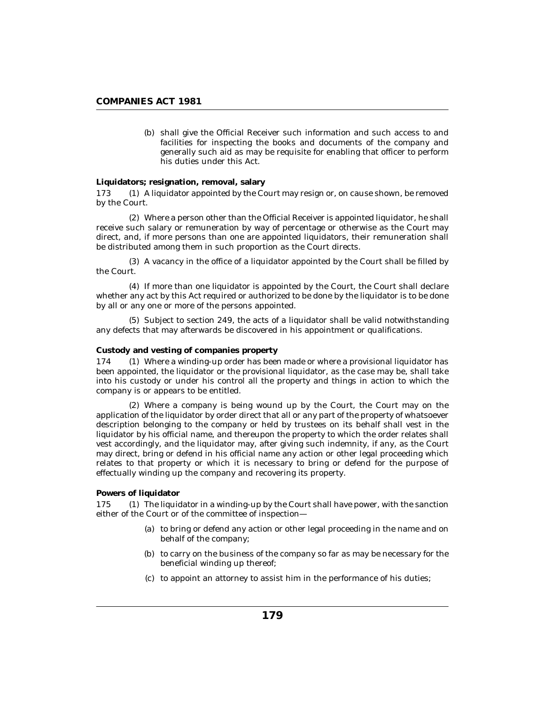(b) shall give the Official Receiver such information and such access to and facilities for inspecting the books and documents of the company and generally such aid as may be requisite for enabling that officer to perform his duties under this Act.

**Liquidators; resignation, removal, salary**

A liquidator appointed by the Court may resign or, on cause shown, be removed by the Court. 173

Where a person other than the Official Receiver is appointed liquidator, he shall (2) receive such salary or remuneration by way of percentage or otherwise as the Court may direct, and, if more persons than one are appointed liquidators, their remuneration shall be distributed among them in such proportion as the Court directs.

A vacancy in the office of a liquidator appointed by the Court shall be filled by (3) the Court.

(4) If more than one liquidator is appointed by the Court, the Court shall declare whether any act by this Act required or authorized to be done by the liquidator is to be done by all or any one or more of the persons appointed.

 $(5)$  Subject to section 249, the acts of a liquidator shall be valid notwithstanding any defects that may afterwards be discovered in his appointment or qualifications.

# **Custody and vesting of companies property**

Where a winding-up order has been made or where a provisional liquidator has been appointed, the liquidator or the provisional liquidator, as the case may be, shall take into his custody or under his control all the property and things in action to which the company is or appears to be entitled. 174

Where a company is being wound up by the Court, the Court may on the (2) application of the liquidator by order direct that all or any part of the property of whatsoever description belonging to the company or held by trustees on its behalf shall vest in the liquidator by his official name, and thereupon the property to which the order relates shall vest accordingly, and the liquidator may, after giving such indemnity, if any, as the Court may direct, bring or defend in his official name any action or other legal proceeding which relates to that property or which it is necessary to bring or defend for the purpose of effectually winding up the company and recovering its property.

**Powers of liquidator**

The liquidator in a winding-up by the Court shall have power, with the sanction either of the Court or of the committee of inspection— 175

- (a) to bring or defend any action or other legal proceeding in the name and on behalf of the company;
- (b) to carry on the business of the company so far as may be necessary for the beneficial winding up thereof;
- (c) to appoint an attorney to assist him in the performance of his duties;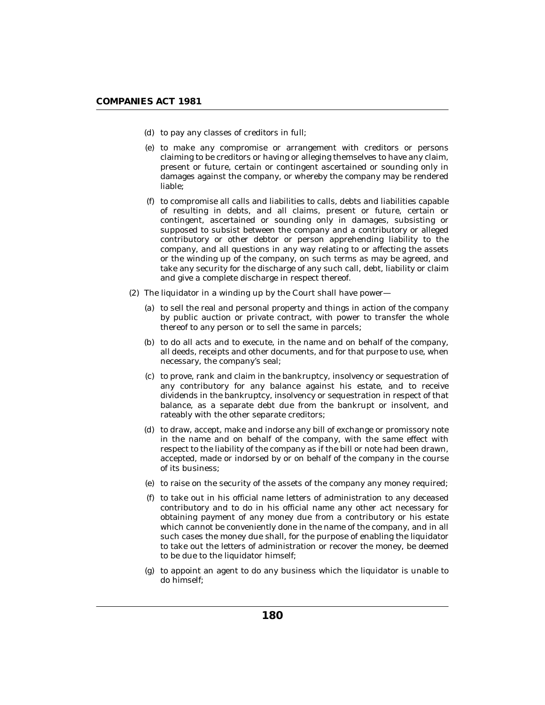- (d) to pay any classes of creditors in full;
- to make any compromise or arrangement with creditors or persons (e) claiming to be creditors or having or alleging themselves to have any claim, present or future, certain or contingent ascertained or sounding only in damages against the company, or whereby the company may be rendered liable;
- to compromise all calls and liabilities to calls, debts and liabilities capable (f) of resulting in debts, and all claims, present or future, certain or contingent, ascertained or sounding only in damages, subsisting or supposed to subsist between the company and a contributory or alleged contributory or other debtor or person apprehending liability to the company, and all questions in any way relating to or affecting the assets or the winding up of the company, on such terms as may be agreed, and take any security for the discharge of any such call, debt, liability or claim and give a complete discharge in respect thereof.
- The liquidator in a winding up by the Court shall have power— (2)
	- (a) to sell the real and personal property and things in action of the company by public auction or private contract, with power to transfer the whole thereof to any person or to sell the same in parcels;
	- (b) to do all acts and to execute, in the name and on behalf of the company, all deeds, receipts and other documents, and for that purpose to use, when necessary, the company's seal;
	- (c) to prove, rank and claim in the bankruptcy, insolvency or sequestration of any contributory for any balance against his estate, and to receive dividends in the bankruptcy, insolvency or sequestration in respect of that balance, as a separate debt due from the bankrupt or insolvent, and rateably with the other separate creditors;
	- (d) to draw, accept, make and indorse any bill of exchange or promissory note in the name and on behalf of the company, with the same effect with respect to the liability of the company as if the bill or note had been drawn, accepted, made or indorsed by or on behalf of the company in the course of its business;
	- (e) to raise on the security of the assets of the company any money required;
	- to take out in his official name letters of administration to any deceased (f) contributory and to do in his official name any other act necessary for obtaining payment of any money due from a contributory or his estate which cannot be conveniently done in the name of the company, and in all such cases the money due shall, for the purpose of enabling the liquidator to take out the letters of administration or recover the money, be deemed to be due to the liquidator himself;
	- (g) to appoint an agent to do any business which the liquidator is unable to do himself;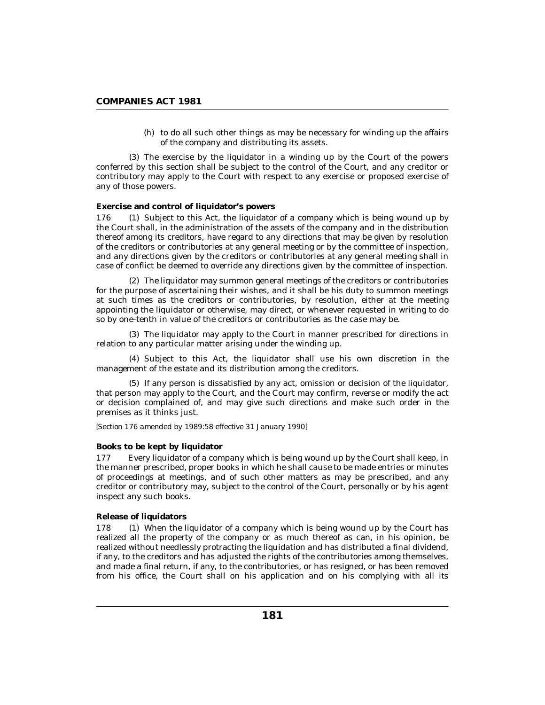(h) to do all such other things as may be necessary for winding up the affairs of the company and distributing its assets.

The exercise by the liquidator in a winding up by the Court of the powers (3) conferred by this section shall be subject to the control of the Court, and any creditor or contributory may apply to the Court with respect to any exercise or proposed exercise of any of those powers.

## **Exercise and control of liquidator's powers**

 $(1)$  Subject to this Act, the liquidator of a company which is being wound up by the Court shall, in the administration of the assets of the company and in the distribution thereof among its creditors, have regard to any directions that may be given by resolution of the creditors or contributories at any general meeting or by the committee of inspection, and any directions given by the creditors or contributories at any general meeting shall in case of conflict be deemed to override any directions given by the committee of inspection. 176

The liquidator may summon general meetings of the creditors or contributories (2) for the purpose of ascertaining their wishes, and it shall be his duty to summon meetings at such times as the creditors or contributories, by resolution, either at the meeting appointing the liquidator or otherwise, may direct, or whenever requested in writing to do so by one-tenth in value of the creditors or contributories as the case may be.

The liquidator may apply to the Court in manner prescribed for directions in (3) relation to any particular matter arising under the winding up.

Subject to this Act, the liquidator shall use his own discretion in the (4) management of the estate and its distribution among the creditors.

(5) If any person is dissatisfied by any act, omission or decision of the liquidator, that person may apply to the Court, and the Court may confirm, reverse or modify the act or decision complained of, and may give such directions and make such order in the premises as it thinks just.

# *[Section 176 amended by 1989:58 effective 31 January 1990]*

## **Books to be kept by liquidator**

Every liquidator of a company which is being wound up by the Court shall keep, in the manner prescribed, proper books in which he shall cause to be made entries or minutes of proceedings at meetings, and of such other matters as may be prescribed, and any creditor or contributory may, subject to the control of the Court, personally or by his agent inspect any such books. 177

### **Release of liquidators**

When the liquidator of a company which is being wound up by the Court has realized all the property of the company or as much thereof as can, in his opinion, be realized without needlessly protracting the liquidation and has distributed a final dividend, if any, to the creditors and has adjusted the rights of the contributories among themselves, and made a final return, if any, to the contributories, or has resigned, or has been removed from his office, the Court shall on his application and on his complying with all its 178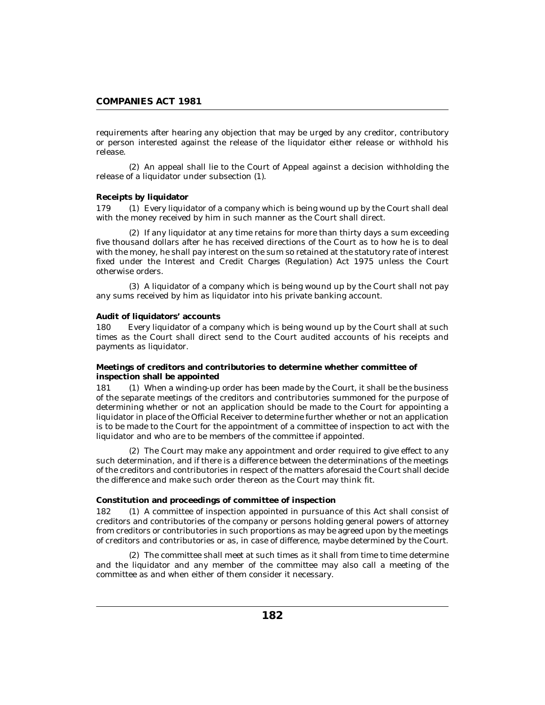requirements after hearing any objection that may be urged by any creditor, contributory or person interested against the release of the liquidator either release or withhold his release.

(2) An appeal shall lie to the Court of Appeal against a decision withholding the release of a liquidator under subsection (1).

#### **Receipts by liquidator**

Every liquidator of a company which is being wound up by the Court shall deal with the money received by him in such manner as the Court shall direct. 179

(2) If any liquidator at any time retains for more than thirty days a sum exceeding five thousand dollars after he has received directions of the Court as to how he is to deal with the money, he shall pay interest on the sum so retained at the statutory rate of interest fixed under the Interest and Credit Charges (Regulation) Act 1975 unless the Court otherwise orders.

A liquidator of a company which is being wound up by the Court shall not pay (3) any sums received by him as liquidator into his private banking account.

### **Audit of liquidators' accounts**

Every liquidator of a company which is being wound up by the Court shall at such times as the Court shall direct send to the Court audited accounts of his receipts and payments as liquidator. 180

**Meetings of creditors and contributories to determine whether committee of inspection shall be appointed**

When a winding-up order has been made by the Court, it shall be the business of the separate meetings of the creditors and contributories summoned for the purpose of determining whether or not an application should be made to the Court for appointing a liquidator in place of the Official Receiver to determine further whether or not an application is to be made to the Court for the appointment of a committee of inspection to act with the liquidator and who are to be members of the committee if appointed. 181

The Court may make any appointment and order required to give effect to any (2) such determination, and if there is a difference between the determinations of the meetings of the creditors and contributories in respect of the matters aforesaid the Court shall decide the difference and make such order thereon as the Court may think fit.

# **Constitution and proceedings of committee of inspection**

A committee of inspection appointed in pursuance of this Act shall consist of creditors and contributories of the company or persons holding general powers of attorney from creditors or contributories in such proportions as may be agreed upon by the meetings of creditors and contributories or as, in case of difference, maybe determined by the Court. 182

The committee shall meet at such times as it shall from time to time determine (2) and the liquidator and any member of the committee may also call a meeting of the committee as and when either of them consider it necessary.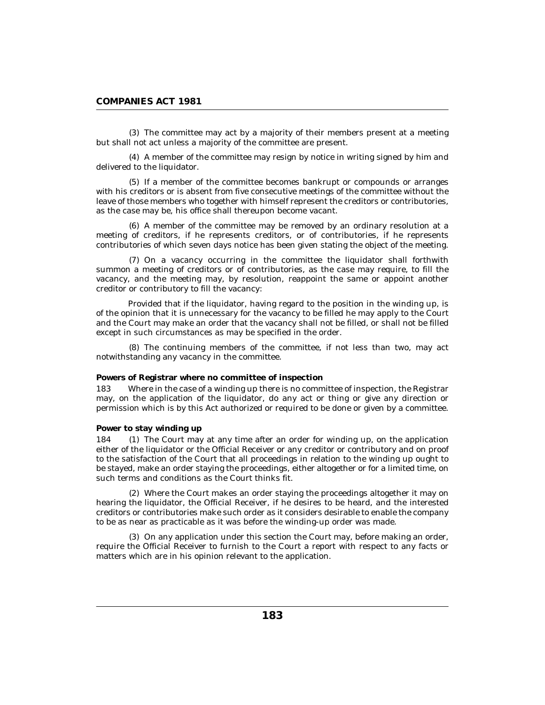(3) The committee may act by a majority of their members present at a meeting but shall not act unless a majority of the committee are present.

A member of the committee may resign by notice in writing signed by him and (4) delivered to the liquidator.

(5) If a member of the committee becomes bankrupt or compounds or arranges with his creditors or is absent from five consecutive meetings of the committee without the leave of those members who together with himself represent the creditors or contributories, as the case may be, his office shall thereupon become vacant.

A member of the committee may be removed by an ordinary resolution at a (6) meeting of creditors, if he represents creditors, or of contributories, if he represents contributories of which seven days notice has been given stating the object of the meeting.

(7) On a vacancy occurring in the committee the liquidator shall forthwith summon a meeting of creditors or of contributories, as the case may require, to fill the vacancy, and the meeting may, by resolution, reappoint the same or appoint another creditor or contributory to fill the vacancy:

Provided that if the liquidator, having regard to the position in the winding up, is of the opinion that it is unnecessary for the vacancy to be filled he may apply to the Court and the Court may make an order that the vacancy shall not be filled, or shall not be filled except in such circumstances as may be specified in the order.

The continuing members of the committee, if not less than two, may act (8) notwithstanding any vacancy in the committee.

### **Powers of Registrar where no committee of inspection**

Where in the case of a winding up there is no committee of inspection, the Registrar may, on the application of the liquidator, do any act or thing or give any direction or permission which is by this Act authorized or required to be done or given by a committee. 183

## **Power to stay winding up**

 $(1)$  The Court may at any time after an order for winding up, on the application either of the liquidator or the Official Receiver or any creditor or contributory and on proof to the satisfaction of the Court that all proceedings in relation to the winding up ought to be stayed, make an order staying the proceedings, either altogether or for a limited time, on such terms and conditions as the Court thinks fit. 184

Where the Court makes an order staying the proceedings altogether it may on (2) hearing the liquidator, the Official Receiver, if he desires to be heard, and the interested creditors or contributories make such order as it considers desirable to enable the company to be as near as practicable as it was before the winding-up order was made.

On any application under this section the Court may, before making an order, (3) require the Official Receiver to furnish to the Court a report with respect to any facts or matters which are in his opinion relevant to the application.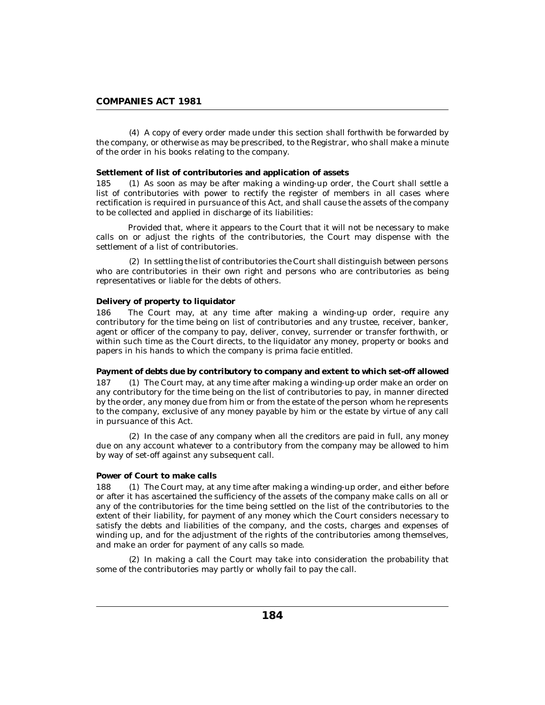A copy of every order made under this section shall forthwith be forwarded by (4) the company, or otherwise as may be prescribed, to the Registrar, who shall make a minute of the order in his books relating to the company.

**Settlement of list of contributories and application of assets**

 $(1)$  As soon as may be after making a winding-up order, the Court shall settle a list of contributories with power to rectify the register of members in all cases where rectification is required in pursuance of this Act, and shall cause the assets of the company to be collected and applied in discharge of its liabilities: 185

Provided that, where it appears to the Court that it will not be necessary to make calls on or adjust the rights of the contributories, the Court may dispense with the settlement of a list of contributories.

(2) In settling the list of contributories the Court shall distinguish between persons who are contributories in their own right and persons who are contributories as being representatives or liable for the debts of others.

### **Delivery of property to liquidator**

The Court may, at any time after making a winding-up order, require any contributory for the time being on list of contributories and any trustee, receiver, banker, agent or officer of the company to pay, deliver, convey, surrender or transfer forthwith, or within such time as the Court directs, to the liquidator any money, property or books and papers in his hands to which the company is prima facie entitled. 186

**Payment of debts due by contributory to company and extent to which set-off allowed** The Court may, at any time after making a winding-up order make an order on any contributory for the time being on the list of contributories to pay, in manner directed by the order, any money due from him or from the estate of the person whom he represents to the company, exclusive of any money payable by him or the estate by virtue of any call in pursuance of this Act. 187

(2) In the case of any company when all the creditors are paid in full, any money due on any account whatever to a contributory from the company may be allowed to him by way of set-off against any subsequent call.

### **Power of Court to make calls**

The Court may, at any time after making a winding-up order, and either before or after it has ascertained the sufficiency of the assets of the company make calls on all or any of the contributories for the time being settled on the list of the contributories to the extent of their liability, for payment of any money which the Court considers necessary to satisfy the debts and liabilities of the company, and the costs, charges and expenses of winding up, and for the adjustment of the rights of the contributories among themselves, and make an order for payment of any calls so made. 188

(2) In making a call the Court may take into consideration the probability that some of the contributories may partly or wholly fail to pay the call.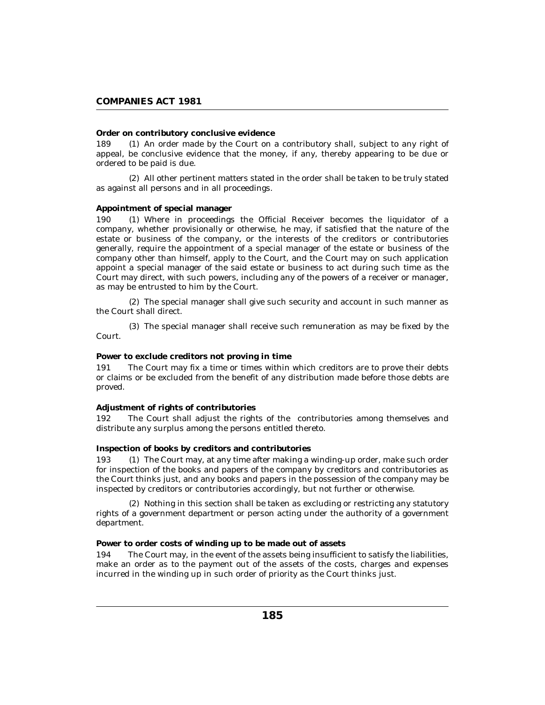# **Order on contributory conclusive evidence**

(1) An order made by the Court on a contributory shall, subject to any right of appeal, be conclusive evidence that the money, if any, thereby appearing to be due or ordered to be paid is due. 189

All other pertinent matters stated in the order shall be taken to be truly stated (2) as against all persons and in all proceedings.

### **Appointment of special manager**

Where in proceedings the Official Receiver becomes the liquidator of a company, whether provisionally or otherwise, he may, if satisfied that the nature of the estate or business of the company, or the interests of the creditors or contributories generally, require the appointment of a special manager of the estate or business of the company other than himself, apply to the Court, and the Court may on such application appoint a special manager of the said estate or business to act during such time as the Court may direct, with such powers, including any of the powers of a receiver or manager, as may be entrusted to him by the Court. 190

The special manager shall give such security and account in such manner as (2) the Court shall direct.

The special manager shall receive such remuneration as may be fixed by the (3) Court.

**Power to exclude creditors not proving in time**

The Court may fix a time or times within which creditors are to prove their debts or claims or be excluded from the benefit of any distribution made before those debts are proved. 191

## **Adjustment of rights of contributories**

The Court shall adjust the rights of the contributories among themselves and distribute any surplus among the persons entitled thereto. 192

## **Inspection of books by creditors and contributories**

The Court may, at any time after making a winding-up order, make such order for inspection of the books and papers of the company by creditors and contributories as the Court thinks just, and any books and papers in the possession of the company may be inspected by creditors or contributories accordingly, but not further or otherwise. 193

(2) Nothing in this section shall be taken as excluding or restricting any statutory rights of a government department or person acting under the authority of a government department.

**Power to order costs of winding up to be made out of assets**

The Court may, in the event of the assets being insufficient to satisfy the liabilities, make an order as to the payment out of the assets of the costs, charges and expenses incurred in the winding up in such order of priority as the Court thinks just. 194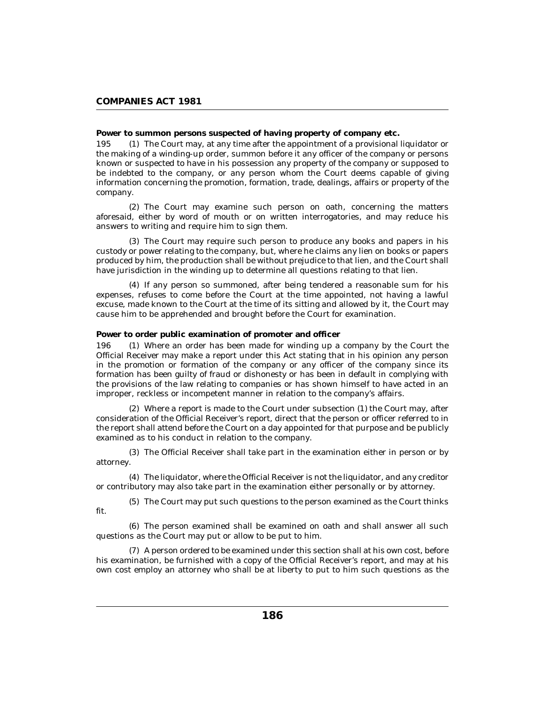**Power to summon persons suspected of having property of company etc.**

The Court may, at any time after the appointment of a provisional liquidator or the making of a winding-up order, summon before it any officer of the company or persons known or suspected to have in his possession any property of the company or supposed to be indebted to the company, or any person whom the Court deems capable of giving information concerning the promotion, formation, trade, dealings, affairs or property of the company. 195

(2) The Court may examine such person on oath, concerning the matters aforesaid, either by word of mouth or on written interrogatories, and may reduce his answers to writing and require him to sign them.

The Court may require such person to produce any books and papers in his (3) custody or power relating to the company, but, where he claims any lien on books or papers produced by him, the production shall be without prejudice to that lien, and the Court shall have jurisdiction in the winding up to determine all questions relating to that lien.

If any person so summoned, after being tendered a reasonable sum for his (4) expenses, refuses to come before the Court at the time appointed, not having a lawful excuse, made known to the Court at the time of its sitting and allowed by it, the Court may cause him to be apprehended and brought before the Court for examination.

**Power to order public examination of promoter and officer**

Where an order has been made for winding up a company by the Court the Official Receiver may make a report under this Act stating that in his opinion any person in the promotion or formation of the company or any officer of the company since its formation has been guilty of fraud or dishonesty or has been in default in complying with the provisions of the law relating to companies or has shown himself to have acted in an improper, reckless or incompetent manner in relation to the company's affairs. 196

Where a report is made to the Court under subsection (1) the Court may, after (2) consideration of the Official Receiver's report, direct that the person or officer referred to in the report shall attend before the Court on a day appointed for that purpose and be publicly examined as to his conduct in relation to the company.

The Official Receiver shall take part in the examination either in person or by (3) attorney.

The liquidator, where the Official Receiver is not the liquidator, and any creditor (4) or contributory may also take part in the examination either personally or by attorney.

The Court may put such questions to the person examined as the Court thinks (5) fit.

The person examined shall be examined on oath and shall answer all such (6) questions as the Court may put or allow to be put to him.

A person ordered to be examined under this section shall at his own cost, before (7) his examination, be furnished with a copy of the Official Receiver's report, and may at his own cost employ an attorney who shall be at liberty to put to him such questions as the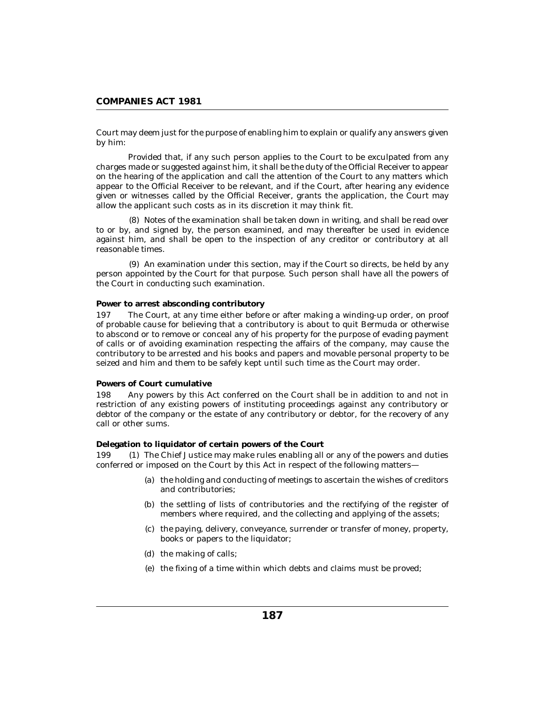Court may deem just for the purpose of enabling him to explain or qualify any answers given by him:

Provided that, if any such person applies to the Court to be exculpated from any charges made or suggested against him, it shall be the duty of the Official Receiver to appear on the hearing of the application and call the attention of the Court to any matters which appear to the Official Receiver to be relevant, and if the Court, after hearing any evidence given or witnesses called by the Official Receiver, grants the application, the Court may allow the applicant such costs as in its discretion it may think fit.

Notes of the examination shall be taken down in writing, and shall be read over (8) to or by, and signed by, the person examined, and may thereafter be used in evidence against him, and shall be open to the inspection of any creditor or contributory at all reasonable times.

An examination under this section, may if the Court so directs, be held by any (9) person appointed by the Court for that purpose. Such person shall have all the powers of the Court in conducting such examination.

# **Power to arrest absconding contributory**

The Court, at any time either before or after making a winding-up order, on proof of probable cause for believing that a contributory is about to quit Bermuda or otherwise to abscond or to remove or conceal any of his property for the purpose of evading payment of calls or of avoiding examination respecting the affairs of the company, may cause the contributory to be arrested and his books and papers and movable personal property to be seized and him and them to be safely kept until such time as the Court may order. 197

## **Powers of Court cumulative**

Any powers by this Act conferred on the Court shall be in addition to and not in restriction of any existing powers of instituting proceedings against any contributory or debtor of the company or the estate of any contributory or debtor, for the recovery of any call or other sums. 198

**Delegation to liquidator of certain powers of the Court**

(1) The Chief Justice may make rules enabling all or any of the powers and duties conferred or imposed on the Court by this Act in respect of the following matters— 199

- the holding and conducting of meetings to ascertain the wishes of creditors (a) and contributories;
- (b) the settling of lists of contributories and the rectifying of the register of members where required, and the collecting and applying of the assets;
- (c) the paying, delivery, conveyance, surrender or transfer of money, property, books or papers to the liquidator;
- (d) the making of calls;
- (e) the fixing of a time within which debts and claims must be proved;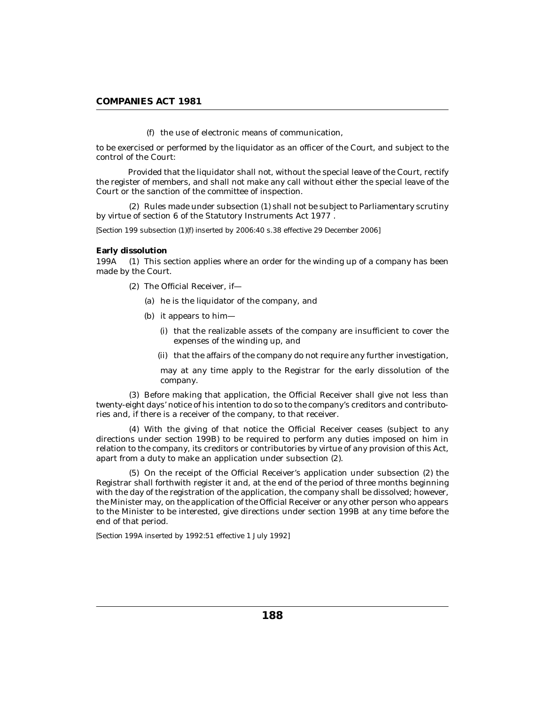the use of electronic means of communication, (f)

to be exercised or performed by the liquidator as an officer of the Court, and subject to the control of the Court:

Provided that the liquidator shall not, without the special leave of the Court, rectify the register of members, and shall not make any call without either the special leave of the Court or the sanction of the committee of inspection.

(2) Rules made under subsection (1) shall not be subject to Parliamentary scrutiny by virtue of section 6 of the Statutory Instruments Act 1977 .

*[Section 199 subsection (1)(f) inserted by 2006:40 s.38 effective 29 December 2006]*

**Early dissolution**

This section applies where an order for the winding up of a company has been made by the Court. 199A

- (2) The Official Receiver, if-
	- (a) he is the liquidator of the company, and
	- (b) it appears to him-
		- (i) that the realizable assets of the company are insufficient to cover the expenses of the winding up, and
		- (ii) that the affairs of the company do not require any further investigation,

may at any time apply to the Registrar for the early dissolution of the company.

(3) Before making that application, the Official Receiver shall give not less than twenty-eight days' notice of his intention to do so to the company's creditors and contributories and, if there is a receiver of the company, to that receiver.

With the giving of that notice the Official Receiver ceases (subject to any (4) directions under section 199B) to be required to perform any duties imposed on him in relation to the company, its creditors or contributories by virtue of any provision of this Act, apart from a duty to make an application under subsection (2).

(5) On the receipt of the Official Receiver's application under subsection (2) the Registrar shall forthwith register it and, at the end of the period of three months beginning with the day of the registration of the application, the company shall be dissolved; however, the Minister may, on the application of the Official Receiver or any other person who appears to the Minister to be interested, give directions under section 199B at any time before the end of that period.

*[Section 199A inserted by 1992:51 effective 1 July 1992]*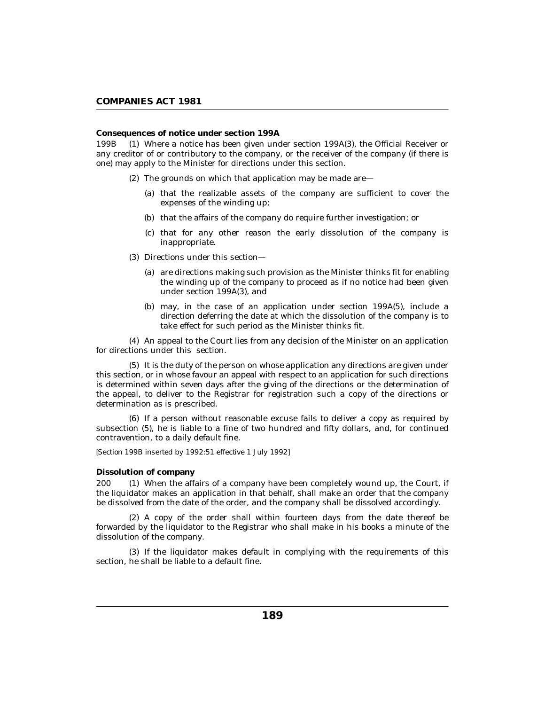**Consequences of notice under section 199A**

Where a notice has been given under section 199A(3), the Official Receiver or any creditor of or contributory to the company, or the receiver of the company (if there is one) may apply to the Minister for directions under this section. 199B

- (2) The grounds on which that application may be made are—
	- (a) that the realizable assets of the company are sufficient to cover the expenses of the winding up;
	- (b) that the affairs of the company do require further investigation; or
	- (c) that for any other reason the early dissolution of the company is inappropriate.
- Directions under this section— (3)
	- (a) are directions making such provision as the Minister thinks fit for enabling the winding up of the company to proceed as if no notice had been given under section 199A(3), and
	- (b) may, in the case of an application under section 199A(5), include a direction deferring the date at which the dissolution of the company is to take effect for such period as the Minister thinks fit.

An appeal to the Court lies from any decision of the Minister on an application (4) for directions under this section.

(5) It is the duty of the person on whose application any directions are given under this section, or in whose favour an appeal with respect to an application for such directions is determined within seven days after the giving of the directions or the determination of the appeal, to deliver to the Registrar for registration such a copy of the directions or determination as is prescribed.

If a person without reasonable excuse fails to deliver a copy as required by (6) subsection (5), he is liable to a fine of two hundred and fifty dollars, and, for continued contravention, to a daily default fine.

*[Section 199B inserted by 1992:51 effective 1 July 1992]*

# **Dissolution of company**

When the affairs of a company have been completely wound up, the Court, if the liquidator makes an application in that behalf, shall make an order that the company be dissolved from the date of the order, and the company shall be dissolved accordingly. 200

A copy of the order shall within fourteen days from the date thereof be (2) forwarded by the liquidator to the Registrar who shall make in his books a minute of the dissolution of the company.

(3) If the liquidator makes default in complying with the requirements of this section, he shall be liable to a default fine.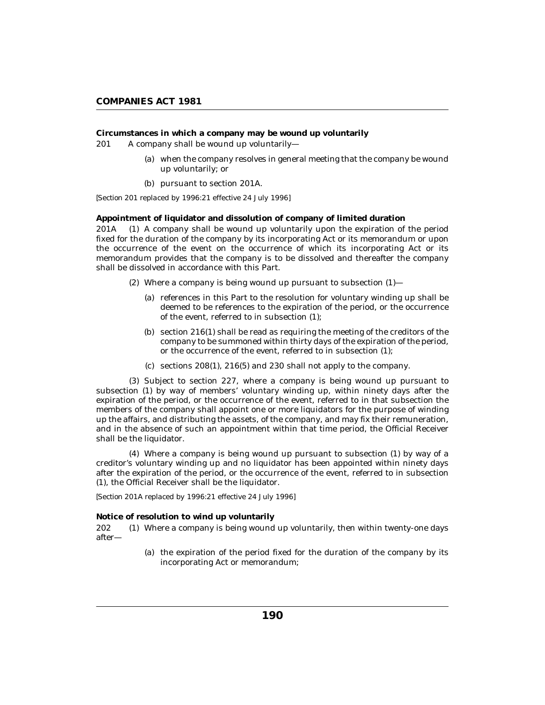**Circumstances in which a company may be wound up voluntarily** A company shall be wound up voluntarily— 201

- when the company resolves in general meeting that the company be wound (a) up voluntarily; or
- (b) pursuant to section 201A.

*[Section 201 replaced by 1996:21 effective 24 July 1996]*

**Appointment of liquidator and dissolution of company of limited duration** A company shall be wound up voluntarily upon the expiration of the period fixed for the duration of the company by its incorporating Act or its memorandum or upon the occurrence of the event on the occurrence of which its incorporating Act or its memorandum provides that the company is to be dissolved and thereafter the company shall be dissolved in accordance with this Part. 201A

- Where a company is being wound up pursuant to subsection (1)— (2)
	- (a) references in this Part to the resolution for voluntary winding up shall be deemed to be references to the expiration of the period, or the occurrence of the event, referred to in subsection (1);
	- (b) section  $216(1)$  shall be read as requiring the meeting of the creditors of the company to be summoned within thirty days of the expiration of the period, or the occurrence of the event, referred to in subsection (1);
	- $(c)$  sections 208 $(1)$ , 216 $(5)$  and 230 shall not apply to the company.

(3) Subject to section 227, where a company is being wound up pursuant to subsection (1) by way of members' voluntary winding up, within ninety days after the expiration of the period, or the occurrence of the event, referred to in that subsection the members of the company shall appoint one or more liquidators for the purpose of winding up the affairs, and distributing the assets, of the company, and may fix their remuneration, and in the absence of such an appointment within that time period, the Official Receiver shall be the liquidator.

Where a company is being wound up pursuant to subsection (1) by way of a (4) creditor's voluntary winding up and no liquidator has been appointed within ninety days after the expiration of the period, or the occurrence of the event, referred to in subsection (1), the Official Receiver shall be the liquidator.

*[Section 201A replaced by 1996:21 effective 24 July 1996]*

**Notice of resolution to wind up voluntarily**

Where a company is being wound up voluntarily, then within twenty-one days after—  $202<sub>1</sub>$ 

> (a) the expiration of the period fixed for the duration of the company by its incorporating Act or memorandum;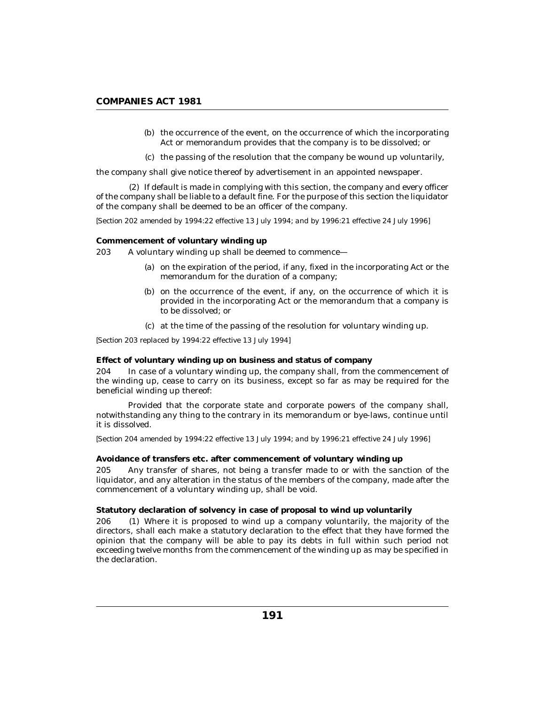- (b) the occurrence of the event, on the occurrence of which the incorporating Act or memorandum provides that the company is to be dissolved; or
- (c) the passing of the resolution that the company be wound up voluntarily,

the company shall give notice thereof by advertisement in an appointed newspaper.

(2) If default is made in complying with this section, the company and every officer of the company shall be liable to a default fine. For the purpose of this section the liquidator of the company shall be deemed to be an officer of the company.

*[Section 202 amended by 1994:22 effective 13 July 1994; and by 1996:21 effective 24 July 1996]*

**Commencement of voluntary winding up**

A voluntary winding up shall be deemed to commence— 203

- (a) on the expiration of the period, if any, fixed in the incorporating Act or the memorandum for the duration of a company;
- (b) on the occurrence of the event, if any, on the occurrence of which it is provided in the incorporating Act or the memorandum that a company is to be dissolved; or
- at the time of the passing of the resolution for voluntary winding up. (c)

*[Section 203 replaced by 1994:22 effective 13 July 1994]*

**Effect of voluntary winding up on business and status of company**

In case of a voluntary winding up, the company shall, from the commencement of the winding up, cease to carry on its business, except so far as may be required for the beneficial winding up thereof: 204

Provided that the corporate state and corporate powers of the company shall, notwithstanding any thing to the contrary in its memorandum or bye-laws, continue until it is dissolved.

*[Section 204 amended by 1994:22 effective 13 July 1994; and by 1996:21 effective 24 July 1996]*

**Avoidance of transfers etc. after commencement of voluntary winding up**

Any transfer of shares, not being a transfer made to or with the sanction of the liquidator, and any alteration in the status of the members of the company, made after the commencement of a voluntary winding up, shall be void. 205

**Statutory declaration of solvency in case of proposal to wind up voluntarily**

Where it is proposed to wind up a company voluntarily, the majority of the directors, shall each make a statutory declaration to the effect that they have formed the opinion that the company will be able to pay its debts in full within such period not exceeding twelve months from the commencement of the winding up as may be specified in the declaration. 206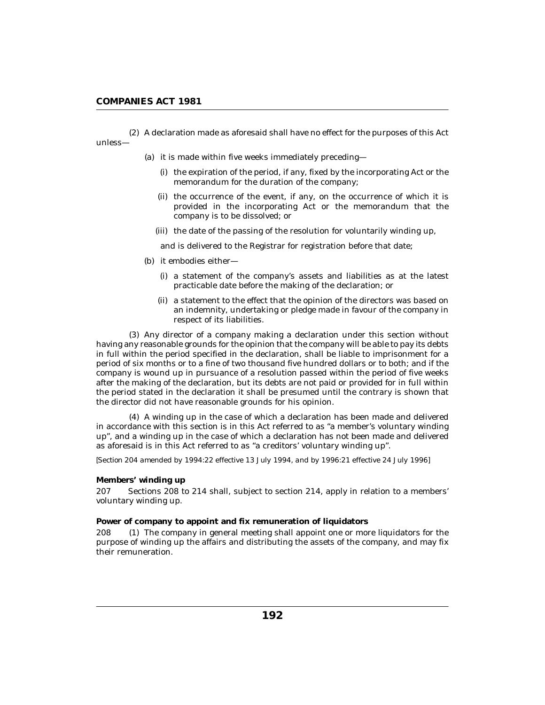A declaration made as aforesaid shall have no effect for the purposes of this Act (2) unless—

- (a) it is made within five weeks immediately preceding-
	- $(i)$  the expiration of the period, if any, fixed by the incorporating Act or the memorandum for the duration of the company;
	- (ii) the occurrence of the event, if any, on the occurrence of which it is provided in the incorporating Act or the memorandum that the company is to be dissolved; or
	- (iii) the date of the passing of the resolution for voluntarily winding up,

and is delivered to the Registrar for registration before that date;

- (b) it embodies either
	- a statement of the company's assets and liabilities as at the latest (i) practicable date before the making of the declaration; or
	- (ii) a statement to the effect that the opinion of the directors was based on an indemnity, undertaking or pledge made in favour of the company in respect of its liabilities.

(3) Any director of a company making a declaration under this section without having any reasonable grounds for the opinion that the company will be able to pay its debts in full within the period specified in the declaration, shall be liable to imprisonment for a period of six months or to a fine of two thousand five hundred dollars or to both; and if the company is wound up in pursuance of a resolution passed within the period of five weeks after the making of the declaration, but its debts are not paid or provided for in full within the period stated in the declaration it shall be presumed until the contrary is shown that the director did not have reasonable grounds for his opinion.

A winding up in the case of which a declaration has been made and delivered (4) in accordance with this section is in this Act referred to as "a member's voluntary winding up", and a winding up in the case of which a declaration has not been made and delivered as aforesaid is in this Act referred to as "a creditors' voluntary winding up".

*[Section 204 amended by 1994:22 effective 13 July 1994, and by 1996:21 effective 24 July 1996]*

# **Members' winding up**

Sections 208 to 214 shall, subject to section 214, apply in relation to a members' voluntary winding up. 207

**Power of company to appoint and fix remuneration of liquidators**

The company in general meeting shall appoint one or more liquidators for the purpose of winding up the affairs and distributing the assets of the company, and may fix their remuneration. 208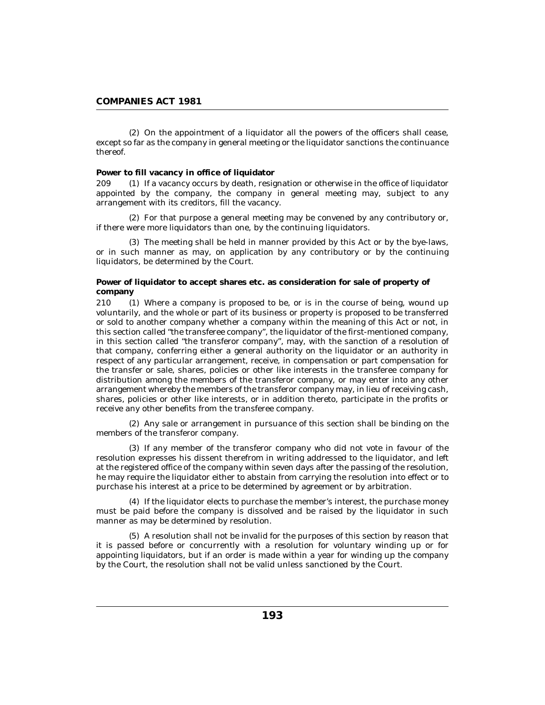(2) On the appointment of a liquidator all the powers of the officers shall cease, except so far as the company in general meeting or the liquidator sanctions the continuance thereof.

**Power to fill vacancy in office of liquidator**

 $(1)$  If a vacancy occurs by death, resignation or otherwise in the office of liquidator appointed by the company, the company in general meeting may, subject to any arrangement with its creditors, fill the vacancy. 209

For that purpose a general meeting may be convened by any contributory or, (2) if there were more liquidators than one, by the continuing liquidators.

The meeting shall be held in manner provided by this Act or by the bye-laws, (3) or in such manner as may, on application by any contributory or by the continuing liquidators, be determined by the Court.

**Power of liquidator to accept shares etc. as consideration for sale of property of company**

Where a company is proposed to be, or is in the course of being, wound up voluntarily, and the whole or part of its business or property is proposed to be transferred or sold to another company whether a company within the meaning of this Act or not, in this section called "the transferee company", the liquidator of the first-mentioned company, in this section called "the transferor company", may, with the sanction of a resolution of that company, conferring either a general authority on the liquidator or an authority in respect of any particular arrangement, receive, in compensation or part compensation for the transfer or sale, shares, policies or other like interests in the transferee company for distribution among the members of the transferor company, or may enter into any other arrangement whereby the members of the transferor company may, in lieu of receiving cash, shares, policies or other like interests, or in addition thereto, participate in the profits or receive any other benefits from the transferee company. 210

(2) Any sale or arrangement in pursuance of this section shall be binding on the members of the transferor company.

(3) If any member of the transferor company who did not vote in favour of the resolution expresses his dissent therefrom in writing addressed to the liquidator, and left at the registered office of the company within seven days after the passing of the resolution, he may require the liquidator either to abstain from carrying the resolution into effect or to purchase his interest at a price to be determined by agreement or by arbitration.

If the liquidator elects to purchase the member's interest, the purchase money (4) must be paid before the company is dissolved and be raised by the liquidator in such manner as may be determined by resolution.

A resolution shall not be invalid for the purposes of this section by reason that (5) it is passed before or concurrently with a resolution for voluntary winding up or for appointing liquidators, but if an order is made within a year for winding up the company by the Court, the resolution shall not be valid unless sanctioned by the Court.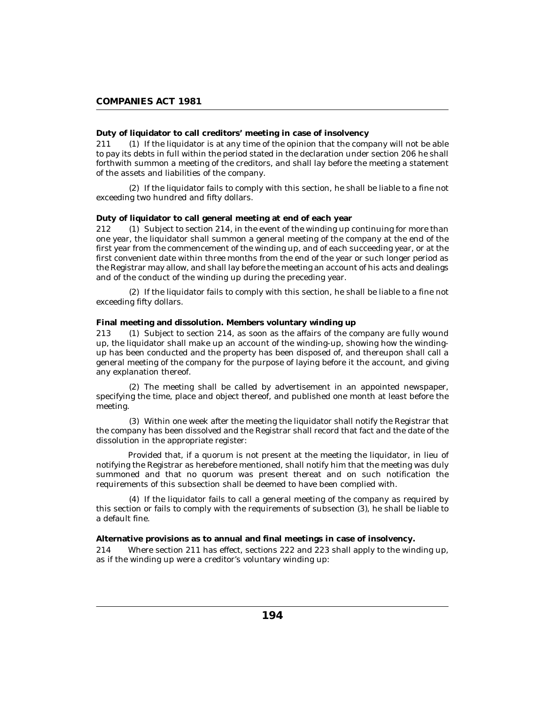**Duty of liquidator to call creditors' meeting in case of insolvency**

 $(1)$  If the liquidator is at any time of the opinion that the company will not be able to pay its debts in full within the period stated in the declaration under section 206 he shall forthwith summon a meeting of the creditors, and shall lay before the meeting a statement of the assets and liabilities of the company. 211

 $(2)$  If the liquidator fails to comply with this section, he shall be liable to a fine not exceeding two hundred and fifty dollars.

**Duty of liquidator to call general meeting at end of each year**

 $(1)$  Subject to section 214, in the event of the winding up continuing for more than one year, the liquidator shall summon a general meeting of the company at the end of the first year from the commencement of the winding up, and of each succeeding year, or at the first convenient date within three months from the end of the year or such longer period as the Registrar may allow, and shall lay before the meeting an account of his acts and dealings and of the conduct of the winding up during the preceding year. 212

 $(2)$  If the liquidator fails to comply with this section, he shall be liable to a fine not exceeding fifty dollars.

**Final meeting and dissolution. Members voluntary winding up**

 $(1)$  Subject to section 214, as soon as the affairs of the company are fully wound up, the liquidator shall make up an account of the winding-up, showing how the windingup has been conducted and the property has been disposed of, and thereupon shall call a general meeting of the company for the purpose of laying before it the account, and giving any explanation thereof. 213

The meeting shall be called by advertisement in an appointed newspaper, (2) specifying the time, place and object thereof, and published one month at least before the meeting.

Within one week after the meeting the liquidator shall notify the Registrar that (3) the company has been dissolved and the Registrar shall record that fact and the date of the dissolution in the appropriate register:

Provided that, if a quorum is not present at the meeting the liquidator, in lieu of notifying the Registrar as herebefore mentioned, shall notify him that the meeting was duly summoned and that no quorum was present thereat and on such notification the requirements of this subsection shall be deemed to have been complied with.

If the liquidator fails to call a general meeting of the company as required by (4) this section or fails to comply with the requirements of subsection (3), he shall be liable to a default fine.

**Alternative provisions as to annual and final meetings in case of insolvency.**

Where section 211 has effect, sections 222 and 223 shall apply to the winding up, as if the winding up were a creditor's voluntary winding up: 214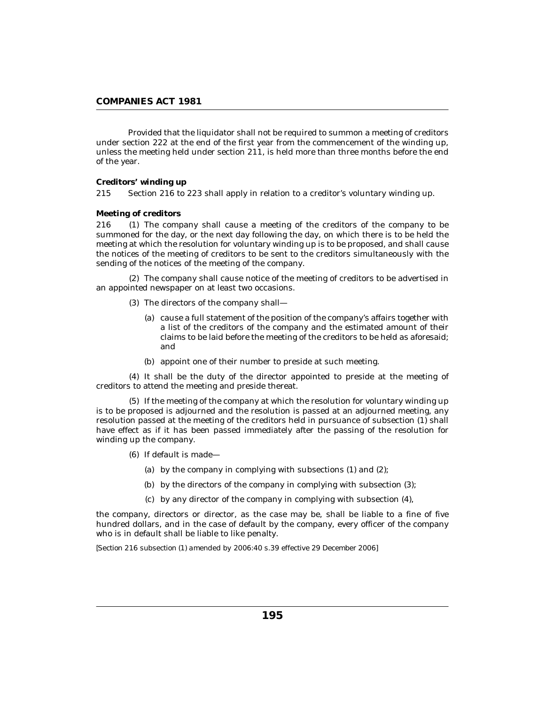Provided that the liquidator shall not be required to summon a meeting of creditors under section 222 at the end of the first year from the commencement of the winding up, unless the meeting held under section 211, is held more than three months before the end of the year.

**Creditors' winding up**

Section 216 to 223 shall apply in relation to a creditor's voluntary winding up. 215

## **Meeting of creditors**

The company shall cause a meeting of the creditors of the company to be summoned for the day, or the next day following the day, on which there is to be held the meeting at which the resolution for voluntary winding up is to be proposed, and shall cause the notices of the meeting of creditors to be sent to the creditors simultaneously with the sending of the notices of the meeting of the company. 216

The company shall cause notice of the meeting of creditors to be advertised in (2) an appointed newspaper on at least two occasions.

- (3) The directors of the company shall
	- cause a full statement of the position of the company's affairs together with (a) a list of the creditors of the company and the estimated amount of their claims to be laid before the meeting of the creditors to be held as aforesaid; and
	- (b) appoint one of their number to preside at such meeting.

(4) It shall be the duty of the director appointed to preside at the meeting of creditors to attend the meeting and preside thereat.

(5) If the meeting of the company at which the resolution for voluntary winding up is to be proposed is adjourned and the resolution is passed at an adjourned meeting, any resolution passed at the meeting of the creditors held in pursuance of subsection (1) shall have effect as if it has been passed immediately after the passing of the resolution for winding up the company.

- (6) If default is made-
	- (a) by the company in complying with subsections (1) and (2);
	- by the directors of the company in complying with subsection (3); (b)
	- by any director of the company in complying with subsection (4), (c)

the company, directors or director, as the case may be, shall be liable to a fine of five hundred dollars, and in the case of default by the company, every officer of the company who is in default shall be liable to like penalty.

*[Section 216 subsection (1) amended by 2006:40 s.39 effective 29 December 2006]*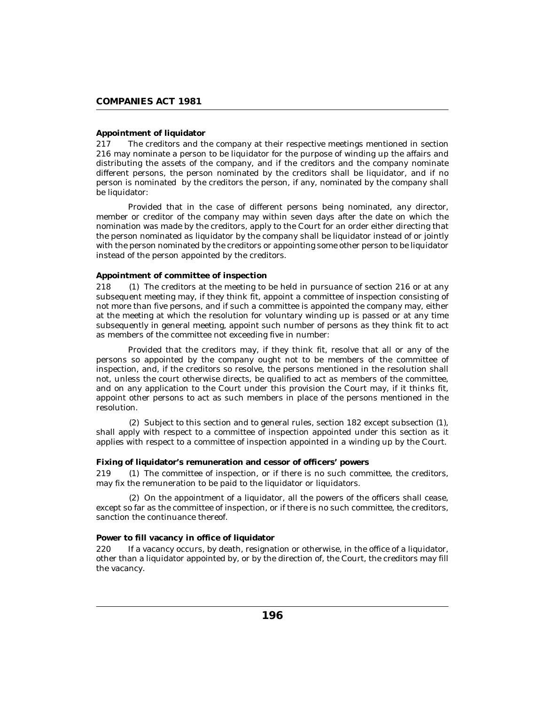# **Appointment of liquidator**

The creditors and the company at their respective meetings mentioned in section 216 may nominate a person to be liquidator for the purpose of winding up the affairs and distributing the assets of the company, and if the creditors and the company nominate different persons, the person nominated by the creditors shall be liquidator, and if no person is nominated by the creditors the person, if any, nominated by the company shall be liquidator: 217

Provided that in the case of different persons being nominated, any director, member or creditor of the company may within seven days after the date on which the nomination was made by the creditors, apply to the Court for an order either directing that the person nominated as liquidator by the company shall be liquidator instead of or jointly with the person nominated by the creditors or appointing some other person to be liquidator instead of the person appointed by the creditors.

# **Appointment of committee of inspection**

 $(1)$  The creditors at the meeting to be held in pursuance of section 216 or at any subsequent meeting may, if they think fit, appoint a committee of inspection consisting of not more than five persons, and if such a committee is appointed the company may, either at the meeting at which the resolution for voluntary winding up is passed or at any time subsequently in general meeting, appoint such number of persons as they think fit to act as members of the committee not exceeding five in number: 218

Provided that the creditors may, if they think fit, resolve that all or any of the persons so appointed by the company ought not to be members of the committee of inspection, and, if the creditors so resolve, the persons mentioned in the resolution shall not, unless the court otherwise directs, be qualified to act as members of the committee, and on any application to the Court under this provision the Court may, if it thinks fit, appoint other persons to act as such members in place of the persons mentioned in the resolution.

 $(2)$  Subject to this section and to general rules, section  $182$  except subsection  $(1)$ , shall apply with respect to a committee of inspection appointed under this section as it applies with respect to a committee of inspection appointed in a winding up by the Court.

#### **Fixing of liquidator's remuneration and cessor of officers' powers**

 $(1)$  The committee of inspection, or if there is no such committee, the creditors, may fix the remuneration to be paid to the liquidator or liquidators. 219

(2) On the appointment of a liquidator, all the powers of the officers shall cease, except so far as the committee of inspection, or if there is no such committee, the creditors, sanction the continuance thereof.

## **Power to fill vacancy in office of liquidator**

If a vacancy occurs, by death, resignation or otherwise, in the office of a liquidator, other than a liquidator appointed by, or by the direction of, the Court, the creditors may fill the vacancy. 220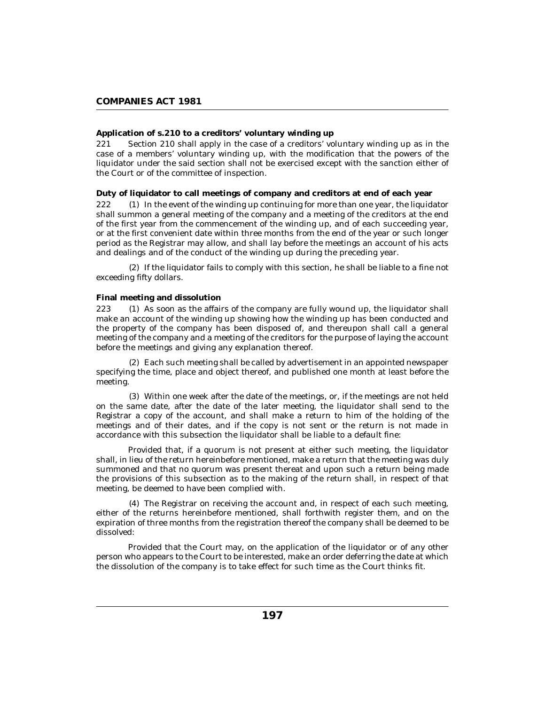# **Application of s.210 to a creditors' voluntary winding up**

Section 210 shall apply in the case of a creditors' voluntary winding up as in the case of a members' voluntary winding up, with the modification that the powers of the liquidator under the said section shall not be exercised except with the sanction either of the Court or of the committee of inspection. 221

# **Duty of liquidator to call meetings of company and creditors at end of each year**

 $(1)$  In the event of the winding up continuing for more than one year, the liquidator shall summon a general meeting of the company and a meeting of the creditors at the end of the first year from the commencement of the winding up, and of each succeeding year, or at the first convenient date within three months from the end of the year or such longer period as the Registrar may allow, and shall lay before the meetings an account of his acts and dealings and of the conduct of the winding up during the preceding year. 222

 $(2)$  If the liquidator fails to comply with this section, he shall be liable to a fine not exceeding fifty dollars.

## **Final meeting and dissolution**

As soon as the affairs of the company are fully wound up, the liquidator shall make an account of the winding up showing how the winding up has been conducted and the property of the company has been disposed of, and thereupon shall call a general meeting of the company and a meeting of the creditors for the purpose of laying the account before the meetings and giving any explanation thereof. 223

Each such meeting shall be called by advertisement in an appointed newspaper (2) specifying the time, place and object thereof, and published one month at least before the meeting.

Within one week after the date of the meetings, or, if the meetings are not held (3) on the same date, after the date of the later meeting, the liquidator shall send to the Registrar a copy of the account, and shall make a return to him of the holding of the meetings and of their dates, and if the copy is not sent or the return is not made in accordance with this subsection the liquidator shall be liable to a default fine:

Provided that, if a quorum is not present at either such meeting, the liquidator shall, in lieu of the return hereinbefore mentioned, make a return that the meeting was duly summoned and that no quorum was present thereat and upon such a return being made the provisions of this subsection as to the making of the return shall, in respect of that meeting, be deemed to have been complied with.

The Registrar on receiving the account and, in respect of each such meeting, (4) either of the returns hereinbefore mentioned, shall forthwith register them, and on the expiration of three months from the registration thereof the company shall be deemed to be dissolved:

Provided that the Court may, on the application of the liquidator or of any other person who appears to the Court to be interested, make an order deferring the date at which the dissolution of the company is to take effect for such time as the Court thinks fit.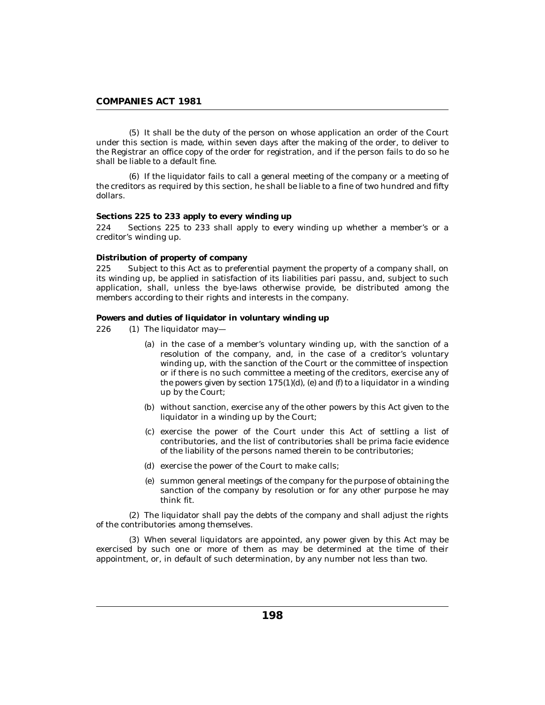(5) It shall be the duty of the person on whose application an order of the Court under this section is made, within seven days after the making of the order, to deliver to the Registrar an office copy of the order for registration, and if the person fails to do so he shall be liable to a default fine.

 $(6)$  If the liquidator fails to call a general meeting of the company or a meeting of the creditors as required by this section, he shall be liable to a fine of two hundred and fifty dollars.

# **Sections 225 to 233 apply to every winding up**

Sections 225 to 233 shall apply to every winding up whether a member's or a creditor's winding up. 224

# **Distribution of property of company**

Subject to this Act as to preferential payment the property of a company shall, on its winding up, be applied in satisfaction of its liabilities pari passu, and, subject to such application, shall, unless the bye-laws otherwise provide, be distributed among the members according to their rights and interests in the company. 225

**Powers and duties of liquidator in voluntary winding up**

- $(1)$  The liquidator may-226
	- (a) in the case of a member's voluntary winding up, with the sanction of a resolution of the company, and, in the case of a creditor's voluntary winding up, with the sanction of the Court or the committee of inspection or if there is no such committee a meeting of the creditors, exercise any of the powers given by section  $175(1)(d)$ , (e) and (f) to a liquidator in a winding up by the Court;
	- (b) without sanction, exercise any of the other powers by this Act given to the liquidator in a winding up by the Court;
	- (c) exercise the power of the Court under this Act of settling a list of contributories, and the list of contributories shall be prima facie evidence of the liability of the persons named therein to be contributories;
	- (d) exercise the power of the Court to make calls;
	- (e) summon general meetings of the company for the purpose of obtaining the sanction of the company by resolution or for any other purpose he may think fit.

The liquidator shall pay the debts of the company and shall adjust the rights (2) of the contributories among themselves.

When several liquidators are appointed, any power given by this Act may be (3) exercised by such one or more of them as may be determined at the time of their appointment, or, in default of such determination, by any number not less than two.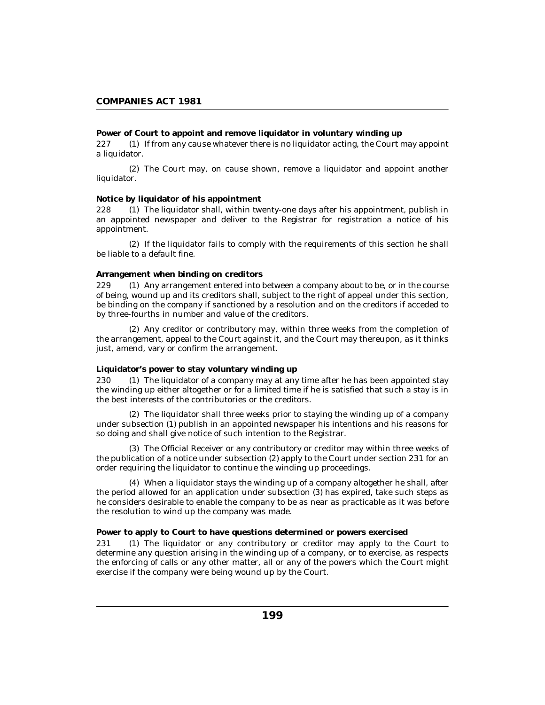**Power of Court to appoint and remove liquidator in voluntary winding up** If from any cause whatever there is no liquidator acting, the Court may appoint a liquidator. 227

The Court may, on cause shown, remove a liquidator and appoint another (2) liquidator.

# **Notice by liquidator of his appointment**

The liquidator shall, within twenty-one days after his appointment, publish in an appointed newspaper and deliver to the Registrar for registration a notice of his appointment. 228

(2) If the liquidator fails to comply with the requirements of this section he shall be liable to a default fine.

# **Arrangement when binding on creditors**

 $(1)$  Any arrangement entered into between a company about to be, or in the course of being, wound up and its creditors shall, subject to the right of appeal under this section, be binding on the company if sanctioned by a resolution and on the creditors if acceded to by three-fourths in number and value of the creditors. 229

(2) Any creditor or contributory may, within three weeks from the completion of the arrangement, appeal to the Court against it, and the Court may thereupon, as it thinks just, amend, vary or confirm the arrangement.

# **Liquidator's power to stay voluntary winding up**

The liquidator of a company may at any time after he has been appointed stay the winding up either altogether or for a limited time if he is satisfied that such a stay is in the best interests of the contributories or the creditors. 230

The liquidator shall three weeks prior to staying the winding up of a company (2) under subsection (1) publish in an appointed newspaper his intentions and his reasons for so doing and shall give notice of such intention to the Registrar.

The Official Receiver or any contributory or creditor may within three weeks of (3) the publication of a notice under subsection (2) apply to the Court under section 231 for an order requiring the liquidator to continue the winding up proceedings.

When a liquidator stays the winding up of a company altogether he shall, after (4) the period allowed for an application under subsection (3) has expired, take such steps as he considers desirable to enable the company to be as near as practicable as it was before the resolution to wind up the company was made.

**Power to apply to Court to have questions determined or powers exercised**

The liquidator or any contributory or creditor may apply to the Court to determine any question arising in the winding up of a company, or to exercise, as respects the enforcing of calls or any other matter, all or any of the powers which the Court might exercise if the company were being wound up by the Court. 231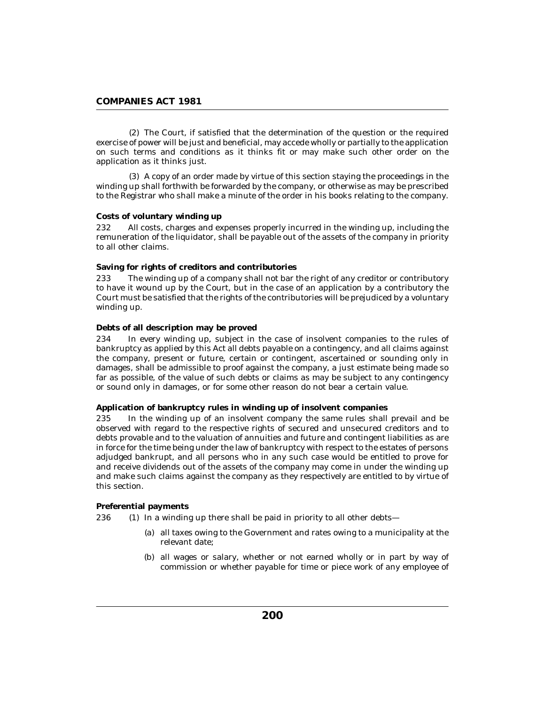The Court, if satisfied that the determination of the question or the required (2) exercise of power will be just and beneficial, may accede wholly or partially to the application on such terms and conditions as it thinks fit or may make such other order on the application as it thinks just.

A copy of an order made by virtue of this section staying the proceedings in the (3) winding up shall forthwith be forwarded by the company, or otherwise as may be prescribed to the Registrar who shall make a minute of the order in his books relating to the company.

# **Costs of voluntary winding up**

All costs, charges and expenses properly incurred in the winding up, including the remuneration of the liquidator, shall be payable out of the assets of the company in priority to all other claims. 232

# **Saving for rights of creditors and contributories**

The winding up of a company shall not bar the right of any creditor or contributory to have it wound up by the Court, but in the case of an application by a contributory the Court must be satisfied that the rights of the contributories will be prejudiced by a voluntary winding up. 233

# **Debts of all description may be proved**

In every winding up, subject in the case of insolvent companies to the rules of bankruptcy as applied by this Act all debts payable on a contingency, and all claims against the company, present or future, certain or contingent, ascertained or sounding only in damages, shall be admissible to proof against the company, a just estimate being made so far as possible, of the value of such debts or claims as may be subject to any contingency or sound only in damages, or for some other reason do not bear a certain value. 234

## **Application of bankruptcy rules in winding up of insolvent companies**

In the winding up of an insolvent company the same rules shall prevail and be observed with regard to the respective rights of secured and unsecured creditors and to debts provable and to the valuation of annuities and future and contingent liabilities as are in force for the time being under the law of bankruptcy with respect to the estates of persons adjudged bankrupt, and all persons who in any such case would be entitled to prove for and receive dividends out of the assets of the company may come in under the winding up and make such claims against the company as they respectively are entitled to by virtue of this section. 235

### **Preferential payments**

(1) In a winding up there shall be paid in priority to all other debts-236

- all taxes owing to the Government and rates owing to a municipality at the (a) relevant date;
- (b) all wages or salary, whether or not earned wholly or in part by way of commission or whether payable for time or piece work of any employee of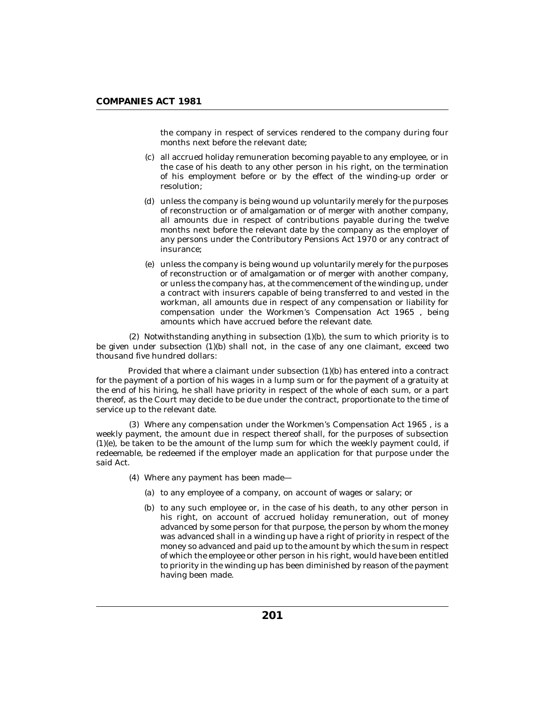the company in respect of services rendered to the company during four months next before the relevant date;

- all accrued holiday remuneration becoming payable to any employee, or in (c) the case of his death to any other person in his right, on the termination of his employment before or by the effect of the winding-up order or resolution;
- (d) unless the company is being wound up voluntarily merely for the purposes of reconstruction or of amalgamation or of merger with another company, all amounts due in respect of contributions payable during the twelve months next before the relevant date by the company as the employer of any persons under the Contributory Pensions Act 1970 or any contract of insurance;
- unless the company is being wound up voluntarily merely for the purposes (e) of reconstruction or of amalgamation or of merger with another company, or unless the company has, at the commencement of the winding up, under a contract with insurers capable of being transferred to and vested in the workman, all amounts due in respect of any compensation or liability for compensation under the Workmen's Compensation Act 1965 , being amounts which have accrued before the relevant date.

 $(2)$  Notwithstanding anything in subsection  $(1)(b)$ , the sum to which priority is to be given under subsection (1)(b) shall not, in the case of any one claimant, exceed two thousand five hundred dollars:

Provided that where a claimant under subsection (1)(b) has entered into a contract for the payment of a portion of his wages in a lump sum or for the payment of a gratuity at the end of his hiring, he shall have priority in respect of the whole of each sum, or a part thereof, as the Court may decide to be due under the contract, proportionate to the time of service up to the relevant date.

Where any compensation under the Workmen's Compensation Act 1965 , is a (3) weekly payment, the amount due in respect thereof shall, for the purposes of subsection  $(1)(e)$ , be taken to be the amount of the lump sum for which the weekly payment could, if redeemable, be redeemed if the employer made an application for that purpose under the said Act.

- Where any payment has been made— (4)
	- (a) to any employee of a company, on account of wages or salary; or
	- (b) to any such employee or, in the case of his death, to any other person in his right, on account of accrued holiday remuneration, out of money advanced by some person for that purpose, the person by whom the money was advanced shall in a winding up have a right of priority in respect of the money so advanced and paid up to the amount by which the sum in respect of which the employee or other person in his right, would have been entitled to priority in the winding up has been diminished by reason of the payment having been made.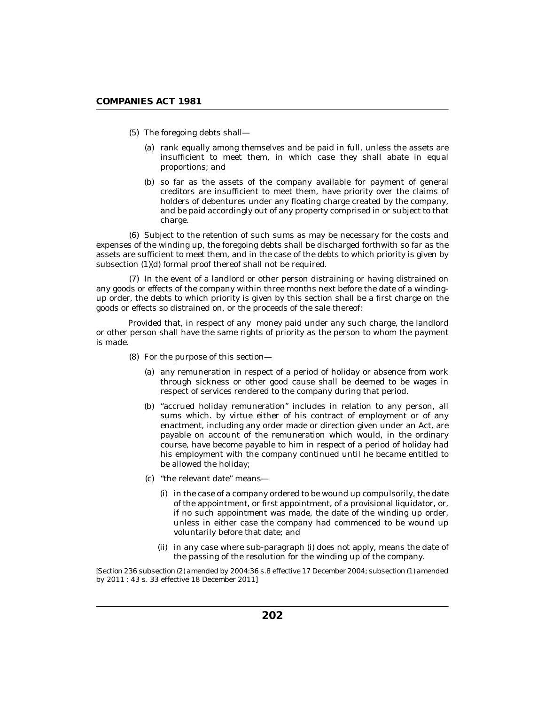- The foregoing debts shall— (5)
	- (a) rank equally among themselves and be paid in full, unless the assets are insufficient to meet them, in which case they shall abate in equal proportions; and
	- (b) so far as the assets of the company available for payment of general creditors are insufficient to meet them, have priority over the claims of holders of debentures under any floating charge created by the company, and be paid accordingly out of any property comprised in or subject to that charge.

(6) Subject to the retention of such sums as may be necessary for the costs and expenses of the winding up, the foregoing debts shall be discharged forthwith so far as the assets are sufficient to meet them, and in the case of the debts to which priority is given by subsection (1)(d) formal proof thereof shall not be required.

(7) In the event of a landlord or other person distraining or having distrained on any goods or effects of the company within three months next before the date of a windingup order, the debts to which priority is given by this section shall be a first charge on the goods or effects so distrained on, or the proceeds of the sale thereof:

Provided that, in respect of any money paid under any such charge, the landlord or other person shall have the same rights of priority as the person to whom the payment is made.

- (8) For the purpose of this section—
	- (a) any remuneration in respect of a period of holiday or absence from work through sickness or other good cause shall be deemed to be wages in respect of services rendered to the company during that period.
	- (b) "accrued holiday remuneration" includes in relation to any person, all sums which. by virtue either of his contract of employment or of any enactment, including any order made or direction given under an Act, are payable on account of the remuneration which would, in the ordinary course, have become payable to him in respect of a period of holiday had his employment with the company continued until he became entitled to be allowed the holiday;
	- (c) "the relevant date" means—
		- (i) in the case of a company ordered to be wound up compulsorily, the date of the appointment, or first appointment, of a provisional liquidator, or, if no such appointment was made, the date of the winding up order, unless in either case the company had commenced to be wound up voluntarily before that date; and
		- (ii) in any case where sub-paragraph (i) does not apply, means the date of the passing of the resolution for the winding up of the company.

*[Section 236 subsection (2) amended by 2004:36 s.8 effective 17 December 2004; subsection (1) amended by 2011 : 43 s. 33 effective 18 December 2011]*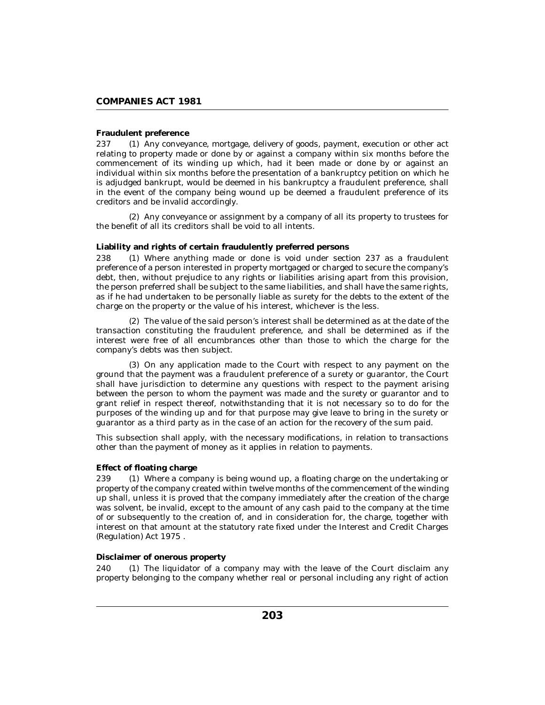# **Fraudulent preference**

Any conveyance, mortgage, delivery of goods, payment, execution or other act relating to property made or done by or against a company within six months before the commencement of its winding up which, had it been made or done by or against an individual within six months before the presentation of a bankruptcy petition on which he is adjudged bankrupt, would be deemed in his bankruptcy a fraudulent preference, shall in the event of the company being wound up be deemed a fraudulent preference of its creditors and be invalid accordingly. 237

(2) Any conveyance or assignment by a company of all its property to trustees for the benefit of all its creditors shall be void to all intents.

## **Liability and rights of certain fraudulently preferred persons**

Where anything made or done is void under section 237 as a fraudulent preference of a person interested in property mortgaged or charged to secure the company's debt, then, without prejudice to any rights or liabilities arising apart from this provision, the person preferred shall be subject to the same liabilities, and shall have the same rights, as if he had undertaken to be personally liable as surety for the debts to the extent of the charge on the property or the value of his interest, whichever is the less. 238

The value of the said person's interest shall be determined as at the date of the (2) transaction constituting the fraudulent preference, and shall be determined as if the interest were free of all encumbrances other than those to which the charge for the company's debts was then subject.

(3) On any application made to the Court with respect to any payment on the ground that the payment was a fraudulent preference of a surety or guarantor, the Court shall have jurisdiction to determine any questions with respect to the payment arising between the person to whom the payment was made and the surety or guarantor and to grant relief in respect thereof, notwithstanding that it is not necessary so to do for the purposes of the winding up and for that purpose may give leave to bring in the surety or guarantor as a third party as in the case of an action for the recovery of the sum paid.

This subsection shall apply, with the necessary modifications, in relation to transactions other than the payment of money as it applies in relation to payments.

# **Effect of floating charge**

Where a company is being wound up, a floating charge on the undertaking or property of the company created within twelve months of the commencement of the winding up shall, unless it is proved that the company immediately after the creation of the charge was solvent, be invalid, except to the amount of any cash paid to the company at the time of or subsequently to the creation of, and in consideration for, the charge, together with interest on that amount at the statutory rate fixed under the Interest and Credit Charges (Regulation) Act 1975 . 239

# **Disclaimer of onerous property**

The liquidator of a company may with the leave of the Court disclaim any property belonging to the company whether real or personal including any right of action 240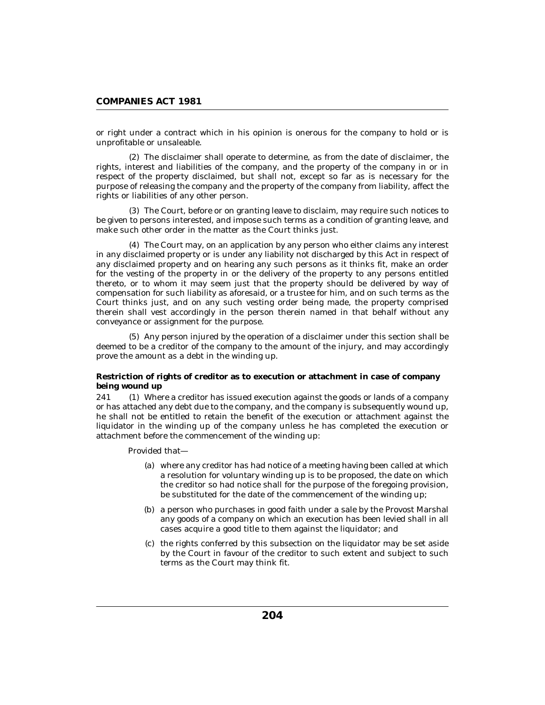or right under a contract which in his opinion is onerous for the company to hold or is unprofitable or unsaleable.

The disclaimer shall operate to determine, as from the date of disclaimer, the (2) rights, interest and liabilities of the company, and the property of the company in or in respect of the property disclaimed, but shall not, except so far as is necessary for the purpose of releasing the company and the property of the company from liability, affect the rights or liabilities of any other person.

The Court, before or on granting leave to disclaim, may require such notices to (3) be given to persons interested, and impose such terms as a condition of granting leave, and make such other order in the matter as the Court thinks just.

The Court may, on an application by any person who either claims any interest (4) in any disclaimed property or is under any liability not discharged by this Act in respect of any disclaimed property and on hearing any such persons as it thinks fit, make an order for the vesting of the property in or the delivery of the property to any persons entitled thereto, or to whom it may seem just that the property should be delivered by way of compensation for such liability as aforesaid, or a trustee for him, and on such terms as the Court thinks just, and on any such vesting order being made, the property comprised therein shall vest accordingly in the person therein named in that behalf without any conveyance or assignment for the purpose.

(5) Any person injured by the operation of a disclaimer under this section shall be deemed to be a creditor of the company to the amount of the injury, and may accordingly prove the amount as a debt in the winding up.

**Restriction of rights of creditor as to execution or attachment in case of company being wound up**

Where a creditor has issued execution against the goods or lands of a company or has attached any debt due to the company, and the company is subsequently wound up, he shall not be entitled to retain the benefit of the execution or attachment against the liquidator in the winding up of the company unless he has completed the execution or attachment before the commencement of the winding up: 241

Provided that—

- where any creditor has had notice of a meeting having been called at which (a) a resolution for voluntary winding up is to be proposed, the date on which the creditor so had notice shall for the purpose of the foregoing provision, be substituted for the date of the commencement of the winding up;
- (b) a person who purchases in good faith under a sale by the Provost Marshal any goods of a company on which an execution has been levied shall in all cases acquire a good title to them against the liquidator; and
- (c) the rights conferred by this subsection on the liquidator may be set aside by the Court in favour of the creditor to such extent and subject to such terms as the Court may think fit.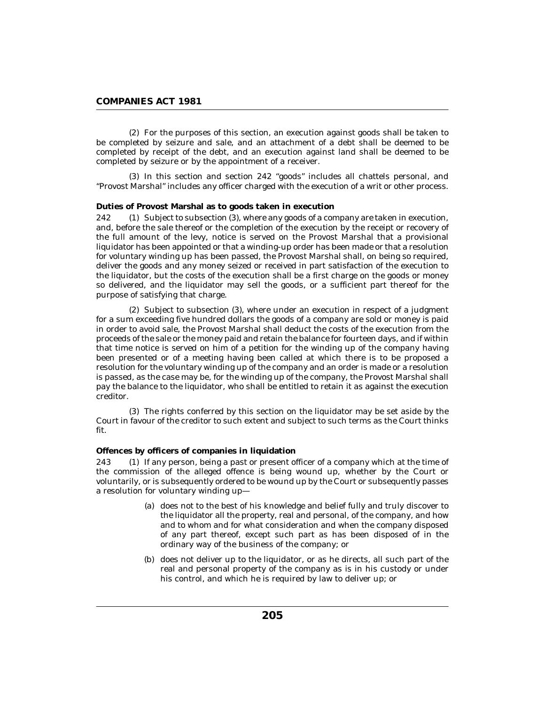For the purposes of this section, an execution against goods shall be taken to (2) be completed by seizure and sale, and an attachment of a debt shall be deemed to be completed by receipt of the debt, and an execution against land shall be deemed to be completed by seizure or by the appointment of a receiver.

(3) In this section and section 242 "goods" includes all chattels personal, and "Provost Marshal" includes any officer charged with the execution of a writ or other process.

# **Duties of Provost Marshal as to goods taken in execution**

 $(1)$  Subject to subsection  $(3)$ , where any goods of a company are taken in execution, and, before the sale thereof or the completion of the execution by the receipt or recovery of the full amount of the levy, notice is served on the Provost Marshal that a provisional liquidator has been appointed or that a winding-up order has been made or that a resolution for voluntary winding up has been passed, the Provost Marshal shall, on being so required, deliver the goods and any money seized or received in part satisfaction of the execution to the liquidator, but the costs of the execution shall be a first charge on the goods or money so delivered, and the liquidator may sell the goods, or a sufficient part thereof for the purpose of satisfying that charge. 242

 $(2)$  Subject to subsection  $(3)$ , where under an execution in respect of a judgment for a sum exceeding five hundred dollars the goods of a company are sold or money is paid in order to avoid sale, the Provost Marshal shall deduct the costs of the execution from the proceeds of the sale or the money paid and retain the balance for fourteen days, and if within that time notice is served on him of a petition for the winding up of the company having been presented or of a meeting having been called at which there is to be proposed a resolution for the voluntary winding up of the company and an order is made or a resolution is passed, as the case may be, for the winding up of the company, the Provost Marshal shall pay the balance to the liquidator, who shall be entitled to retain it as against the execution creditor.

The rights conferred by this section on the liquidator may be set aside by the (3) Court in favour of the creditor to such extent and subject to such terms as the Court thinks fit.

# **Offences by officers of companies in liquidation**

If any person, being a past or present officer of a company which at the time of the commission of the alleged offence is being wound up, whether by the Court or voluntarily, or is subsequently ordered to be wound up by the Court or subsequently passes a resolution for voluntary winding up— 243

- (a) does not to the best of his knowledge and belief fully and truly discover to the liquidator all the property, real and personal, of the company, and how and to whom and for what consideration and when the company disposed of any part thereof, except such part as has been disposed of in the ordinary way of the business of the company; or
- (b) does not deliver up to the liquidator, or as he directs, all such part of the real and personal property of the company as is in his custody or under his control, and which he is required by law to deliver up; or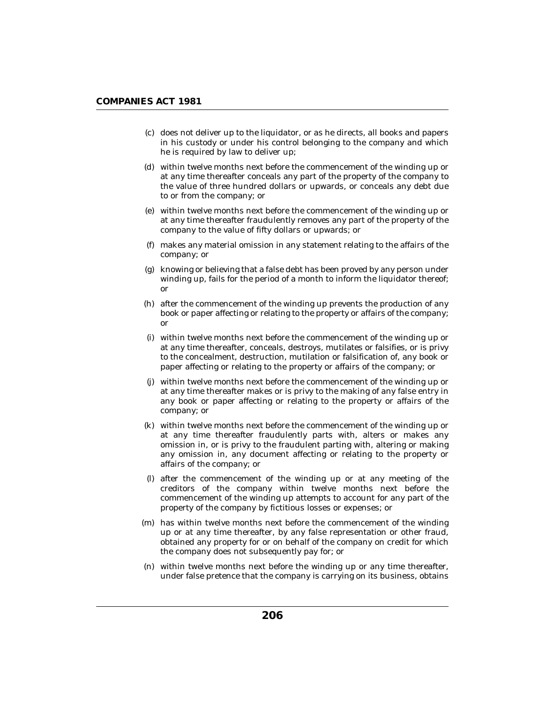- (c) does not deliver up to the liquidator, or as he directs, all books and papers in his custody or under his control belonging to the company and which he is required by law to deliver up;
- within twelve months next before the commencement of the winding up or (d) at any time thereafter conceals any part of the property of the company to the value of three hundred dollars or upwards, or conceals any debt due to or from the company; or
- within twelve months next before the commencement of the winding up or (e) at any time thereafter fraudulently removes any part of the property of the company to the value of fifty dollars or upwards; or
- makes any material omission in any statement relating to the affairs of the (f) company; or
- (g) knowing or believing that a false debt has been proved by any person under winding up, fails for the period of a month to inform the liquidator thereof; or
- after the commencement of the winding up prevents the production of any (h) book or paper affecting or relating to the property or affairs of the company; or
- within twelve months next before the commencement of the winding up or (i) at any time thereafter, conceals, destroys, mutilates or falsifies, or is privy to the concealment, destruction, mutilation or falsification of, any book or paper affecting or relating to the property or affairs of the company; or
- within twelve months next before the commencement of the winding up or (j) at any time thereafter makes or is privy to the making of any false entry in any book or paper affecting or relating to the property or affairs of the company; or
- (k) within twelve months next before the commencement of the winding up or at any time thereafter fraudulently parts with, alters or makes any omission in, or is privy to the fraudulent parting with, altering or making any omission in, any document affecting or relating to the property or affairs of the company; or
- after the commencement of the winding up or at any meeting of the (l) creditors of the company within twelve months next before the commencement of the winding up attempts to account for any part of the property of the company by fictitious losses or expenses; or
- (m) has within twelve months next before the commencement of the winding up or at any time thereafter, by any false representation or other fraud, obtained any property for or on behalf of the company on credit for which the company does not subsequently pay for; or
- (n) within twelve months next before the winding up or any time thereafter, under false pretence that the company is carrying on its business, obtains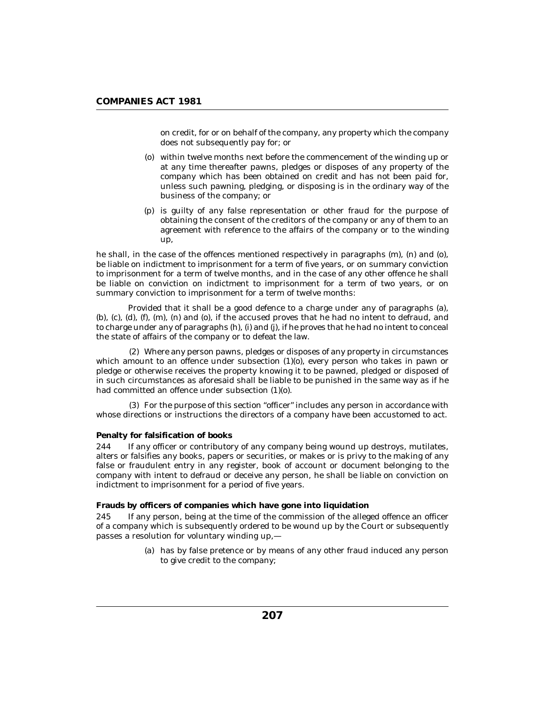on credit, for or on behalf of the company, any property which the company does not subsequently pay for; or

- within twelve months next before the commencement of the winding up or (o) at any time thereafter pawns, pledges or disposes of any property of the company which has been obtained on credit and has not been paid for, unless such pawning, pledging, or disposing is in the ordinary way of the business of the company; or
- (p) is guilty of any false representation or other fraud for the purpose of obtaining the consent of the creditors of the company or any of them to an agreement with reference to the affairs of the company or to the winding up,

he shall, in the case of the offences mentioned respectively in paragraphs (m), (n) and (o), be liable on indictment to imprisonment for a term of five years, or on summary conviction to imprisonment for a term of twelve months, and in the case of any other offence he shall be liable on conviction on indictment to imprisonment for a term of two years, or on summary conviction to imprisonment for a term of twelve months:

Provided that it shall be a good defence to a charge under any of paragraphs (a), (b), (c), (d), (f), (m), (n) and (o), if the accused proves that he had no intent to defraud, and to charge under any of paragraphs (h), (i) and (j), if he proves that he had no intent to conceal the state of affairs of the company or to defeat the law.

Where any person pawns, pledges or disposes of any property in circumstances (2) which amount to an offence under subsection  $(1)(o)$ , every person who takes in pawn or pledge or otherwise receives the property knowing it to be pawned, pledged or disposed of in such circumstances as aforesaid shall be liable to be punished in the same way as if he had committed an offence under subsection (1)(o).

For the purpose of this section "officer" includes any person in accordance with (3) whose directions or instructions the directors of a company have been accustomed to act.

### **Penalty for falsification of books**

If any officer or contributory of any company being wound up destroys, mutilates, alters or falsifies any books, papers or securities, or makes or is privy to the making of any false or fraudulent entry in any register, book of account or document belonging to the company with intent to defraud or deceive any person, he shall be liable on conviction on indictment to imprisonment for a period of five years. 244

**Frauds by officers of companies which have gone into liquidation**

If any person, being at the time of the commission of the alleged offence an officer of a company which is subsequently ordered to be wound up by the Court or subsequently passes a resolution for voluntary winding up,— 245

> has by false pretence or by means of any other fraud induced any person (a) to give credit to the company;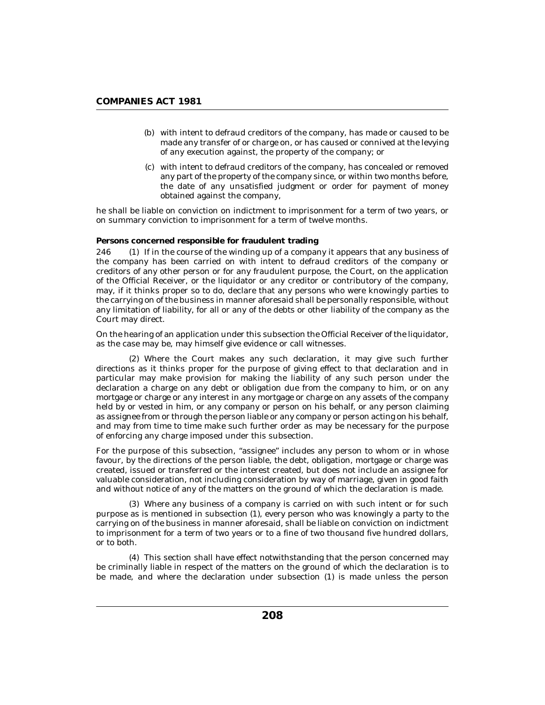- (b) with intent to defraud creditors of the company, has made or caused to be made any transfer of or charge on, or has caused or connived at the levying of any execution against, the property of the company; or
- with intent to defraud creditors of the company, has concealed or removed (c) any part of the property of the company since, or within two months before, the date of any unsatisfied judgment or order for payment of money obtained against the company,

he shall be liable on conviction on indictment to imprisonment for a term of two years, or on summary conviction to imprisonment for a term of twelve months.

**Persons concerned responsible for fraudulent trading**

If in the course of the winding up of a company it appears that any business of the company has been carried on with intent to defraud creditors of the company or creditors of any other person or for any fraudulent purpose, the Court, on the application of the Official Receiver, or the liquidator or any creditor or contributory of the company, may, if it thinks proper so to do, declare that any persons who were knowingly parties to the carrying on of the business in manner aforesaid shall be personally responsible, without any limitation of liability, for all or any of the debts or other liability of the company as the Court may direct. 246

On the hearing of an application under this subsection the Official Receiver of the liquidator, as the case may be, may himself give evidence or call witnesses.

Where the Court makes any such declaration, it may give such further (2) directions as it thinks proper for the purpose of giving effect to that declaration and in particular may make provision for making the liability of any such person under the declaration a charge on any debt or obligation due from the company to him, or on any mortgage or charge or any interest in any mortgage or charge on any assets of the company held by or vested in him, or any company or person on his behalf, or any person claiming as assignee from or through the person liable or any company or person acting on his behalf, and may from time to time make such further order as may be necessary for the purpose of enforcing any charge imposed under this subsection.

For the purpose of this subsection, "assignee" includes any person to whom or in whose favour, by the directions of the person liable, the debt, obligation, mortgage or charge was created, issued or transferred or the interest created, but does not include an assignee for valuable consideration, not including consideration by way of marriage, given in good faith and without notice of any of the matters on the ground of which the declaration is made.

Where any business of a company is carried on with such intent or for such (3) purpose as is mentioned in subsection (1), every person who was knowingly a party to the carrying on of the business in manner aforesaid, shall be liable on conviction on indictment to imprisonment for a term of two years or to a fine of two thousand five hundred dollars, or to both.

This section shall have effect notwithstanding that the person concerned may (4) be criminally liable in respect of the matters on the ground of which the declaration is to be made, and where the declaration under subsection (1) is made unless the person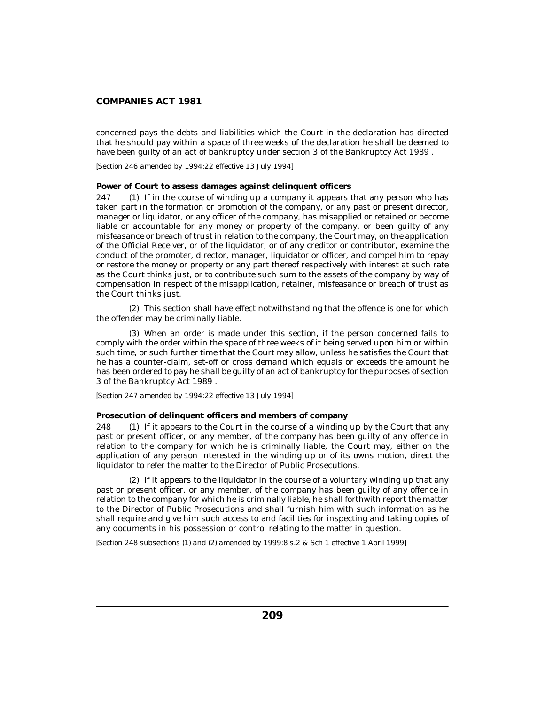concerned pays the debts and liabilities which the Court in the declaration has directed that he should pay within a space of three weeks of the declaration he shall be deemed to have been guilty of an act of bankruptcy under section 3 of the Bankruptcy Act 1989 .

*[Section 246 amended by 1994:22 effective 13 July 1994]*

**Power of Court to assess damages against delinquent officers**

If in the course of winding up a company it appears that any person who has taken part in the formation or promotion of the company, or any past or present director, manager or liquidator, or any officer of the company, has misapplied or retained or become liable or accountable for any money or property of the company, or been guilty of any misfeasance or breach of trust in relation to the company, the Court may, on the application of the Official Receiver, or of the liquidator, or of any creditor or contributor, examine the conduct of the promoter, director, manager, liquidator or officer, and compel him to repay or restore the money or property or any part thereof respectively with interest at such rate as the Court thinks just, or to contribute such sum to the assets of the company by way of compensation in respect of the misapplication, retainer, misfeasance or breach of trust as the Court thinks just. 247

(2) This section shall have effect notwithstanding that the offence is one for which the offender may be criminally liable.

When an order is made under this section, if the person concerned fails to (3) comply with the order within the space of three weeks of it being served upon him or within such time, or such further time that the Court may allow, unless he satisfies the Court that he has a counter-claim, set-off or cross demand which equals or exceeds the amount he has been ordered to pay he shall be guilty of an act of bankruptcy for the purposes of section 3 of the Bankruptcy Act 1989 .

*[Section 247 amended by 1994:22 effective 13 July 1994]*

**Prosecution of delinquent officers and members of company**

 $(1)$  If it appears to the Court in the course of a winding up by the Court that any past or present officer, or any member, of the company has been guilty of any offence in relation to the company for which he is criminally liable, the Court may, either on the application of any person interested in the winding up or of its owns motion, direct the liquidator to refer the matter to the Director of Public Prosecutions. 248

 $(2)$  If it appears to the liquidator in the course of a voluntary winding up that any past or present officer, or any member, of the company has been guilty of any offence in relation to the company for which he is criminally liable, he shall forthwith report the matter to the Director of Public Prosecutions and shall furnish him with such information as he shall require and give him such access to and facilities for inspecting and taking copies of any documents in his possession or control relating to the matter in question.

*[Section 248 subsections (1) and (2) amended by 1999:8 s.2 & Sch 1 effective 1 April 1999]*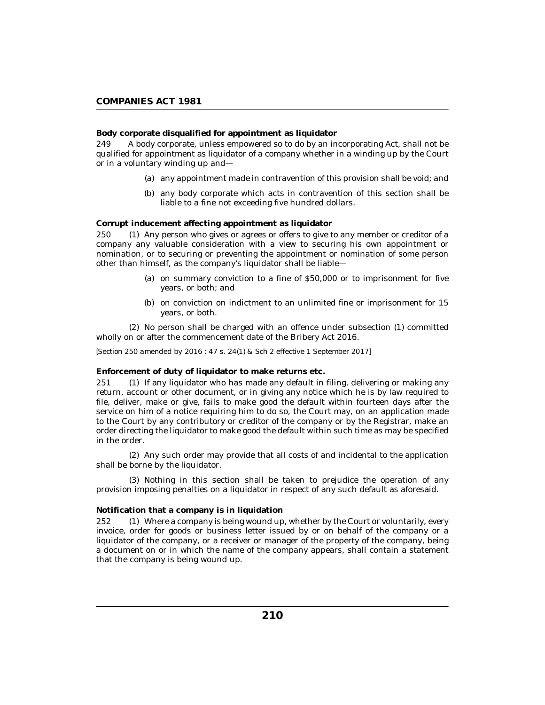**Body corporate disqualified for appointment as liquidator**

A body corporate, unless empowered so to do by an incorporating Act, shall not be qualified for appointment as liquidator of a company whether in a winding up by the Court or in a voluntary winding up and— 249

- (a) any appointment made in contravention of this provision shall be void; and
- (b) any body corporate which acts in contravention of this section shall be liable to a fine not exceeding five hundred dollars.

**Corrupt inducement affecting appointment as liquidator**

Any person who gives or agrees or offers to give to any member or creditor of a company any valuable consideration with a view to securing his own appointment or nomination, or to securing or preventing the appointment or nomination of some person other than himself, as the company's liquidator shall be liable— 250

- (a) on summary conviction to a fine of  $$50,000$  or to imprisonment for five years, or both; and
- $(b)$  on conviction on indictment to an unlimited fine or imprisonment for  $15$ years, or both.

(2) No person shall be charged with an offence under subsection (1) committed wholly on or after the commencement date of the Bribery Act 2016.

*[Section 250 amended by 2016 : 47 s. 24(1) & Sch 2 effective 1 September 2017]*

**Enforcement of duty of liquidator to make returns etc.**

If any liquidator who has made any default in filing, delivering or making any return, account or other document, or in giving any notice which he is by law required to file, deliver, make or give, fails to make good the default within fourteen days after the service on him of a notice requiring him to do so, the Court may, on an application made to the Court by any contributory or creditor of the company or by the Registrar, make an order directing the liquidator to make good the default within such time as may be specified in the order.  $251$ 

(2) Any such order may provide that all costs of and incidental to the application shall be borne by the liquidator.

(3) Nothing in this section shall be taken to prejudice the operation of any provision imposing penalties on a liquidator in respect of any such default as aforesaid.

# **Notification that a company is in liquidation**

Where a company is being wound up, whether by the Court or voluntarily, every invoice, order for goods or business letter issued by or on behalf of the company or a liquidator of the company, or a receiver or manager of the property of the company, being a document on or in which the name of the company appears, shall contain a statement that the company is being wound up.  $2.52<sub>1</sub>$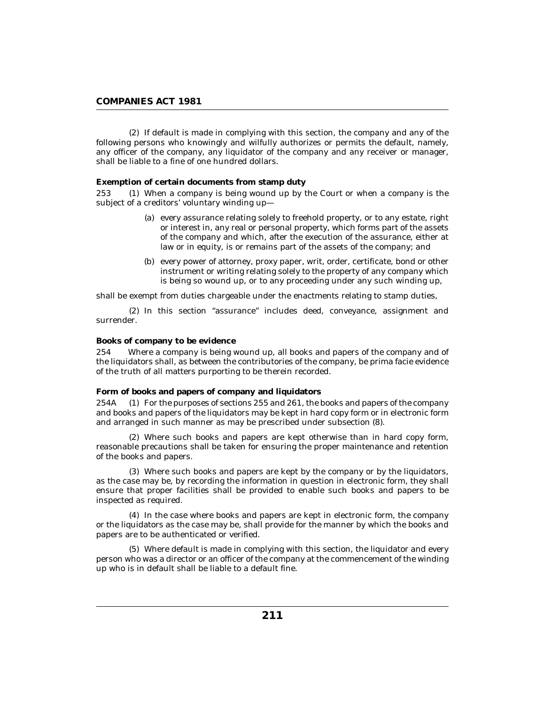(2) If default is made in complying with this section, the company and any of the following persons who knowingly and wilfully authorizes or permits the default, namely, any officer of the company, any liquidator of the company and any receiver or manager, shall be liable to a fine of one hundred dollars.

**Exemption of certain documents from stamp duty**

 $(1)$  When a company is being wound up by the Court or when a company is the subject of a creditors' voluntary winding up— 253

- (a) every assurance relating solely to freehold property, or to any estate, right or interest in, any real or personal property, which forms part of the assets of the company and which, after the execution of the assurance, either at law or in equity, is or remains part of the assets of the company; and
- (b) every power of attorney, proxy paper, writ, order, certificate, bond or other instrument or writing relating solely to the property of any company which is being so wound up, or to any proceeding under any such winding up,

shall be exempt from duties chargeable under the enactments relating to stamp duties,

(2) In this section "assurance" includes deed, conveyance, assignment and surrender.

# **Books of company to be evidence**

Where a company is being wound up, all books and papers of the company and of the liquidators shall, as between the contributories of the company, be prima facie evidence of the truth of all matters purporting to be therein recorded. 254

# **Form of books and papers of company and liquidators**

 $f(1)$  For the purposes of sections 255 and 261, the books and papers of the company and books and papers of the liquidators may be kept in hard copy form or in electronic form and arranged in such manner as may be prescribed under subsection (8).  $254A$ 

Where such books and papers are kept otherwise than in hard copy form, (2) reasonable precautions shall be taken for ensuring the proper maintenance and retention of the books and papers.

Where such books and papers are kept by the company or by the liquidators, (3) as the case may be, by recording the information in question in electronic form, they shall ensure that proper facilities shall be provided to enable such books and papers to be inspected as required.

(4) In the case where books and papers are kept in electronic form, the company or the liquidators as the case may be, shall provide for the manner by which the books and papers are to be authenticated or verified.

Where default is made in complying with this section, the liquidator and every (5) person who was a director or an officer of the company at the commencement of the winding up who is in default shall be liable to a default fine.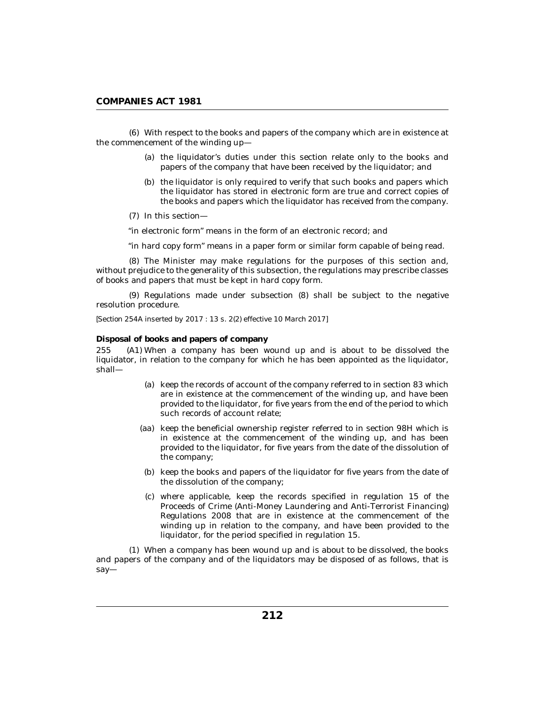With respect to the books and papers of the company which are in existence at (6) the commencement of the winding up—

- (a) the liquidator's duties under this section relate only to the books and papers of the company that have been received by the liquidator; and
- (b) the liquidator is only required to verify that such books and papers which the liquidator has stored in electronic form are true and correct copies of the books and papers which the liquidator has received from the company.
- (7) In this section-

"in electronic form" means in the form of an electronic record; and

"in hard copy form" means in a paper form or similar form capable of being read.

The Minister may make regulations for the purposes of this section and, (8) without prejudice to the generality of this subsection, the regulations may prescribe classes of books and papers that must be kept in hard copy form.

(9) Regulations made under subsection (8) shall be subject to the negative resolution procedure.

*[Section 254A inserted by 2017 : 13 s. 2(2) effective 10 March 2017]*

**Disposal of books and papers of company**

255 (A1) When a company has been wound up and is about to be dissolved the liquidator, in relation to the company for which he has been appointed as the liquidator, shall—

- (a) keep the records of account of the company referred to in section 83 which are in existence at the commencement of the winding up, and have been provided to the liquidator, for five years from the end of the period to which such records of account relate;
- (aa) keep the beneficial ownership register referred to in section 98H which is in existence at the commencement of the winding up, and has been provided to the liquidator, for five years from the date of the dissolution of the company;
- (b) keep the books and papers of the liquidator for five years from the date of the dissolution of the company;
- where applicable, keep the records specified in regulation 15 of the (c) Proceeds of Crime (Anti-Money Laundering and Anti-Terrorist Financing) Regulations 2008 that are in existence at the commencement of the winding up in relation to the company, and have been provided to the liquidator, for the period specified in regulation 15.

When a company has been wound up and is about to be dissolved, the books (1) and papers of the company and of the liquidators may be disposed of as follows, that is say—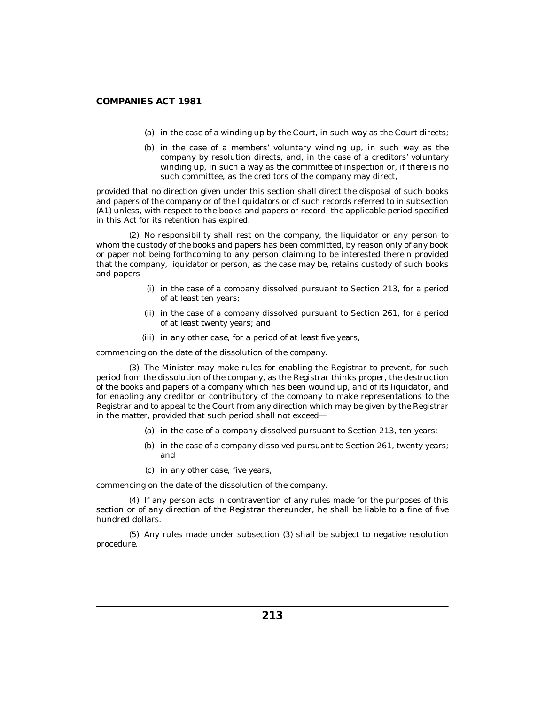- in the case of a winding up by the Court, in such way as the Court directs; (a)
- (b) in the case of a members' voluntary winding up, in such way as the company by resolution directs, and, in the case of a creditors' voluntary winding up, in such a way as the committee of inspection or, if there is no such committee, as the creditors of the company may direct,

provided that no direction given under this section shall direct the disposal of such books and papers of the company or of the liquidators or of such records referred to in subsection (A1) unless, with respect to the books and papers or record, the applicable period specified in this Act for its retention has expired.

(2) No responsibility shall rest on the company, the liquidator or any person to whom the custody of the books and papers has been committed, by reason only of any book or paper not being forthcoming to any person claiming to be interested therein provided that the company, liquidator or person, as the case may be, retains custody of such books and papers—

- (i) in the case of a company dissolved pursuant to Section 213, for a period of at least ten years;
- in the case of a company dissolved pursuant to Section 261, for a period (ii) of at least twenty years; and
- (iii) in any other case, for a period of at least five years,

commencing on the date of the dissolution of the company.

The Minister may make rules for enabling the Registrar to prevent, for such (3) period from the dissolution of the company, as the Registrar thinks proper, the destruction of the books and papers of a company which has been wound up, and of its liquidator, and for enabling any creditor or contributory of the company to make representations to the Registrar and to appeal to the Court from any direction which may be given by the Registrar in the matter, provided that such period shall not exceed—

- (a) in the case of a company dissolved pursuant to Section 213, ten years;
- (b) in the case of a company dissolved pursuant to Section 261, twenty years; and
- (c) in any other case, five years,

commencing on the date of the dissolution of the company.

If any person acts in contravention of any rules made for the purposes of this (4) section or of any direction of the Registrar thereunder, he shall be liable to a fine of five hundred dollars.

(5) Any rules made under subsection (3) shall be subject to negative resolution procedure.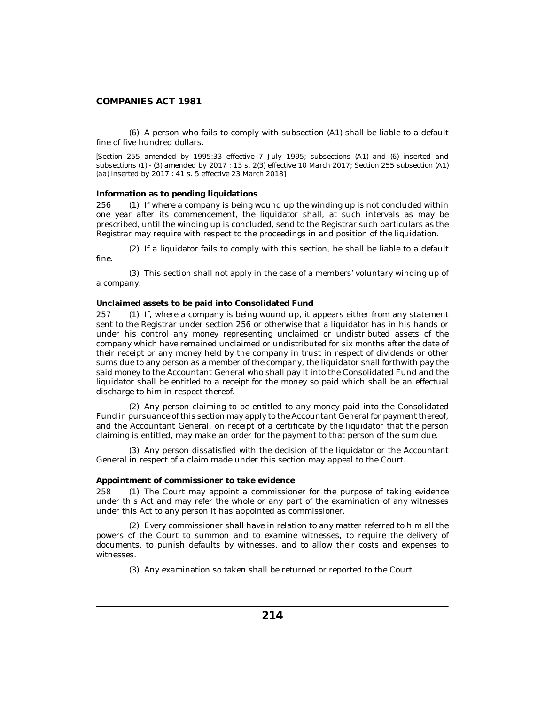$(6)$  A person who fails to comply with subsection  $(A1)$  shall be liable to a default fine of five hundred dollars.

*[Section 255 amended by 1995:33 effective 7 July 1995; subsections (A1) and (6) inserted and subsections (1) - (3) amended by 2017 : 13 s. 2(3) effective 10 March 2017; Section 255 subsection (A1) (aa) inserted by 2017 : 41 s. 5 effective 23 March 2018]*

#### **Information as to pending liquidations**

If where a company is being wound up the winding up is not concluded within one year after its commencement, the liquidator shall, at such intervals as may be prescribed, until the winding up is concluded, send to the Registrar such particulars as the Registrar may require with respect to the proceedings in and position of the liquidation. 256

 $(2)$  If a liquidator fails to comply with this section, he shall be liable to a default fine.

This section shall not apply in the case of a members' voluntary winding up of (3) a company.

# **Unclaimed assets to be paid into Consolidated Fund**

 $(1)$  If, where a company is being wound up, it appears either from any statement sent to the Registrar under section 256 or otherwise that a liquidator has in his hands or under his control any money representing unclaimed or undistributed assets of the company which have remained unclaimed or undistributed for six months after the date of their receipt or any money held by the company in trust in respect of dividends or other sums due to any person as a member of the company, the liquidator shall forthwith pay the said money to the Accountant General who shall pay it into the Consolidated Fund and the liquidator shall be entitled to a receipt for the money so paid which shall be an effectual discharge to him in respect thereof. 257

Any person claiming to be entitled to any money paid into the Consolidated (2) Fund in pursuance of this section may apply to the Accountant General for payment thereof, and the Accountant General, on receipt of a certificate by the liquidator that the person claiming is entitled, may make an order for the payment to that person of the sum due.

(3) Any person dissatisfied with the decision of the liquidator or the Accountant General in respect of a claim made under this section may appeal to the Court.

### **Appointment of commissioner to take evidence**

 $(1)$  The Court may appoint a commissioner for the purpose of taking evidence under this Act and may refer the whole or any part of the examination of any witnesses under this Act to any person it has appointed as commissioner. 258

Every commissioner shall have in relation to any matter referred to him all the (2) powers of the Court to summon and to examine witnesses, to require the delivery of documents, to punish defaults by witnesses, and to allow their costs and expenses to witnesses.

(3) Any examination so taken shall be returned or reported to the Court.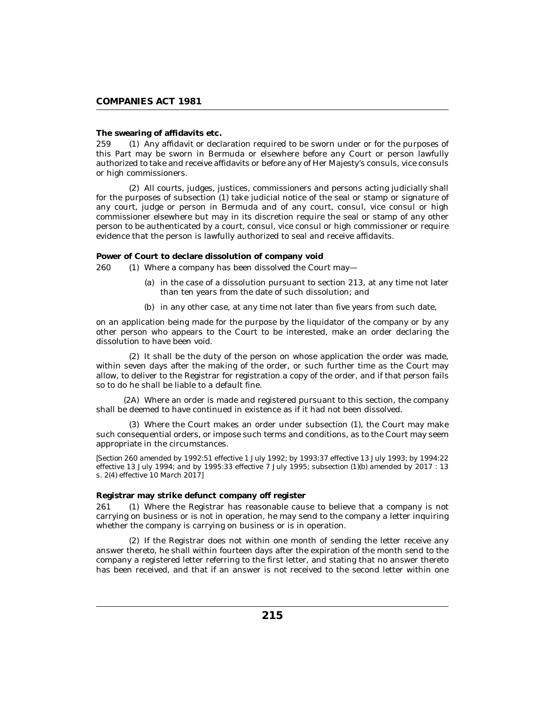**The swearing of affidavits etc.**

Any affidavit or declaration required to be sworn under or for the purposes of this Part may be sworn in Bermuda or elsewhere before any Court or person lawfully authorized to take and receive affidavits or before any of Her Majesty's consuls, vice consuls or high commissioners. 259

All courts, judges, justices, commissioners and persons acting judicially shall (2) for the purposes of subsection (1) take judicial notice of the seal or stamp or signature of any court, judge or person in Bermuda and of any court, consul, vice consul or high commissioner elsewhere but may in its discretion require the seal or stamp of any other person to be authenticated by a court, consul, vice consul or high commissioner or require evidence that the person is lawfully authorized to seal and receive affidavits.

**Power of Court to declare dissolution of company void**

Where a company has been dissolved the Court may— 260

- (a) in the case of a dissolution pursuant to section 213, at any time not later than ten years from the date of such dissolution; and
- (b) in any other case, at any time not later than five years from such date,

on an application being made for the purpose by the liquidator of the company or by any other person who appears to the Court to be interested, make an order declaring the dissolution to have been void.

 $(2)$  It shall be the duty of the person on whose application the order was made, within seven days after the making of the order, or such further time as the Court may allow, to deliver to the Registrar for registration a copy of the order, and if that person fails so to do he shall be liable to a default fine.

Where an order is made and registered pursuant to this section, the company (2A) shall be deemed to have continued in existence as if it had not been dissolved.

Where the Court makes an order under subsection (1), the Court may make (3) such consequential orders, or impose such terms and conditions, as to the Court may seem appropriate in the circumstances.

*[Section 260 amended by 1992:51 effective 1 July 1992; by 1993:37 effective 13 July 1993; by 1994:22 effective 13 July 1994; and by 1995:33 effective 7 July 1995; subsection (1)(b) amended by 2017 : 13 s. 2(4) effective 10 March 2017]*

## **Registrar may strike defunct company off register**

Where the Registrar has reasonable cause to believe that a company is not carrying on business or is not in operation, he may send to the company a letter inquiring whether the company is carrying on business or is in operation. 261

(2) If the Registrar does not within one month of sending the letter receive any answer thereto, he shall within fourteen days after the expiration of the month send to the company a registered letter referring to the first letter, and stating that no answer thereto has been received, and that if an answer is not received to the second letter within one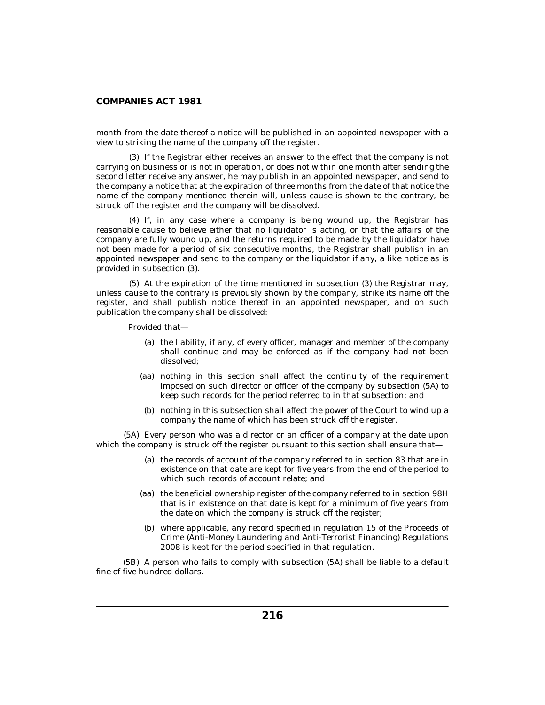month from the date thereof a notice will be published in an appointed newspaper with a view to striking the name of the company off the register.

(3) If the Registrar either receives an answer to the effect that the company is not carrying on business or is not in operation, or does not within one month after sending the second letter receive any answer, he may publish in an appointed newspaper, and send to the company a notice that at the expiration of three months from the date of that notice the name of the company mentioned therein will, unless cause is shown to the contrary, be struck off the register and the company will be dissolved.

If, in any case where a company is being wound up, the Registrar has (4) reasonable cause to believe either that no liquidator is acting, or that the affairs of the company are fully wound up, and the returns required to be made by the liquidator have not been made for a period of six consecutive months, the Registrar shall publish in an appointed newspaper and send to the company or the liquidator if any, a like notice as is provided in subsection (3).

At the expiration of the time mentioned in subsection (3) the Registrar may, (5) unless cause to the contrary is previously shown by the company, strike its name off the register, and shall publish notice thereof in an appointed newspaper, and on such publication the company shall be dissolved:

Provided that—

- the liability, if any, of every officer, manager and member of the company (a) shall continue and may be enforced as if the company had not been dissolved;
- nothing in this section shall affect the continuity of the requirement (aa) imposed on such director or officer of the company by subsection (5A) to keep such records for the period referred to in that subsection; and
- (b) nothing in this subsection shall affect the power of the Court to wind up a company the name of which has been struck off the register.

Every person who was a director or an officer of a company at the date upon (5A) which the company is struck off the register pursuant to this section shall ensure that—

- (a) the records of account of the company referred to in section 83 that are in existence on that date are kept for five years from the end of the period to which such records of account relate; and
- (aa) the beneficial ownership register of the company referred to in section 98H that is in existence on that date is kept for a minimum of five years from the date on which the company is struck off the register;
- (b) where applicable, any record specified in regulation 15 of the Proceeds of Crime (Anti-Money Laundering and Anti-Terrorist Financing) Regulations 2008 is kept for the period specified in that regulation.

(5B) A person who fails to comply with subsection (5A) shall be liable to a default fine of five hundred dollars.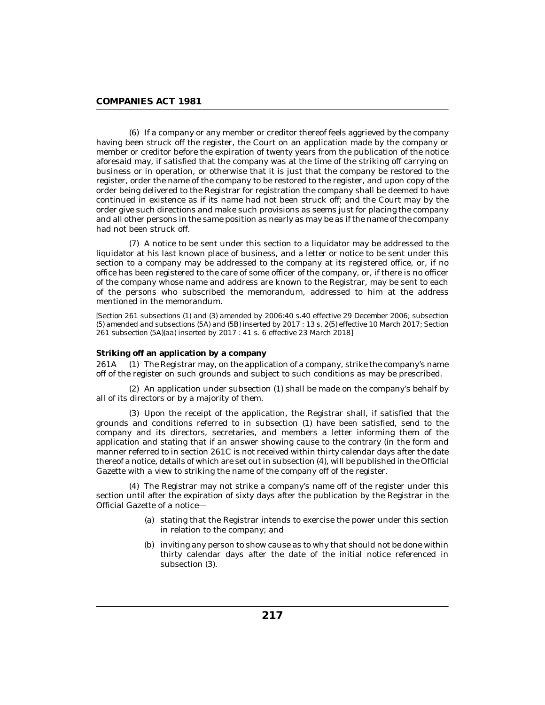If a company or any member or creditor thereof feels aggrieved by the company (6) having been struck off the register, the Court on an application made by the company or member or creditor before the expiration of twenty years from the publication of the notice aforesaid may, if satisfied that the company was at the time of the striking off carrying on business or in operation, or otherwise that it is just that the company be restored to the register, order the name of the company to be restored to the register, and upon copy of the order being delivered to the Registrar for registration the company shall be deemed to have continued in existence as if its name had not been struck off; and the Court may by the order give such directions and make such provisions as seems just for placing the company and all other persons in the same position as nearly as may be as if the name of the company had not been struck off.

A notice to be sent under this section to a liquidator may be addressed to the (7) liquidator at his last known place of business, and a letter or notice to be sent under this section to a company may be addressed to the company at its registered office, or, if no office has been registered to the care of some officer of the company, or, if there is no officer of the company whose name and address are known to the Registrar, may be sent to each of the persons who subscribed the memorandum, addressed to him at the address mentioned in the memorandum.

*[Section 261 subsections (1) and (3) amended by 2006:40 s.40 effective 29 December 2006; subsection (5) amended and subsections (5A) and (5B) inserted by 2017 : 13 s. 2(5) effective 10 March 2017; Section 261 subsection (5A)(aa) inserted by 2017 : 41 s. 6 effective 23 March 2018]*

## **Striking off an application by a company**

The Registrar may, on the application of a company, strike the company's name off of the register on such grounds and subject to such conditions as may be prescribed.  $261A$ 

An application under subsection (1) shall be made on the company's behalf by (2) all of its directors or by a majority of them.

Upon the receipt of the application, the Registrar shall, if satisfied that the (3) grounds and conditions referred to in subsection (1) have been satisfied, send to the company and its directors, secretaries, and members a letter informing them of the application and stating that if an answer showing cause to the contrary (in the form and manner referred to in section 261C is not received within thirty calendar days after the date thereof a notice, details of which are set out in subsection (4), will be published in the Official Gazette with a view to striking the name of the company off of the register.

The Registrar may not strike a company's name off of the register under this (4) section until after the expiration of sixty days after the publication by the Registrar in the Official Gazette of a notice—

- (a) stating that the Registrar intends to exercise the power under this section in relation to the company; and
- (b) inviting any person to show cause as to why that should not be done within thirty calendar days after the date of the initial notice referenced in subsection (3).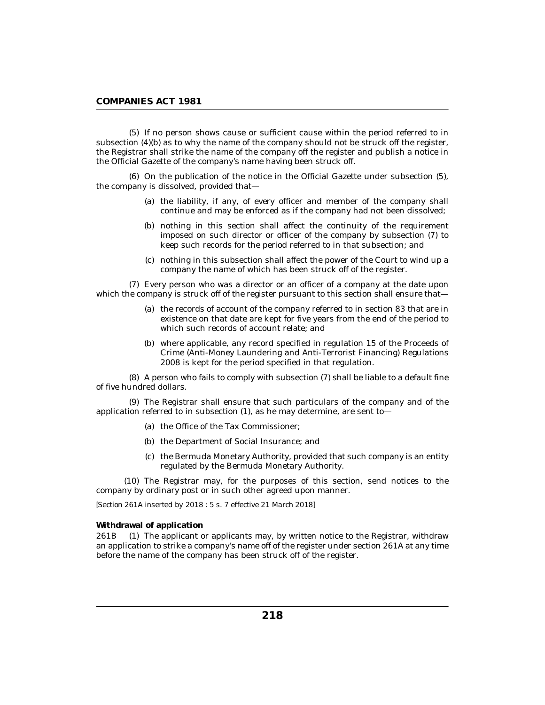(5) If no person shows cause or sufficient cause within the period referred to in subsection (4)(b) as to why the name of the company should not be struck off the register, the Registrar shall strike the name of the company off the register and publish a notice in the Official Gazette of the company's name having been struck off.

(6) On the publication of the notice in the Official Gazette under subsection (5), the company is dissolved, provided that—

- (a) the liability, if any, of every officer and member of the company shall continue and may be enforced as if the company had not been dissolved;
- (b) nothing in this section shall affect the continuity of the requirement imposed on such director or officer of the company by subsection (7) to keep such records for the period referred to in that subsection; and
- nothing in this subsection shall affect the power of the Court to wind up a (c) company the name of which has been struck off of the register.

Every person who was a director or an officer of a company at the date upon (7) which the company is struck off of the register pursuant to this section shall ensure that—

- (a) the records of account of the company referred to in section 83 that are in existence on that date are kept for five years from the end of the period to which such records of account relate; and
- (b) where applicable, any record specified in regulation 15 of the Proceeds of Crime (Anti-Money Laundering and Anti-Terrorist Financing) Regulations 2008 is kept for the period specified in that regulation.

A person who fails to comply with subsection (7) shall be liable to a default fine (8) of five hundred dollars.

The Registrar shall ensure that such particulars of the company and of the (9) application referred to in subsection (1), as he may determine, are sent to—

- (a) the Office of the Tax Commissioner;
- (b) the Department of Social Insurance; and
- (c) the Bermuda Monetary Authority, provided that such company is an entity regulated by the Bermuda Monetary Authority.

 $(10)$  The Registrar may, for the purposes of this section, send notices to the company by ordinary post or in such other agreed upon manner.

*[Section 261A inserted by 2018 : 5 s. 7 effective 21 March 2018]*

#### **Withdrawal of application**

 $(1)$  The applicant or applicants may, by written notice to the Registrar, withdraw an application to strike a company's name off of the register under section 261A at any time before the name of the company has been struck off of the register. 261B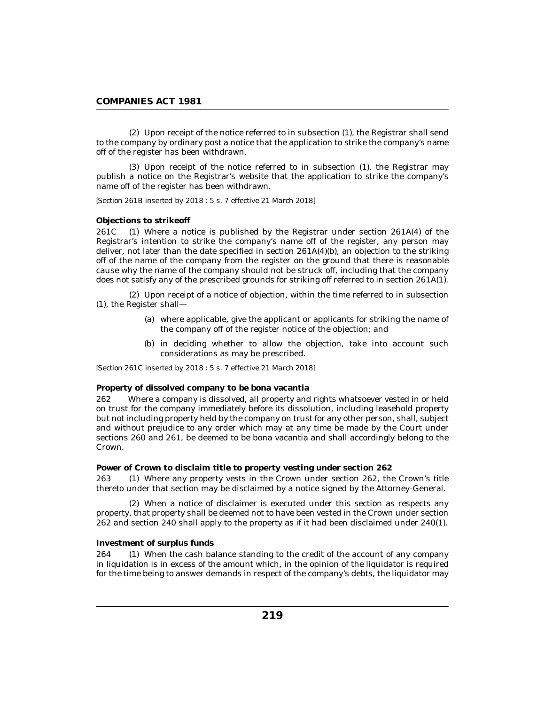Upon receipt of the notice referred to in subsection (1), the Registrar shall send (2) to the company by ordinary post a notice that the application to strike the company's name off of the register has been withdrawn.

Upon receipt of the notice referred to in subsection (1), the Registrar may (3) publish a notice on the Registrar's website that the application to strike the company's name off of the register has been withdrawn.

*[Section 261B inserted by 2018 : 5 s. 7 effective 21 March 2018]*

#### **Objections to strikeoff**

(1) Where a notice is published by the Registrar under section  $261A(4)$  of the Registrar's intention to strike the company's name off of the register, any person may deliver, not later than the date specified in section  $261A(4)$ (b), an objection to the striking off of the name of the company from the register on the ground that there is reasonable cause why the name of the company should not be struck off, including that the company does not satisfy any of the prescribed grounds for striking off referred to in section 261A(1). 261C

Upon receipt of a notice of objection, within the time referred to in subsection (2) (1), the Register shall—

- where applicable, give the applicant or applicants for striking the name of (a) the company off of the register notice of the objection; and
- (b) in deciding whether to allow the objection, take into account such considerations as may be prescribed.

*[Section 261C inserted by 2018 : 5 s. 7 effective 21 March 2018]*

**Property of dissolved company to be bona vacantia**

Where a company is dissolved, all property and rights whatsoever vested in or held on trust for the company immediately before its dissolution, including leasehold property but not including property held by the company on trust for any other person, shall, subject and without prejudice to any order which may at any time be made by the Court under sections 260 and 261, be deemed to be bona vacantia and shall accordingly belong to the Crown. 262

**Power of Crown to disclaim title to property vesting under section 262**

Where any property vests in the Crown under section 262, the Crown's title thereto under that section may be disclaimed by a notice signed by the Attorney-General. 263

When a notice of disclaimer is executed under this section as respects any (2) property, that property shall be deemed not to have been vested in the Crown under section 262 and section 240 shall apply to the property as if it had been disclaimed under 240(1).

### **Investment of surplus funds**

When the cash balance standing to the credit of the account of any company in liquidation is in excess of the amount which, in the opinion of the liquidator is required for the time being to answer demands in respect of the company's debts, the liquidator may 264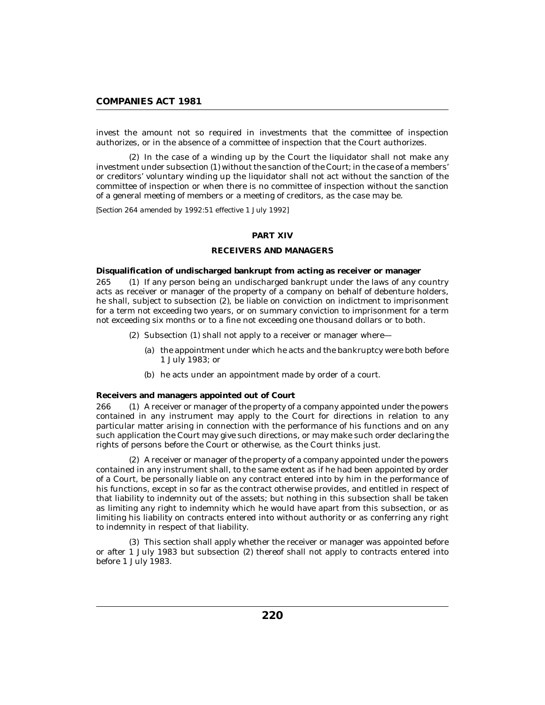invest the amount not so required in investments that the committee of inspection authorizes, or in the absence of a committee of inspection that the Court authorizes.

 $(2)$  In the case of a winding up by the Court the liquidator shall not make any investment under subsection (1) without the sanction of the Court; in the case of a members' or creditors' voluntary winding up the liquidator shall not act without the sanction of the committee of inspection or when there is no committee of inspection without the sanction of a general meeting of members or a meeting of creditors, as the case may be.

*[Section 264 amended by 1992:51 effective 1 July 1992]*

## **PART XIV**

## **RECEIVERS AND MANAGERS**

**Disqualification of undischarged bankrupt from acting as receiver or manager**

If any person being an undischarged bankrupt under the laws of any country acts as receiver or manager of the property of a company on behalf of debenture holders, he shall, subject to subsection (2), be liable on conviction on indictment to imprisonment for a term not exceeding two years, or on summary conviction to imprisonment for a term not exceeding six months or to a fine not exceeding one thousand dollars or to both. 265

- (2) Subsection (1) shall not apply to a receiver or manager where—
	- (a) the appointment under which he acts and the bankruptcy were both before 1 July 1983; or
	- (b) he acts under an appointment made by order of a court.

**Receivers and managers appointed out of Court**

A receiver or manager of the property of a company appointed under the powers contained in any instrument may apply to the Court for directions in relation to any particular matter arising in connection with the performance of his functions and on any such application the Court may give such directions, or may make such order declaring the rights of persons before the Court or otherwise, as the Court thinks just. 266

A receiver or manager of the property of a company appointed under the powers (2) contained in any instrument shall, to the same extent as if he had been appointed by order of a Court, be personally liable on any contract entered into by him in the performance of his functions, except in so far as the contract otherwise provides, and entitled in respect of that liability to indemnity out of the assets; but nothing in this subsection shall be taken as limiting any right to indemnity which he would have apart from this subsection, or as limiting his liability on contracts entered into without authority or as conferring any right to indemnity in respect of that liability.

This section shall apply whether the receiver or manager was appointed before (3) or after 1 July 1983 but subsection (2) thereof shall not apply to contracts entered into before 1 July 1983.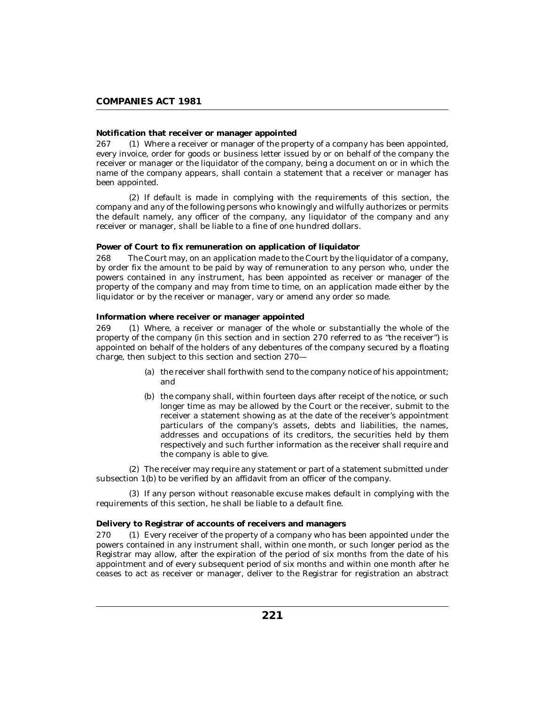## **Notification that receiver or manager appointed**

Where a receiver or manager of the property of a company has been appointed, every invoice, order for goods or business letter issued by or on behalf of the company the receiver or manager or the liquidator of the company, being a document on or in which the name of the company appears, shall contain a statement that a receiver or manager has been appointed. 267

(2) If default is made in complying with the requirements of this section, the company and any of the following persons who knowingly and wilfully authorizes or permits the default namely, any officer of the company, any liquidator of the company and any receiver or manager, shall be liable to a fine of one hundred dollars.

**Power of Court to fix remuneration on application of liquidator**

The Court may, on an application made to the Court by the liquidator of a company, by order fix the amount to be paid by way of remuneration to any person who, under the powers contained in any instrument, has been appointed as receiver or manager of the property of the company and may from time to time, on an application made either by the liquidator or by the receiver or manager, vary or amend any order so made. 268

### **Information where receiver or manager appointed**

Where, a receiver or manager of the whole or substantially the whole of the property of the company (in this section and in section 270 referred to as "the receiver") is appointed on behalf of the holders of any debentures of the company secured by a floating charge, then subject to this section and section 270— 269

- (a) the receiver shall forthwith send to the company notice of his appointment; and
- (b) the company shall, within fourteen days after receipt of the notice, or such longer time as may be allowed by the Court or the receiver, submit to the receiver a statement showing as at the date of the receiver's appointment particulars of the company's assets, debts and liabilities, the names, addresses and occupations of its creditors, the securities held by them respectively and such further information as the receiver shall require and the company is able to give.

The receiver may require any statement or part of a statement submitted under (2) subsection 1(b) to be verified by an affidavit from an officer of the company.

(3) If any person without reasonable excuse makes default in complying with the requirements of this section, he shall be liable to a default fine.

**Delivery to Registrar of accounts of receivers and managers**

Every receiver of the property of a company who has been appointed under the powers contained in any instrument shall, within one month, or such longer period as the Registrar may allow, after the expiration of the period of six months from the date of his appointment and of every subsequent period of six months and within one month after he ceases to act as receiver or manager, deliver to the Registrar for registration an abstract 270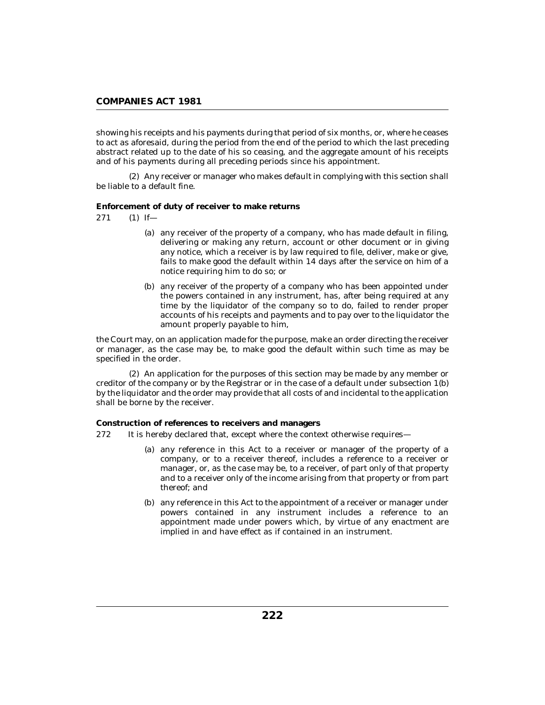showing his receipts and his payments during that period of six months, or, where he ceases to act as aforesaid, during the period from the end of the period to which the last preceding abstract related up to the date of his so ceasing, and the aggregate amount of his receipts and of his payments during all preceding periods since his appointment.

(2) Any receiver or manager who makes default in complying with this section shall be liable to a default fine.

**Enforcement of duty of receiver to make returns**

 $(1)$  If—  $271$ 

- (a) any receiver of the property of a company, who has made default in filing, delivering or making any return, account or other document or in giving any notice, which a receiver is by law required to file, deliver, make or give, fails to make good the default within 14 days after the service on him of a notice requiring him to do so; or
- (b) any receiver of the property of a company who has been appointed under the powers contained in any instrument, has, after being required at any time by the liquidator of the company so to do, failed to render proper accounts of his receipts and payments and to pay over to the liquidator the amount properly payable to him,

the Court may, on an application made for the purpose, make an order directing the receiver or manager, as the case may be, to make good the default within such time as may be specified in the order.

An application for the purposes of this section may be made by any member or (2) creditor of the company or by the Registrar or in the case of a default under subsection 1(b) by the liquidator and the order may provide that all costs of and incidental to the application shall be borne by the receiver.

**Construction of references to receivers and managers**

- It is hereby declared that, except where the context otherwise requires— 272
	- (a) any reference in this Act to a receiver or manager of the property of a company, or to a receiver thereof, includes a reference to a receiver or manager, or, as the case may be, to a receiver, of part only of that property and to a receiver only of the income arising from that property or from part thereof; and
	- (b) any reference in this Act to the appointment of a receiver or manager under powers contained in any instrument includes a reference to an appointment made under powers which, by virtue of any enactment are implied in and have effect as if contained in an instrument.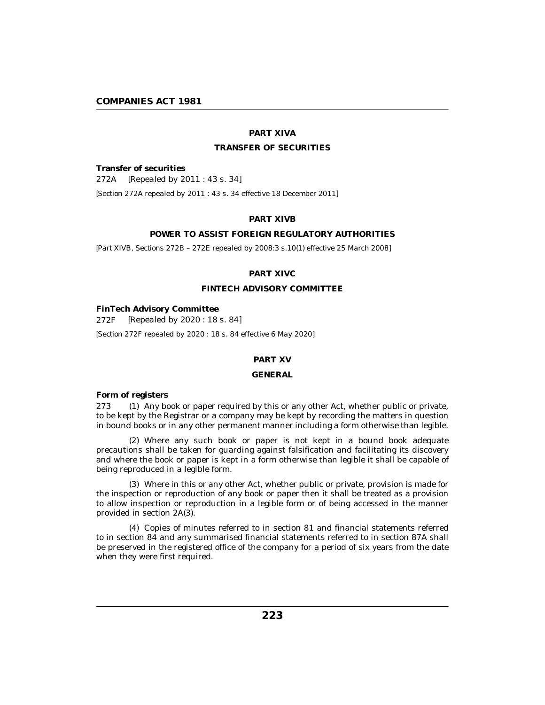## **PART XIVA**

#### **TRANSFER OF SECURITIES**

**Transfer of securities** *[Repealed by 2011 : 43 s. 34]* 272A *[Section 272A repealed by 2011 : 43 s. 34 effective 18 December 2011]*

## **PART XIVB**

## **POWER TO ASSIST FOREIGN REGULATORY AUTHORITIES**

*[Part XIVB, Sections 272B – 272E repealed by 2008:3 s.10(1) effective 25 March 2008]*

## **PART XIVC**

#### **FINTECH ADVISORY COMMITTEE**

**FinTech Advisory Committee** *[Repealed by 2020 : 18 s. 84]* 272F

*[Section 272F repealed by 2020 : 18 s. 84 effective 6 May 2020]*

#### **PART XV**

### **GENERAL**

**Form of registers**

Any book or paper required by this or any other Act, whether public or private, to be kept by the Registrar or a company may be kept by recording the matters in question in bound books or in any other permanent manner including a form otherwise than legible. 273

Where any such book or paper is not kept in a bound book adequate (2) precautions shall be taken for guarding against falsification and facilitating its discovery and where the book or paper is kept in a form otherwise than legible it shall be capable of being reproduced in a legible form.

Where in this or any other Act, whether public or private, provision is made for (3) the inspection or reproduction of any book or paper then it shall be treated as a provision to allow inspection or reproduction in a legible form or of being accessed in the manner provided in section 2A(3).

Copies of minutes referred to in section 81 and financial statements referred (4) to in section 84 and any summarised financial statements referred to in section 87A shall be preserved in the registered office of the company for a period of six years from the date when they were first required.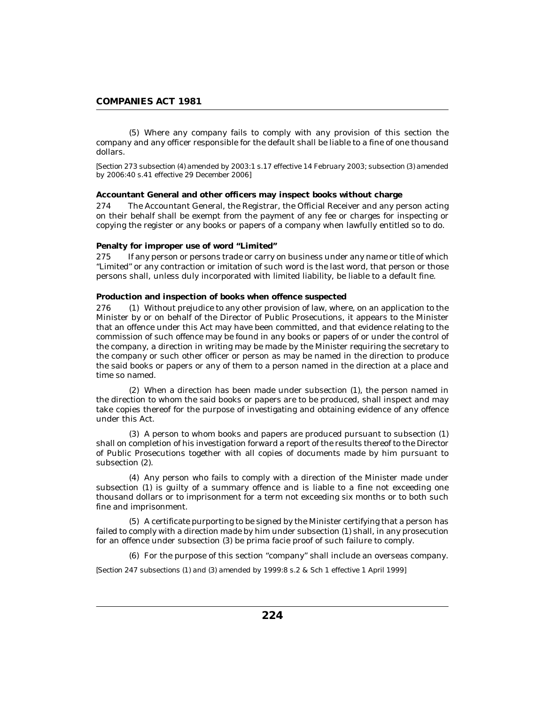Where any company fails to comply with any provision of this section the (5) company and any officer responsible for the default shall be liable to a fine of one thousand dollars.

#### *[Section 273 subsection (4) amended by 2003:1 s.17 effective 14 February 2003; subsection (3) amended by 2006:40 s.41 effective 29 December 2006]*

**Accountant General and other officers may inspect books without charge**

The Accountant General, the Registrar, the Official Receiver and any person acting on their behalf shall be exempt from the payment of any fee or charges for inspecting or copying the register or any books or papers of a company when lawfully entitled so to do. 274

**Penalty for improper use of word "Limited"**

If any person or persons trade or carry on business under any name or title of which "Limited" or any contraction or imitation of such word is the last word, that person or those persons shall, unless duly incorporated with limited liability, be liable to a default fine. 275

**Production and inspection of books when offence suspected**

Without prejudice to any other provision of law, where, on an application to the Minister by or on behalf of the Director of Public Prosecutions, it appears to the Minister that an offence under this Act may have been committed, and that evidence relating to the commission of such offence may be found in any books or papers of or under the control of the company, a direction in writing may be made by the Minister requiring the secretary to the company or such other officer or person as may be named in the direction to produce the said books or papers or any of them to a person named in the direction at a place and time so named. 276

When a direction has been made under subsection (1), the person named in (2) the direction to whom the said books or papers are to be produced, shall inspect and may take copies thereof for the purpose of investigating and obtaining evidence of any offence under this Act.

A person to whom books and papers are produced pursuant to subsection (1) (3) shall on completion of his investigation forward a report of the results thereof to the Director of Public Prosecutions together with all copies of documents made by him pursuant to subsection (2).

(4) Any person who fails to comply with a direction of the Minister made under subsection (1) is guilty of a summary offence and is liable to a fine not exceeding one thousand dollars or to imprisonment for a term not exceeding six months or to both such fine and imprisonment.

A certificate purporting to be signed by the Minister certifying that a person has (5) failed to comply with a direction made by him under subsection (1) shall, in any prosecution for an offence under subsection (3) be prima facie proof of such failure to comply.

For the purpose of this section "company" shall include an overseas company. (6)

*[Section 247 subsections (1) and (3) amended by 1999:8 s.2 & Sch 1 effective 1 April 1999]*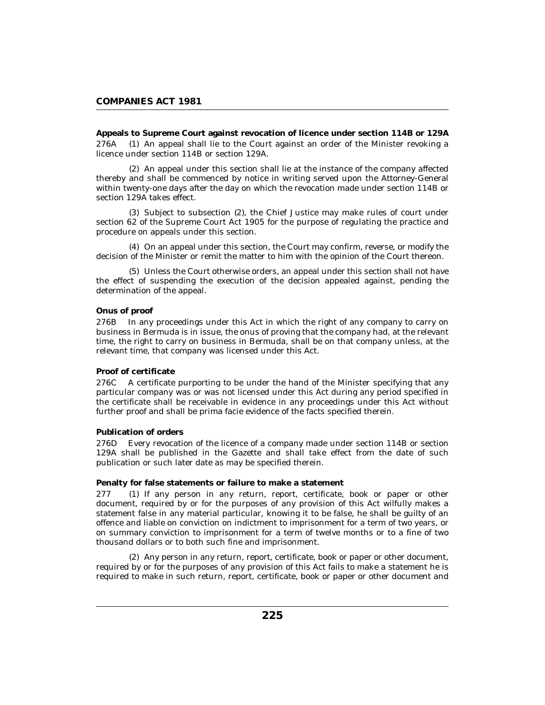**Appeals to Supreme Court against revocation of licence under section 114B or 129A** An appeal shall lie to the Court against an order of the Minister revoking a licence under section 114B or section 129A. 276A

An appeal under this section shall lie at the instance of the company affected (2) thereby and shall be commenced by notice in writing served upon the Attorney-General within twenty-one days after the day on which the revocation made under section 114B or section 129A takes effect.

(3) Subject to subsection (2), the Chief Justice may make rules of court under section 62 of the Supreme Court Act 1905 for the purpose of regulating the practice and procedure on appeals under this section.

On an appeal under this section, the Court may confirm, reverse, or modify the (4) decision of the Minister or remit the matter to him with the opinion of the Court thereon.

Unless the Court otherwise orders, an appeal under this section shall not have (5) the effect of suspending the execution of the decision appealed against, pending the determination of the appeal.

### **Onus of proof**

In any proceedings under this Act in which the right of any company to carry on business in Bermuda is in issue, the onus of proving that the company had, at the relevant time, the right to carry on business in Bermuda, shall be on that company unless, at the relevant time, that company was licensed under this Act. 276B

#### **Proof of certificate**

A certificate purporting to be under the hand of the Minister specifying that any particular company was or was not licensed under this Act during any period specified in the certificate shall be receivable in evidence in any proceedings under this Act without further proof and shall be prima facie evidence of the facts specified therein. 276C

### **Publication of orders**

Every revocation of the licence of a company made under section 114B or section 276D 129A shall be published in the Gazette and shall take effect from the date of such publication or such later date as may be specified therein.

## **Penalty for false statements or failure to make a statement**

If any person in any return, report, certificate, book or paper or other document, required by or for the purposes of any provision of this Act wilfully makes a statement false in any material particular, knowing it to be false, he shall be guilty of an offence and liable on conviction on indictment to imprisonment for a term of two years, or on summary conviction to imprisonment for a term of twelve months or to a fine of two thousand dollars or to both such fine and imprisonment. 277

Any person in any return, report, certificate, book or paper or other document, (2) required by or for the purposes of any provision of this Act fails to make a statement he is required to make in such return, report, certificate, book or paper or other document and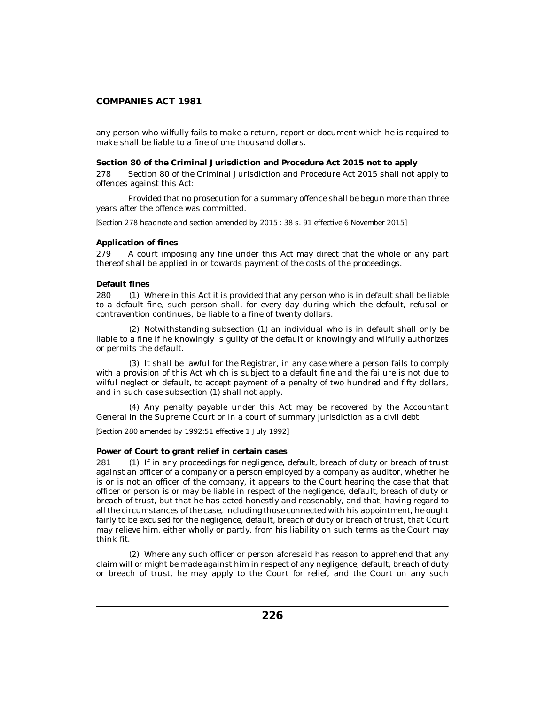any person who wilfully fails to make a return, report or document which he is required to make shall be liable to a fine of one thousand dollars.

**Section 80 of the Criminal Jurisdiction and Procedure Act 2015 not to apply** Section 80 of the Criminal Jurisdiction and Procedure Act 2015 shall not apply to offences against this Act: 278

Provided that no prosecution for a summary offence shall be begun more than three years after the offence was committed.

*[Section 278 headnote and section amended by 2015 : 38 s. 91 effective 6 November 2015]*

#### **Application of fines**

A court imposing any fine under this Act may direct that the whole or any part thereof shall be applied in or towards payment of the costs of the proceedings. 279

#### **Default fines**

Where in this Act it is provided that any person who is in default shall be liable to a default fine, such person shall, for every day during which the default, refusal or contravention continues, be liable to a fine of twenty dollars. 280

(2) Notwithstanding subsection (1) an individual who is in default shall only be liable to a fine if he knowingly is guilty of the default or knowingly and wilfully authorizes or permits the default.

(3) It shall be lawful for the Registrar, in any case where a person fails to comply with a provision of this Act which is subject to a default fine and the failure is not due to wilful neglect or default, to accept payment of a penalty of two hundred and fifty dollars, and in such case subsection (1) shall not apply.

Any penalty payable under this Act may be recovered by the Accountant (4) General in the Supreme Court or in a court of summary jurisdiction as a civil debt.

## *[Section 280 amended by 1992:51 effective 1 July 1992]*

#### **Power of Court to grant relief in certain cases**

If in any proceedings for negligence, default, breach of duty or breach of trust against an officer of a company or a person employed by a company as auditor, whether he is or is not an officer of the company, it appears to the Court hearing the case that that officer or person is or may be liable in respect of the negligence, default, breach of duty or breach of trust, but that he has acted honestly and reasonably, and that, having regard to all the circumstances of the case, including those connected with his appointment, he ought fairly to be excused for the negligence, default, breach of duty or breach of trust, that Court may relieve him, either wholly or partly, from his liability on such terms as the Court may think fit. 281

Where any such officer or person aforesaid has reason to apprehend that any (2) claim will or might be made against him in respect of any negligence, default, breach of duty or breach of trust, he may apply to the Court for relief, and the Court on any such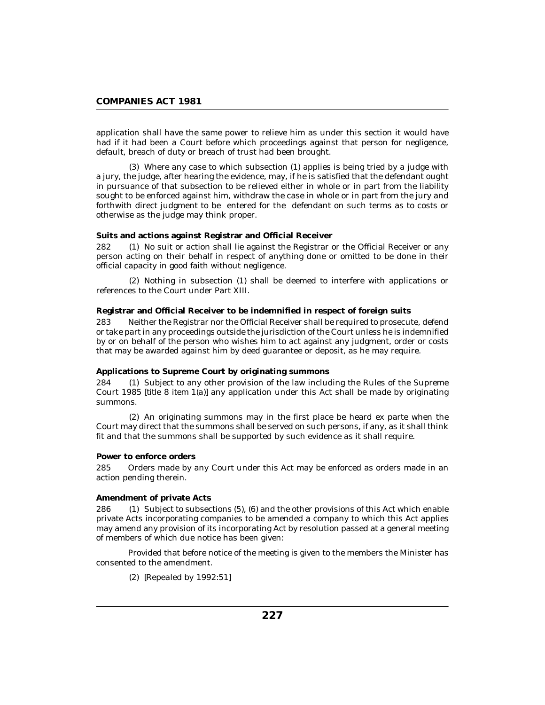application shall have the same power to relieve him as under this section it would have had if it had been a Court before which proceedings against that person for negligence, default, breach of duty or breach of trust had been brought.

Where any case to which subsection (1) applies is being tried by a judge with (3) a jury, the judge, after hearing the evidence, may, if he is satisfied that the defendant ought in pursuance of that subsection to be relieved either in whole or in part from the liability sought to be enforced against him, withdraw the case in whole or in part from the jury and forthwith direct judgment to be entered for the defendant on such terms as to costs or otherwise as the judge may think proper.

**Suits and actions against Registrar and Official Receiver**

No suit or action shall lie against the Registrar or the Official Receiver or any person acting on their behalf in respect of anything done or omitted to be done in their official capacity in good faith without negligence. 282

(2) Nothing in subsection (1) shall be deemed to interfere with applications or references to the Court under Part XIII.

**Registrar and Official Receiver to be indemnified in respect of foreign suits**

Neither the Registrar nor the Official Receiver shall be required to prosecute, defend or take part in any proceedings outside the jurisdiction of the Court unless he is indemnified by or on behalf of the person who wishes him to act against any judgment, order or costs that may be awarded against him by deed guarantee or deposit, as he may require. 283

**Applications to Supreme Court by originating summons**

Subject to any other provision of the law including the Rules of the Supreme Court 1985 *[title 8 item 1(a)]* any application under this Act shall be made by originating summons. 284

(2) An originating summons may in the first place be heard ex parte when the Court may direct that the summons shall be served on such persons, if any, as it shall think fit and that the summons shall be supported by such evidence as it shall require.

#### **Power to enforce orders**

Orders made by any Court under this Act may be enforced as orders made in an action pending therein. 285

### **Amendment of private Acts**

Subject to subsections (5), (6) and the other provisions of this Act which enable private Acts incorporating companies to be amended a company to which this Act applies may amend any provision of its incorporating Act by resolution passed at a general meeting of members of which due notice has been given: 286

Provided that before notice of the meeting is given to the members the Minister has consented to the amendment.

*[Repealed by 1992:51]* (2)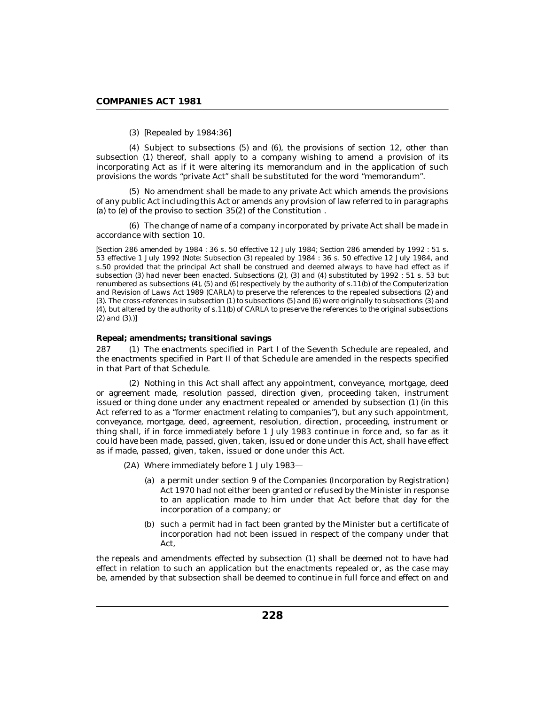#### *[Repealed by 1984:36]* (3)

 $(4)$  Subject to subsections  $(5)$  and  $(6)$ , the provisions of section 12, other than subsection (1) thereof, shall apply to a company wishing to amend a provision of its incorporating Act as if it were altering its memorandum and in the application of such provisions the words "private Act" shall be substituted for the word "memorandum".

No amendment shall be made to any private Act which amends the provisions (5) of any public Act including this Act or amends any provision of law referred to in paragraphs (a) to (e) of the proviso to section 35(2) of the Constitution .

The change of name of a company incorporated by private Act shall be made in (6) accordance with section 10.

*[Section 286 amended by 1984 : 36 s. 50 effective 12 July 1984; Section 286 amended by 1992 : 51 s. 53 effective 1 July 1992 (Note: Subsection (3) repealed by 1984 : 36 s. 50 effective 12 July 1984, and s.50 provided that the principal Act shall be construed and deemed always to have had effect as if subsection (3) had never been enacted. Subsections (2), (3) and (4) substituted by 1992 : 51 s. 53 but renumbered as subsections (4), (5) and (6) respectively by the authority of s.11(b) of the Computerization and Revision of Laws Act 1989 (CARLA) to preserve the references to the repealed subsections (2) and (3). The cross-references in subsection (1) to subsections (5) and (6) were originally to subsections (3) and (4), but altered by the authority of s.11(b) of CARLA to preserve the references to the original subsections (2) and (3).)]*

#### **Repeal; amendments; transitional savings**

The enactments specified in Part I of the Seventh Schedule are repealed, and the enactments specified in Part II of that Schedule are amended in the respects specified in that Part of that Schedule. 287

(2) Nothing in this Act shall affect any appointment, conveyance, mortgage, deed or agreement made, resolution passed, direction given, proceeding taken, instrument issued or thing done under any enactment repealed or amended by subsection (1) (in this Act referred to as a "former enactment relating to companies"), but any such appointment, conveyance, mortgage, deed, agreement, resolution, direction, proceeding, instrument or thing shall, if in force immediately before 1 July 1983 continue in force and, so far as it could have been made, passed, given, taken, issued or done under this Act, shall have effect as if made, passed, given, taken, issued or done under this Act.

Where immediately before 1 July 1983— (2A)

- (a) a permit under section 9 of the Companies (Incorporation by Registration) Act 1970 had not either been granted or refused by the Minister in response to an application made to him under that Act before that day for the incorporation of a company; or
- (b) such a permit had in fact been granted by the Minister but a certificate of incorporation had not been issued in respect of the company under that Act,

the repeals and amendments effected by subsection (1) shall be deemed not to have had effect in relation to such an application but the enactments repealed or, as the case may be, amended by that subsection shall be deemed to continue in full force and effect on and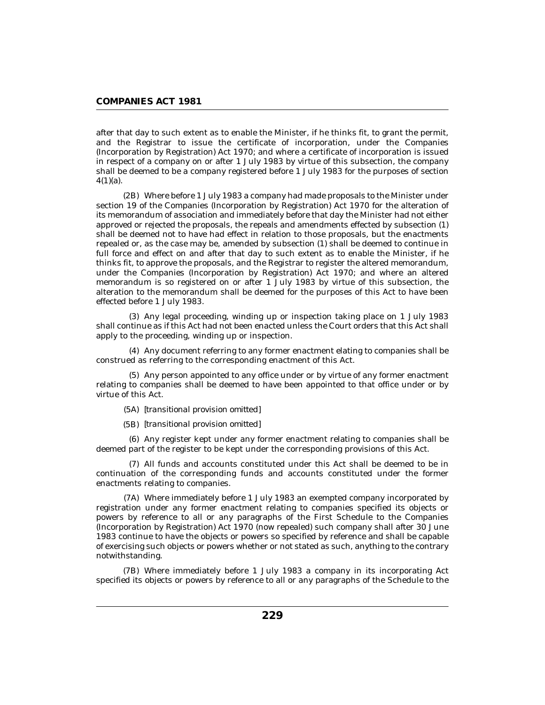after that day to such extent as to enable the Minister, if he thinks fit, to grant the permit, and the Registrar to issue the certificate of incorporation, under the Companies (Incorporation by Registration) Act 1970; and where a certificate of incorporation is issued in respect of a company on or after 1 July 1983 by virtue of this subsection, the company shall be deemed to be a company registered before 1 July 1983 for the purposes of section  $4(1)(a)$ .

Where before 1 July 1983 a company had made proposals to the Minister under (2B) section 19 of the Companies (Incorporation by Registration) Act 1970 for the alteration of its memorandum of association and immediately before that day the Minister had not either approved or rejected the proposals, the repeals and amendments effected by subsection (1) shall be deemed not to have had effect in relation to those proposals, but the enactments repealed or, as the case may be, amended by subsection (1) shall be deemed to continue in full force and effect on and after that day to such extent as to enable the Minister, if he thinks fit, to approve the proposals, and the Registrar to register the altered memorandum, under the Companies (Incorporation by Registration) Act 1970; and where an altered memorandum is so registered on or after 1 July 1983 by virtue of this subsection, the alteration to the memorandum shall be deemed for the purposes of this Act to have been effected before 1 July 1983.

Any legal proceeding, winding up or inspection taking place on 1 July 1983 (3) shall continue as if this Act had not been enacted unless the Court orders that this Act shall apply to the proceeding, winding up or inspection.

Any document referring to any former enactment elating to companies shall be (4) construed as referring to the corresponding enactment of this Act.

(5) Any person appointed to any office under or by virtue of any former enactment relating to companies shall be deemed to have been appointed to that office under or by virtue of this Act.

- *[transitional provision omitted]* (5A)
- *[transitional provision omitted]* (5B)

Any register kept under any former enactment relating to companies shall be (6) deemed part of the register to be kept under the corresponding provisions of this Act.

All funds and accounts constituted under this Act shall be deemed to be in (7) continuation of the corresponding funds and accounts constituted under the former enactments relating to companies.

Where immediately before 1 July 1983 an exempted company incorporated by (7A) registration under any former enactment relating to companies specified its objects or powers by reference to all or any paragraphs of the First Schedule to the Companies (Incorporation by Registration) Act 1970 (now repealed) such company shall after 30 June 1983 continue to have the objects or powers so specified by reference and shall be capable of exercising such objects or powers whether or not stated as such, anything to the contrary notwithstanding.

Where immediately before 1 July 1983 a company in its incorporating Act (7B) specified its objects or powers by reference to all or any paragraphs of the Schedule to the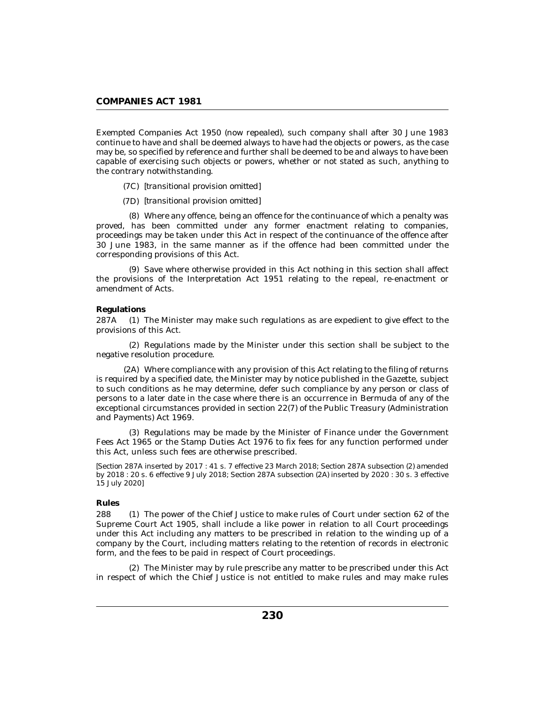Exempted Companies Act 1950 (now repealed), such company shall after 30 June 1983 continue to have and shall be deemed always to have had the objects or powers, as the case may be, so specified by reference and further shall be deemed to be and always to have been capable of exercising such objects or powers, whether or not stated as such, anything to the contrary notwithstanding.

#### *[transitional provision omitted]* (7C)

#### *[transitional provision omitted]* (7D)

Where any offence, being an offence for the continuance of which a penalty was (8) proved, has been committed under any former enactment relating to companies, proceedings may be taken under this Act in respect of the continuance of the offence after 30 June 1983, in the same manner as if the offence had been committed under the corresponding provisions of this Act.

(9) Save where otherwise provided in this Act nothing in this section shall affect the provisions of the Interpretation Act 1951 relating to the repeal, re-enactment or amendment of Acts.

## **Regulations**

 $(1)$  The Minister may make such regulations as are expedient to give effect to the provisions of this Act. 287A

(2) Regulations made by the Minister under this section shall be subject to the negative resolution procedure.

Where compliance with any provision of this Act relating to the filing of returns (2A) is required by a specified date, the Minister may by notice published in the Gazette, subject to such conditions as he may determine, defer such compliance by any person or class of persons to a later date in the case where there is an occurrence in Bermuda of any of the exceptional circumstances provided in section 22(7) of the Public Treasury (Administration and Payments) Act 1969.

(3) Regulations may be made by the Minister of Finance under the Government Fees Act 1965 or the Stamp Duties Act 1976 to fix fees for any function performed under this Act, unless such fees are otherwise prescribed.

*[Section 287A inserted by 2017 : 41 s. 7 effective 23 March 2018; Section 287A subsection (2) amended by 2018 : 20 s. 6 effective 9 July 2018; Section 287A subsection (2A) inserted by 2020 : 30 s. 3 effective 15 July 2020]*

## **Rules**

 $(1)$  The power of the Chief Justice to make rules of Court under section 62 of the Supreme Court Act 1905, shall include a like power in relation to all Court proceedings under this Act including any matters to be prescribed in relation to the winding up of a company by the Court, including matters relating to the retention of records in electronic form, and the fees to be paid in respect of Court proceedings. 288

The Minister may by rule prescribe any matter to be prescribed under this Act (2) in respect of which the Chief Justice is not entitled to make rules and may make rules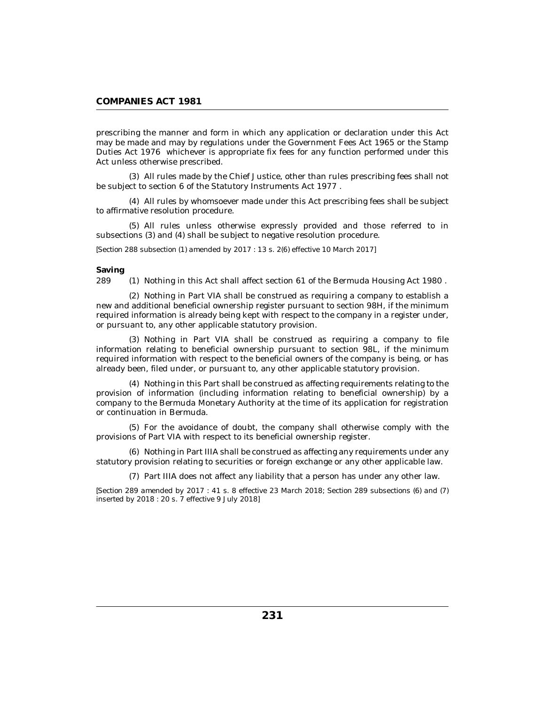prescribing the manner and form in which any application or declaration under this Act may be made and may by regulations under the Government Fees Act 1965 or the Stamp Duties Act 1976 whichever is appropriate fix fees for any function performed under this Act unless otherwise prescribed.

All rules made by the Chief Justice, other than rules prescribing fees shall not (3) be subject to section 6 of the Statutory Instruments Act 1977 .

All rules by whomsoever made under this Act prescribing fees shall be subject (4) to affirmative resolution procedure.

All rules unless otherwise expressly provided and those referred to in (5) subsections (3) and (4) shall be subject to negative resolution procedure.

*[Section 288 subsection (1) amended by 2017 : 13 s. 2(6) effective 10 March 2017]*

### **Saving**

 $(1)$  Nothing in this Act shall affect section 61 of the Bermuda Housing Act 1980. 289

(2) Nothing in Part VIA shall be construed as requiring a company to establish a new and additional beneficial ownership register pursuant to section 98H, if the minimum required information is already being kept with respect to the company in a register under, or pursuant to, any other applicable statutory provision.

(3) Nothing in Part VIA shall be construed as requiring a company to file information relating to beneficial ownership pursuant to section 98L, if the minimum required information with respect to the beneficial owners of the company is being, or has already been, filed under, or pursuant to, any other applicable statutory provision.

(4) Nothing in this Part shall be construed as affecting requirements relating to the provision of information (including information relating to beneficial ownership) by a company to the Bermuda Monetary Authority at the time of its application for registration or continuation in Bermuda.

For the avoidance of doubt, the company shall otherwise comply with the (5) provisions of Part VIA with respect to its beneficial ownership register.

(6) Nothing in Part IIIA shall be construed as affecting any requirements under any statutory provision relating to securities or foreign exchange or any other applicable law.

(7) Part IIIA does not affect any liability that a person has under any other law.

*[Section 289 amended by 2017 : 41 s. 8 effective 23 March 2018; Section 289 subsections (6) and (7) inserted by 2018 : 20 s. 7 effective 9 July 2018]*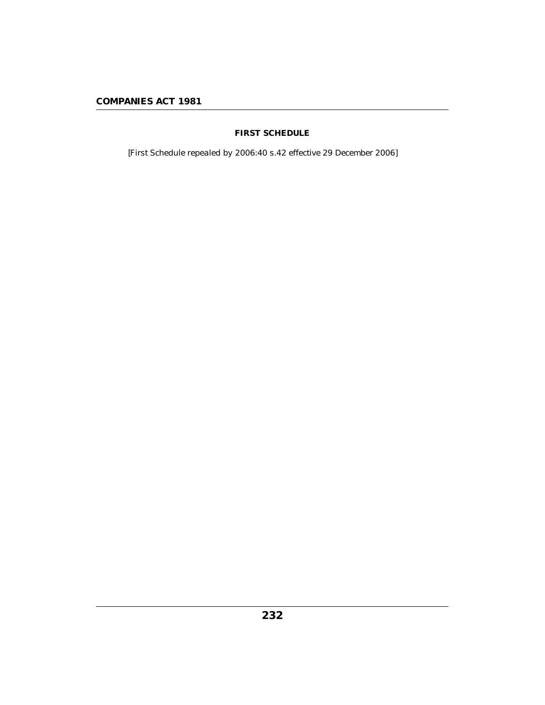# **FIRST SCHEDULE**

*[First Schedule repealed by 2006:40 s.42 effective 29 December 2006]*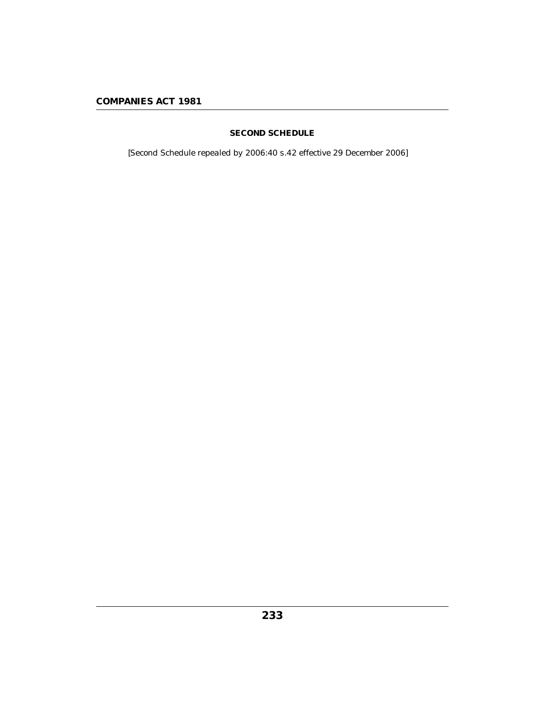# **SECOND SCHEDULE**

*[Second Schedule repealed by 2006:40 s.42 effective 29 December 2006]*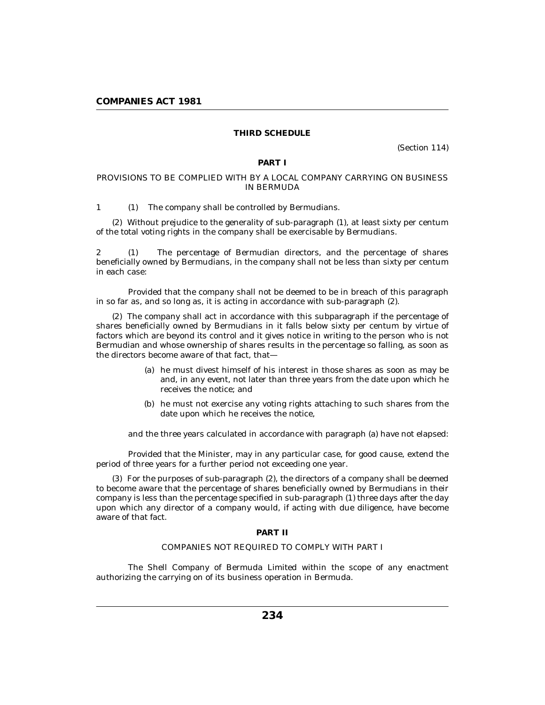## **THIRD SCHEDULE**

(Section 114)

## **PART I**

## PROVISIONS TO BE COMPLIED WITH BY A LOCAL COMPANY CARRYING ON BUSINESS IN BERMUDA

(1) The company shall be controlled by Bermudians. 1

(2) Without prejudice to the generality of sub-paragraph (1), at least sixty per centum of the total voting rights in the company shall be exercisable by Bermudians.

(1) The percentage of Bermudian directors, and the percentage of shares beneficially owned by Bermudians, in the company shall not be less than sixty per centum in each case: 2

Provided that the company shall not be deemed to be in breach of this paragraph in so far as, and so long as, it is acting in accordance with sub-paragraph (2).

(2) The company shall act in accordance with this subparagraph if the percentage of shares beneficially owned by Bermudians in it falls below sixty per centum by virtue of factors which are beyond its control and it gives notice in writing to the person who is not Bermudian and whose ownership of shares results in the percentage so falling, as soon as the directors become aware of that fact, that—

- (a) he must divest himself of his interest in those shares as soon as may be and, in any event, not later than three years from the date upon which he receives the notice; and
- (b) he must not exercise any voting rights attaching to such shares from the date upon which he receives the notice,

and the three years calculated in accordance with paragraph (a) have not elapsed:

Provided that the Minister, may in any particular case, for good cause, extend the period of three years for a further period not exceeding one year.

(3) For the purposes of sub-paragraph (2), the directors of a company shall be deemed to become aware that the percentage of shares beneficially owned by Bermudians in their company is less than the percentage specified in sub-paragraph (1) three days after the day upon which any director of a company would, if acting with due diligence, have become aware of that fact.

### **PART II**

#### COMPANIES NOT REQUIRED TO COMPLY WITH PART I

The Shell Company of Bermuda Limited within the scope of any enactment authorizing the carrying on of its business operation in Bermuda.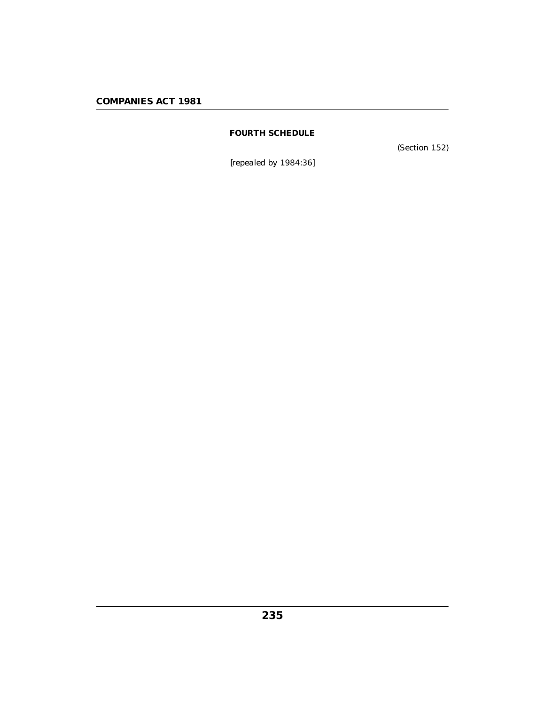# **FOURTH SCHEDULE**

(Section 152)

*[repealed by 1984:36]*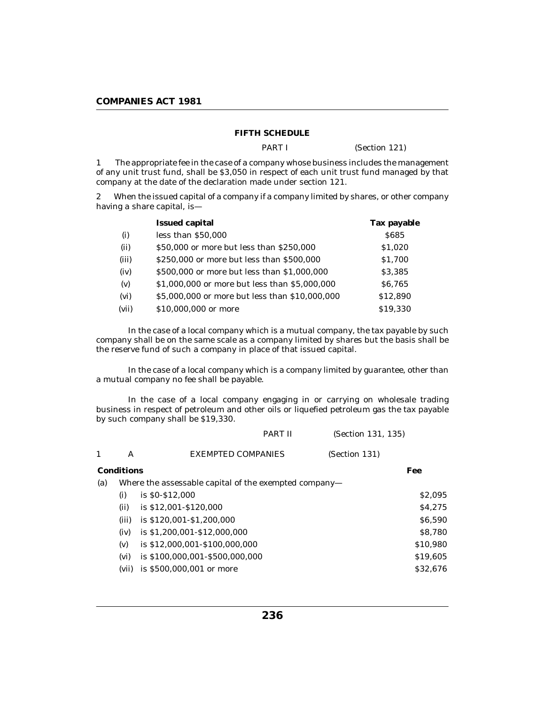## **FIFTH SCHEDULE**

## PART I (Section 121)

1 The appropriate fee in the case of a company whose business includes the management of any unit trust fund, shall be \$3,050 in respect of each unit trust fund managed by that company at the date of the declaration made under section 121.

2 When the issued capital of a company if a company limited by shares, or other company having a share capital, is—

|       | Issued capital                                 | Tax payable |
|-------|------------------------------------------------|-------------|
| (i)   | less than $$50,000$                            | <b>S685</b> |
| (ii)  | \$50,000 or more but less than \$250,000       | \$1,020     |
| (iii) | \$250,000 or more but less than \$500,000      | \$1,700     |
| (iv)  | \$500,000 or more but less than \$1,000,000    | \$3,385     |
| (v)   | \$1,000,000 or more but less than \$5,000,000  | \$6,765     |
| (vi)  | \$5,000,000 or more but less than \$10,000,000 | \$12,890    |
| (vii) | \$10,000,000 or more                           | \$19,330    |

In the case of a local company which is a mutual company, the tax payable by such company shall be on the same scale as a company limited by shares but the basis shall be the reserve fund of such a company in place of that issued capital.

In the case of a local company which is a company limited by guarantee, other than a mutual company no fee shall be payable.

In the case of a local company engaging in or carrying on wholesale trading business in respect of petroleum and other oils or liquefied petroleum gas the tax payable by such company shall be \$19,330.

|     |            |                                                       | <b>PART II</b> | (Section 131, 135) |          |
|-----|------------|-------------------------------------------------------|----------------|--------------------|----------|
|     | A          | <b>EXEMPTED COMPANIES</b>                             |                | (Section 131)      |          |
|     | Conditions |                                                       |                |                    | Fee      |
| (a) |            | Where the assessable capital of the exempted company— |                |                    |          |
|     | (i)        | is $$0-$12,000$                                       |                |                    | \$2,095  |
|     | (ii)       | is \$12,001-\$120,000                                 |                |                    | \$4,275  |
|     | (iii)      | is $$120,001-S1,200,000$                              |                |                    | \$6,590  |
|     | (iv)       | is $$1,200,001-S12,000,000$                           |                |                    | \$8,780  |
|     | (v)        | is \$12,000,001-\$100,000,000                         |                |                    | \$10,980 |
|     | (vi)       | is \$100,000,001-\$500,000,000                        |                |                    | \$19,605 |
|     | (vii)      | is \$500,000,001 or more                              |                |                    | \$32,676 |
|     |            |                                                       |                |                    |          |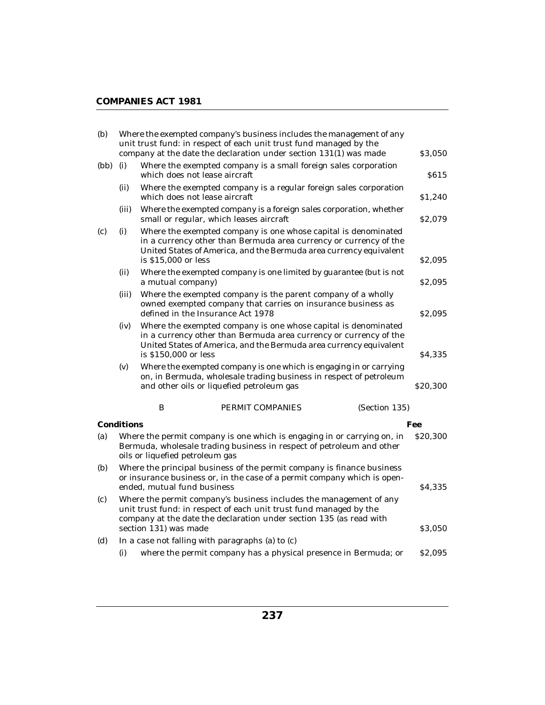| (b)  |                                                                                                                                                                                     |                             | Where the exempted company's business includes the management of any<br>unit trust fund: in respect of each unit trust fund managed by the<br>company at the date the declaration under section 131(1) was made |               | \$3,050  |
|------|-------------------------------------------------------------------------------------------------------------------------------------------------------------------------------------|-----------------------------|-----------------------------------------------------------------------------------------------------------------------------------------------------------------------------------------------------------------|---------------|----------|
| (bb) | (i)                                                                                                                                                                                 |                             | Where the exempted company is a small foreign sales corporation<br>which does not lease aircraft                                                                                                                |               | \$615    |
|      | (ii)                                                                                                                                                                                |                             | Where the exempted company is a regular foreign sales corporation<br>which does not lease aircraft                                                                                                              |               | \$1,240  |
|      | (iii)                                                                                                                                                                               |                             | Where the exempted company is a foreign sales corporation, whether<br>small or regular, which leases aircraft                                                                                                   |               | \$2,079  |
| (c)  | (i)                                                                                                                                                                                 | is \$15,000 or less         | Where the exempted company is one whose capital is denominated<br>in a currency other than Bermuda area currency or currency of the<br>United States of America, and the Bermuda area currency equivalent       |               | \$2,095  |
|      | (ii)                                                                                                                                                                                | a mutual company)           | Where the exempted company is one limited by guarantee (but is not                                                                                                                                              |               | \$2,095  |
|      | (iii)                                                                                                                                                                               |                             | Where the exempted company is the parent company of a wholly<br>owned exempted company that carries on insurance business as<br>defined in the Insurance Act 1978                                               |               | \$2,095  |
|      | (iv)                                                                                                                                                                                | is \$150,000 or less        | Where the exempted company is one whose capital is denominated<br>in a currency other than Bermuda area currency or currency of the<br>United States of America, and the Bermuda area currency equivalent       |               | \$4,335  |
|      | (v)                                                                                                                                                                                 |                             | Where the exempted company is one which is engaging in or carrying<br>on, in Bermuda, wholesale trading business in respect of petroleum<br>and other oils or liquefied petroleum gas                           |               | \$20,300 |
|      |                                                                                                                                                                                     | B                           | <b>PERMIT COMPANIES</b>                                                                                                                                                                                         | (Section 135) |          |
|      | Conditions                                                                                                                                                                          |                             |                                                                                                                                                                                                                 |               | Fee      |
| (a)  | Where the permit company is one which is engaging in or carrying on, in<br>Bermuda, wholesale trading business in respect of petroleum and other<br>oils or liquefied petroleum gas |                             | \$20,300                                                                                                                                                                                                        |               |          |
| (b)  |                                                                                                                                                                                     | ended, mutual fund business | Where the principal business of the permit company is finance business<br>or insurance business or, in the case of a permit company which is open-                                                              |               | \$4,335  |
| (c)  |                                                                                                                                                                                     | section 131) was made       | Where the permit company's business includes the management of any<br>unit trust fund: in respect of each unit trust fund managed by the<br>company at the date the declaration under section 135 (as read with |               | \$3,050  |
| (d)  |                                                                                                                                                                                     |                             | In a case not falling with paragraphs (a) to (c)                                                                                                                                                                |               |          |
|      | (i)                                                                                                                                                                                 |                             | where the permit company has a physical presence in Bermuda; or                                                                                                                                                 |               | \$2,095  |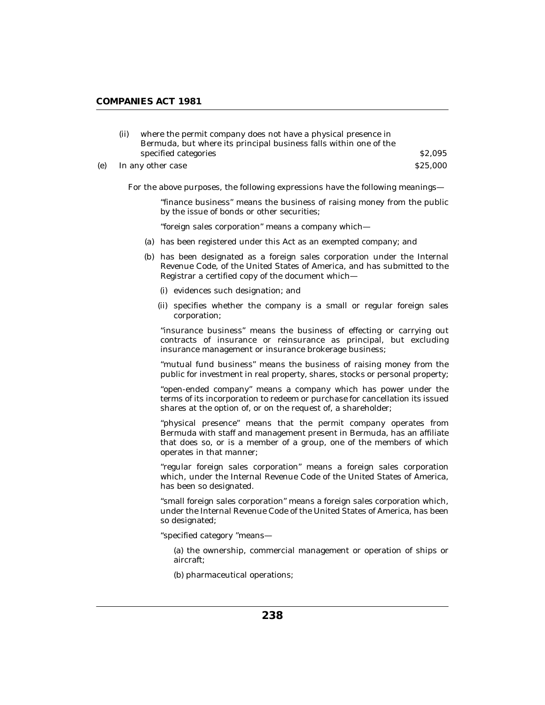| (ii) | where the permit company does not have a physical presence in     |          |
|------|-------------------------------------------------------------------|----------|
|      | Bermuda, but where its principal business falls within one of the |          |
|      | specified categories                                              | \$2,095  |
|      | (e) In any other case                                             | \$25,000 |

For the above purposes, the following expressions have the following meanings—

"finance business" means the business of raising money from the public by the issue of bonds or other securities;

"foreign sales corporation" means a company which—

- has been registered under this Act as an exempted company; and (a)
- (b) has been designated as a foreign sales corporation under the Internal Revenue Code, of the United States of America, and has submitted to the Registrar a certified copy of the document which—
	- (i) evidences such designation; and
	- (ii) specifies whether the company is a small or regular foreign sales corporation;

"insurance business" means the business of effecting or carrying out contracts of insurance or reinsurance as principal, but excluding insurance management or insurance brokerage business;

"mutual fund business" means the business of raising money from the public for investment in real property, shares, stocks or personal property;

"open-ended company" means a company which has power under the terms of its incorporation to redeem or purchase for cancellation its issued shares at the option of, or on the request of, a shareholder;

"physical presence" means that the permit company operates from Bermuda with staff and management present in Bermuda, has an affiliate that does so, or is a member of a group, one of the members of which operates in that manner;

"regular foreign sales corporation" means a foreign sales corporation which, under the Internal Revenue Code of the United States of America, has been so designated.

"small foreign sales corporation" means a foreign sales corporation which, under the Internal Revenue Code of the United States of America, has been so designated;

"specified category "means—

(a) the ownership, commercial management or operation of ships or aircraft;

(b) pharmaceutical operations;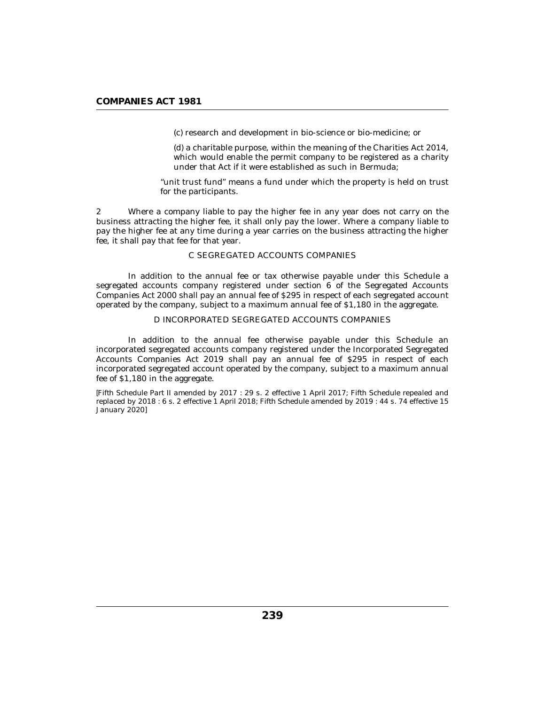(c) research and development in bio-science or bio-medicine; or

(d) a charitable purpose, within the meaning of the Charities Act 2014, which would enable the permit company to be registered as a charity under that Act if it were established as such in Bermuda;

"unit trust fund" means a fund under which the property is held on trust for the participants.

Where a company liable to pay the higher fee in any year does not carry on the business attracting the higher fee, it shall only pay the lower. Where a company liable to pay the higher fee at any time during a year carries on the business attracting the higher fee, it shall pay that fee for that year. 2

## C SEGREGATED ACCOUNTS COMPANIES

In addition to the annual fee or tax otherwise payable under this Schedule a segregated accounts company registered under section 6 of the Segregated Accounts Companies Act 2000 shall pay an annual fee of \$295 in respect of each segregated account operated by the company, subject to a maximum annual fee of \$1,180 in the aggregate.

#### D INCORPORATED SEGREGATED ACCOUNTS COMPANIES

In addition to the annual fee otherwise payable under this Schedule an incorporated segregated accounts company registered under the Incorporated Segregated Accounts Companies Act 2019 shall pay an annual fee of \$295 in respect of each incorporated segregated account operated by the company, subject to a maximum annual fee of \$1,180 in the aggregate.

*[Fifth Schedule Part II amended by 2017 : 29 s. 2 effective 1 April 2017; Fifth Schedule repealed and replaced by 2018 : 6 s. 2 effective 1 April 2018; Fifth Schedule amended by 2019 : 44 s. 74 effective 15 January 2020]*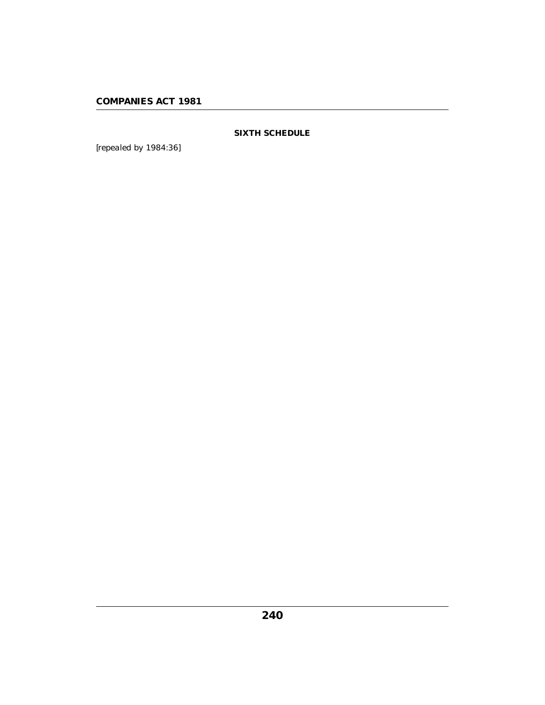## **SIXTH SCHEDULE**

*[repealed by 1984:36]*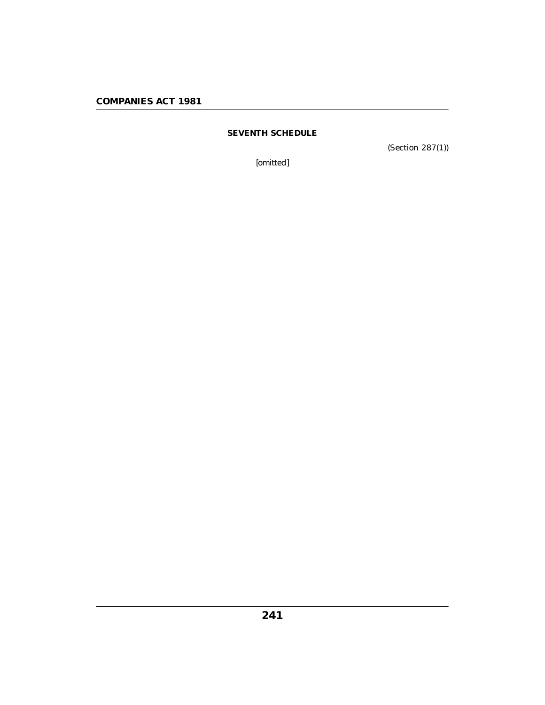# **SEVENTH SCHEDULE**

(Section 287(1))

*[omitted]*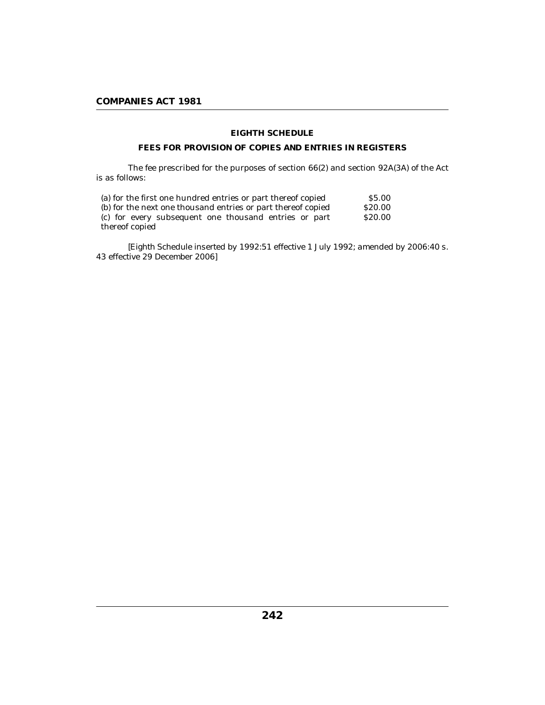## **EIGHTH SCHEDULE**

# **FEES FOR PROVISION OF COPIES AND ENTRIES IN REGISTERS**

The fee prescribed for the purposes of section 66(2) and section 92A(3A) of the Act is as follows:

| (a) for the first one hundred entries or part thereof copied | \$5.00  |
|--------------------------------------------------------------|---------|
| (b) for the next one thousand entries or part thereof copied | \$20.00 |
| (c) for every subsequent one thousand entries or part        | \$20.00 |
| thereof copied                                               |         |

*[Eighth Schedule inserted by 1992:51 effective 1 July 1992; amended by 2006:40 s. 43 effective 29 December 2006]*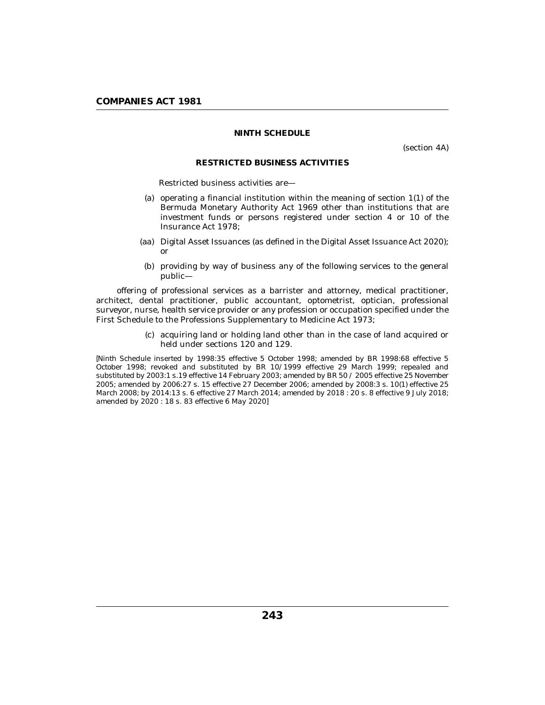## **NINTH SCHEDULE**

(section 4A)

### **RESTRICTED BUSINESS ACTIVITIES**

Restricted business activities are—

- (a) operating a financial institution within the meaning of section  $1(1)$  of the Bermuda Monetary Authority Act 1969 other than institutions that are investment funds or persons registered under section 4 or 10 of the Insurance Act 1978;
- (aa) Digital Asset Issuances (as defined in the Digital Asset Issuance Act 2020); or
- (b) providing by way of business any of the following services to the general public—

 offering of professional services as a barrister and attorney, medical practitioner, architect, dental practitioner, public accountant, optometrist, optician, professional surveyor, nurse, health service provider or any profession or occupation specified under the First Schedule to the Professions Supplementary to Medicine Act 1973;

> (c) acquiring land or holding land other than in the case of land acquired or held under sections 120 and 129.

*[Ninth Schedule inserted by 1998:35 effective 5 October 1998; amended by BR 1998:68 effective 5 October 1998; revoked and substituted by BR 10/1999 effective 29 March 1999; repealed and substituted by 2003:1 s.19 effective 14 February 2003; amended by BR 50 / 2005 effective 25 November 2005; amended by 2006:27 s. 15 effective 27 December 2006; amended by 2008:3 s. 10(1) effective 25 March 2008; by 2014:13 s. 6 effective 27 March 2014; amended by 2018 : 20 s. 8 effective 9 July 2018; amended by 2020 : 18 s. 83 effective 6 May 2020]*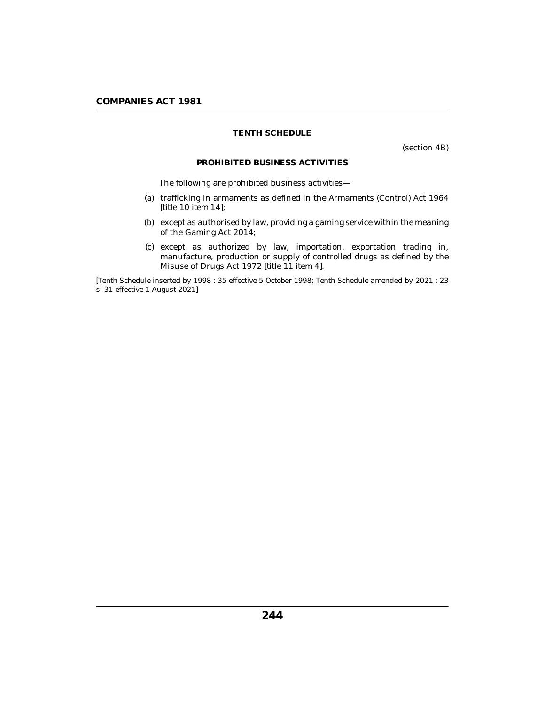## **TENTH SCHEDULE**

(section 4B)

## **PROHIBITED BUSINESS ACTIVITIES**

The following are prohibited business activities—

- (a) trafficking in armaments as defined in the Armaments (Control) Act 1964 [*title 10 item 14*];
- (b) except as authorised by law, providing a gaming service within the meaning of the Gaming Act 2014;
- (c) except as authorized by law, importation, exportation trading in, manufacture, production or supply of controlled drugs as defined by the Misuse of Drugs Act 1972 [*title 11 item 4*].

*[Tenth Schedule inserted by 1998 : 35 effective 5 October 1998; Tenth Schedule amended by 2021 : 23 s. 31 effective 1 August 2021]*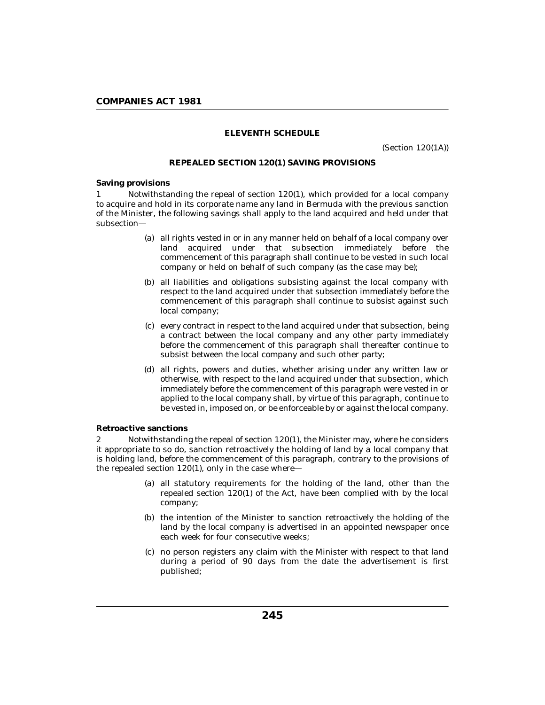## **ELEVENTH SCHEDULE**

(Section 120(1A))

## **REPEALED SECTION 120(1) SAVING PROVISIONS**

**Saving provisions**

Notwithstanding the repeal of section 120(1), which provided for a local company to acquire and hold in its corporate name any land in Bermuda with the previous sanction of the Minister, the following savings shall apply to the land acquired and held under that subsection— 1

- all rights vested in or in any manner held on behalf of a local company over (a) land acquired under that subsection immediately before the commencement of this paragraph shall continue to be vested in such local company or held on behalf of such company (as the case may be);
- (b) all liabilities and obligations subsisting against the local company with respect to the land acquired under that subsection immediately before the commencement of this paragraph shall continue to subsist against such local company;
- (c) every contract in respect to the land acquired under that subsection, being a contract between the local company and any other party immediately before the commencement of this paragraph shall thereafter continue to subsist between the local company and such other party;
- (d) all rights, powers and duties, whether arising under any written law or otherwise, with respect to the land acquired under that subsection, which immediately before the commencement of this paragraph were vested in or applied to the local company shall, by virtue of this paragraph, continue to be vested in, imposed on, or be enforceable by or against the local company.

**Retroactive sanctions**

Notwithstanding the repeal of section 120(1), the Minister may, where he considers it appropriate to so do, sanction retroactively the holding of land by a local company that is holding land, before the commencement of this paragraph, contrary to the provisions of the repealed section 120(1), only in the case where—  $\mathfrak{p}$ 

- all statutory requirements for the holding of the land, other than the (a) repealed section 120(1) of the Act, have been complied with by the local company;
- (b) the intention of the Minister to sanction retroactively the holding of the land by the local company is advertised in an appointed newspaper once each week for four consecutive weeks;
- no person registers any claim with the Minister with respect to that land (c) during a period of 90 days from the date the advertisement is first published;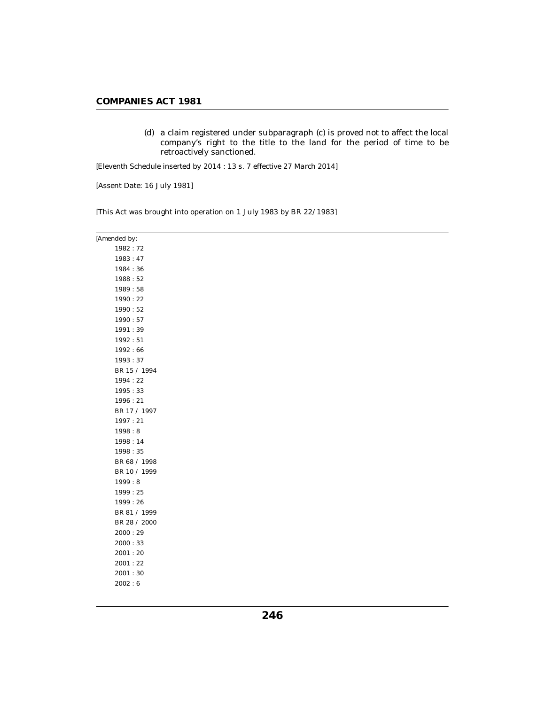(d) a claim registered under subparagraph (c) is proved not to affect the local company's right to the title to the land for the period of time to be retroactively sanctioned.

*[Eleventh Schedule inserted by 2014 : 13 s. 7 effective 27 March 2014]*

[Assent Date: 16 July 1981]

[This Act was brought into operation on 1 July 1983 by BR 22/1983]

| [Amended by: |              |
|--------------|--------------|
|              | 1982:72      |
|              | 1983:47      |
|              | 1984:36      |
|              | 1988:52      |
|              | 1989:58      |
|              | 1990:22      |
|              | 1990:52      |
|              | 1990:57      |
|              | 1991:39      |
|              | 1992:51      |
|              | 1992:66      |
|              | 1993:37      |
|              | BR 15 / 1994 |
|              | 1994:22      |
|              | 1995:33      |
|              | 1996:21      |
|              | BR 17 / 1997 |
|              | 1997:21      |
|              | 1998:8       |
|              | 1998:14      |
|              | 1998:35      |
|              | BR 68 / 1998 |
|              | BR 10 / 1999 |
|              | 1999:8       |
|              | 1999:25      |
|              | 1999:26      |
|              | BR 81 / 1999 |
|              | BR 28 / 2000 |
|              | 2000:29      |
|              | 2000:33      |
|              | 2001:20      |
|              | 2001:22      |
|              | 2001:30      |
|              | 2002:6       |